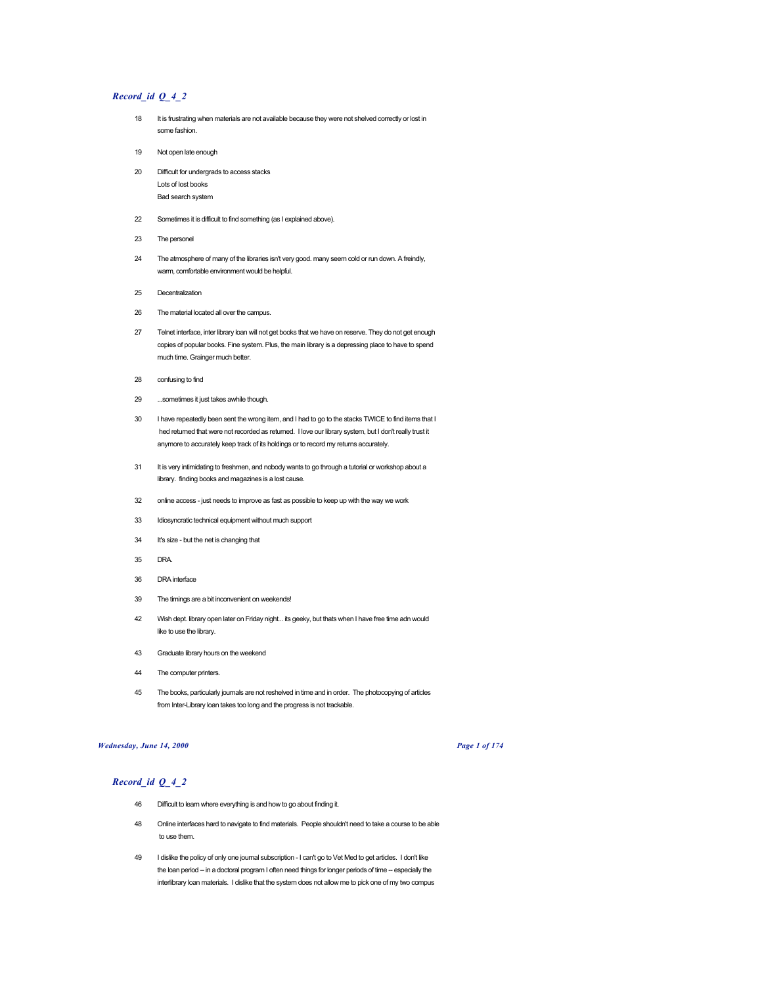# *Record\_id Q\_4\_2*

- 18 It is frustrating when materials are not available because they were not shelved correctly or lost in some fashion.
- 19 Not open late enough
- 20 Difficult for undergrads to access stacks Lots of lost books Bad search system
- 22 Sometimes it is difficult to find something (as I explained above).
- 23 The personel
- 24 The atmosphere of many of the libraries isn't very good. many seem cold or run down. A freindly, warm, comfortable environment would be helpful.
- 25 Decentralization
- 26 The material located all over the campus.
- 27 Telnet interface, inter library loan will not get books that we have on reserve. They do not get enough copies of popular books. Fine system. Plus, the main library is a depressing place to have to spend much time. Grainger much better.
- 28 confusing to find
- 29 ...sometimes it just takes awhile though.
- 30 I have repeatedly been sent the wrong item, and I had to go to the stacks TWICE to find items that I hed returned that were not recorded as returned. I love our library system, but I don't really trust it anymore to accurately keep track of its holdings or to record my returns accurately.
- 31 It is very intimidating to freshmen, and nobody wants to go through a tutorial or workshop about a library. finding books and magazines is a lost cause.
- 32 online access just needs to improve as fast as possible to keep up with the way we work
- 33 Idiosyncratic technical equipment without much support
- 34 It's size but the net is changing that
- 35 DRA.
- 36 DRA interface
- 39 The timings are a bit inconvenient on weekends!
- 42 Wish dept. library open later on Friday night... its geeky, but thats when I have free time adn would like to use the library.
- 43 Graduate library hours on the weekend
- 44 The computer printers.
- 45 The books, particularly journals are not reshelved in time and in order. The photocopying of articles from Inter-Library loan takes too long and the progress is not trackable.

## *Wednesday, June 14, 2000 Page 1 of 174*

- 46 Difficult to learn where everything is and how to go about finding it.
- 48 Online interfaces hard to navigate to find materials. People shouldn't need to take a course to be able to use them.
- 49 I dislike the policy of only one journal subscription I can't go to Vet Med to get articles. I don't like the loan period -- in a doctoral program I often need things for longer periods of time -- especially the interlibrary loan materials. I dislike that the system does not allow me to pick one of my two compus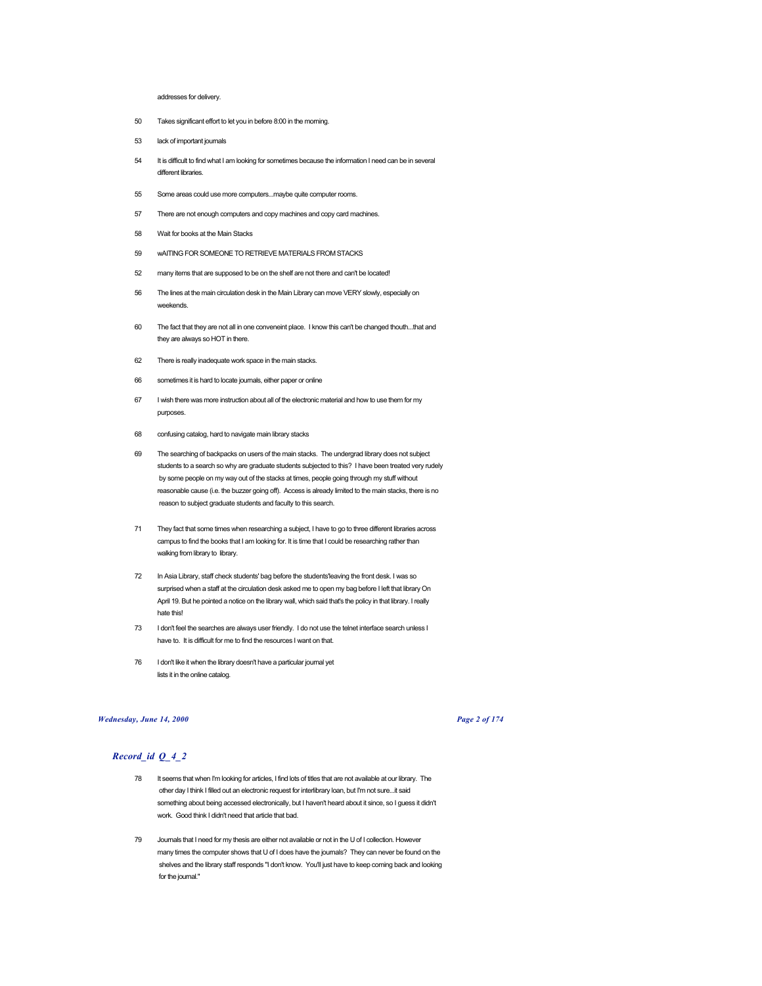## addresses for delivery.

- 50 Takes significant effort to let you in before 8:00 in the morning.
- 53 lack of important journals
- 54 It is difficult to find what I am looking for sometimes because the information I need can be in several different libraries.
- 55 Some areas could use more computers...maybe quite computer rooms.
- 57 There are not enough computers and copy machines and copy card machines.
- 58 Wait for books at the Main Stacks
- 59 wAITING FOR SOMEONE TO RETRIEVE MATERIALS FROM STACKS
- 52 many items that are supposed to be on the shelf are not there and can't be located!
- 56 The lines at the main circulation desk in the Main Library can move VERY slowly, especially on weekends.
- 60 The fact that they are not all in one conveneint place. I know this can't be changed thouth...that and they are always so HOT in there.
- 62 There is really inadequate work space in the main stacks.
- 66 sometimes it is hard to locate journals, either paper or online
- 67 I wish there was more instruction about all of the electronic material and how to use them for my purposes.
- 68 confusing catalog, hard to navigate main library stacks
- 69 The searching of backpacks on users of the main stacks. The undergrad library does not subject students to a search so why are graduate students subjected to this? I have been treated very rudely by some people on my way out of the stacks at times, people going through my stuff without reasonable cause (i.e. the buzzer going off). Access is already limited to the main stacks, there is no reason to subject graduate students and faculty to this search.
- 71 They fact that some times when researching a subject, I have to go to three different libraries across campus to find the books that I am looking for. It is time that I could be researching rather than walking from library to library.
- 72 In Asia Library, staff check students' bag before the students'leaving the front desk. I was so surprised when a staff at the circulation desk asked me to open my bag before I left that library On April 19. But he pointed a notice on the library wall, which said that's the policy in that library. I really hate this!
- 73 I don't feel the searches are always user friendly. I do not use the telnet interface search unless I have to. It is difficult for me to find the resources I want on that.
- 76 I don't like it when the library doesn't have a particular journal yet lists it in the online catalog.

## *Wednesday, June 14, 2000 Page 2 of 174*

- 78 It seems that when I'm looking for articles, I find lots of titles that are not available at our library. The other day I think I filled out an electronic request for interlibrary loan, but I'm not sure...it said something about being accessed electronically, but I haven't heard about it since, so I guess it didn't work. Good think I didn't need that article that bad.
- 79 Journals that I need for my thesis are either not available or not in the U of I collection. However many times the computer shows that U of I does have the journals? They can never be found on the shelves and the library staff responds "I don't know. You'll just have to keep coming back and looking for the journal."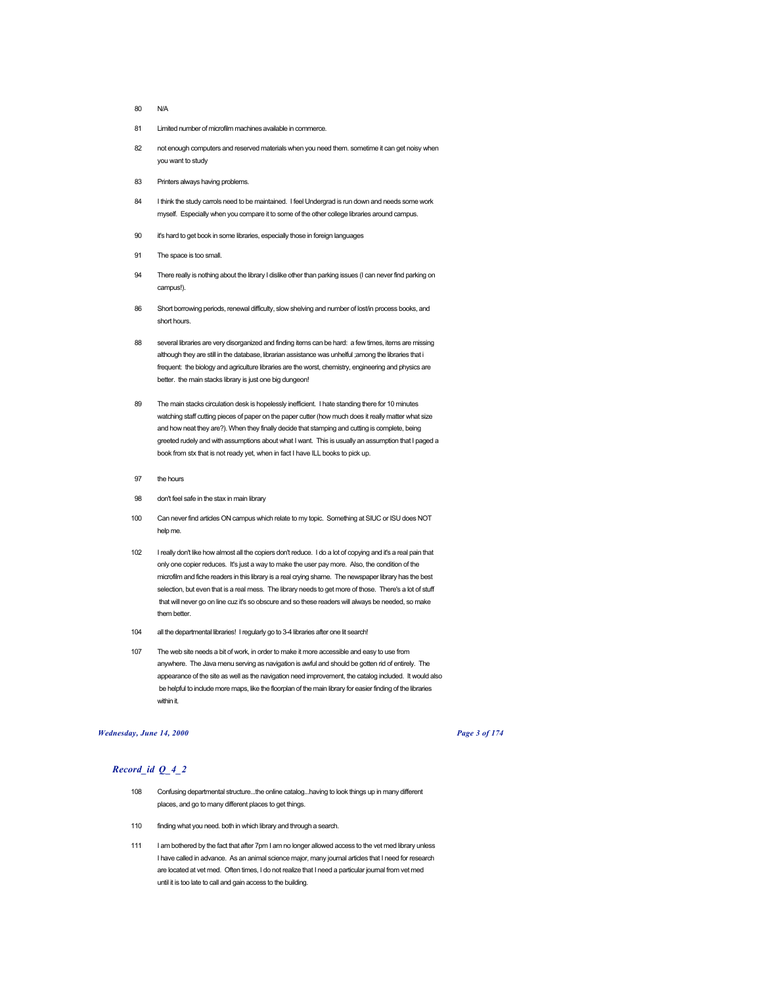- 80 N/A
- 81 Limited number of microfilm machines available in commerce.
- 82 not enough computers and reserved materials when you need them. sometime it can get noisy when you want to study
- 83 Printers always having problems.
- 84 I think the study carrols need to be maintained. I feel Undergrad is run down and needs some work myself. Especially when you compare it to some of the other college libraries around campus.
- 90 it's hard to get book in some libraries, especially those in foreign languages
- 91 The space is too small.
- 94 There really is nothing about the library I dislike other than parking issues (I can never find parking on campus!).
- 86 Short borrowing periods, renewal difficulty, slow shelving and number of lost/in process books, and short hours.
- 88 several libraries are very disorganized and finding items can be hard: a few times, items are missing although they are still in the database, librarian assistance was unhelful ;among the libraries that i frequent: the biology and agriculture libraries are the worst, chemistry, engineering and physics are better. the main stacks library is just one big dungeon!
- 89 The main stacks circulation desk is hopelessly inefficient. I hate standing there for 10 minutes watching staff cutting pieces of paper on the paper cutter (how much does it really matter what size and how neat they are?). When they finally decide that stamping and cutting is complete, being greeted rudely and with assumptions about what I want. This is usually an assumption that I paged a book from stx that is not ready yet, when in fact I have ILL books to pick up.
- 97 the hours
- 98 don't feel safe in the stax in main library
- 100 Can never find articles ON campus which relate to my topic. Something at SIUC or ISU does NOT help me.
- 102 I really don't like how almost all the copiers don't reduce. I do a lot of copying and it's a real pain that only one copier reduces. It's just a way to make the user pay more. Also, the condition of the microfilm and fiche readers in this library is a real crying shame. The newspaper library has the best selection, but even that is a real mess. The library needs to get more of those. There's a lot of stuff that will never go on line cuz it's so obscure and so these readers will always be needed, so make them better.
- 104 all the departmental libraries! I regularly go to 3-4 libraries after one lit search!
- 107 The web site needs a bit of work, in order to make it more accessible and easy to use from anywhere. The Java menu serving as navigation is awful and should be gotten rid of entirely. The appearance of the site as well as the navigation need improvement, the catalog included. It would also be helpful to include more maps, like the floorplan of the main library for easier finding of the libraries within it.

## *Wednesday, June 14, 2000 Page 3 of 174*

- 108 Confusing departmental structure...the online catalog...having to look things up in many different places, and go to many different places to get things.
- 110 finding what you need. both in which library and through a search.
- 111 I am bothered by the fact that after 7pm I am no longer allowed access to the vet med library unless I have called in advance. As an animal science major, many journal articles that I need for research are located at vet med. Often times, I do not realize that I need a particular journal from vet med until it is too late to call and gain access to the building.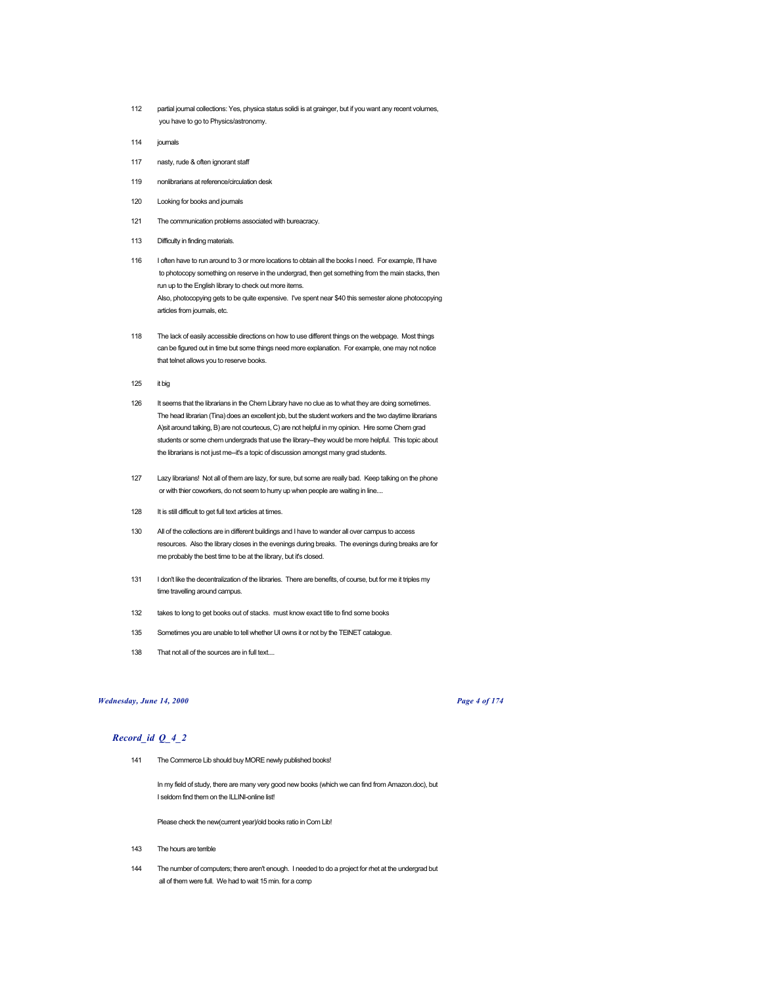- 112 partial journal collections: Yes, physica status solidi is at grainger, but if you want any recent volumes, you have to go to Physics/astronomy.
- 114 journals
- 117 nasty, rude & often ignorant staff
- 119 nonlibrarians at reference/circulation desk
- 120 Looking for books and journals
- 121 The communication problems associated with bureacracy.
- 113 Difficulty in finding materials.
- 116 I often have to run around to 3 or more locations to obtain all the books I need. For example, I'll have to photocopy something on reserve in the undergrad, then get something from the main stacks, then run up to the English library to check out more items. Also, photocopying gets to be quite expensive. I've spent near \$40 this semester alone photocopying articles from journals, etc.
- 118 The lack of easily accessible directions on how to use different things on the webpage. Most things can be figured out in time but some things need more explanation. For example, one may not notice that telnet allows you to reserve books.
- 125 it big
- 126 It seems that the librarians in the Chem Library have no clue as to what they are doing sometimes. The head librarian (Tina) does an excellent job, but the student workers and the two daytime librarians A)sit around talking, B) are not courteous, C) are not helpful in my opinion. Hire some Chem grad students or some chem undergrads that use the library--they would be more helpful. This topic about the librarians is not just me--it's a topic of discussion amongst many grad students.
- 127 Lazy librarians! Not all of them are lazy, for sure, but some are really bad. Keep talking on the phone or with thier coworkers, do not seem to hurry up when people are waiting in line....
- 128 It is still difficult to get full text articles at times.
- 130 All of the collections are in different buildings and I have to wander all over campus to access resources. Also the library closes in the evenings during breaks. The evenings during breaks are for me probably the best time to be at the library, but it's closed.
- 131 I don't like the decentralization of the libraries. There are benefits, of course, but for me it triples my time travelling around campus.
- 132 takes to long to get books out of stacks. must know exact title to find some books
- 135 Sometimes you are unable to tell whether UI owns it or not by the TElNET catalogue.
- 138 That not all of the sources are in full text...

## *Wednesday, June 14, 2000 Page 4 of 174*

# *Record\_id Q\_4\_2*

141 The Commerce Lib should buy MORE newly published books!

In my field of study, there are many very good new books (which we can find from Amazon.doc), but I seldom find them on the ILLINI-online list!

Please check the new(current year)/old books ratio in Com Lib!

- 143 The hours are terrible
- 144 The number of computers; there aren't enough. I needed to do a project for rhet at the undergrad but all of them were full. We had to wait 15 min. for a comp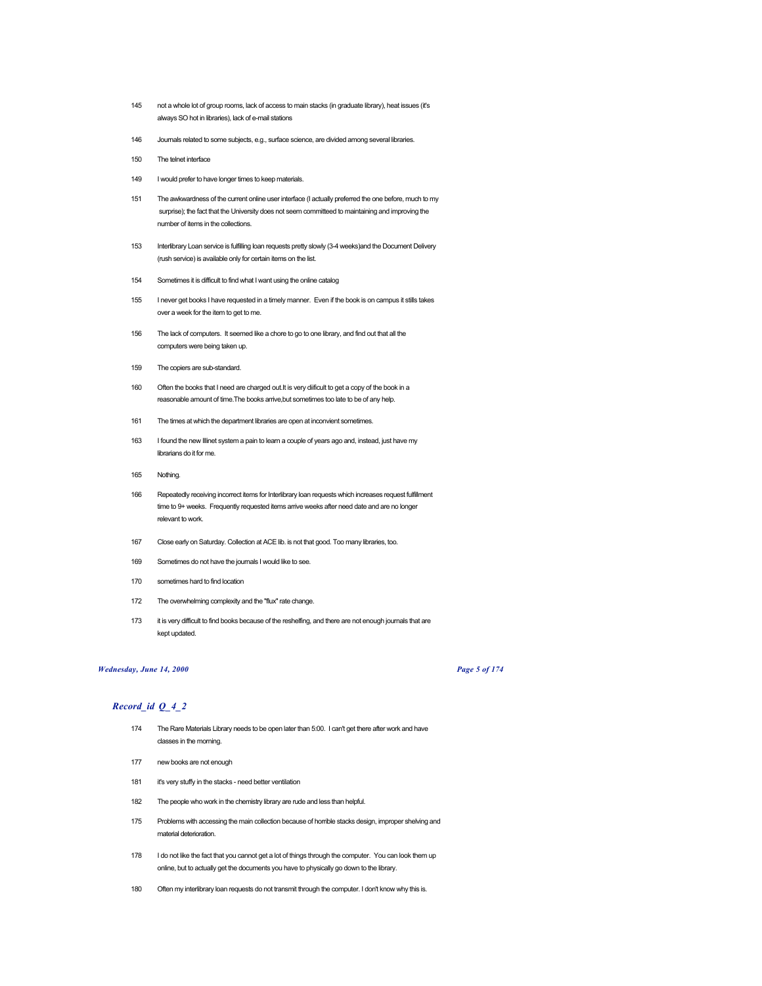- 145 not a whole lot of group rooms, lack of access to main stacks (in graduate library), heat issues (it's always SO hot in libraries), lack of e-mail stations
- 146 Journals related to some subjects, e.g., surface science, are divided among several libraries.
- 150 The telnet interface
- 149 I would prefer to have longer times to keep materials.
- 151 The awkwardness of the current online user interface (I actually preferred the one before, much to my surprise); the fact that the University does not seem committeed to maintaining and improving the number of items in the collections.
- 153 Interlibrary Loan service is fulfilling loan requests pretty slowly (3-4 weeks)and the Document Delivery (rush service) is available only for certain items on the list.
- 154 Sometimes it is difficult to find what I want using the online catalog
- 155 I never get books I have requested in a timely manner. Even if the book is on campus it stills takes over a week for the item to get to me.
- 156 The lack of computers. It seemed like a chore to go to one library, and find out that all the computers were being taken up.
- 159 The copiers are sub-standard.
- 160 Often the books that I need are charged out.It is very diificult to get a copy of the book in a reasonable amount of time.The books arrive,but sometimes too late to be of any help.
- 161 The times at which the department libraries are open at inconvient sometimes.
- 163 I found the new Illinet system a pain to learn a couple of years ago and, instead, just have my librarians do it for me.
- 165 Nothing.
- 166 Repeatedly receiving incorrect items for Interlibrary loan requests which increases request fulfillment time to 9+ weeks. Frequently requested items arrive weeks after need date and are no longer relevant to work.
- 167 Close early on Saturday. Collection at ACE lib. is not that good. Too many libraries, too.
- 169 Sometimes do not have the journals I would like to see.
- 170 sometimes hard to find location
- 172 The overwhelming complexity and the "flux" rate change.
- 173 it is very difficult to find books because of the reshelfing, and there are not enough journals that are kept updated.

# *Wednesday, June 14, 2000 Page 5 of 174*

- 174 The Rare Materials Library needs to be open later than 5:00. I can't get there after work and have classes in the morning.
- 177 new books are not enough
- 181 it's very stuffy in the stacks need better ventilation
- 182 The people who work in the chemistry library are rude and less than helpful.
- 175 Problems with accessing the main collection because of horrible stacks design, improper shelving and material deterioration.
- 178 I do not like the fact that you cannot get a lot of things through the computer. You can look them up online, but to actually get the documents you have to physically go down to the library.
- 180 Often my interlibrary loan requests do not transmit through the computer. I don't know why this is.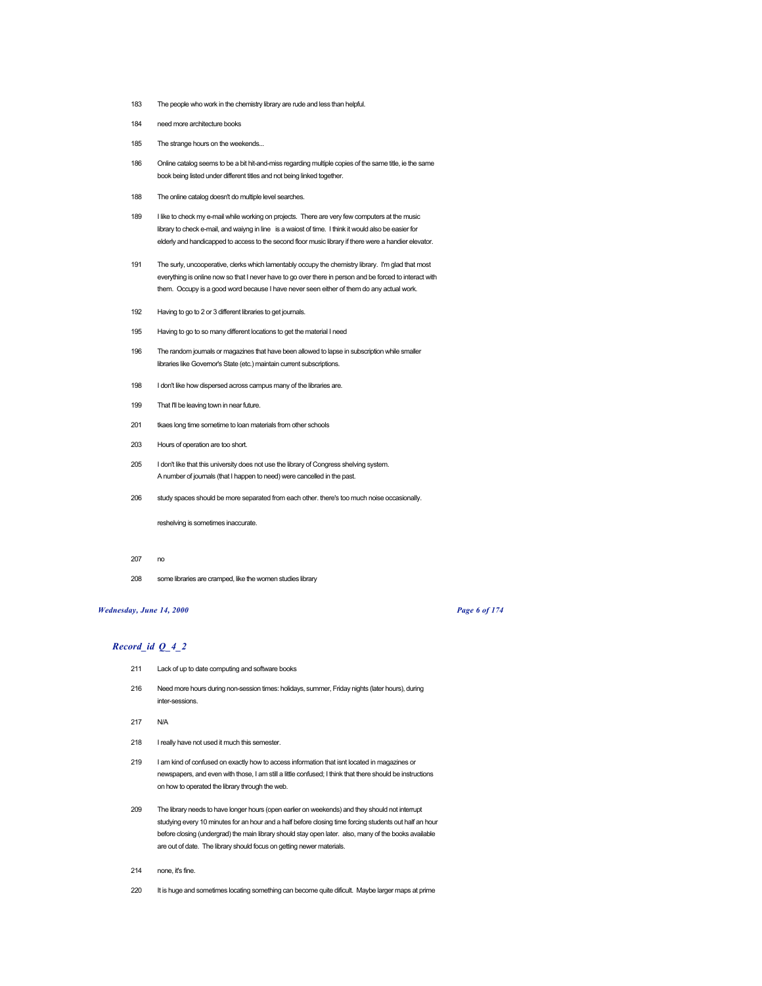- 183 The people who work in the chemistry library are rude and less than helpful.
- 184 need more architecture books
- 185 The strange hours on the weekends...
- 186 Online catalog seems to be a bit hit-and-miss regarding multiple copies of the same title, ie the same book being listed under different titles and not being linked together.
- 188 The online catalog doesn't do multiple level searches.
- 189 I like to check my e-mail while working on projects. There are very few computers at the music library to check e-mail, and waiyng in line is a waiost of time. I think it would also be easier for elderly and handicapped to access to the second floor music library if there were a handier elevator.
- 191 The surly, uncooperative, clerks which lamentably occupy the chemistry library. I'm glad that most everything is online now so that I never have to go over there in person and be forced to interact with them. Occupy is a good word because I have never seen either of them do any actual work.
- 192 Having to go to 2 or 3 different libraries to get journals.
- 195 Having to go to so many different locations to get the material I need
- 196 The random journals or magazines that have been allowed to lapse in subscription while smaller libraries like Governor's State (etc.) maintain current subscriptions.
- 198 I don't like how dispersed across campus many of the libraries are.
- 199 That I'll be leaving town in near future.
- 201 tkaes long time sometime to loan materials from other schools
- 203 Hours of operation are too short.
- 205 I don't like that this university does not use the library of Congress shelving system. A number of journals (that I happen to need) were cancelled in the past.
- 206 study spaces should be more separated from each other. there's too much noise occasionally.

reshelving is sometimes inaccurate.

- 207 no
- 208 some libraries are cramped, like the women studies library

## *Wednesday, June 14, 2000 Page 6 of 174*

- 211 Lack of up to date computing and software books
- 216 Need more hours during non-session times: holidays, summer, Friday nights (later hours), during inter-sessions.
- 217 N/A
- 218 I really have not used it much this semester.
- 219 I am kind of confused on exactly how to access information that isnt located in magazines or newspapers, and even with those, I am still a little confused; I think that there should be instructions on how to operated the library through the web.
- 209 The library needs to have longer hours (open earlier on weekends) and they should not interrupt studying every 10 minutes for an hour and a half before closing time forcing students out half an hour before closing (undergrad) the main library should stay open later. also, many of the books available are out of date. The library should focus on getting newer materials.
- 214 none, it's fine.
- 220 It is huge and sometimes locating something can become quite dificult. Maybe larger maps at prime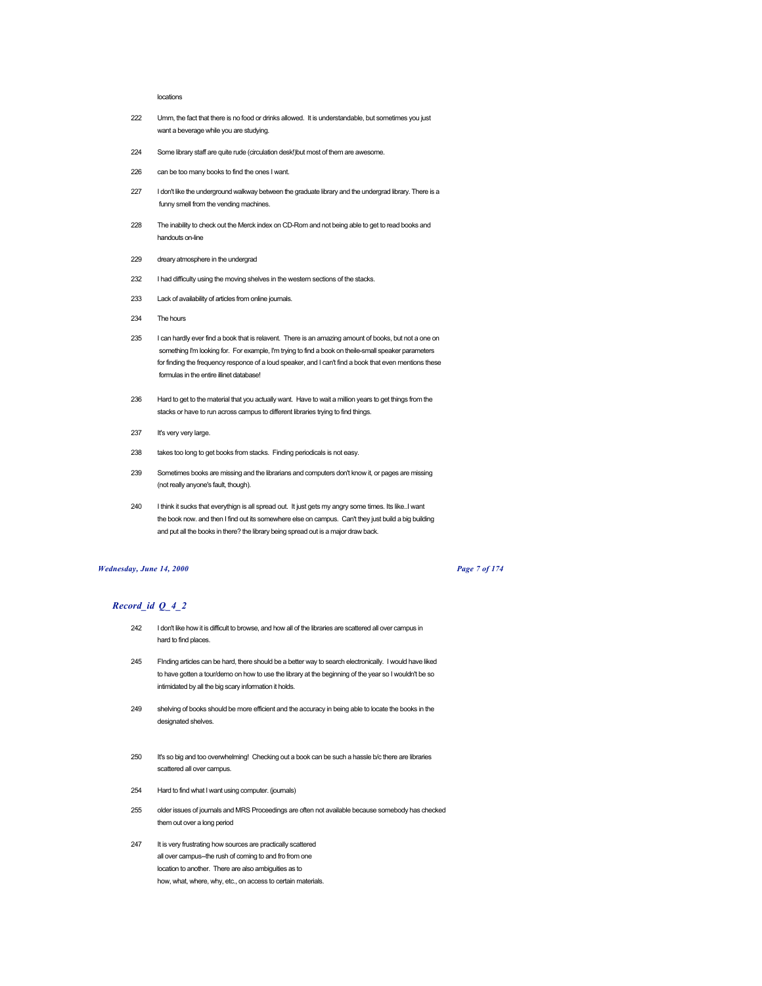## locations

- 222 Umm, the fact that there is no food or drinks allowed. It is understandable, but sometimes you just want a beverage while you are studying.
- 224 Some library staff are quite rude (circulation desk!)but most of them are awesome.
- 226 can be too many books to find the ones I want.
- 227 I don't like the underground walkway between the graduate library and the undergrad library. There is a funny smell from the vending machines.
- 228 The inability to check out the Merck index on CD-Rom and not being able to get to read books and handouts on-line
- 229 dreary atmosphere in the undergrad
- 232 I had difficulty using the moving shelves in the western sections of the stacks.
- 233 Lack of availability of articles from online journals.
- 234 The hours
- 235 I can hardly ever find a book that is relavent. There is an amazing amount of books, but not a one on something I'm looking for. For example, I'm trying to find a book on theile-small speaker parameters for finding the frequency responce of a loud speaker, and I can't find a book that even mentions these formulas in the entire illinet database!
- 236 Hard to get to the material that you actually want. Have to wait a million years to get things from the stacks or have to run across campus to different libraries trying to find things.
- 237 It's very very large.
- 238 takes too long to get books from stacks. Finding periodicals is not easy.
- 239 Sometimes books are missing and the librarians and computers don't know it, or pages are missing (not really anyone's fault, though).
- 240 I think it sucks that everythign is all spread out. It just gets my angry some times. Its like..I want the book now. and then I find out its somewhere else on campus. Can't they just build a big building and put all the books in there? the library being spread out is a major draw back.

## *Wednesday, June 14, 2000 Page 7 of 174*

- 242 I don't like how it is difficult to browse, and how all of the libraries are scattered all over campus in hard to find places.
- 245 FInding articles can be hard, there should be a better way to search electronically. I would have liked to have gotten a tour/demo on how to use the library at the beginning of the year so I wouldn't be so intimidated by all the big scary information it holds.
- 249 shelving of books should be more efficient and the accuracy in being able to locate the books in the designated shelves.
- 250 It's so big and too overwhelming! Checking out a book can be such a hassle b/c there are libraries scattered all over campus.
- 254 Hard to find what I want using computer. (journals)
- 255 older issues of journals and MRS Proceedings are often not available because somebody has checked them out over a long period
- 247 It is very frustrating how sources are practically scattered all over campus--the rush of coming to and fro from one location to another. There are also ambiguities as to how, what, where, why, etc., on access to certain materials.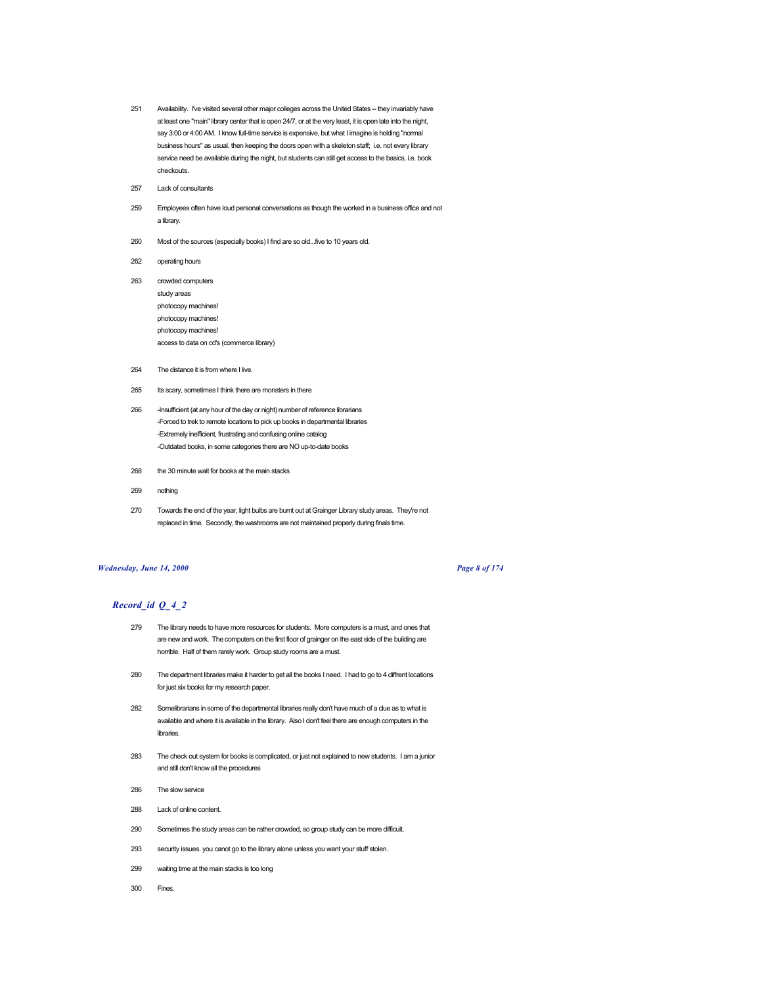- 251 Availability. I've visited several other major colleges across the United States -- they invariably have at least one "main" library center that is open 24/7, or at the very least, it is open late into the night, say 3:00 or 4:00 AM. I know full-time service is expensive, but what I imagine is holding "normal business hours" as usual, then keeping the doors open with a skeleton staff; i.e. not every library service need be available during the night, but students can still get access to the basics, i.e. book checkouts.
- 257 Lack of consultants
- 259 Employees often have loud personal conversations as though the worked in a business office and not a library.
- 260 Most of the sources (especially books) I find are so old...five to 10 years old.
- 262 operating hours
- 263 crowded computers study areas photocopy machines! photocopy machines! photocopy machines! access to data on cd's (commerce library)
- 264 The distance it is from where I live.
- 265 Its scary, sometimes I think there are monsters in there
- 266 Insufficient (at any hour of the day or night) number of reference librarians -Forced to trek to remote locations to pick up books in departmental libraries -Extremely inefficient, frustrating and confusing online catalog -Outdated books, in some categories there are NO up-to-date books
- 268 the 30 minute wait for books at the main stacks
- 269 nothing
- 270 Towards the end of the year, light bulbs are burnt out at Grainger Library study areas. They're not replaced in time. Secondly, the washrooms are not maintained properly during finals time.

## *Wednesday, June 14, 2000 Page 8 of 174*

- 279 The library needs to have more resources for students. More computers is a must, and ones that are new and work. The computers on the first floor of grainger on the east side of the building are horrible. Half of them rarely work. Group study rooms are a must.
- 280 The department libraries make it harder to get all the books I need. I had to go to 4 diffrent locations for just six books for my research paper.
- 282 Somelibrarians in some of the departmental libraries really don't have much of a clue as to what is available and where it is available in the library. Also I don't feel there are enough computers in the libraries.
- 283 The check out system for books is complicated, or just not explained to new students. I am a junior and still don't know all the procedures
- 286 The slow service
- 288 Lack of online content.
- 290 Sometimes the study areas can be rather crowded, so group study can be more difficult.
- 293 security issues. you canot go to the library alone unless you want your stuff stolen.
- 299 waiting time at the main stacks is too long
- 300 Fines.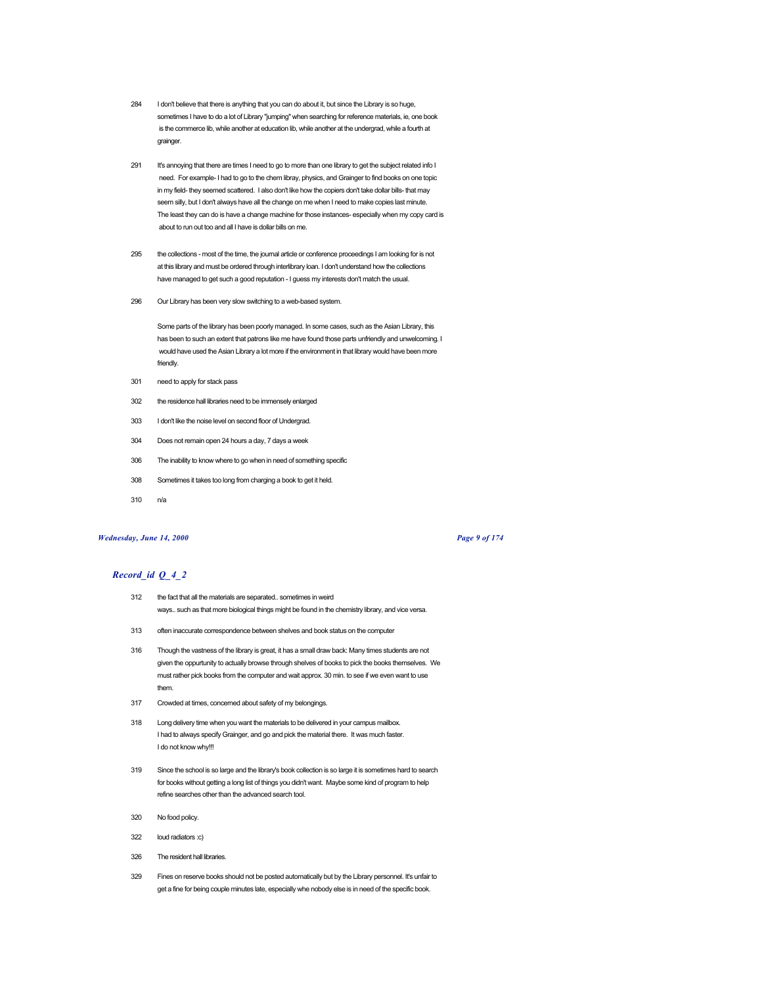- 284 I don't believe that there is anything that you can do about it, but since the Library is so huge, sometimes I have to do a lot of Library "jumping" when searching for reference materials, ie, one book is the commerce lib, while another at education lib, while another at the undergrad, while a fourth at grainger.
- 291 It's annoying that there are times I need to go to more than one library to get the subject related info I need. For example- I had to go to the chem libray, physics, and Grainger to find books on one topic in my field- they seemed scattered. I also don't like how the copiers don't take dollar bills- that may seem silly, but I don't always have all the change on me when I need to make copies last minute. The least they can do is have a change machine for those instances- especially when my copy card is about to run out too and all I have is dollar bills on me.
- 295 the collections most of the time, the journal article or conference proceedings I am looking for is not at this library and must be ordered through interlibrary loan. I don't understand how the collections have managed to get such a good reputation - I guess my interests don't match the usual.
- 296 Our Library has been very slow switching to a web-based system.

Some parts of the library has been poorly managed. In some cases, such as the Asian Library, this has been to such an extent that patrons like me have found those parts unfriendly and unwelcoming. I would have used the Asian Library a lot more if the environment in that library would have been more friendly.

- 301 need to apply for stack pass
- 302 the residence hall libraries need to be immensely enlarged
- 303 I don't like the noise level on second floor of Undergrad.
- 304 Does not remain open 24 hours a day, 7 days a week
- 306 The inability to know where to go when in need of something specific
- 308 Sometimes it takes too long from charging a book to get it held.
- 310 n/a

# *Wednesday, June 14, 2000 Page 9 of 174*

- 312 the fact that all the materials are separated.. sometimes in weird ways.. such as that more biological things might be found in the chemistry library, and vice versa.
- 313 often inaccurate correspondence between shelves and book status on the computer
- 316 Though the vastness of the library is great, it has a small draw back: Many times students are not given the oppurtunity to actually browse through shelves of books to pick the books themselves. We must rather pick books from the computer and wait approx. 30 min. to see if we even want to use them.
- 317 Crowded at times, concerned about safety of my belongings.
- 318 Long delivery time when you want the materials to be delivered in your campus mailbox. I had to always specify Grainger, and go and pick the material there. It was much faster. I do not know why!!!
- 319 Since the school is so large and the library's book collection is so large it is sometimes hard to search for books without getting a long list of things you didn't want. Maybe some kind of program to help refine searches other than the advanced search tool.
- 320 No food policy.
- 322 loud radiators :c)
- 326 The resident hall libraries.
- 329 Fines on reserve books should not be posted automatically but by the Library personnel. It's unfair to get a fine for being couple minutes late, especially whe nobody else is in need of the specific book.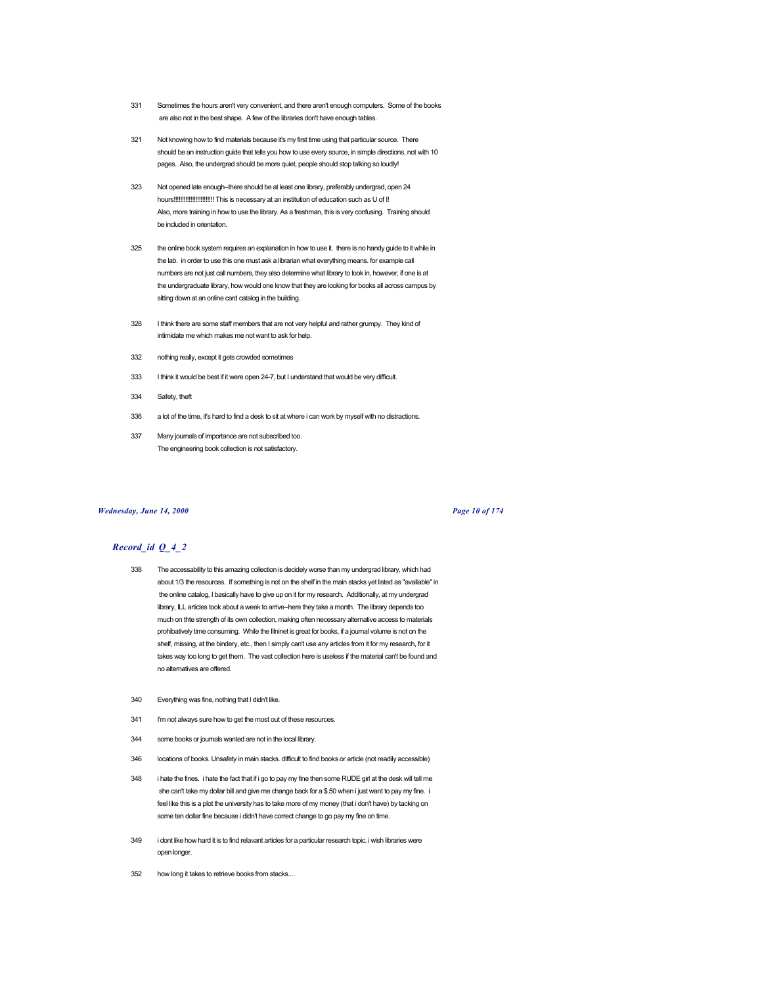- 331 Sometimes the hours aren't very convenient, and there aren't enough computers. Some of the books are also not in the best shape. A few of the libraries don't have enough tables.
- 321 Not knowing how to find materials because it's my first time using that particular source. There should be an instruction guide that tells you how to use every source, in simple directions, not with 10 pages. Also, the undergrad should be more quiet, people should stop talking so loudly!
- 323 Not opened late enough--there should be at least one library, preferably undergrad, open 24 hours!!!!!!!!!!!!!!!!!!!!!!!! This is necessary at an institution of education such as U of I! Also, more training in how to use the library. As a freshman, this is very confusing. Training should be included in orientation.
- 325 the online book system requires an explanation in how to use it. there is no handy guide to it while in the lab. in order to use this one must ask a librarian what everything means. for example call numbers are not just call numbers, they also determine what library to look in, however, if one is at the undergraduate library, how would one know that they are looking for books all across campus by sitting down at an online card catalog in the building.
- 328 I think there are some staff members that are not very helpful and rather grumpy. They kind of intimidate me which makes me not want to ask for help.
- 332 nothing really, except it gets crowded sometimes
- 333 I think it would be best if it were open 24-7, but I understand that would be very difficult.
- 334 Safety, theft
- 336 a lot of the time, it's hard to find a desk to sit at where i can work by myself with no distractions.
- 337 Many journals of importance are not subscribed too. The engineering book collection is not satisfactory.

### *Wednesday, June 14, 2000 Page 10 of 174*

- 338 The accessability to this amazing collection is decidely worse than my undergrad library, which had about 1/3 the resources. If something is not on the shelf in the main stacks yet listed as "available" in the online catalog, I basically have to give up on it for my research. Additionally, at my undergrad library, ILL articles took about a week to arrive--here they take a month. The library depends too much on thte strength of its own collection, making often necessary alternative access to materials prohibatively time consuming. While the Illninet is great for books, if a journal volume is not on the shelf, missing, at the bindery, etc., then I simply can't use any articles from it for my research, for it takes way too long to get them. The vast collection here is useless if the material can't be found and no alternatives are offered.
- 340 Everything was fine, nothing that I didn't like.
- 341 I'm not always sure how to get the most out of these resources.
- 344 some books or journals wanted are not in the local library.
- 346 locations of books. Unsafety in main stacks. difficult to find books or article (not readily accessible)
- 348 i hate the fines. i hate the fact that if i go to pay my fine then some RUDE girl at the desk will tell me she can't take my dollar bill and give me change back for a \$.50 when i just want to pay my fine. i feel like this is a plot the university has to take more of my money (that i don't have) by tacking on some ten dollar fine because i didn't have correct change to go pay my fine on time.
- 349 i dont like how hard it is to find relavant articles for a particular research topic. i wish libraries were open longer.
- 352 how long it takes to retrieve books from stacks....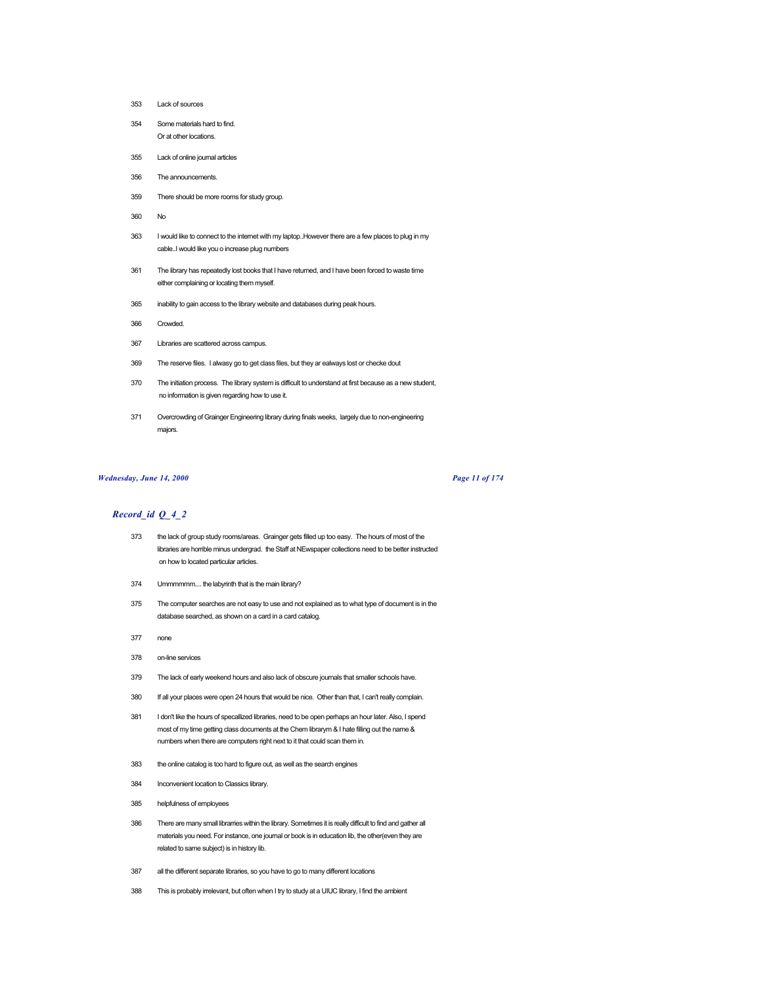- Lack of sources
- Some materials hard to find. Or at other locations.
- 
- Lack of online journal articles
- The announcements.
- There should be more rooms for study group.
- No
- I would like to connect to the internet with my laptop..However there are a few places to plug in my cable..I would like you o increase plug numbers
- The library has repeatedly lost books that I have returned, and I have been forced to waste time either complaining or locating them myself.
- inability to gain access to the library website and databases during peak hours.
- Crowded.
- Libraries are scattered across campus.
- The reserve files. I alwasy go to get class files, but they ar ealways lost or checke dout
- The initiation process. The library system is difficult to understand at first because as a new student, no information is given regarding how to use it.
- Overcrowding of Grainger Engineering library during finals weeks, largely due to non-engineering majors.

## *Wednesday, June 14, 2000 Page 11 of 174*

- the lack of group study rooms/areas. Grainger gets filled up too easy. The hours of most of the libraries are horrible minus undergrad. the Staff at NEwspaper collections need to be better instructed on how to located particular articles.
- Ummmmmm.... the labyrinth that is the main library?
- The computer searches are not easy to use and not explained as to what type of document is in the database searched, as shown on a card in a card catalog.
- none
- on-line services
- The lack of early weekend hours and also lack of obscure journals that smaller schools have.
- 380 If all your places were open 24 hours that would be nice. Other than that, I can't really complain.
- I don't like the hours of specallized libraries, need to be open perhaps an hour later. Also, I spend most of my time getting class documents at the Chem librarym & I hate filling out the name & numbers when there are computers right next to it that could scan them in.
- the online catalog is too hard to figure out, as well as the search engines
- Inconvenient location to Classics library.
- helpfulness of employees
- There are many small librarries within the library. Sometimes it is really difficult to find and gather all materials you need. For instance, one journal or book is in education lib, the other(even they are related to same subject) is in history lib.
- all the different separate libraries, so you have to go to many different locations
- This is probably irrelevant, but often when I try to study at a UIUC library, I find the ambient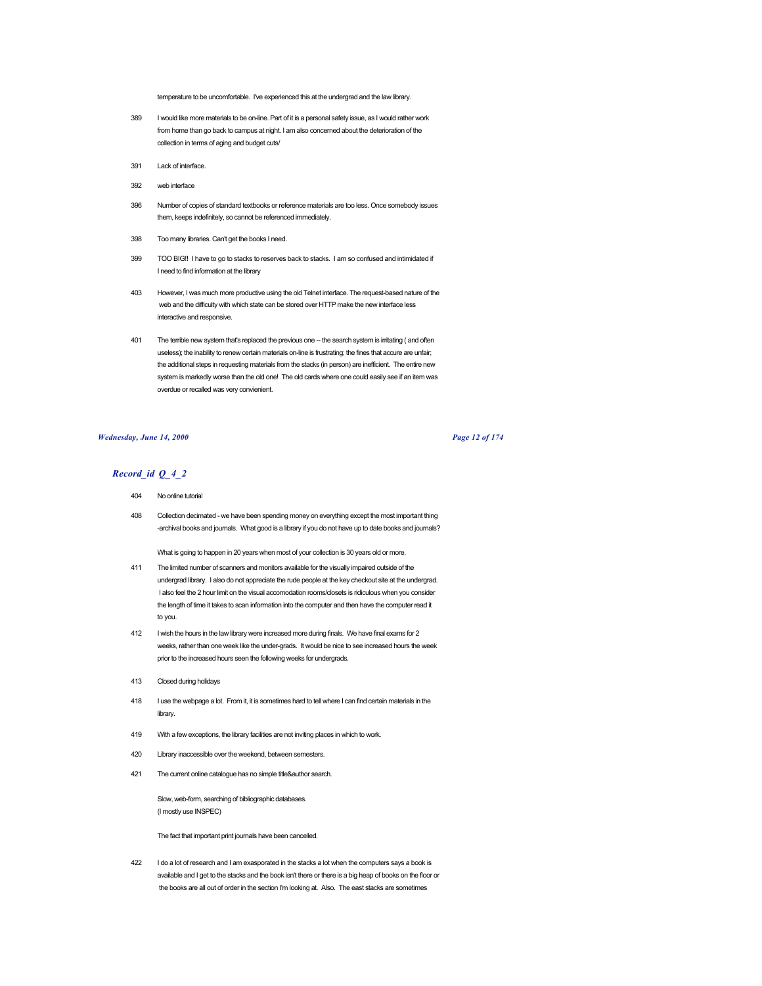temperature to be uncomfortable. I've experienced this at the undergrad and the law library.

- 389 I would like more materials to be on-line. Part of it is a personal safety issue, as I would rather work from home than go back to campus at night. I am also concerned about the deterioration of the collection in terms of aging and budget cuts/
- 391 Lack of interface.
- 392 web interface
- 396 Number of copies of standard textbooks or reference materials are too less. Once somebody issues them, keeps indefinitely, so cannot be referenced immediately.
- 398 Too many libraries. Can't get the books I need.
- 399 TOO BIG!! I have to go to stacks to reserves back to stacks. I am so confused and intimidated if I need to find information at the library
- 403 However, I was much more productive using the old Telnet interface. The request-based nature of the web and the difficulty with which state can be stored over HTTP make the new interface less interactive and responsive.
- 401 The terrible new system that's replaced the previous one -- the search system is irritating (and often useless); the inability to renew certain materials on-line is frustrating; the fines that accure are unfair; the additional steps in requesting materials from the stacks (in person) are inefficient. The entire new system is markedly worse than the old one! The old cards where one could easily see if an item was overdue or recalled was very convienient.

## *Wednesday, June 14, 2000 Page 12 of 174*

# *Record\_id Q\_4\_2*

- 404 No online tutorial
- 408 Collection decimated we have been spending money on everything except the most important thing -archival books and journals. What good is a library if you do not have up to date books and journals?

What is going to happen in 20 years when most of your collection is 30 years old or more.

- 411 The limited number of scanners and monitors available for the visually impaired outside of the undergrad library. I also do not appreciate the rude people at the key checkout site at the undergrad. I also feel the 2 hour limit on the visual accomodation rooms/closets is ridiculous when you consider the length of time it takes to scan information into the computer and then have the computer read it to you.
- 412 I wish the hours in the law library were increased more during finals. We have final exams for 2 weeks, rather than one week like the under-grads. It would be nice to see increased hours the week prior to the increased hours seen the following weeks for undergrads.
- 413 Closed during holidays
- 418 I use the webpage a lot. From it, it is sometimes hard to tell where I can find certain materials in the library.
- 419 With a few exceptions, the library facilities are not inviting places in which to work.
- 420 Library inaccessible over the weekend, between semesters.
- 421 The current online catalogue has no simple title&author search.

Slow, web-form, searching of bibliographic databases. (I mostly use INSPEC)

The fact that important print journals have been cancelled.

422 I do a lot of research and I am exasporated in the stacks a lot when the computers says a book is available and I get to the stacks and the book isn't there or there is a big heap of books on the floor or the books are all out of order in the section I'm looking at. Also. The east stacks are sometimes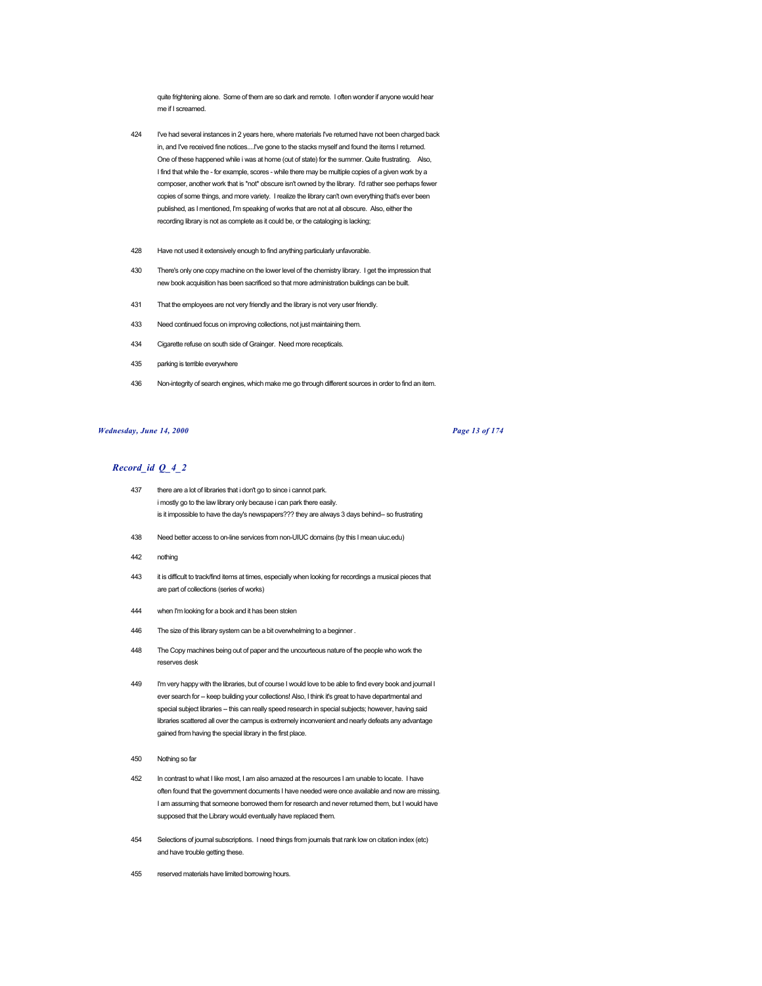quite frightening alone. Some of them are so dark and remote. I often wonder if anyone would hear me if I screamed.

- 424 I've had several instances in 2 years here, where materials I've returned have not been charged back in, and I've received fine notices....I've gone to the stacks myself and found the items I returned. One of these happened while i was at home (out of state) for the summer. Quite frustrating. Also, I find that while the - for example, scores - while there may be multiple copies of a given work by a composer, another work that is \*not\* obscure isn't owned by the library. I'd rather see perhaps fewer copies of some things, and more variety. I realize the library can't own everything that's ever been published, as I mentioned, I'm speaking of works that are not at all obscure. Also, either the recording library is not as complete as it could be, or the cataloging is lacking;
- 428 Have not used it extensively enough to find anything particularly unfavorable.
- 430 There's only one copy machine on the lower level of the chemistry library. I get the impression that new book acquisition has been sacrificed so that more administration buildings can be built.
- 431 That the employees are not very friendly and the library is not very user friendly.
- 433 Need continued focus on improving collections, not just maintaining them.
- 434 Cigarette refuse on south side of Grainger. Need more recepticals.
- 435 parking is terrible everywhere
- 436 Non-integrity of search engines, which make me go through different sources in order to find an item.

### *Wednesday, June 14, 2000 Page 13 of 174*

- 437 there are a lot of libraries that i don't go to since i cannot park. i mostly go to the law library only because i can park there easily. is it impossible to have the day's newspapers??? they are always 3 days behind-- so frustrating
- 438 Need better access to on-line services from non-UIUC domains (by this I mean uiuc.edu)
- 442 nothing
- 443 it is difficult to track/find items at times, especially when looking for recordings a musical pieces that are part of collections (series of works)
- 444 when I'm looking for a book and it has been stolen
- 446 The size of this library system can be a bit overwhelming to a beginner .
- 448 The Copy machines being out of paper and the uncourteous nature of the people who work the reserves desk
- 449 I'm very happy with the libraries, but of course I would love to be able to find every book and journal I ever search for -- keep building your collections! Also, I think it's great to have departmental and special subject libraries -- this can really speed research in special subjects; however, having said libraries scattered all over the campus is extremely inconvenient and nearly defeats any advantage gained from having the special library in the first place.
- 450 Nothing so far
- 452 In contrast to what I like most, I am also amazed at the resources I am unable to locate. I have often found that the government documents I have needed were once available and now are missing. I am assuming that someone borrowed them for research and never returned them, but I would have supposed that the Library would eventually have replaced them.
- 454 Selections of journal subscriptions. I need things from journals that rank low on citation index (etc) and have trouble getting these.
- 455 reserved materials have limited borrowing hours.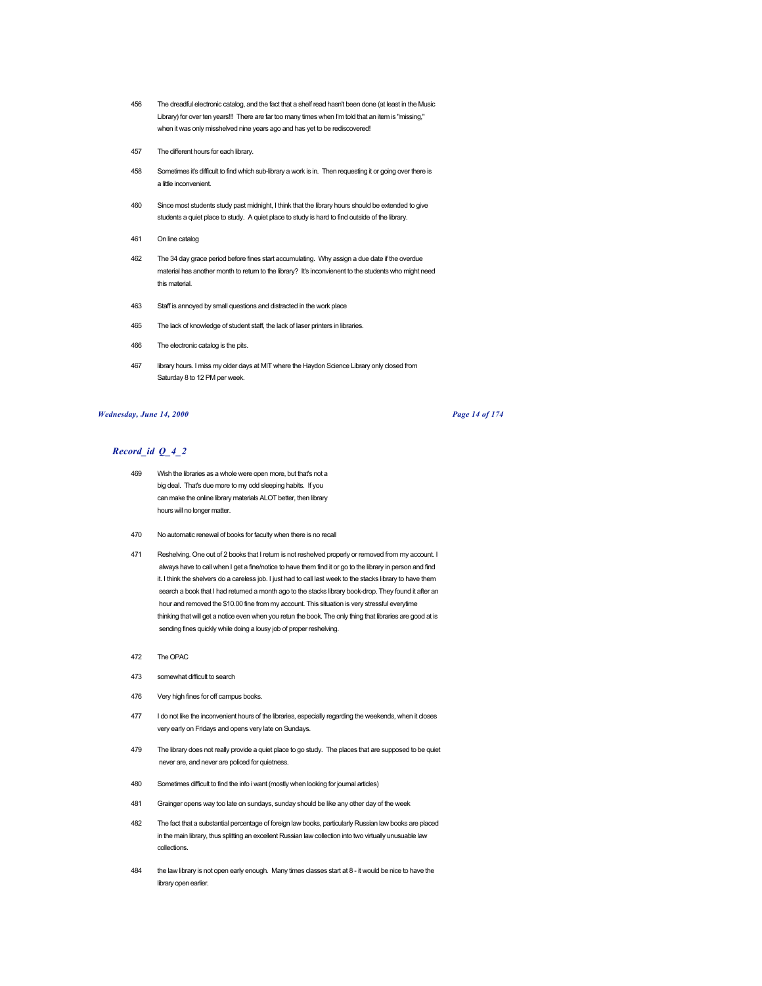- 456 The dreadful electronic catalog, and the fact that a shelf read hasn't been done (at least in the Music Library) for over ten years!!! There are far too many times when I'm told that an item is "missing," when it was only misshelved nine years ago and has yet to be rediscovered!
- 457 The different hours for each library.
- 458 Sometimes it's difficult to find which sub-library a work is in. Then requesting it or going over there is a little inconvenient.
- 460 Since most students study past midnight, I think that the library hours should be extended to give students a quiet place to study. A quiet place to study is hard to find outside of the library.
- 461 On line catalog
- 462 The 34 day grace period before fines start accumulating. Why assign a due date if the overdue material has another month to return to the library? It's inconvienent to the students who might need this material.
- 463 Staff is annoyed by small questions and distracted in the work place
- 465 The lack of knowledge of student staff, the lack of laser printers in libraries.
- 466 The electronic catalog is the pits.
- 467 library hours. I miss my older days at MIT where the Haydon Science Library only closed from Saturday 8 to 12 PM per week.

### *Wednesday, June 14, 2000 Page 14 of 174*

- 469 Wish the libraries as a whole were open more, but that's not a big deal. That's due more to my odd sleeping habits. If you can make the online library materials ALOT better, then library hours will no longer matter.
- 470 No automatic renewal of books for faculty when there is no recall
- 471 Reshelving. One out of 2 books that I return is not reshelved properly or removed from my account. I always have to call when I get a fine/notice to have them find it or go to the library in person and find it. I think the shelvers do a careless job. I just had to call last week to the stacks library to have them search a book that I had returned a month ago to the stacks library book-drop. They found it after an hour and removed the \$10.00 fine from my account. This situation is very stressful everytime thinking that will get a notice even when you retun the book. The only thing that libraries are good at is sending fines quickly while doing a lousy job of proper reshelving.
- 472 The OPAC
- 473 somewhat difficult to search
- 476 Very high fines for off campus books.
- 477 I do not like the inconvenient hours of the libraries, especially regarding the weekends, when it closes very early on Fridays and opens very late on Sundays.
- 479 The library does not really provide a quiet place to go study. The places that are supposed to be quiet never are, and never are policed for quietness.
- 480 Sometimes difficult to find the info i want (mostly when looking for journal articles)
- 481 Grainger opens way too late on sundays, sunday should be like any other day of the week
- 482 The fact that a substantial percentage of foreign law books, particularly Russian law books are placed in the main library, thus splitting an excellent Russian law collection into two virtually unusuable law collections.
- 484 the law library is not open early enough. Many times classes start at 8 it would be nice to have the library open earlier.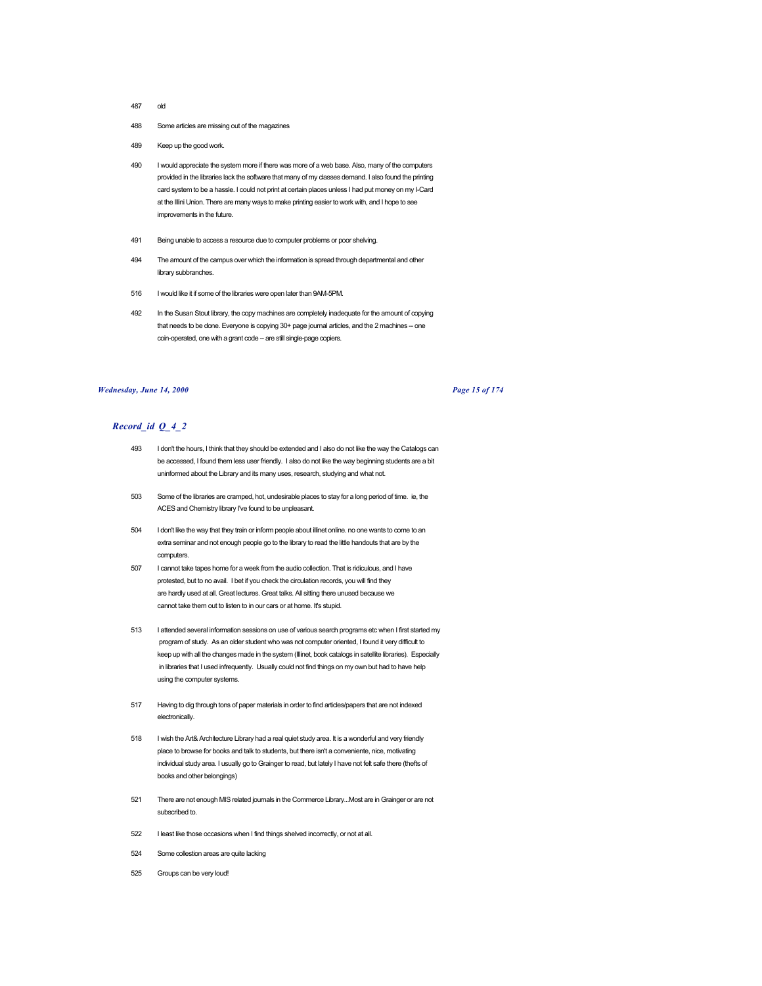- 487 old
- 488 Some articles are missing out of the magazines
- 489 Keep up the good work.
- 490 I would appreciate the system more if there was more of a web base. Also, many of the computers provided in the libraries lack the software that many of my classes demand. I also found the printing card system to be a hassle. I could not print at certain places unless I had put money on my I-Card at the Illini Union. There are many ways to make printing easier to work with, and I hope to see improvements in the future.
- 491 Being unable to access a resource due to computer problems or poor shelving.
- 494 The amount of the campus over which the information is spread through departmental and other library subbranches.
- 516 I would like it if some of the libraries were open later than 9AM-5PM.
- 492 In the Susan Stout library, the copy machines are completely inadequate for the amount of copying that needs to be done. Everyone is copying 30+ page journal articles, and the 2 machines -- one coin-operated, one with a grant code -- are still single-page copiers.

## *Wednesday, June 14, 2000 Page 15 of 174*

- 493 I don't the hours, I think that they should be extended and I also do not like the way the Catalogs can be accessed, I found them less user friendly. I also do not like the way beginning students are a bit uninformed about the Library and its many uses, research, studying and what not.
- 503 Some of the libraries are cramped, hot, undesirable places to stay for a long period of time. ie, the ACES and Chemistry library I've found to be unpleasant.
- 504 I don't like the way that they train or inform people about illinet online. no one wants to come to an extra seminar and not enough people go to the library to read the little handouts that are by the computers.
- 507 I cannot take tapes home for a week from the audio collection. That is ridiculous, and I have protested, but to no avail. I bet if you check the circulation records, you will find they are hardly used at all. Great lectures. Great talks. All sitting there unused because we cannot take them out to listen to in our cars or at home. It's stupid.
- 513 I attended several information sessions on use of various search programs etc when I first started my program of study. As an older student who was not computer oriented, I found it very difficult to keep up with all the changes made in the system (Illinet, book catalogs in satellite libraries). Especially in libraries that I used infrequently. Usually could not find things on my own but had to have help using the computer systems.
- 517 Having to dig through tons of paper materials in order to find articles/papers that are not indexed electronically.
- 518 I wish the Art& Architecture Library had a real quiet study area. It is a wonderful and very friendly place to browse for books and talk to students, but there isn't a conveniente, nice, motivating individual study area. I usually go to Grainger to read, but lately I have not felt safe there (thefts of books and other belongings)
- 521 There are not enough MIS related journals in the Commerce Library...Most are in Grainger or are not subscribed to.
- 522 I least like those occasions when I find things shelved incorrectly, or not at all.
- 524 Some collestion areas are quite lacking
- 525 Groups can be very loud!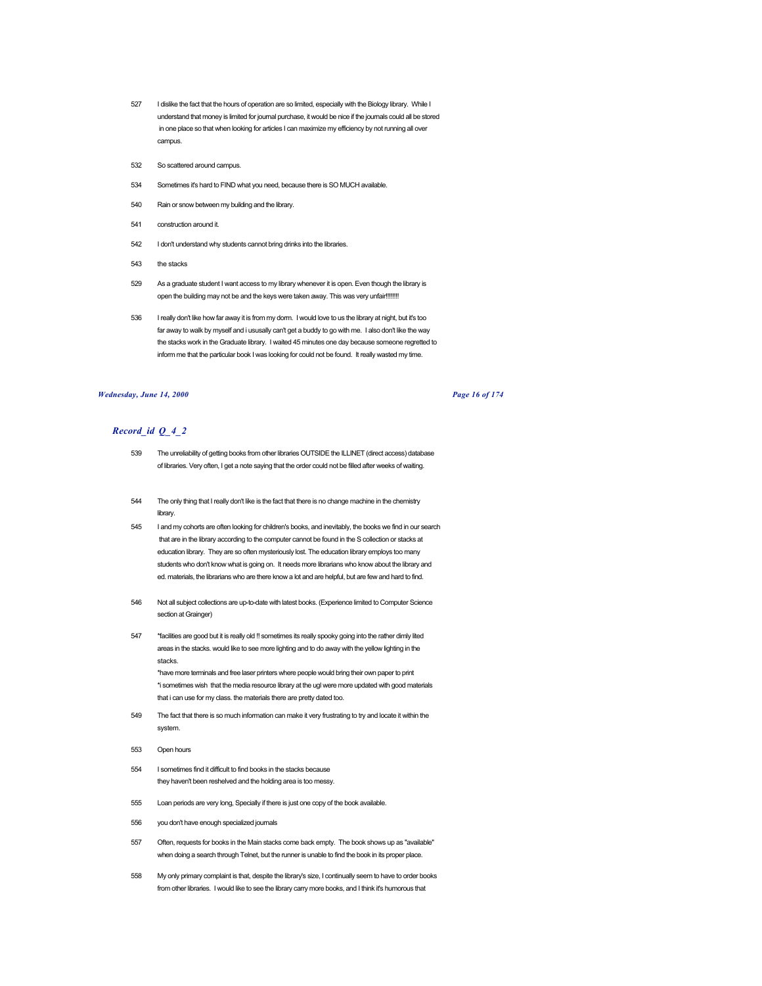- 527 I dislike the fact that the hours of operation are so limited, especially with the Biology library. While I understand that money is limited for journal purchase, it would be nice if the journals could all be stored in one place so that when looking for articles I can maximize my efficiency by not running all over campus.
- 532 So scattered around campus.
- 534 Sometimes it's hard to FIND what you need, because there is SO MUCH available.
- 540 Rain or snow between my building and the library.
- 541 construction around it.
- 542 I don't understand why students cannot bring drinks into the libraries.
- 543 the stacks
- 529 As a graduate student I want access to my library whenever it is open. Even though the library is open the building may not be and the keys were taken away. This was very unfair!!!!!!!!
- 536 I really don't like how far away it is from my dorm. I would love to us the library at night, but it's too far away to walk by myself and i ususally can't get a buddy to go with me. I also don't like the way the stacks work in the Graduate library. I waited 45 minutes one day because someone regretted to inform me that the particular book I was looking for could not be found. It really wasted my time.

### *Wednesday, June 14, 2000 Page 16 of 174*

# *Record\_id Q\_4\_2*

- 539 The unreliability of getting books from other libraries OUTSIDE the ILLINET (direct access) database of libraries. Very often, I get a note saying that the order could not be filled after weeks of waiting.
- 544 The only thing that I really don't like is the fact that there is no change machine in the chemistry library.
- 545 I and my cohorts are often looking for children's books, and inevitably, the books we find in our search that are in the library according to the computer cannot be found in the S collection or stacks at education library. They are so often mysteriously lost. The education library employs too many students who don't know what is going on. It needs more librarians who know about the library and ed. materials, the librarians who are there know a lot and are helpful, but are few and hard to find.
- 546 Not all subject collections are up-to-date with latest books. (Experience limited to Computer Science section at Grainger)
- 547 \*facilities are good but it is really old !! sometimes its really spooky going into the rather dimly lited areas in the stacks. would like to see more lighting and to do away with the yellow lighting in the stacks.

\*have more terminals and free laser printers where people would bring their own paper to print \*i sometimes wish that the media resource library at the ugl were more updated with good materials that i can use for my class. the materials there are pretty dated too.

- 549 The fact that there is so much information can make it very frustrating to try and locate it within the system.
- 553 Open hours
- 554 I sometimes find it difficult to find books in the stacks because they haven't been reshelved and the holding area is too messy.
- 555 Loan periods are very long, Specially if there is just one copy of the book available.
- 556 you don't have enough specialized journals
- 557 Often, requests for books in the Main stacks come back empty. The book shows up as "available" when doing a search through Telnet, but the runner is unable to find the book in its proper place.
- 558 My only primary complaint is that, despite the library's size, I continually seem to have to order books from other libraries. I would like to see the library carry more books, and I think it's humorous that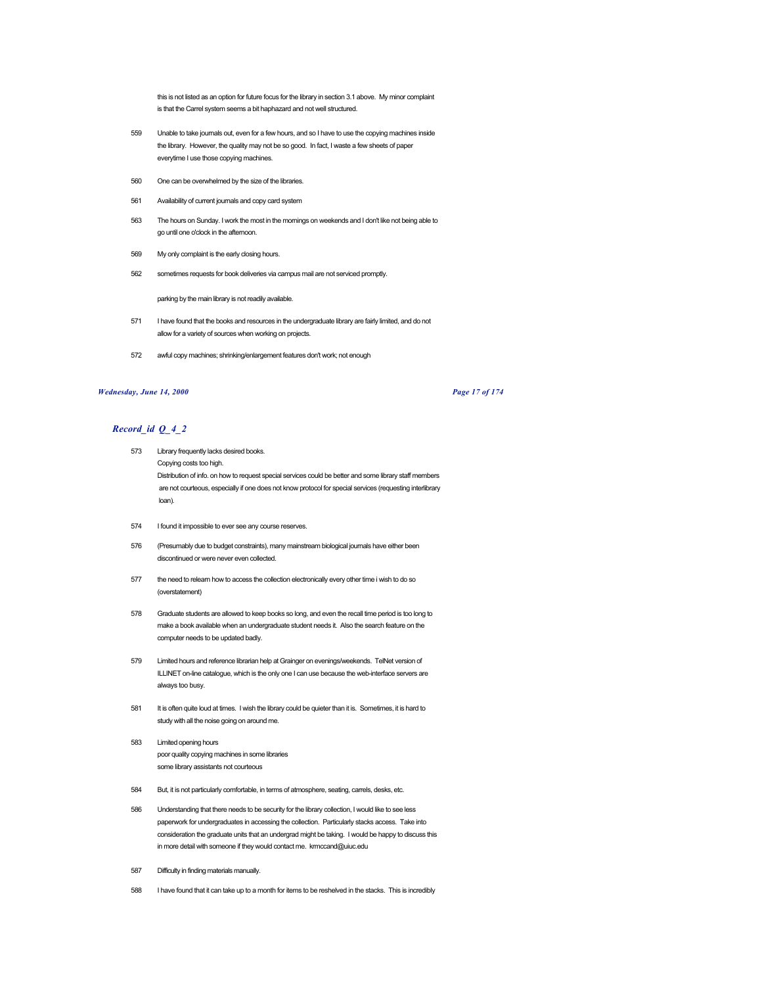this is not listed as an option for future focus for the library in section 3.1 above. My minor complaint is that the Carrel system seems a bit haphazard and not well structured.

- 559 Unable to take journals out, even for a few hours, and so I have to use the copying machines inside the library. However, the quality may not be so good. In fact, I waste a few sheets of paper everytime I use those copying machines.
- 560 One can be overwhelmed by the size of the libraries.
- 561 Availability of current journals and copy card system
- 563 The hours on Sunday. I work the most in the mornings on weekends and I don't like not being able to go until one o'clock in the afternoon.
- 569 My only complaint is the early closing hours.
- 562 sometimes requests for book deliveries via campus mail are not serviced promptly.

parking by the main library is not readily available.

- 571 I have found that the books and resources in the undergraduate library are fairly limited, and do not allow for a variety of sources when working on projects.
- 572 awful copy machines; shrinking/enlargement features don't work; not enough

## *Wednesday, June 14, 2000 Page 17 of 174*

- 573 Library frequently lacks desired books. Copying costs too high. Distribution of info. on how to request special services could be better and some library staff members are not courteous, especially if one does not know protocol for special services (requesting interlibrary loan).
- 574 I found it impossible to ever see any course reserves.
- 576 (Presumably due to budget constraints), many mainstream biological journals have either been discontinued or were never even collected.
- 577 the need to relearn how to access the collection electronically every other time i wish to do so (overstatement)
- 578 Graduate students are allowed to keep books so long, and even the recall time period is too long to make a book available when an undergraduate student needs it. Also the search feature on the computer needs to be updated badly.
- 579 Limited hours and reference librarian help at Grainger on evenings/weekends. TelNet version of ILLINET on-line catalogue, which is the only one I can use because the web-interface servers are always too busy.
- 581 It is often quite loud at times. I wish the library could be quieter than it is. Sometimes, it is hard to study with all the noise going on around me.
- 583 Limited opening hours poor quality copying machines in some libraries some library assistants not courteous
- 584 But, it is not particularly comfortable, in terms of atmosphere, seating, carrels, desks, etc.
- 586 Understanding that there needs to be security for the library collection, I would like to see less paperwork for undergraduates in accessing the collection. Particularly stacks access. Take into consideration the graduate units that an undergrad might be taking. I would be happy to discuss this in more detail with someone if they would contact me. krmccand@uiuc.edu
- 587 Difficulty in finding materials manually.
- 588 I have found that it can take up to a month for items to be reshelved in the stacks. This is incredibly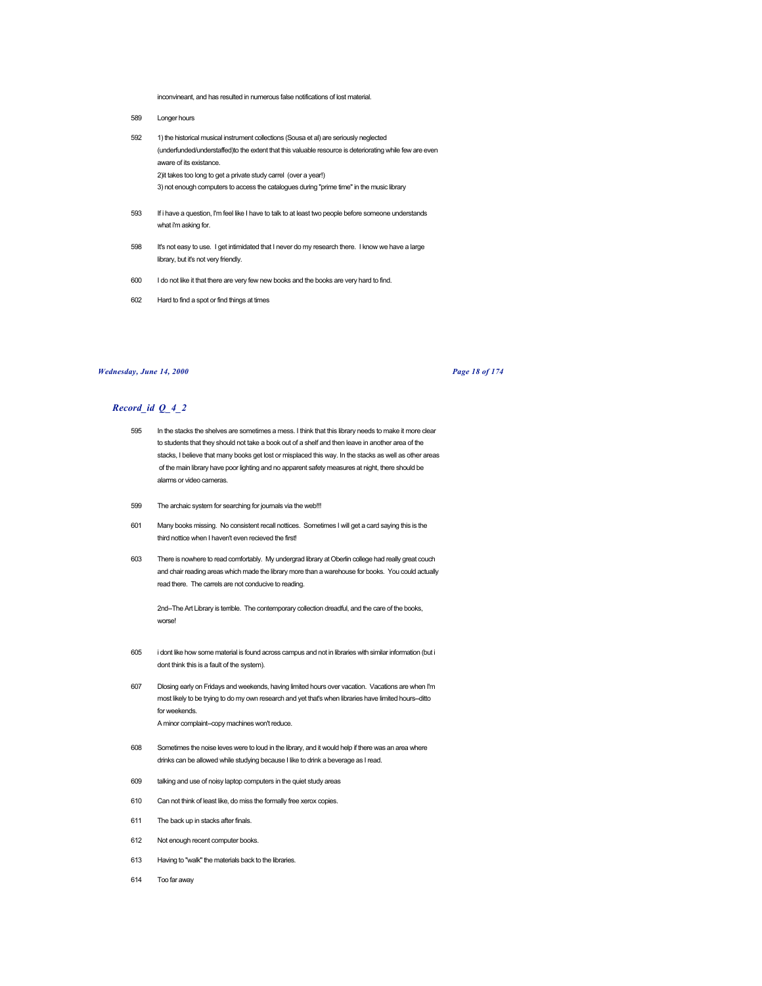inconvineant, and has resulted in numerous false notifications of lost material.

- 589 Longer hours
- 592 1) the historical musical instrument collections (Sousa et al) are seriously neglected (underfunded/understaffed)to the extent that this valuable resource is deteriorating while few are even aware of its existance. 2)it takes too long to get a private study carrel (over a year!) 3) not enough computers to access the catalogues during "prime time" in the music library
- 593 If i have a question, I'm feel like I have to talk to at least two people before someone understands what i'm asking for.
- 598 It's not easy to use. I get intimidated that I never do my research there. I know we have a large library, but it's not very friendly.
- 600 I do not like it that there are very few new books and the books are very hard to find.
- 602 Hard to find a spot or find things at times

# *Wednesday, June 14, 2000 Page 18 of 174*

# *Record\_id Q\_4\_2*

- 595 In the stacks the shelves are sometimes a mess. I think that this library needs to make it more clear to students that they should not take a book out of a shelf and then leave in another area of the stacks, I believe that many books get lost or misplaced this way. In the stacks as well as other areas of the main library have poor lighting and no apparent safety measures at night, there should be alarms or video cameras.
- 599 The archaic system for searching for journals via the web!!!
- 601 Many books missing. No consistent recall nottices. Sometimes I will get a card saying this is the third nottice when I haven't even recieved the first!
- 603 There is nowhere to read comfortably. My undergrad library at Oberlin college had really great couch and chair reading areas which made the library more than a warehouse for books. You could actually read there. The carrels are not conducive to reading.

2nd--The Art Library is terrible. The contemporary collection dreadful, and the care of the books, worse!

- 605 i dont like how some material is found across campus and not in libraries with similar information (but i dont think this is a fault of the system).
- 607 Dlosing early on Fridays and weekends, having limited hours over vacation. Vacations are when I'm most likely to be trying to do my own research and yet that's when libraries have limited hours--ditto for weekends.
	- A minor complaint--copy machines won't reduce.
- 608 Sometimes the noise leves were to loud in the library, and it would help if there was an area where drinks can be allowed while studying because I like to drink a beverage as I read.
- 609 talking and use of noisy laptop computers in the quiet study areas
- 610 Can not think of least like, do miss the formally free xerox copies.
- 611 The back up in stacks after finals.
- 612 Not enough recent computer books.
- 613 Having to "walk" the materials back to the libraries.
- 614 Too far away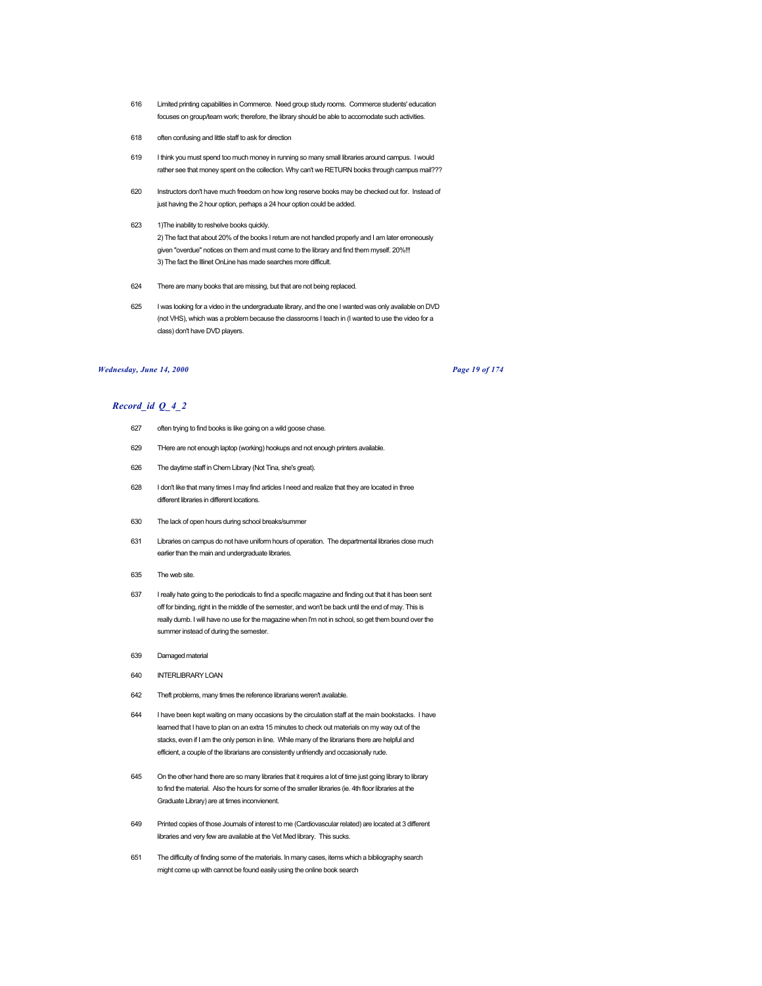- 616 Limited printing capabilities in Commerce. Need group study rooms. Commerce students' education focuses on group/team work; therefore, the library should be able to accomodate such activities.
- 618 often confusing and little staff to ask for direction
- 619 I think you must spend too much money in running so many small libraries around campus. I would rather see that money spent on the collection. Why can't we RETURN books through campus mail???
- 620 Instructors don't have much freedom on how long reserve books may be checked out for. Instead of just having the 2 hour option, perhaps a 24 hour option could be added.
- 623 1)The inability to reshelve books quickly. 2) The fact that about 20% of the books I return are not handled properly and I am later erroneously given "overdue" notices on them and must come to the library and find them myself. 20%!!! 3) The fact the Illinet OnLine has made searches more difficult.
- 624 There are many books that are missing, but that are not being replaced.
- 625 I was looking for a video in the undergraduate library, and the one I wanted was only available on DVD (not VHS), which was a problem because the classrooms I teach in (I wanted to use the video for a class) don't have DVD players.

## *Wednesday, June 14, 2000 Page 19 of 174*

- 627 often trying to find books is like going on a wild goose chase.
- 629 THere are not enough laptop (working) hookups and not enough printers available.
- 626 The daytime staff in Chem Library (Not Tina, she's great).
- 628 I don't like that many times I may find articles I need and realize that they are located in three different libraries in different locations.
- 630 The lack of open hours during school breaks/summer
- 631 Libraries on campus do not have uniform hours of operation. The departmental libraries close much earlier than the main and undergraduate libraries.
- 635 The web site.
- 637 I really hate going to the periodicals to find a specific magazine and finding out that it has been sent off for binding, right in the middle of the semester, and won't be back until the end of may. This is really dumb. I will have no use for the magazine when I'm not in school, so get them bound over the summer instead of during the semester.
- 639 Damaged material
- 640 INTERLIBRARY LOAN
- 642 Theft problems, many times the reference librarians weren't available.
- 644 I have been kept waiting on many occasions by the circulation staff at the main bookstacks. I have learned that I have to plan on an extra 15 minutes to check out materials on my way out of the stacks, even if I am the only person in line. While many of the librarians there are helpful and efficient, a couple of the librarians are consistently unfriendly and occasionally rude.
- 645 On the other hand there are so many libraries that it requires a lot of time just going library to library to find the material. Also the hours for some of the smaller libraries (ie. 4th floor libraries at the Graduate Library) are at times inconvienent.
- 649 Printed copies of those Journals of interest to me (Cardiovascular related) are located at 3 different libraries and very few are available at the Vet Med library. This sucks.
- 651 The difficulty of finding some of the materials. In many cases, items which a bibliography search might come up with cannot be found easily using the online book search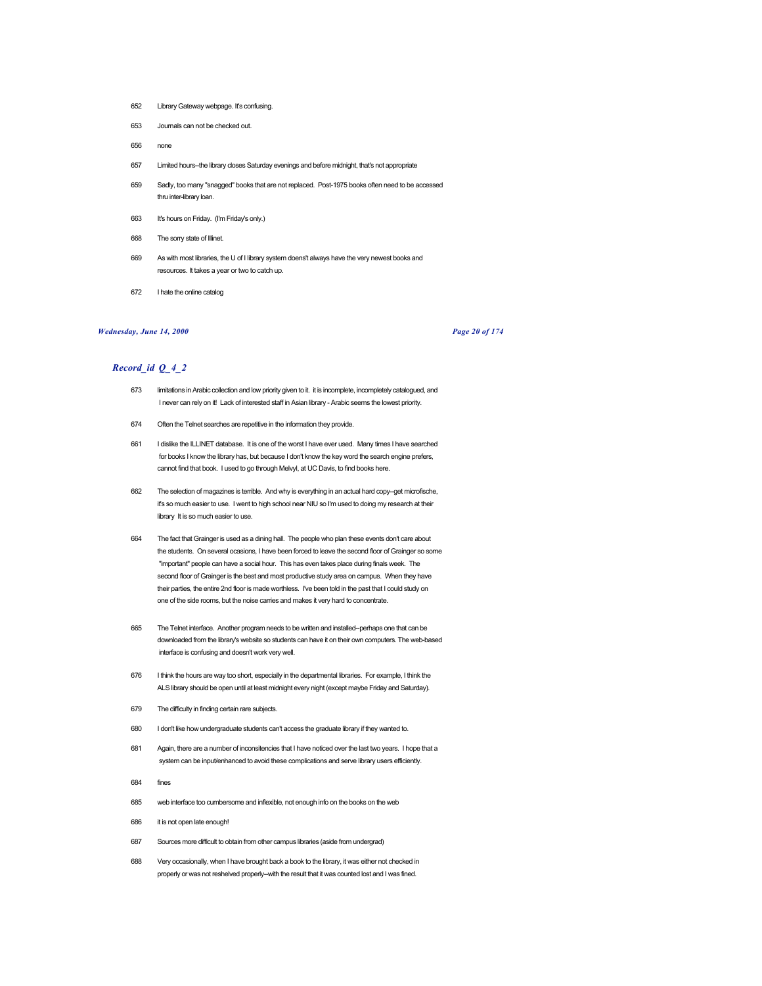- 652 Library Gateway webpage. It's confusing.
- 653 Journals can not be checked out.
- 656 none
- 657 Limited hours--the library closes Saturday evenings and before midnight, that's not appropriate
- 659 Sadly, too many "snagged" books that are not replaced. Post-1975 books often need to be accessed thru inter-library loan.
- 663 It's hours on Friday. (I'm Friday's only.)
- 668 The sorry state of Illinet.
- 669 As with most libraries, the U of I library system doens't always have the very newest books and resources. It takes a year or two to catch up.
- 672 I hate the online catalog

## *Wednesday, June 14, 2000 Page 20 of 174*

- 673 limitations in Arabic collection and low priority given to it. it is incomplete, incompletely catalogued, and I never can rely on it! Lack of interested staff in Asian library - Arabic seems the lowest priority.
- 674 Often the Telnet searches are repetitive in the information they provide.
- 661 I dislike the ILLINET database. It is one of the worst I have ever used. Many times I have searched for books I know the library has, but because I don't know the key word the search engine prefers, cannot find that book. I used to go through Melvyl, at UC Davis, to find books here.
- 662 The selection of magazines is terrible. And why is everything in an actual hard copy--get microfische, it's so much easier to use. I went to high school near NIU so I'm used to doing my research at their library It is so much easier to use.
- 664 The fact that Grainger is used as a dining hall. The people who plan these events don't care about the students. On several ocasions, I have been forced to leave the second floor of Grainger so some "important" people can have a social hour. This has even takes place during finals week. The second floor of Grainger is the best and most productive study area on campus. When they have their parties, the entire 2nd floor is made worthless. I've been told in the past that I could study on one of the side rooms, but the noise carries and makes it very hard to concentrate.
- 665 The Telnet interface. Another program needs to be written and installed--perhaps one that can be downloaded from the library's website so students can have it on their own computers. The web-based interface is confusing and doesn't work very well.
- 676 I think the hours are way too short, especially in the departmental libraries. For example, I think the ALS library should be open until at least midnight every night (except maybe Friday and Saturday).
- 679 The difficulty in finding certain rare subjects.
- 680 I don't like how undergraduate students can't access the graduate library if they wanted to.
- 681 Again, there are a number of inconsitencies that I have noticed over the last two years. I hope that a system can be input/enhanced to avoid these complications and serve library users efficiently.
- 684 fines
- 685 web interface too cumbersome and inflexible, not enough info on the books on the web
- 686 it is not open late enough!
- 687 Sources more difficult to obtain from other campus libraries (aside from undergrad)
- 688 Very occasionally, when I have brought back a book to the library, it was either not checked in properly or was not reshelved properly--with the result that it was counted lost and I was fined.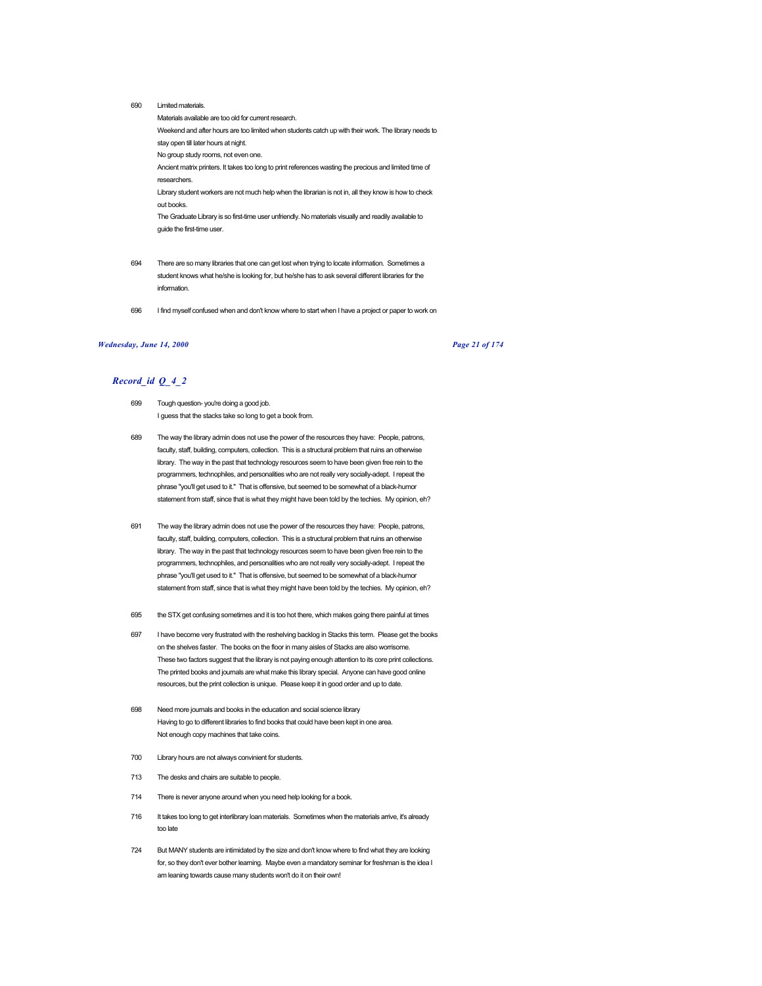690 Limited materials.

Materials available are too old for current research. Weekend and after hours are too limited when students catch up with their work. The library needs to stay open till later hours at night. No group study rooms, not even one. Ancient matrix printers. It takes too long to print references wasting the precious and limited time of researchers. Library student workers are not much help when the librarian is not in, all they know is how to check out books. The Graduate Library is so first-time user unfriendly. No materials visually and readily available to guide the first-time user.

- 694 There are so many libraries that one can get lost when trying to locate information. Sometimes a student knows what he/she is looking for, but he/she has to ask several different libraries for the information.
- 696 I find myself confused when and don't know where to start when I have a project or paper to work on

### *Wednesday, June 14, 2000 Page 21 of 174*

- 699 Tough question- you're doing a good job. I guess that the stacks take so long to get a book from.
- 689 The way the library admin does not use the power of the resources they have: People, patrons, faculty, staff, building, computers, collection. This is a structural problem that ruins an otherwise library. The way in the past that technology resources seem to have been given free rein to the programmers, technophiles, and personalities who are not really very socially-adept. I repeat the phrase "you'll get used to it." That is offensive, but seemed to be somewhat of a black-humor statement from staff, since that is what they might have been told by the techies. My opinion, eh?
- 691 The way the library admin does not use the power of the resources they have: People, patrons, faculty, staff, building, computers, collection. This is a structural problem that ruins an otherwise library. The way in the past that technology resources seem to have been given free rein to the programmers, technophiles, and personalities who are not really very socially-adept. I repeat the phrase "you'll get used to it." That is offensive, but seemed to be somewhat of a black-humor statement from staff, since that is what they might have been told by the techies. My opinion, eh?
- 695 the STX get confusing sometimes and it is too hot there, which makes going there painful at times
- 697 I have become very frustrated with the reshelving backlog in Stacks this term. Please get the books on the shelves faster. The books on the floor in many aisles of Stacks are also worrisome. These two factors suggest that the library is not paying enough attention to its core print collections. The printed books and journals are what make this library special. Anyone can have good online resources, but the print collection is unique. Please keep it in good order and up to date.
- 698 Need more journals and books in the education and social science library Having to go to different libraries to find books that could have been kept in one area. Not enough copy machines that take coins.
- 700 Library hours are not always convinient for students.
- 713 The desks and chairs are suitable to people.
- 714 There is never anyone around when you need help looking for a book.
- 716 It takes too long to get interlibrary loan materials. Sometimes when the materials arrive, it's already too late
- 724 But MANY students are intimidated by the size and don't know where to find what they are looking for, so they don't ever bother learning. Maybe even a mandatory seminar for freshman is the idea I am leaning towards cause many students won't do it on their own!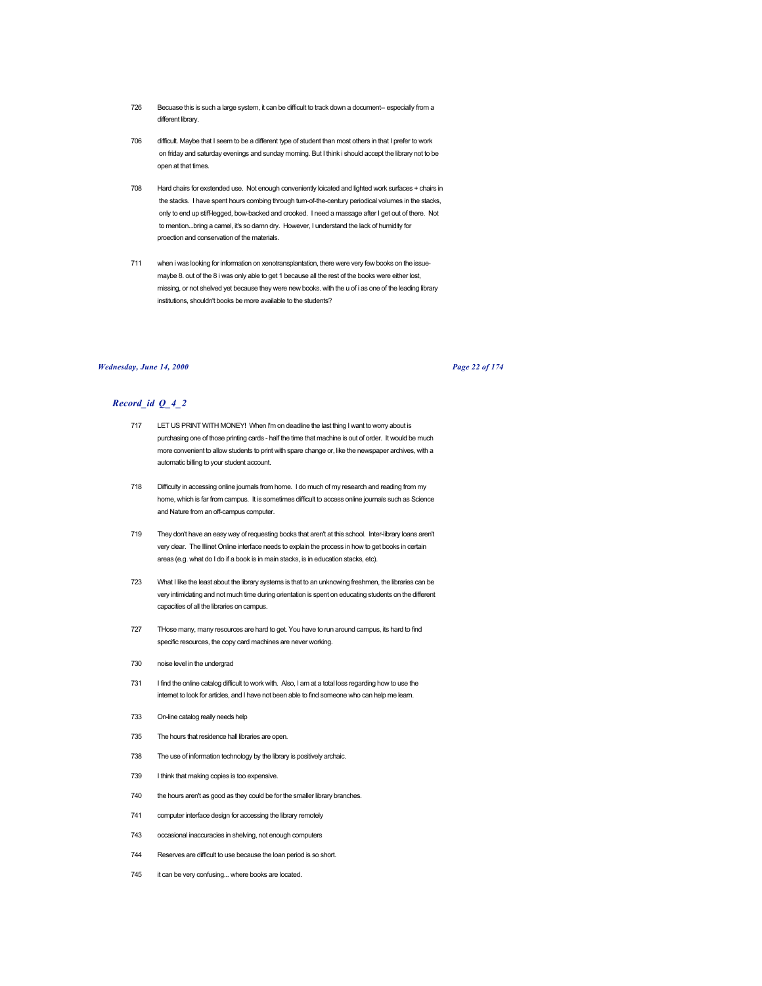- 726 Becuase this is such a large system, it can be difficult to track down a document-- especially from a different library.
- 706 difficult. Maybe that I seem to be a different type of student than most others in that I prefer to work on friday and saturday evenings and sunday morning. But I think i should accept the library not to be open at that times.
- 708 Hard chairs for exstended use. Not enough conveniently loicated and lighted work surfaces + chairs in the stacks. I have spent hours combing through turn-of-the-century periodical volumes in the stacks, only to end up stiff-legged, bow-backed and crooked. I need a massage after I get out of there. Not to mention...bring a camel, it's so damn dry. However, I understand the lack of humidity for proection and conservation of the materials.
- 711 when i was looking for information on xenotransplantation, there were very few books on the issuemaybe 8. out of the 8 i was only able to get 1 because all the rest of the books were either lost, missing, or not shelved yet because they were new books. with the u of i as one of the leading library institutions, shouldn't books be more available to the students?

### *Wednesday, June 14, 2000 Page 22 of 174*

- 717 LET US PRINT WITH MONEY! When I'm on deadline the last thing I want to worry about is purchasing one of those printing cards - half the time that machine is out of order. It would be much more convenient to allow students to print with spare change or, like the newspaper archives, with a automatic billing to your student account.
- 718 Difficulty in accessing online journals from home. I do much of my research and reading from my home, which is far from campus. It is sometimes difficult to access online journals such as Science and Nature from an off-campus computer.
- 719 They don't have an easy way of requesting books that aren't at this school. Inter-library loans aren't very clear. The Illinet Online interface needs to explain the process in how to get books in certain areas (e.g. what do I do if a book is in main stacks, is in education stacks, etc).
- 723 What I like the least about the library systems is that to an unknowing freshmen, the libraries can be very intimidating and not much time during orientation is spent on educating students on the different capacities of all the libraries on campus.
- 727 THose many, many resources are hard to get. You have to run around campus, its hard to find specific resources, the copy card machines are never working.
- 730 noise level in the undergrad
- 731 I find the online catalog difficult to work with. Also, I am at a total loss regarding how to use the internet to look for articles, and I have not been able to find someone who can help me learn.
- 733 On-line catalog really needs help
- 735 The hours that residence hall libraries are open.
- 738 The use of information technology by the library is positively archaic.
- 739 I think that making copies is too expensive.
- 740 the hours aren't as good as they could be for the smaller library branches.
- 741 computer interface design for accessing the library remotely
- 743 occasional inaccuracies in shelving, not enough computers
- 744 Reserves are difficult to use because the loan period is so short.
- 745 it can be very confusing... where books are located.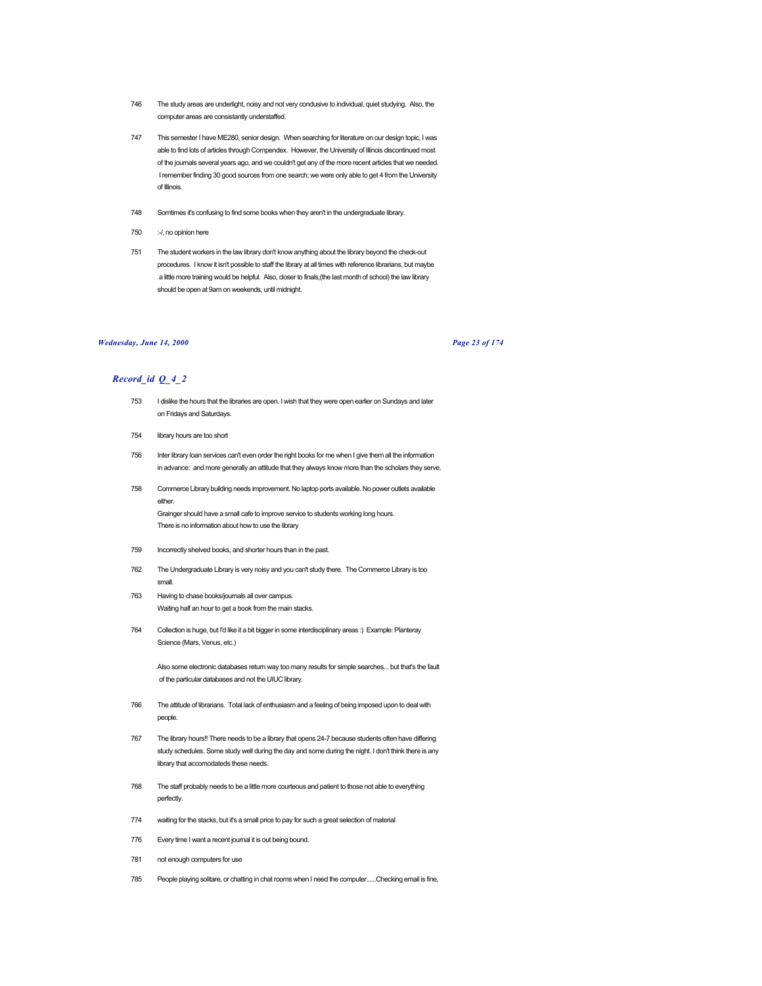- 746 The study areas are underlight, noisy and not very condusive to individual, quiet studying. Also, the computer areas are consistantly understaffed.
- 747 This semester I have ME280, senior design. When searching for literature on our design topic, I was able to find lots of articles through Compendex. However, the University of Illinois discontinued most of the journals several years ago, and we couldn't get any of the more recent articles that we needed. I remember finding 30 good sources from one search; we were only able to get 4 from the University of Illinois.
- 748 Somtimes it's confusing to find some books when they aren't in the undergraduate library.
- 750 :- /, no opinion here
- 751 The student workers in the law library don't know anything about the library beyond the check-out procedures. I know it isn't possible to staff the library at all times with reference librarians, but maybe a little more training would be helpful. Also, closer to finals,(the last month of school) the law library should be open at 9am on weekends, until midnight.

# *Wednesday, June 14, 2000 Page 23 of 174*

# *Record\_id Q\_4\_2*

- 753 I dislike the hours that the libraries are open. I wish that they were open earlier on Sundays and later on Fridays and Saturdays.
- 754 library hours are too short
- 756 Inter library loan services can't even order the right books for me when I give them all the information in advance: and more generally an attitude that they always know more than the scholars they serve.
- 758 Commerce Library building needs improvement. No laptop ports available. No power outlets available either. Grainger should have a small cafe to improve service to students working long hours. There is no information about how to use the library
- 759 Incorrectly shelved books, and shorter hours than in the past.
- 762 The Undergraduate Library is very noisy and you can't study there. The Commerce Library is too small.
- 763 Having to chase books/journals all over campus. Waiting half an hour to get a book from the main stacks.
- 764 Collection is huge, but I'd like it a bit bigger in some interdisciplinary areas :) Example: Planteray Science (Mars, Venus, etc.)

Also some electronic databases return way too many results for simple searches... but that's the fault of the particular databases and not the UIUC library.

- 766 The attitude of librarians. Total lack of enthusiasm and a feeling of being imposed upon to deal with people.
- 767 The library hours!! There needs to be a library that opens 24-7 because students often have differing study schedules. Some study well during the day and some during the night. I don't think there is any library that accomodateds these needs.
- 768 The staff probably needs to be a little more courteous and patient to those not able to everything perfectly.
- 774 waiting for the stacks, but it's a small price to pay for such a great selection of material
- 776 Every time I want a recent journal it is out being bound.
- 781 not enough computers for use
- 785 People playing solitare, or chatting in chat rooms when I need the computer......Checking email is fine,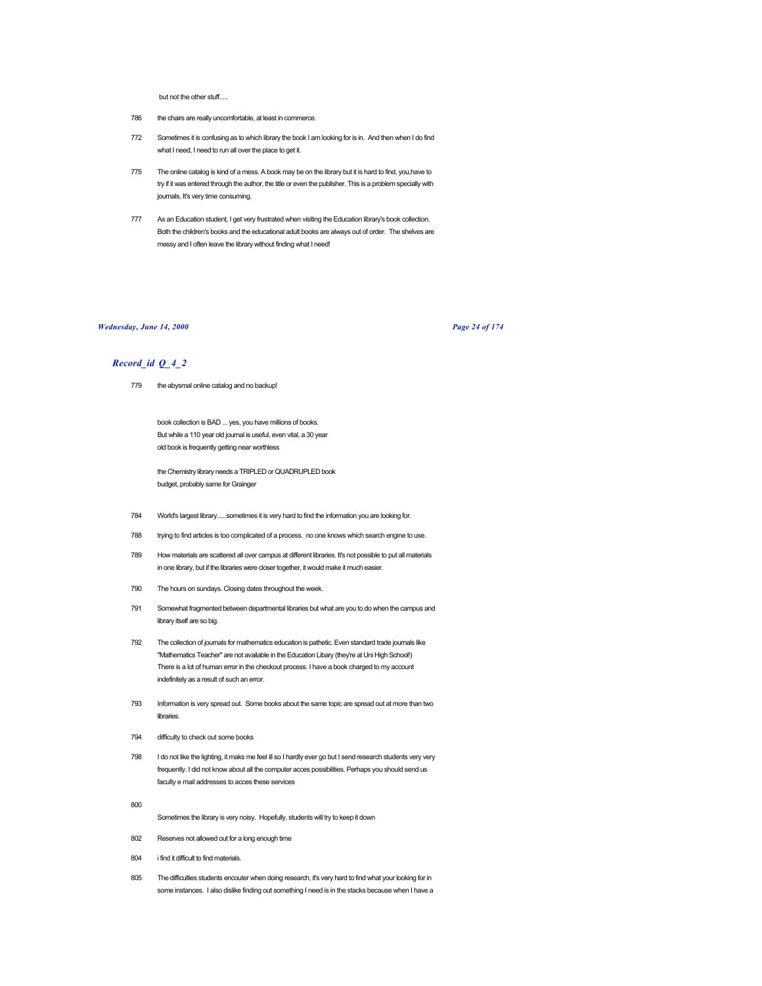but not the other stuff.....

- 786 the chairs are really uncomfortable, at least in commerce.
- 772 Sometimes it is confusing as to which library the book I am looking for is in. And then when I do find what I need, I need to run all over the place to get it.
- 775 The online catalog is kind of a mess. A book may be on the library but it is hard to find, you,have to try if it was entered through the author, the title or even the publisher. This is a problem specially with journals. It's very time consuming.
- 777 As an Education student, I get very frustrated when visiting the Education library's book collection. Both the children's books and the educational adult books are always out of order. The shelves are messy and I often leave the library without finding what I need!

## *Wednesday, June 14, 2000 Page 24 of 174*

# *Record\_id Q\_4\_2*

779 the abysmal online catalog and no backup!

book collection is BAD ... yes, you have millions of books. But while a 110 year old journal is useful, even vital, a 30 year old book is frequently getting near worthless

the Chemistry library needs a TRIPLED or QUADRUPLED book budget, probably same for Grainger

- 784 World's largest library......sometimes it is very hard to find the information you are looking for.
- 788 trying to find articles is too complicated of a process. no one knows which search engine to use.
- 789 How materials are scattered all over campus at different libraries. It's not possible to put all materials in one library, but if the libraries were closer together, it would make it much easier.
- 790 The hours on sundays. Closing dates throughout the week.
- 791 Somewhat fragmented between departmental libraries but what are you to do when the campus and library itself are so big.
- 792 The collection of journals for mathematics education is pathetic. Even standard trade journals like "Mathematics Teacher" are not available in the Education Libary (they're at Uni High School!) There is a lot of human error in the checkout process. I have a book charged to my account indefinitely as a result of such an error.
- 793 Information is very spread out. Some books about the same topic are spread out at more than two libraries.
- 794 difficulty to check out some books
- 798 I do not like the lighting, it maks me feel ill so I hardly ever go but I send research students very very frequently. I did not know about all the computer acces possibilities. Perhaps you should send us faculty e mail addresses to acces these services
- 800
	- Sometimes the library is very noisy. Hopefully, students will try to keep it down
- 802 Reserves not allowed out for a long enough time
- 804 i find it difficult to find materials.
- 805 The difficulties students encouter when doing research, it's very hard to find what your looking for in some instances. I also dislike finding out something I need is in the stacks because when I have a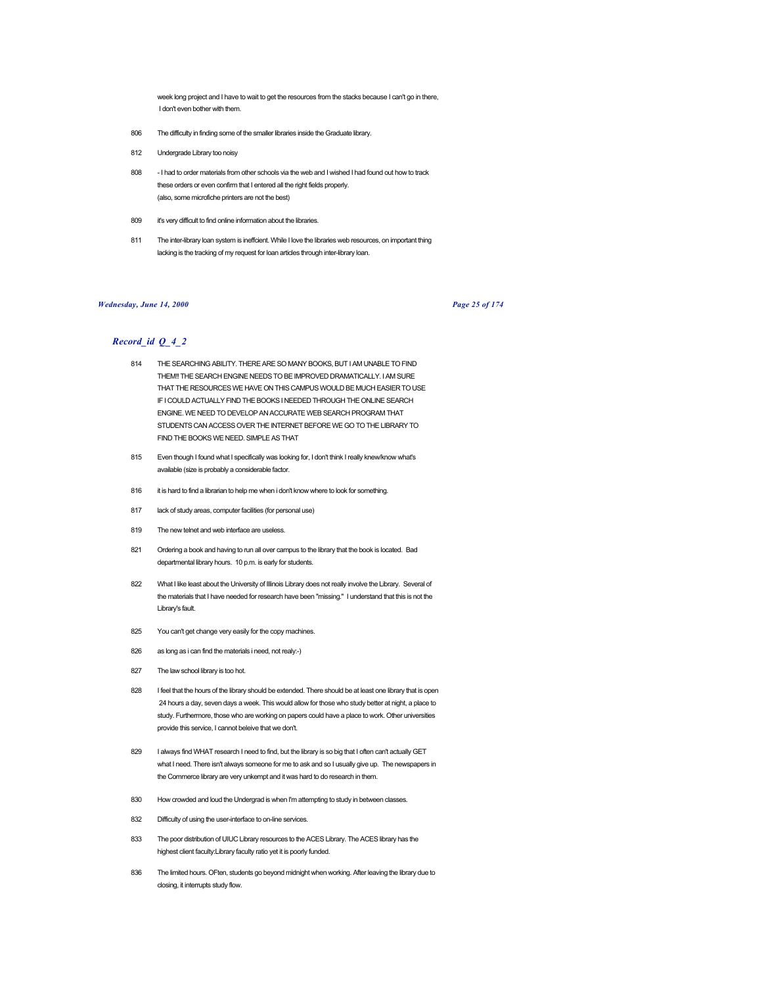week long project and I have to wait to get the resources from the stacks because I can't go in there, I don't even bother with them.

- 806 The difficulty in finding some of the smaller libraries inside the Graduate library.
- 812 Undergrade Library too noisy
- 808 I had to order materials from other schools via the web and I wished I had found out how to track these orders or even confirm that I entered all the right fields properly. (also, some microfiche printers are not the best)
- 809 it's very difficult to find online information about the libraries.
- 811 The inter-library loan system is ineffcient. While I love the libraries web resources, on important thing lacking is the tracking of my request for loan articles through inter-library loan.

### *Wednesday, June 14, 2000 Page 25 of 174*

- 814 THE SEARCHING ABILITY. THERE ARE SO MANY BOOKS, BUT I AM UNABLE TO FIND THEM!! THE SEARCH ENGINE NEEDS TO BE IMPROVED DRAMATICALLY. I AM SURE THAT THE RESOURCES WE HAVE ON THIS CAMPUS WOULD BE MUCH EASIER TO USE IF I COULD ACTUALLY FIND THE BOOKS I NEEDED THROUGH THE ONLINE SEARCH ENGINE. WE NEED TO DEVELOP AN ACCURATE WEB SEARCH PROGRAM THAT STUDENTS CAN ACCESS OVER THE INTERNET BEFORE WE GO TO THE LIBRARY TO FIND THE BOOKS WE NEED. SIMPLE AS THAT
- 815 Even though I found what I specifically was looking for, I don't think I really knew/know what's available (size is probably a considerable factor.
- 816 it is hard to find a librarian to help me when i don't know where to look for something.
- 817 lack of study areas, computer facilities (for personal use)
- 819 The new telnet and web interface are useless.
- 821 Ordering a book and having to run all over campus to the library that the book is located. Bad departmental library hours. 10 p.m. is early for students.
- 822 What I like least about the University of Illinois Library does not really involve the Library. Several of the materials that I have needed for research have been "missing." I understand that this is not the Library's fault.
- 825 You can't get change very easily for the copy machines.
- 826 as long as i can find the materials i need, not realy:-)
- 827 The law school library is too hot.
- 828 I feel that the hours of the library should be extended. There should be at least one library that is open 24 hours a day, seven days a week. This would allow for those who study better at night, a place to study. Furthermore, those who are working on papers could have a place to work. Other universities provide this service, I cannot beleive that we don't.
- 829 I always find WHAT research I need to find, but the library is so big that I often can't actually GET what I need. There isn't always someone for me to ask and so I usually give up. The newspapers in the Commerce library are very unkempt and it was hard to do research in them.
- 830 How crowded and loud the Undergrad is when I'm attempting to study in between classes.
- 832 Difficulty of using the user-interface to on-line services.
- 833 The poor distribution of UIUC Library resources to the ACES Library. The ACES library has the highest client faculty:Library faculty ratio yet it is poorly funded.
- 836 The limited hours. OFten, students go beyond midnight when working. After leaving the library due to closing, it interrupts study flow.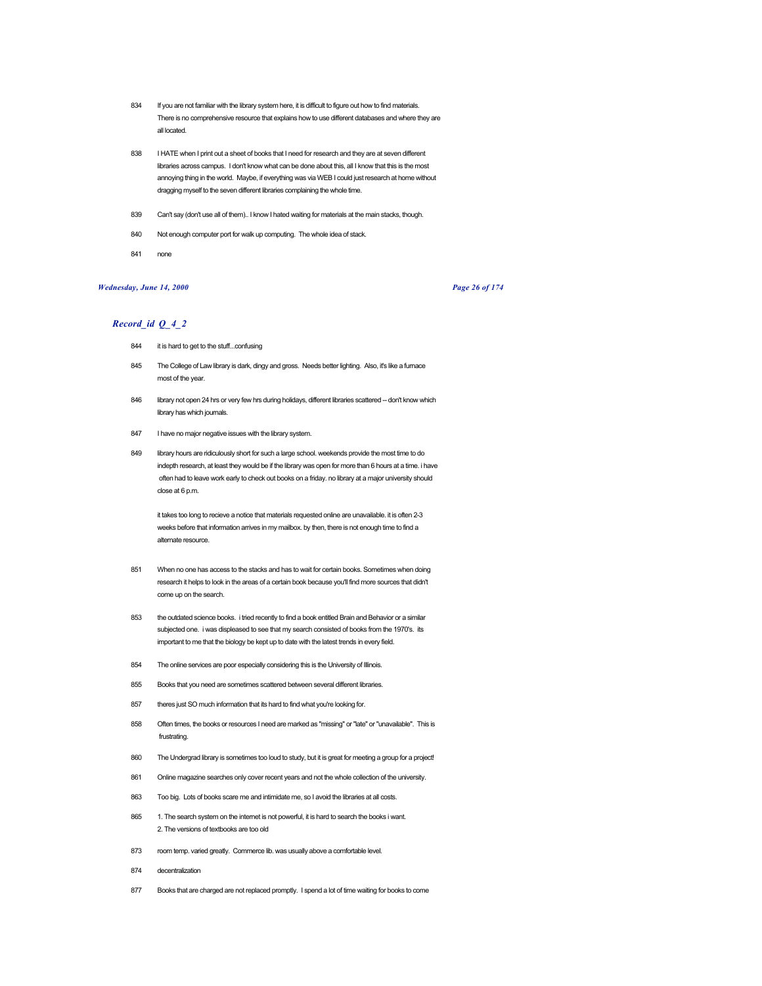- 834 If you are not familiar with the library system here, it is difficult to figure out how to find materials. There is no comprehensive resource that explains how to use different databases and where they are all located.
- 838 I HATE when I print out a sheet of books that I need for research and they are at seven different libraries across campus. I don't know what can be done about this, all I know that this is the most annoying thing in the world. Maybe, if everything was via WEB I could just research at home without dragging myself to the seven different libraries complaining the whole time.
- 839 Can't say (don't use all of them).. I know I hated waiting for materials at the main stacks, though.
- 840 Not enough computer port for walk up computing. The whole idea of stack.
- 841 none

# *Wednesday, June 14, 2000 Page 26 of 174*

## *Record\_id Q\_4\_2*

- 844 it is hard to get to the stuff...confusing
- 845 The College of Law library is dark, dingy and gross. Needs better lighting. Also, it's like a furnace most of the year.
- 846 library not open 24 hrs or very few hrs during holidays, different libraries scattered -- don't know which library has which journals.
- 847 I have no major negative issues with the library system.
- 849 library hours are ridiculously short for such a large school. weekends provide the most time to do indepth research, at least they would be if the library was open for more than 6 hours at a time. i have often had to leave work early to check out books on a friday. no library at a major university should close at 6 p.m.

it takes too long to recieve a notice that materials requested online are unavailable. it is often 2-3 weeks before that information arrives in my mailbox. by then, there is not enough time to find a alternate resource.

- 851 When no one has access to the stacks and has to wait for certain books. Sometimes when doing research it helps to look in the areas of a certain book because you'll find more sources that didn't come up on the search.
- 853 the outdated science books. i tried recently to find a book entitled Brain and Behavior or a similar subjected one. i was displeased to see that my search consisted of books from the 1970's. its important to me that the biology be kept up to date with the latest trends in every field.
- 854 The online services are poor especially considering this is the University of Illinois.
- 855 Books that you need are sometimes scattered between several different libraries.
- 857 theres just SO much information that its hard to find what you're looking for.
- 858 Often times, the books or resources I need are marked as "missing" or "late" or "unavailable". This is frustrating.
- 860 The Undergrad library is sometimes too loud to study, but it is great for meeting a group for a project!
- 861 Online magazine searches only cover recent years and not the whole collection of the university.
- 863 Too big. Lots of books scare me and intimidate me, so I avoid the libraries at all costs.
- 865 1. The search system on the internet is not powerful, it is hard to search the books i want. 2. The versions of textbooks are too old
- 873 room temp. varied greatly. Commerce lib. was usually above a comfortable level.
- 874 decentralization
- 877 Books that are charged are not replaced promptly. I spend a lot of time waiting for books to come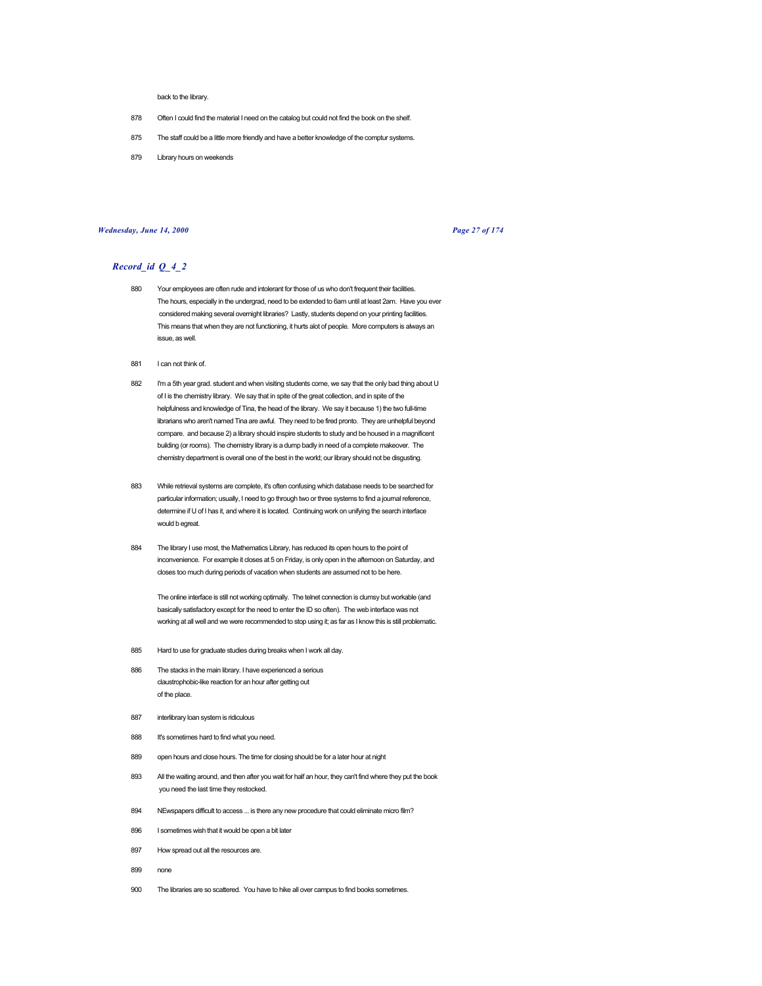back to the library.

- 878 Often I could find the material I need on the catalog but could not find the book on the shelf.
- 875 The staff could be a little more friendly and have a better knowledge of the comptur systems.
- 879 Library hours on weekends

### *Wednesday, June 14, 2000 Page 27 of 174*

# *Record\_id Q\_4\_2*

- 880 Your employees are often rude and intolerant for those of us who don't frequent their facilities. The hours, especially in the undergrad, need to be extended to 6am until at least 2am. Have you ever considered making several overnight libraries? Lastly, students depend on your printing facilities. This means that when they are not functioning, it hurts alot of people. More computers is always an issue, as well.
- 881 I can not think of.
- 882 I'm a 5th year grad. student and when visiting students come, we say that the only bad thing about U of I is the chemistry library. We say that in spite of the great collection, and in spite of the helpfulness and knowledge of Tina, the head of the library. We say it because 1) the two full-time librarians who aren't named Tina are awful. They need to be fired pronto. They are unhelpful beyond compare. and because 2) a library should inspire students to study and be housed in a magnificent building (or rooms). The chemistry library is a dump badly in need of a complete makeover. The chemistry department is overall one of the best in the world; our library should not be disgusting.
- 883 While retrieval systems are complete, it's often confusing which database needs to be searched for particular information; usually, I need to go through two or three systems to find a journal reference, determine if U of I has it, and where it is located. Continuing work on unifying the search interface would b egreat.
- 884 The library I use most, the Mathematics Library, has reduced its open hours to the point of inconvenience. For example it closes at 5 on Friday, is only open in the afternoon on Saturday, and closes too much during periods of vacation when students are assumed not to be here.

The online interface is still not working optimally. The telnet connection is clumsy but workable (and basically satisfactory except for the need to enter the ID so often). The web interface was not working at all well and we were recommended to stop using it; as far as I know this is still problematic.

- 885 Hard to use for graduate studies during breaks when I work all day.
- 886 The stacks in the main library. I have experienced a serious claustrophobic-like reaction for an hour after getting out of the place.
- 887 interlibrary loan system is ridiculous
- 888 It's sometimes hard to find what you need.
- 889 open hours and close hours. The time for closing should be for a later hour at night
- 893 All the waiting around, and then after you wait for half an hour, they can't find where they put the book you need the last time they restocked.
- 894 NEwspapers difficult to access ... is there any new procedure that could eliminate micro film?
- 896 I sometimes wish that it would be open a bit later
- 897 How spread out all the resources are.
- 899 none
- 900 The libraries are so scattered. You have to hike all over campus to find books sometimes.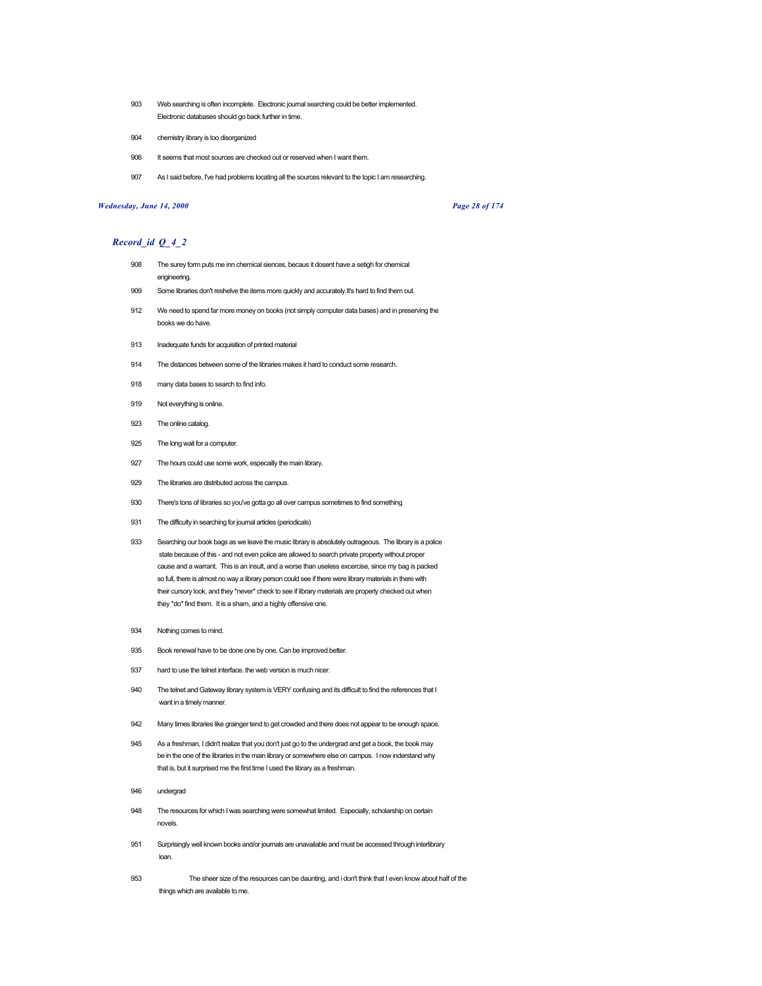- 903 Web searching is often incomplete. Electronic journal searching could be better implemented. Electronic databases should go back further in time.
- 904 chemistry library is too disorganized
- 906 It seems that most sources are checked out or reserved when I want them.
- 907 As I said before, I've had problems locating all the sources relevant to the topic I am researching.

## *Wednesday, June 14, 2000 Page 28 of 174*

- 908 The surey form puts me inn chemical siences, becaus it dosent have a setigh for chemical engineering.
- 909 Some libraries don't reshelve the items more quickly and accurately.It's hard to find them out.
- 912 We need to spend far more money on books (not simply computer data bases) and in preserving the books we do have.
- 913 Inadequate funds for acquisition of printed material
- 914 The distances between some of the libraries makes it hard to conduct some research.
- 918 many data bases to search to find info.
- 919 Not everything is online.
- 923 The online catalog.
- 925 The long wait for a computer.
- 927 The hours could use some work, especailly the main library.
- 929 The libraries are distributed across the campus.
- 930 There's tons of libraries so you've gotta go all over campus sometimes to find something
- 931 The difficulty in searching for journal articles (periodicals)
- 933 Searching our book bags as we leave the music library is absolutely outrageous. The library is a police state because of this - and not even police are allowed to search private property without proper cause and a warrant. This is an insult, and a worse than useless excercise, since my bag is packed so full, there is almost no way a library person could see if there were library materials in there with their cursory look, and they \*never\* check to see if library materials are properly checked out when they \*do\* find them. It is a sham, and a highly offensive one.
- 934 Nothing comes to mind.
- 935 Book renewal have to be done one by one. Can be improved better.
- 937 hard to use the telnet interface. the web version is much nicer.
- 940 The telnet and Gateway library system is VERY confusing and its difficult to find the references that I want in a timely manner.
- 942 Many times libraries like grainger tend to get crowded and there does not appear to be enough space.
- 945 As a freshman, I didn't realize that you don't just go to the undergrad and get a book, the book may be in the one of the libraries in the main library or somewhere else on campus. I now inderstand why that is, but it surprised me the first time I used the library as a freshman.
- 946 undergrad
- 948 The resources for which I was searching were somewhat limited. Especially, scholarship on certain novels.
- 951 Surprisingly well known books and/or journals are unavailable and must be accessed through interlibrary loan.
- 953 The sheer size of the resources can be daunting, and i don't think that I even know about half of the things which are available to me.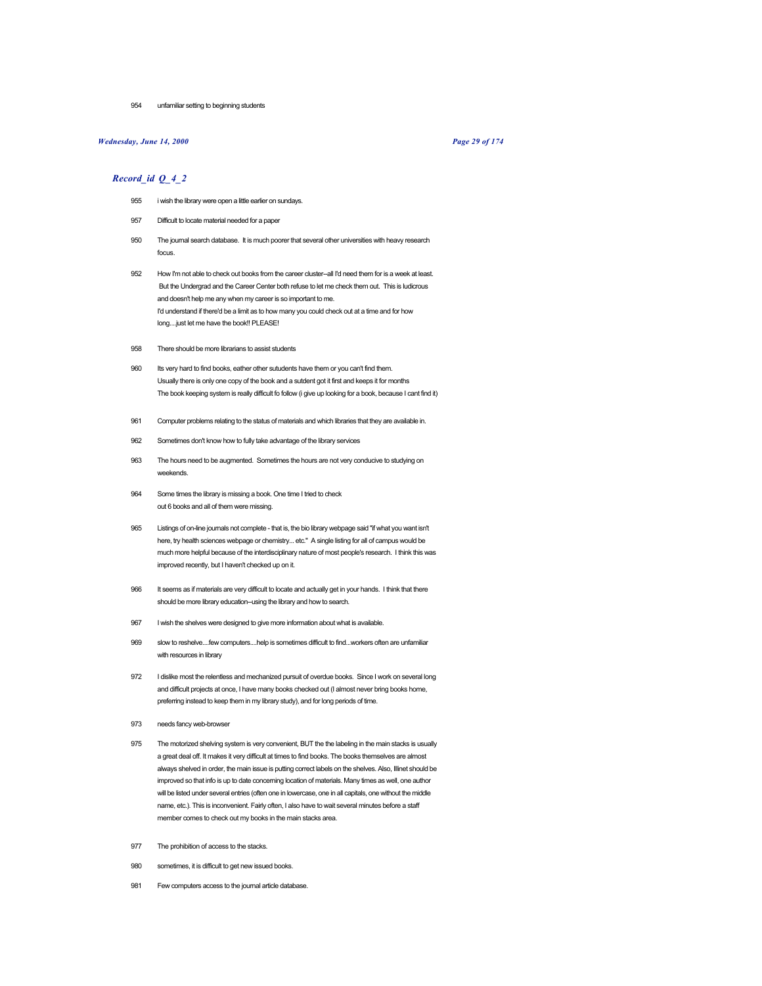954 unfamiliar setting to beginning students

## *Wednesday, June 14, 2000 Page 29 of 174*

- 955 i wish the library were open a little earlier on sundays.
- 957 Difficult to locate material needed for a paper
- 950 The journal search database. It is much poorer that several other universities with heavy research focus.
- 952 How I'm not able to check out books from the career cluster--all I'd need them for is a week at least. But the Undergrad and the Career Center both refuse to let me check them out. This is ludicrous and doesn't help me any when my career is so important to me. I'd understand if there'd be a limit as to how many you could check out at a time and for how long....just let me have the book!! PLEASE!
- 958 There should be more librarians to assist students
- 960 Its very hard to find books, eather other sutudents have them or you can't find them. Usually there is only one copy of the book and a sutdent got it first and keeps it for months The book keeping system is really difficult fo follow (i give up looking for a book, because I cant find it)
- 961 Computer problems relating to the status of materials and which libraries that they are available in.
- 962 Sometimes don't know how to fully take advantage of the library services
- 963 The hours need to be augmented. Sometimes the hours are not very conducive to studying on weekends.
- 964 Some times the library is missing a book. One time I tried to check out 6 books and all of them were missing.
- 965 Listings of on-line journals not complete that is, the bio library webpage said "if what you want isn't here, try health sciences webpage or chemistry... etc." A single listing for all of campus would be much more helpful because of the interdisciplinary nature of most people's research. I think this was improved recently, but I haven't checked up on it.
- 966 It seems as if materials are very difficult to locate and actually get in your hands. I think that there should be more library education--using the library and how to search.
- 967 I wish the shelves were designed to give more information about what is available.
- 969 slow to reshelve....few computers....help is sometimes difficult to find...workers often are unfamiliar with resources in library
- 972 I dislike most the relentless and mechanized pursuit of overdue books. Since I work on several long and difficult projects at once, I have many books checked out (I almost never bring books home, preferring instead to keep them in my library study), and for long periods of time.
- 973 needs fancy web-browser
- 975 The motorized shelving system is very convenient, BUT the the labeling in the main stacks is usually a great deal off. It makes it very difficult at times to find books. The books themselves are almost always shelved in order, the main issue is putting correct labels on the shelves. Also, Illinet should be improved so that info is up to date concerning location of materials. Many times as well, one author will be listed under several entries (often one in lowercase, one in all capitals, one without the middle name, etc.). This is inconvenient. Fairly often, I also have to wait several minutes before a staff member comes to check out my books in the main stacks area.
- 977 The prohibition of access to the stacks.
- 980 sometimes, it is difficult to get new issued books.
- 981 Few computers access to the journal article database.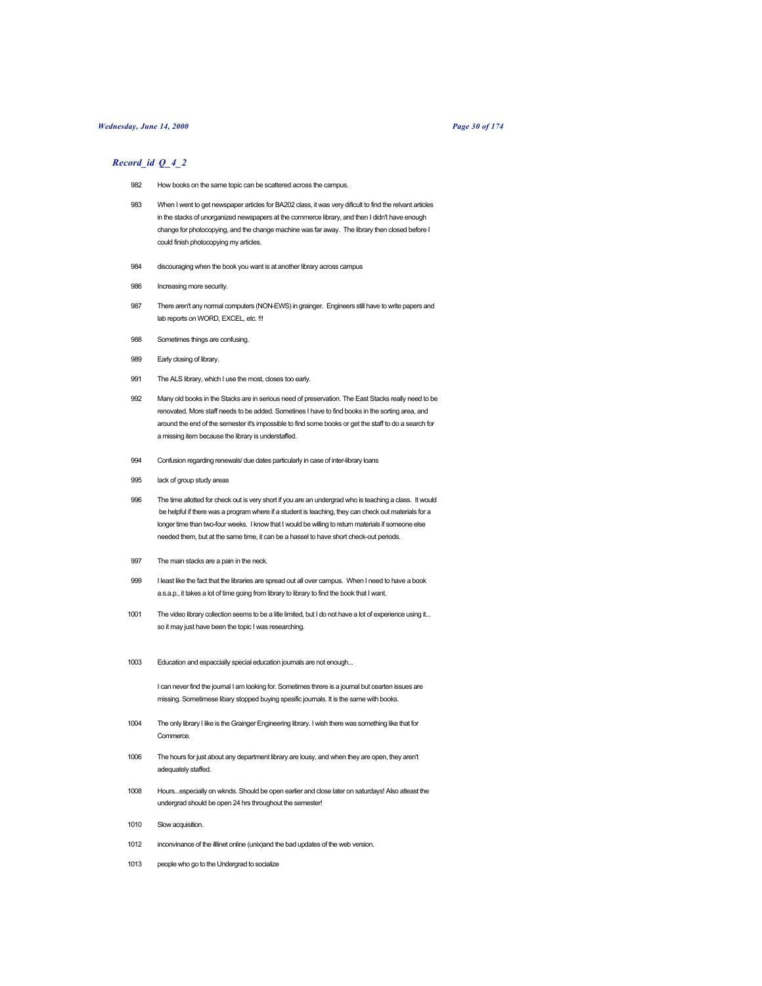# *Wednesday, June 14, 2000 Page 30 of 174*

# *Record\_id Q\_4\_2*

- 982 How books on the same topic can be scattered across the campus.
- 983 When I went to get newspaper articles for BA202 class, it was very dificult to find the relvant articles in the stacks of unorganized newspapers at the commerce library, and then I didn't have enough change for photocopying, and the change machine was far away. The library then closed before I could finish photocopying my articles.
- 984 discouraging when the book you want is at another library across campus
- 986 Increasing more security.
- 987 There aren't any normal computers (NON-EWS) in grainger. Engineers still have to write papers and lab reports on WORD, EXCEL, etc. !!!
- 988 Sometimes things are confusing.
- 989 Early closing of library.
- 991 The ALS library, which I use the most, closes too early.
- 992 Many old books in the Stacks are in serious need of preservation. The East Stacks really need to be renovated. More staff needs to be added. Sometines I have to find books in the sorting area, and around the end of the semester it's impossible to find some books or get the staff to do a search for a missing item because the library is understaffed.
- 994 Confusion regarding renewals/ due dates particularly in case of inter-library loans
- 995 lack of group study areas
- 996 The time allotted for check out is very short if you are an undergrad who is teaching a class. It would be helpful if there was a program where if a student is teaching, they can check out materials for a longer time than two-four weeks. I know that I would be willing to return materials if someone else needed them, but at the same time, it can be a hassel to have short check-out periods.
- 997 The main stacks are a pain in the neck.
- 999 I least like the fact that the libraries are spread out all over campus. When I need to have a book a.s.a.p., it takes a lot of time going from library to library to find the book that I want.
- 1001 The video library collection seems to be a litle limited, but I do not have a lot of experience using it... so it may just have been the topic I was researching.
- 1003 Education and espaccially special education journals are not enough...

I can never find the journal I am looking for. Sometimes threre is a journal but cearten issues are missing. Sometimese libary stopped buying spesific journals. It is the same with books.

- 1004 The only library I like is the Grainger Engineering library. I wish there was something like that for **Commerce**
- 1006 The hours for just about any department library are lousy, and when they are open, they aren't adequately staffed.
- 1008 Hours...especially on wknds. Should be open earlier and close later on saturdays! Also atleast the undergrad should be open 24 hrs throughout the semester!
- 1010 Slow acquisition.
- 1012 inconvinance of the illlinet online (unix)and the bad updates of the web version.
- 1013 people who go to the Undergrad to socialize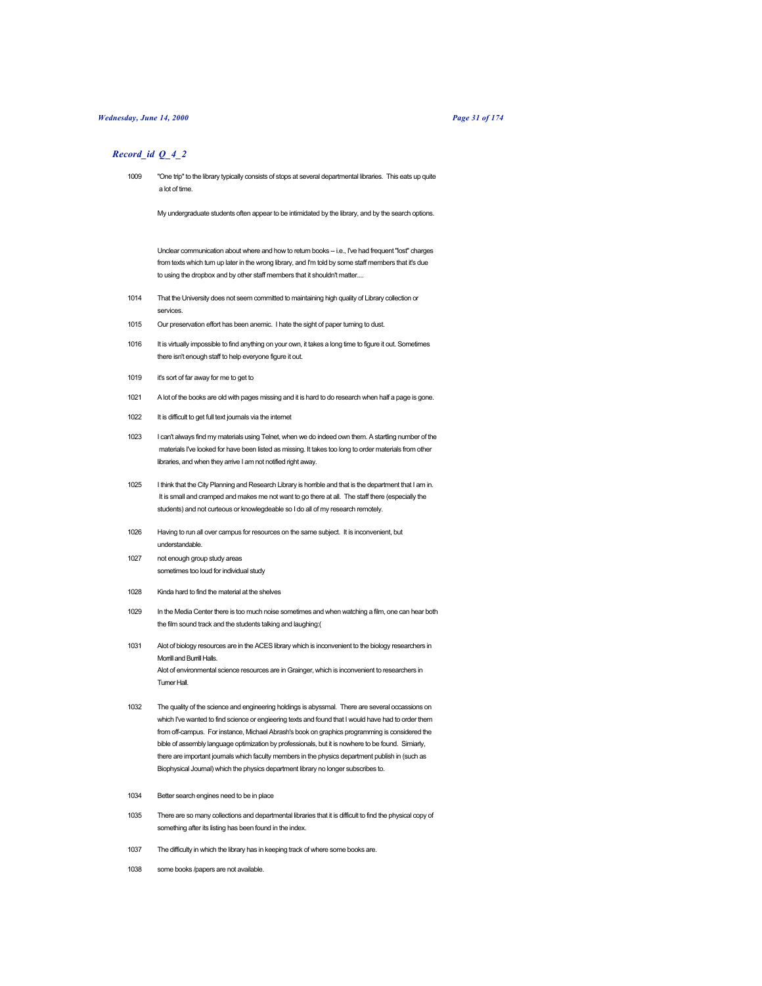### *Wednesday, June 14, 2000 Page 31 of 174*

## *Record\_id Q\_4\_2*

1009 "One trip" to the library typically consists of stops at several departmental libraries. This eats up quite a lot of time.

My undergraduate students often appear to be intimidated by the library, and by the search options.

Unclear communication about where and how to return books - i.e., I've had frequent "lost" charges from texts which turn up later in the wrong library, and I'm told by some staff members that it's due to using the dropbox and by other staff members that it shouldn't matter....

- 1014 That the University does not seem committed to maintaining high quality of Library collection or services.
- 1015 Our preservation effort has been anemic. I hate the sight of paper turning to dust.
- 1016 It is virtually impossible to find anything on your own, it takes a long time to figure it out. Sometimes there isn't enough staff to help everyone figure it out.
- 1019 it's sort of far away for me to get to
- 1021 A lot of the books are old with pages missing and it is hard to do research when half a page is gone.
- 1022 It is difficult to get full text journals via the internet
- 1023 I can't always find my materials using Telnet, when we do indeed own them. A startling number of the materials I've looked for have been listed as missing. It takes too long to order materials from other libraries, and when they arrive I am not notified right away.
- 1025 I think that the City Planning and Research Library is horrible and that is the department that I am in. It is small and cramped and makes me not want to go there at all. The staff there (especially the students) and not curteous or knowlegdeable so I do all of my research remotely.
- 1026 Having to run all over campus for resources on the same subject. It is inconvenient, but understandable.
- 1027 not enough group study areas sometimes too loud for individual study
- 1028 Kinda hard to find the material at the shelves
- 1029 In the Media Center there is too much noise sometimes and when watching a film, one can hear both the film sound track and the students talking and laughing:(
- 1031 Alot of biology resources are in the ACES library which is inconvenient to the biology researchers in Morrill and Burrill Halls. Alot of environmental science resources are in Grainger, which is inconvenient to researchers in Turner Hall.
- 1032 The quality of the science and engineering holdings is abyssmal. There are several occassions on which I've wanted to find science or engieering texts and found that I would have had to order them from off-campus. For instance, Michael Abrash's book on graphics programming is considered the bible of assembly language optimization by professionals, but it is nowhere to be found. Simiarly, there are important journals which faculty members in the physics department publish in (such as Biophysical Journal) which the physics department library no longer subscribes to.
- 1034 Better search engines need to be in place
- 1035 There are so many collections and departmental libraries that it is difficult to find the physical copy of something after its listing has been found in the index.
- 1037 The difficulty in which the library has in keeping track of where some books are.
- 1038 some books /papers are not available.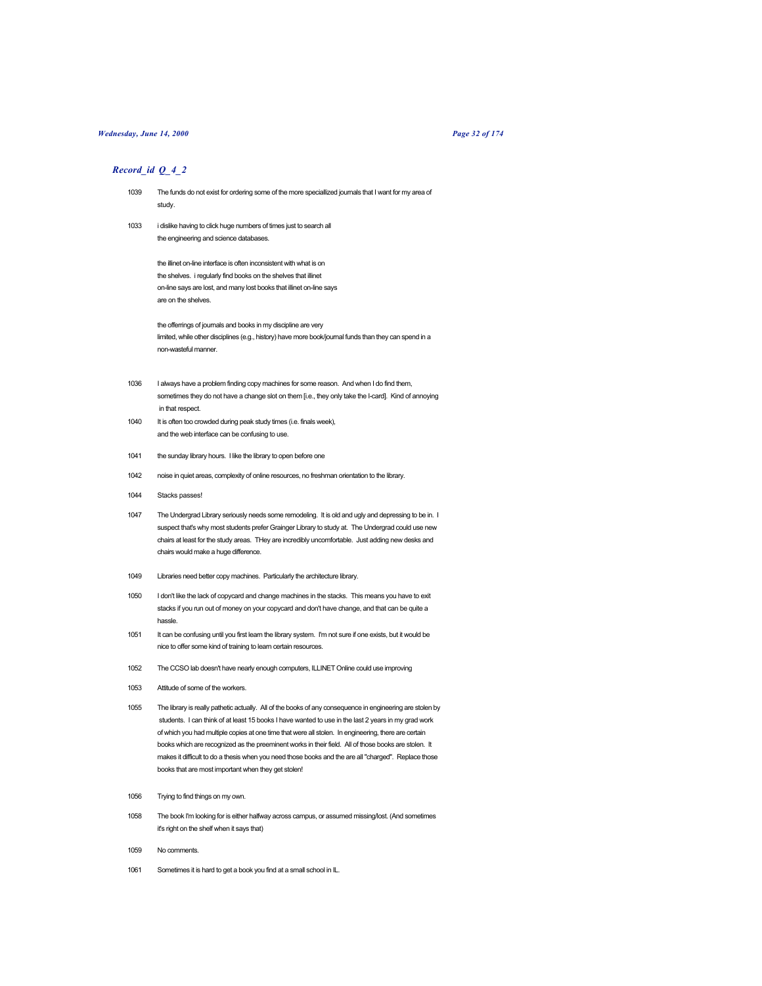## *Wednesday, June 14, 2000 Page 32 of 174*

## *Record\_id Q\_4\_2*

- 1039 The funds do not exist for ordering some of the more speciallized journals that I want for my area of study.
- 1033 i dislike having to click huge numbers of times just to search all the engineering and science databases.

the illinet on-line interface is often inconsistent with what is on the shelves. i regularly find books on the shelves that illinet on-line says are lost, and many lost books that illinet on-line says are on the shelves.

the offerrings of journals and books in my discipline are very limited, while other disciplines (e.g., history) have more book/journal funds than they can spend in a non-wasteful manner.

- 1036 I always have a problem finding copy machines for some reason. And when I do find them, sometimes they do not have a change slot on them [i.e., they only take the I-card]. Kind of annoying in that respect.
- 1040 It is often too crowded during peak study times (i.e. finals week), and the web interface can be confusing to use.
- 1041 the sunday library hours. I like the library to open before one
- 1042 noise in quiet areas, complexity of online resources, no freshman orientation to the library.
- 1044 Stacks passes!
- 1047 The Undergrad Library seriously needs some remodeling. It is old and ugly and depressing to be in. I suspect that's why most students prefer Grainger Library to study at. The Undergrad could use new chairs at least for the study areas. THey are incredibly uncomfortable. Just adding new desks and chairs would make a huge difference.
- 1049 Libraries need better copy machines. Particularly the architecture library.
- 1050 I don't like the lack of copycard and change machines in the stacks. This means you have to exit stacks if you run out of money on your copycard and don't have change, and that can be quite a hassle.
- 1051 It can be confusing until you first learn the library system. I'm not sure if one exists, but it would be nice to offer some kind of training to learn certain resources.
- 1052 The CCSO lab doesn't have nearly enough computers, ILLINET Online could use improving
- 1053 Attitude of some of the workers.
- 1055 The library is really pathetic actually. All of the books of any consequence in engineering are stolen by students. I can think of at least 15 books I have wanted to use in the last 2 years in my grad work of which you had multiple copies at one time that were all stolen. In engineering, there are certain books which are recognized as the preeminent works in their field. All of those books are stolen. It makes it difficult to do a thesis when you need those books and the are all "charged". Replace those books that are most important when they get stolen!
- 1056 Trying to find things on my own.
- 1058 The book I'm looking for is either halfway across campus, or assumed missing/lost. (And sometimes it's right on the shelf when it says that)
- 1059 No comments.
- 1061 Sometimes it is hard to get a book you find at a small school in IL.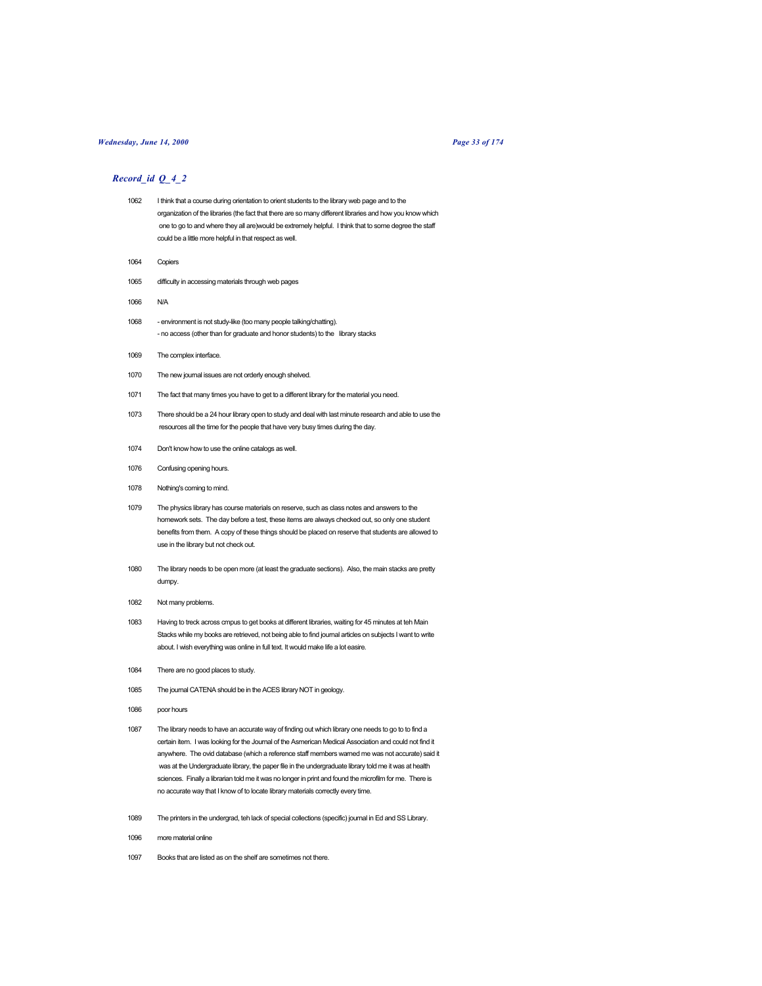## *Wednesday, June 14, 2000 Page 33 of 174*

- 1062 I think that a course during orientation to orient students to the library web page and to the organization of the libraries (the fact that there are so many different libraries and how you know which one to go to and where they all are)would be extremely helpful. I think that to some degree the staff could be a little more helpful in that respect as well.
- 1064 Copiers
- 1065 difficulty in accessing materials through web pages
- 1066 N/A
- 1068 environment is not study-like (too many people talking/chatting). - no access (other than for graduate and honor students) to the library stacks
- 1069 The complex interface.
- 1070 The new journal issues are not orderly enough shelved.
- 1071 The fact that many times you have to get to a different library for the material you need.
- 1073 There should be a 24 hour library open to study and deal with last minute research and able to use the resources all the time for the people that have very busy times during the day.
- 1074 Don't know how to use the online catalogs as well.
- 1076 Confusing opening hours.
- 1078 Nothing's coming to mind.
- 1079 The physics library has course materials on reserve, such as class notes and answers to the homework sets. The day before a test, these items are always checked out, so only one student benefits from them. A copy of these things should be placed on reserve that students are allowed to use in the library but not check out.
- 1080 The library needs to be open more (at least the graduate sections). Also, the main stacks are pretty dumpy.
- 1082 Not many problems.
- 1083 Having to treck across cmpus to get books at different libraries, waiting for 45 minutes at teh Main Stacks while my books are retrieved, not being able to find journal articles on subjects I want to write about. I wish everything was online in full text. It would make life a lot easire.
- 1084 There are no good places to study.
- 1085 The journal CATENA should be in the ACES library NOT in geology.
- 1086 poor hours
- 1087 The library needs to have an accurate way of finding out which library one needs to go to to find a certain item. I was looking for the Journal of the Asmerican Medical Association and could not find it anywhere. The ovid database (which a reference staff members warned me was not accurate) said it was at the Undergraduate library, the paper file in the undergraduate library told me it was at health sciences. Finally a librarian told me it was no longer in print and found the microfilm for me. There is no accurate way that I know of to locate library materials correctly every time.
- 1089 The printers in the undergrad, teh lack of special collections (specific) journal in Ed and SS Library.
- 1096 more material online
- 1097 Books that are listed as on the shelf are sometimes not there.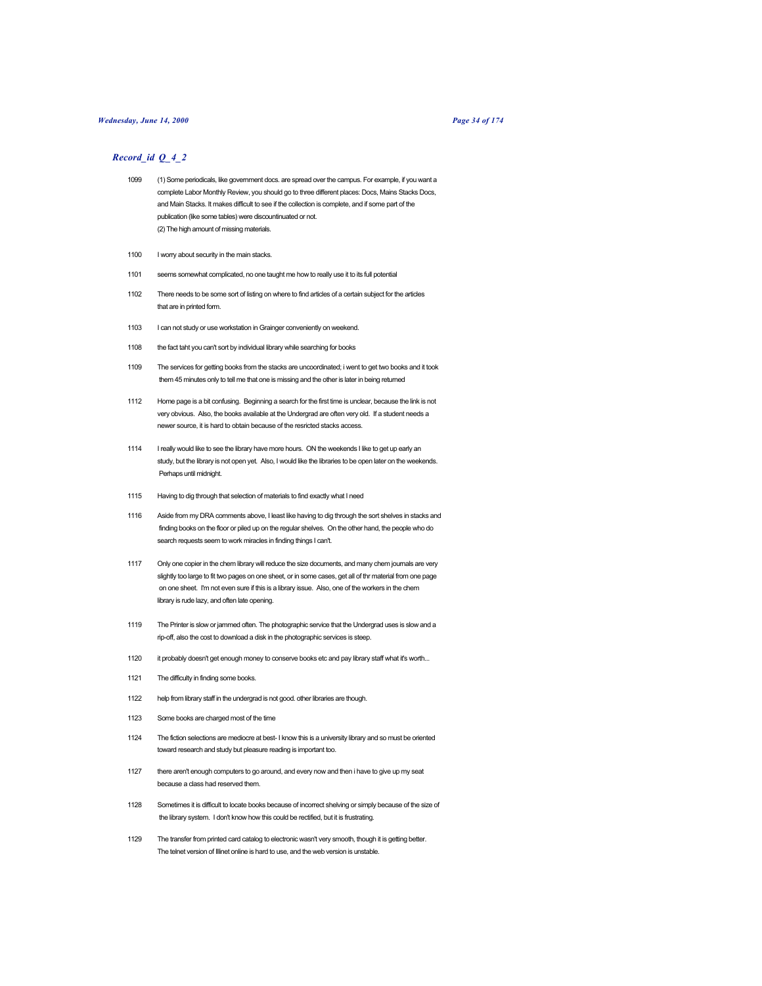### *Wednesday, June 14, 2000 Page 34 of 174*

- 1099 (1) Some periodicals, like government docs. are spread over the campus. For example, if you want a complete Labor Monthly Review, you should go to three different places: Docs, Mains Stacks Docs, and Main Stacks. It makes difficult to see if the collection is complete, and if some part of the publication (like some tables) were discountinuated or not. (2) The high amount of missing materials.
- 1100 I worry about security in the main stacks.
- 1101 seems somewhat complicated, no one taught me how to really use it to its full potential
- 1102 There needs to be some sort of listing on where to find articles of a certain subject for the articles that are in printed form.
- 1103 I can not study or use workstation in Grainger conveniently on weekend.
- 1108 the fact taht you can't sort by individual library while searching for books
- 1109 The services for getting books from the stacks are uncoordinated; i went to get two books and it took them 45 minutes only to tell me that one is missing and the other is later in being returned
- 1112 Home page is a bit confusing. Beginning a search for the first time is unclear, because the link is not very obvious. Also, the books available at the Undergrad are often very old. If a student needs a newer source, it is hard to obtain because of the resricted stacks access.
- 1114 I really would like to see the library have more hours. ON the weekends I like to get up early an study, but the library is not open yet. Also, I would like the libraries to be open later on the weekends. Perhaps until midnight.
- 1115 Having to dig through that selection of materials to find exactly what I need
- 1116 Aside from my DRA comments above, I least like having to dig through the sort shelves in stacks and finding books on the floor or piled up on the regular shelves. On the other hand, the people who do search requests seem to work miracles in finding things I can't.
- 1117 Only one copier in the chem library will reduce the size documents, and many chem journals are very slightly too large to fit two pages on one sheet, or in some cases, get all of thr material from one page on one sheet. I'm not even sure if this is a library issue. Also, one of the workers in the chem library is rude lazy, and often late opening.
- 1119 The Printer is slow or jammed often. The photographic service that the Undergrad uses is slow and a rip-off, also the cost to download a disk in the photographic services is steep.
- 1120 it probably doesn't get enough money to conserve books etc and pay library staff what it's worth...
- 1121 The difficulty in finding some books.
- 1122 help from library staff in the undergrad is not good. other libraries are though.
- 1123 Some books are charged most of the time
- 1124 The fiction selections are mediocre at best- I know this is a university library and so must be oriented toward research and study but pleasure reading is important too.
- 1127 there aren't enough computers to go around, and every now and then i have to give up my seat because a class had reserved them.
- 1128 Sometimes it is difficult to locate books because of incorrect shelving or simply because of the size of the library system. I don't know how this could be rectified, but it is frustrating.
- 1129 The transfer from printed card catalog to electronic wasn't very smooth, though it is getting better. The telnet version of Illinet online is hard to use, and the web version is unstable.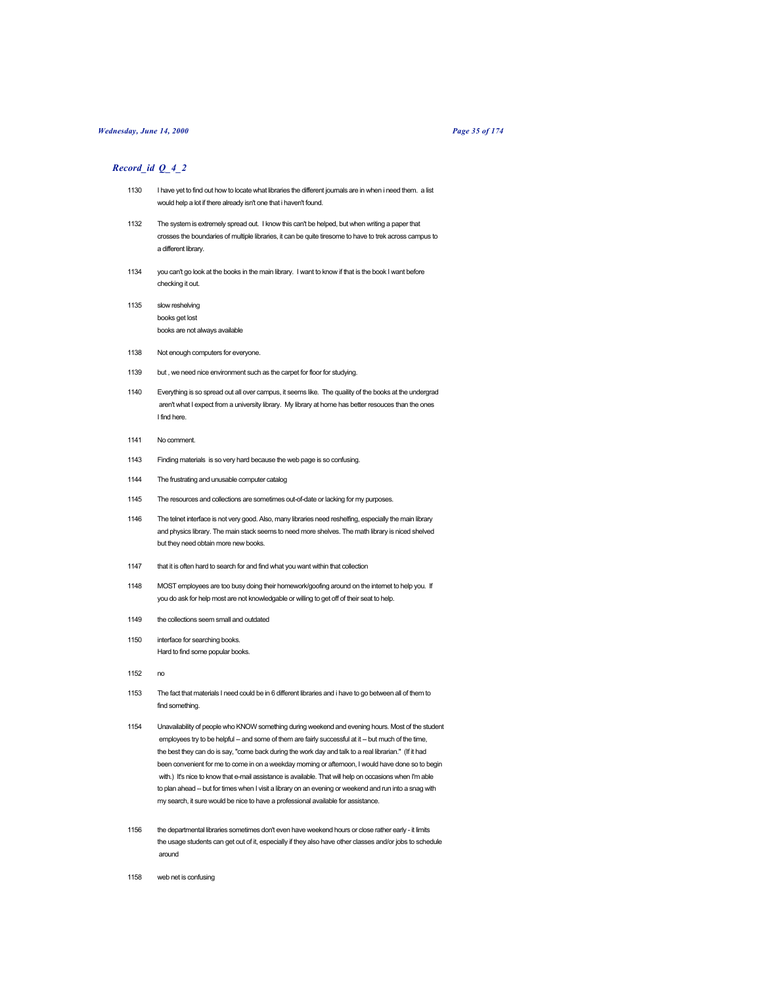## *Wednesday, June 14, 2000 Page 35 of 174*

- 1130 I have yet to find out how to locate what libraries the different journals are in when i need them. a list would help a lot if there already isn't one that i haven't found.
- 1132 The system is extremely spread out. I know this can't be helped, but when writing a paper that crosses the boundaries of multiple libraries, it can be quite tiresome to have to trek across campus to a different library.
- 1134 you can't go look at the books in the main library. I want to know if that is the book I want before checking it out.
- 1135 slow reshelving books get lost books are not always available
- 1138 Not enough computers for everyone.
- 1139 but , we need nice environment such as the carpet for floor for studying.
- 1140 Everything is so spread out all over campus, it seems like. The quaility of the books at the undergrad aren't what I expect from a university library. My library at home has better resouces than the ones I find here.
- 1141 No comment.
- 1143 Finding materials is so very hard because the web page is so confusing.
- 1144 The frustrating and unusable computer catalog
- 1145 The resources and collections are sometimes out-of-date or lacking for my purposes.
- 1146 The telnet interface is not very good. Also, many libraries need reshelfing, especially the main library and physics library. The main stack seems to need more shelves. The math library is niced shelved but they need obtain more new books.
- 1147 that it is often hard to search for and find what you want within that collection
- 1148 MOST employees are too busy doing their homework/goofing around on the internet to help you. If you do ask for help most are not knowledgable or willing to get off of their seat to help.
- 1149 the collections seem small and outdated
- 1150 interface for searching books. Hard to find some popular books.
- 1152
- 1153 The fact that materials I need could be in 6 different libraries and i have to go between all of them to find something.
- 1154 Unavailability of people who KNOW something during weekend and evening hours. Most of the student employees try to be helpful -- and some of them are fairly successful at it -- but much of the time, the best they can do is say, "come back during the work day and talk to a real librarian." (If it had been convenient for me to come in on a weekday morning or afternoon, I would have done so to begin with.) It's nice to know that e-mail assistance is available. That will help on occasions when I'm able to plan ahead -- but for times when I visit a library on an evening or weekend and run into a snag with my search, it sure would be nice to have a professional available for assistance.
- 1156 the departmental libraries sometimes don't even have weekend hours or close rather early it limits the usage students can get out of it, especially if they also have other classes and/or jobs to schedule around
- 1158 web net is confusing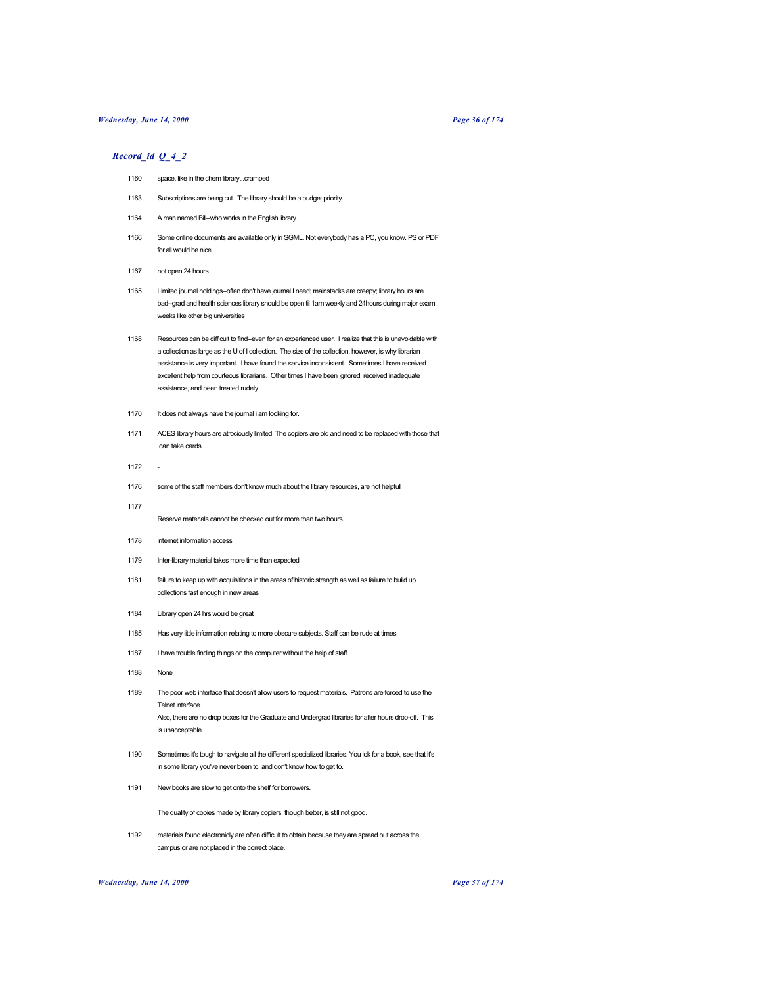## *Wednesday, June 14, 2000 Page 36 of 174*

# *Record\_id Q\_4\_2*

- 1160 space, like in the chem library...cramped
- 1163 Subscriptions are being cut. The library should be a budget priority.
- 1164 A man named Bill-who works in the English library.
- 1166 Some online documents are available only in SGML. Not everybody has a PC, you know. PS or PDF for all would be nice
- 1167 not open 24 hours
- 1165 Limited journal holdings--often don't have journal I need; mainstacks are creepy; library hours are bad--grad and health sciences library should be open til 1am weekly and 24hours during major exam weeks like other big universities
- 1168 Resources can be difficult to find--even for an experienced user. I realize that this is unavoidable with a collection as large as the U of I collection. The size of the collection, however, is why librarian assistance is very important. I have found the service inconsistent. Sometimes I have received excellent help from courteous librarians. Other times I have been ignored, received inadequate assistance, and been treated rudely.
- 1170 It does not always have the journal i am looking for.
- 1171 ACES library hours are atrociously limited. The copiers are old and need to be replaced with those that can take cards.
- 1172 -
- 1176 some of the staff members don't know much about the library resources, are not helpfull
- 1177

Reserve materials cannot be checked out for more than two hours.

- 1178 internet information access
- 1179 Inter-library material takes more time than expected
- 1181 failure to keep up with acquisitions in the areas of historic strength as well as failure to build up collections fast enough in new areas
- 1184 Library open 24 hrs would be great
- 1185 Has very little information relating to more obscure subjects. Staff can be rude at times.
- 1187 I have trouble finding things on the computer without the help of staff.
- 1188 None
- 1189 The poor web interface that doesn't allow users to request materials. Patrons are forced to use the Telnet interface. Also, there are no drop boxes for the Graduate and Undergrad libraries for after hours drop-off. This is unacceptable.
- 1190 Sometimes it's tough to navigate all the different specialized libraries. You lok for a book, see that it's in some library you've never been to, and don't know how to get to.
- 1191 New books are slow to get onto the shelf for borrowers.

The quality of copies made by library copiers, though better, is still not good.

1192 materials found electronicly are often difficult to obtain because they are spread out across the campus or are not placed in the correct place.

# *Wednesday, June 14, 2000 Page 37 of 174*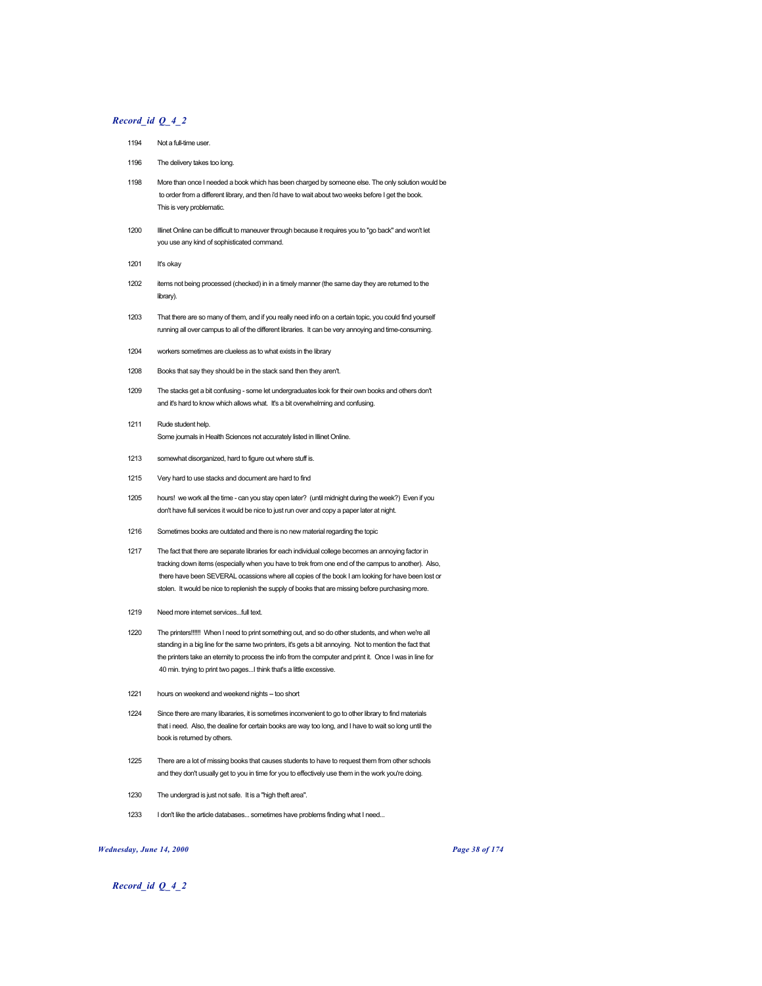# *Record\_id Q\_4\_2*

- 1194 Not a full-time user
- 1196 The delivery takes too long.
- 1198 More than once I needed a book which has been charged by someone else. The only solution would be to order from a different library, and then i'd have to wait about two weeks before I get the book. This is very problematic.
- 1200 Illinet Online can be difficult to maneuver through because it requires you to "go back" and won't let you use any kind of sophisticated command.
- 1201 It's okay
- 1202 items not being processed (checked) in in a timely manner (the same day they are returned to the library).
- 1203 That there are so many of them, and if you really need info on a certain topic, you could find yourself running all over campus to all of the different libraries. It can be very annoying and time-consuming.
- 1204 workers sometimes are clueless as to what exists in the library
- 1208 Books that say they should be in the stack sand then they aren't.
- 1209 The stacks get a bit confusing some let undergraduates look for their own books and others don't and it's hard to know which allows what. It's a bit overwhelming and confusing.
- 1211 Rude student help. Some journals in Health Sciences not accurately listed in Illinet Online.
- 1213 somewhat disorganized, hard to figure out where stuff is.
- 1215 Very hard to use stacks and document are hard to find
- 1205 hours! we work all the time can you stay open later? (until midnight during the week?) Even if you don't have full services it would be nice to just run over and copy a paper later at night.
- 1216 Sometimes books are outdated and there is no new material regarding the topic
- 1217 The fact that there are separate libraries for each individual college becomes an annoying factor in tracking down items (especially when you have to trek from one end of the campus to another). Also, there have been SEVERAL ocassions where all copies of the book I am looking for have been lost or stolen. It would be nice to replenish the supply of books that are missing before purchasing more.
- 1219 Need more internet services...full text.
- 1220 The printers!!!!!! When I need to print something out, and so do other students, and when we're all standing in a big line for the same two printers, it's gets a bit annoying. Not to mention the fact that the printers take an eternity to process the info from the computer and print it. Once I was in line for 40 min. trying to print two pages...I think that's a little excessive.
- 1221 hours on weekend and weekend nights -- too short
- 1224 Since there are many libararies, it is sometimes inconvenient to go to other library to find materials that i need. Also, the dealine for certain books are way too long, and I have to wait so long until the book is returned by others.
- 1225 There are a lot of missing books that causes students to have to request them from other schools and they don't usually get to you in time for you to effectively use them in the work you're doing.
- 1230 The undergrad is just not safe. It is a "high theft area".
- 1233 I don't like the article databases... sometimes have problems finding what I need...

## *Wednesday, June 14, 2000 Page 38 of 174*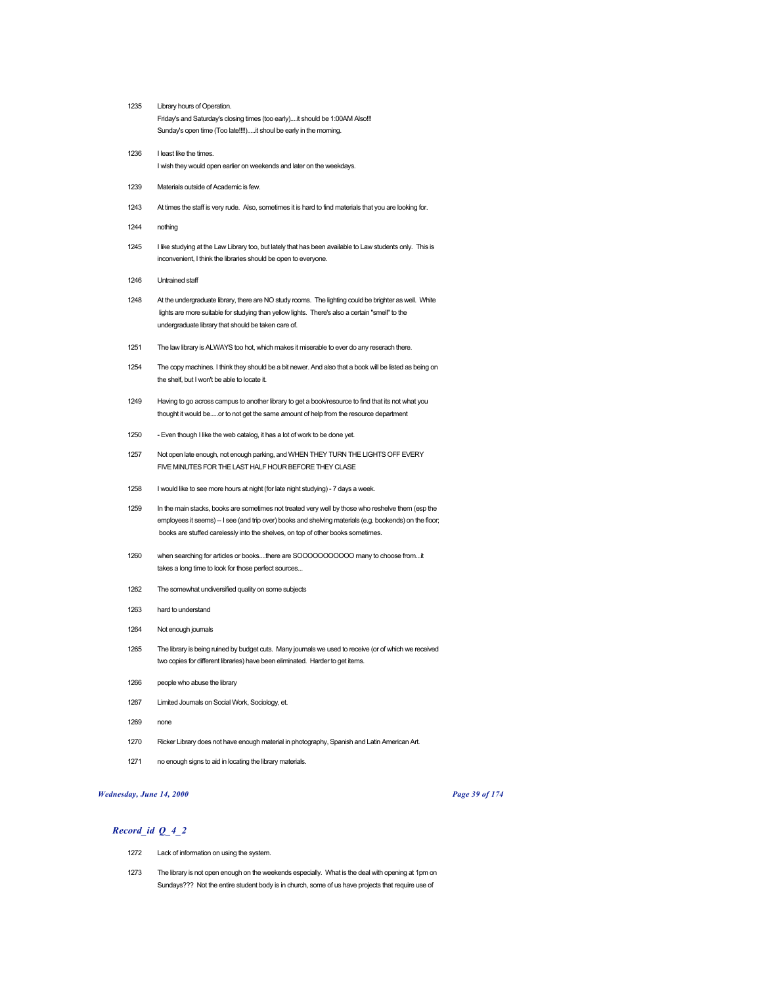- Library hours of Operation. Friday's and Saturday's closing times (too early)....it should be 1:00AM Also!!! Sunday's open time (Too late!!!!).....it shoul be early in the morning.
- I least like the times. I wish they would open earlier on weekends and later on the weekdays.
- Materials outside of Academic is few.
- At times the staff is very rude. Also, sometimes it is hard to find materials that you are looking for.
- nothing
- I like studying at the Law Library too, but lately that has been available to Law students only. This is inconvenient, I think the libraries should be open to everyone.
- Untrained staff
- At the undergraduate library, there are NO study rooms. The lighting could be brighter as well. White lights are more suitable for studying than yellow lights. There's also a certain "smell" to the undergraduate library that should be taken care of.
- The law library is ALWAYS too hot, which makes it miserable to ever do any reserach there.
- The copy machines. I think they should be a bit newer. And also that a book will be listed as being on the shelf, but I won't be able to locate it.
- Having to go across campus to another library to get a book/resource to find that its not what you thought it would be.....or to not get the same amount of help from the resource department
- 1250 Even though I like the web catalog, it has a lot of work to be done yet.
- Not open late enough, not enough parking, and WHEN THEY TURN THE LIGHTS OFF EVERY FIVE MINUTES FOR THE LAST HALF HOUR BEFORE THEY CLASE
- I would like to see more hours at night (for late night studying) 7 days a week.
- In the main stacks, books are sometimes not treated very well by those who reshelve them (esp the employees it seems) -- I see (and trip over) books and shelving materials (e.g. bookends) on the floor; books are stuffed carelessly into the shelves, on top of other books sometimes.
- when searching for articles or books....there are SOOOOOOOOOOO many to choose from...it takes a long time to look for those perfect sources...
- The somewhat undiversified quality on some subjects
- hard to understand
- Not enough journals
- The library is being ruined by budget cuts. Many journals we used to receive (or of which we received two copies for different libraries) have been eliminated. Harder to get items.
- people who abuse the library
- Limited Journals on Social Work, Sociology, et.
- none
- Ricker Library does not have enough material in photography, Spanish and Latin American Art.
- no enough signs to aid in locating the library materials.

## *Wednesday, June 14, 2000 Page 39 of 174*

- Lack of information on using the system.
- The library is not open enough on the weekends especially. What is the deal with opening at 1pm on Sundays??? Not the entire student body is in church, some of us have projects that require use of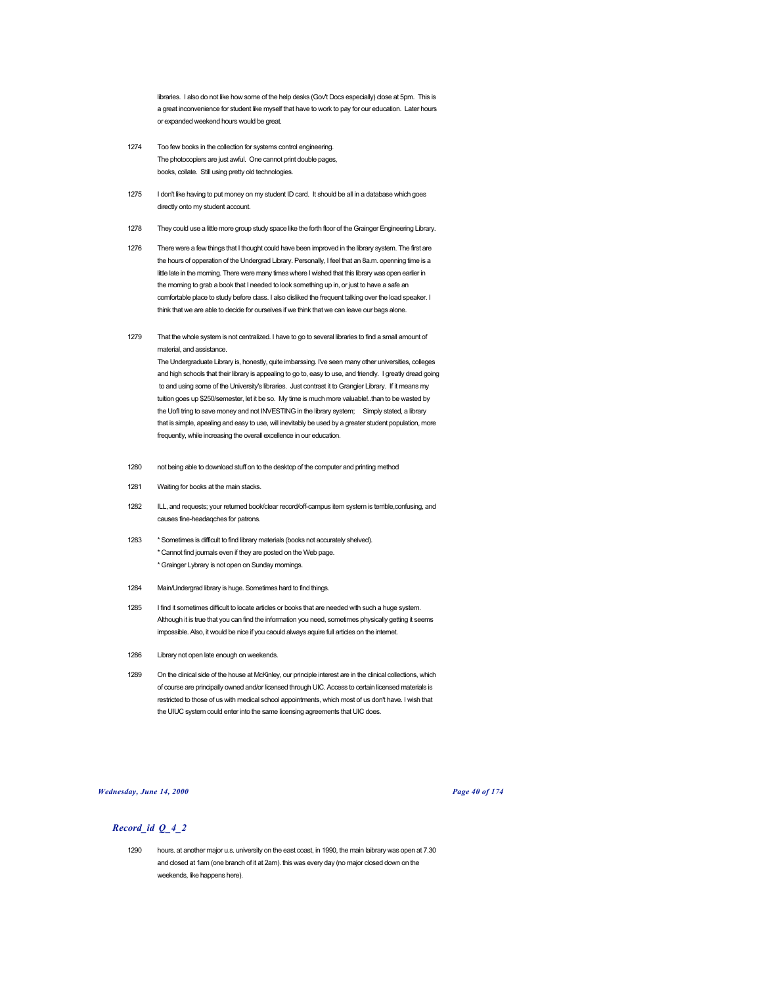libraries. I also do not like how some of the help desks (Gov't Docs especially) close at 5pm. This is a great inconvenience for student like myself that have to work to pay for our education. Later hours or expanded weekend hours would be great.

- 1274 Too few books in the collection for systems control engineering. The photocopiers are just awful. One cannot print double pages, books, collate. Still using pretty old technologies.
- 1275 I don't like having to put money on my student ID card. It should be all in a database which goes directly onto my student account.
- 1278 They could use a little more group study space like the forth floor of the Grainger Engineering Library.
- 1276 There were a few things that I thought could have been improved in the library system. The first are the hours of opperation of the Undergrad Library. Personally, I feel that an 8a.m. openning time is a little late in the morning. There were many times where I wished that this library was open earlier in the morning to grab a book that I needed to look something up in, or just to have a safe an comfortable place to study before class. I also disliked the frequent talking over the load speaker. I think that we are able to decide for ourselves if we think that we can leave our bags alone.
- 1279 That the whole system is not centralized. I have to go to several libraries to find a small amount of material, and assistance.

The Undergraduate Library is, honestly, quite imbarssing. I've seen many other universities, colleges and high schools that their library is appealing to go to, easy to use, and friendly. I greatly dread going to and using some of the University's libraries. Just contrast it to Grangier Library. If it means my tuition goes up \$250/semester, let it be so. My time is much more valuable!..than to be wasted by the UofI tring to save money and not INVESTING in the library system; Simply stated, a library that is simple, apealing and easy to use, will inevitably be used by a greater student population, more frequently, while increasing the overall excellence in our education.

- 1280 not being able to download stuff on to the desktop of the computer and printing method
- 1281 Waiting for books at the main stacks.
- 1282 ILL, and requests; your returned book/clear record/off-campus item system is terrible,confusing, and causes fine-headaqches for patrons.
- 1283 \* Sometimes is difficult to find library materials (books not accurately shelved). \* Cannot find journals even if they are posted on the Web page. \* Grainger Lybrary is not open on Sunday mornings.
- 1284 Main/Undergrad library is huge. Sometimes hard to find things.
- 1285 I find it sometimes difficult to locate articles or books that are needed with such a huge system. Although it is true that you can find the information you need, sometimes physically getting it seems impossible. Also, it would be nice if you caould always aquire full articles on the internet.
- 1286 Library not open late enough on weekends.
- 1289 On the clinical side of the house at McKinley, our principle interest are in the clinical collections, which of course are principally owned and/or licensed through UIC. Access to certain licensed materials is restricted to those of us with medical school appointments, which most of us don't have. I wish that the UIUC system could enter into the same licensing agreements that UIC does.

*Wednesday, June 14, 2000 Page 40 of 174*

## *Record\_id Q\_4\_2*

1290 hours. at another major u.s. university on the east coast, in 1990, the main laibrary was open at 7.30 and closed at 1am (one branch of it at 2am). this was every day (no major closed down on the weekends, like happens here).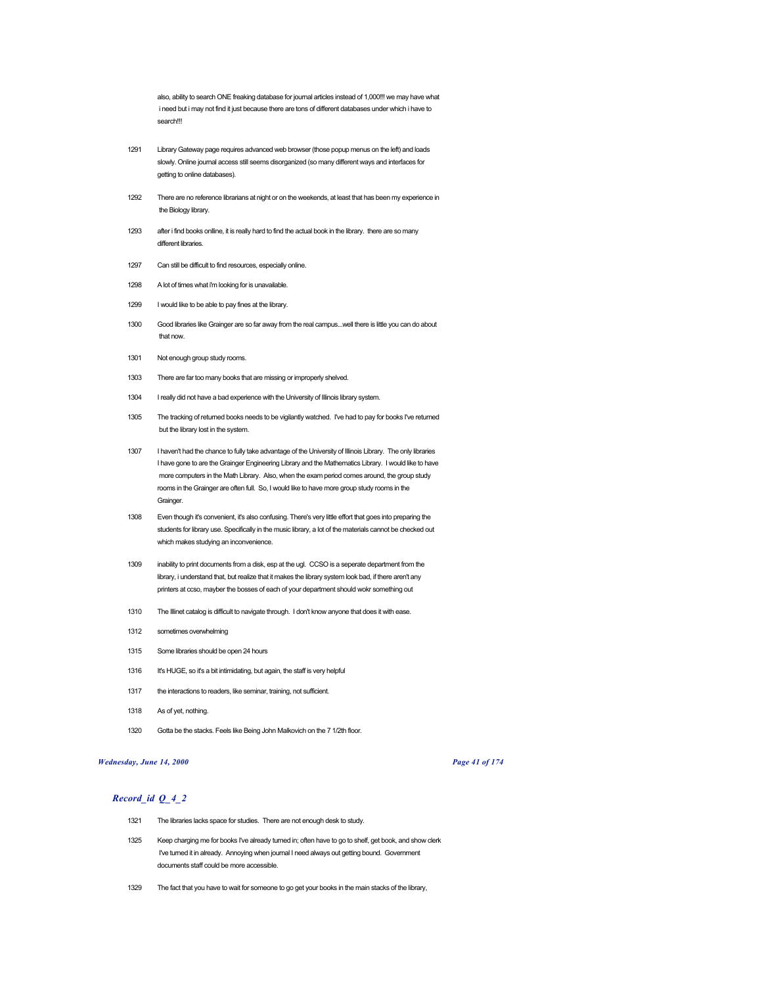also, ability to search ONE freaking database for journal articles instead of 1,000!!! we may have what i need but i may not find it just because there are tons of different databases under which i have to search!!!

- 1291 Library Gateway page requires advanced web browser (those popup menus on the left) and loads slowly. Online journal access still seems disorganized (so many different ways and interfaces for getting to online databases).
- 1292 There are no reference librarians at night or on the weekends, at least that has been my experience in the Biology library.
- 1293 after i find books onlline, it is really hard to find the actual book in the library. there are so many different libraries.
- 1297 Can still be difficult to find resources, especially online.
- 1298 A lot of times what i'm looking for is unavailable.
- 1299 I would like to be able to pay fines at the library.
- 1300 Good libraries like Grainger are so far away from the real campus...well there is little you can do about that now.
- 1301 Not enough group study rooms.
- 1303 There are far too many books that are missing or improperly shelved.
- 1304 I really did not have a bad experience with the University of Illinois library system.
- 1305 The tracking of returned books needs to be vigilantly watched. I've had to pay for books I've returned but the library lost in the system.
- 1307 I haven't had the chance to fully take advantage of the University of Illinois Library. The only libraries I have gone to are the Grainger Engineering Library and the Mathematics Library. I would like to have more computers in the Math Library. Also, when the exam period comes around, the group study rooms in the Grainger are often full. So, I would like to have more group study rooms in the **Grainger.**
- 1308 Even though it's convenient, it's also confusing. There's very little effort that goes into preparing the students for library use. Specifically in the music library, a lot of the materials cannot be checked out which makes studying an inconvenience.
- 1309 inability to print documents from a disk, esp at the ugl. CCSO is a seperate department from the library, i understand that, but realize that it makes the library system look bad, if there aren't any printers at ccso, mayber the bosses of each of your department should wokr something out
- 1310 The Illinet catalog is difficult to navigate through. I don't know anyone that does it with ease.
- 1312 sometimes overwhelming
- 1315 Some libraries should be open 24 hours
- 1316 It's HUGE, so it's a bit intimidating, but again, the staff is very helpful
- 1317 the interactions to readers, like seminar, training, not sufficient.
- 1318 As of yet, nothing.
- 1320 Gotta be the stacks. Feels like Being John Malkovich on the 7 1/2th floor.

## *Wednesday, June 14, 2000 Page 41 of 174*

- 1321 The libraries lacks space for studies. There are not enough desk to study.
- 1325 Keep charging me for books I've already turned in; often have to go to shelf, get book, and show clerk I've turned it in already. Annoying when journal I need always out getting bound. Government documents staff could be more accessible.
- 1329 The fact that you have to wait for someone to go get your books in the main stacks of the library,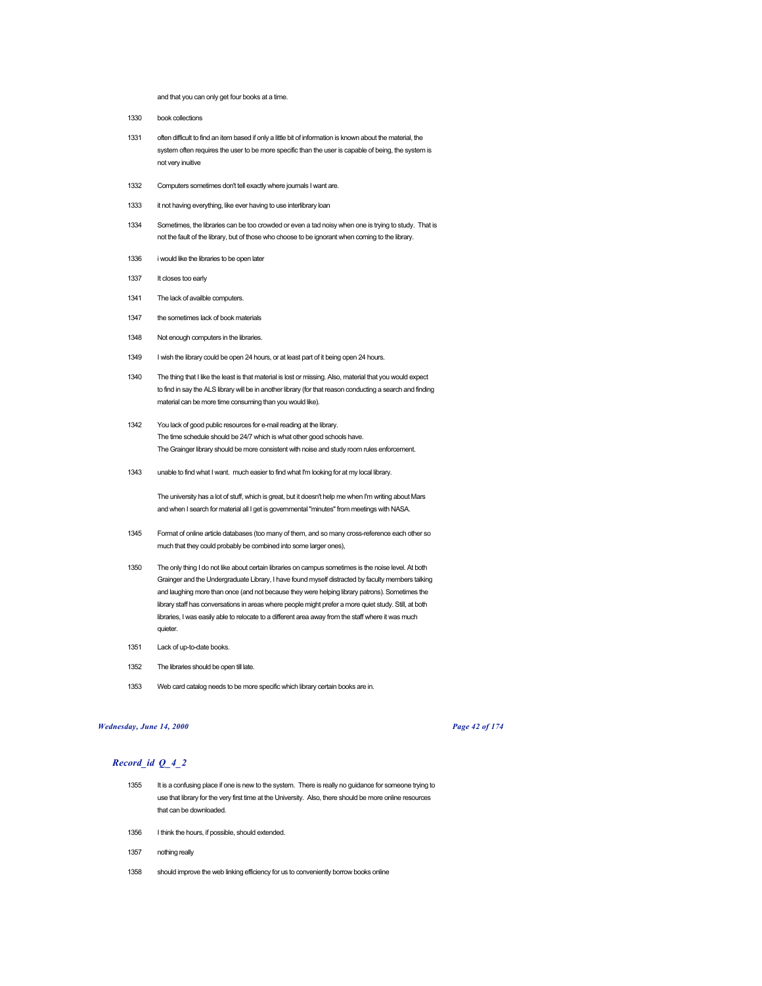and that you can only get four books at a time.

- 1330 book collections
- 1331 often difficult to find an item based if only a little bit of information is known about the material, the system often requires the user to be more specific than the user is capable of being, the system is not very inuitive
- 1332 Computers sometimes don't tell exactly where journals I want are.
- 1333 it not having everything, like ever having to use interlibrary loan
- 1334 Sometimes, the libraries can be too crowded or even a tad noisy when one is trying to study. That is not the fault of the library, but of those who choose to be ignorant when coming to the library.
- 1336 i would like the libraries to be open later
- 1337 It closes too early
- 1341 The lack of availble computers.
- 1347 the sometimes lack of book materials
- 1348 Not enough computers in the libraries.
- 1349 I wish the library could be open 24 hours, or at least part of it being open 24 hours.
- 1340 The thing that I like the least is that material is lost or missing. Also, material that you would expect to find in say the ALS library will be in another library (for that reason conducting a search and finding material can be more time consuming than you would like).
- 1342 You lack of good public resources for e-mail reading at the library. The time schedule should be 24/7 which is what other good schools have. The Grainger library should be more consistent with noise and study room rules enforcement.
- 1343 unable to find what I want. much easier to find what I'm looking for at my local library.

The university has a lot of stuff, which is great, but it doesn't help me when I'm writing about Mars and when I search for material all I get is governmental "minutes" from meetings with NASA.

- 1345 Format of online article databases (too many of them, and so many cross-reference each other so much that they could probably be combined into some larger ones),
- 1350 The only thing I do not like about certain libraries on campus sometimes is the noise level. At both Grainger and the Undergraduate Library, I have found myself distracted by faculty members talking and laughing more than once (and not because they were helping library patrons). Sometimes the library staff has conversations in areas where people might prefer a more quiet study. Still, at both libraries, I was easily able to relocate to a different area away from the staff where it was much quieter.
- 1351 Lack of up-to-date books.
- 1352 The libraries should be open till late.
- 1353 Web card catalog needs to be more specific which library certain books are in.

## *Wednesday, June 14, 2000 Page 42 of 174*

- 1355 It is a confusing place if one is new to the system. There is really no guidance for someone trying to use that library for the very first time at the University. Also, there should be more online resources that can be downloaded.
- 1356 I think the hours, if possible, should extended.
- 1357 nothing really
- 1358 should improve the web linking efficiency for us to conveniently borrow books online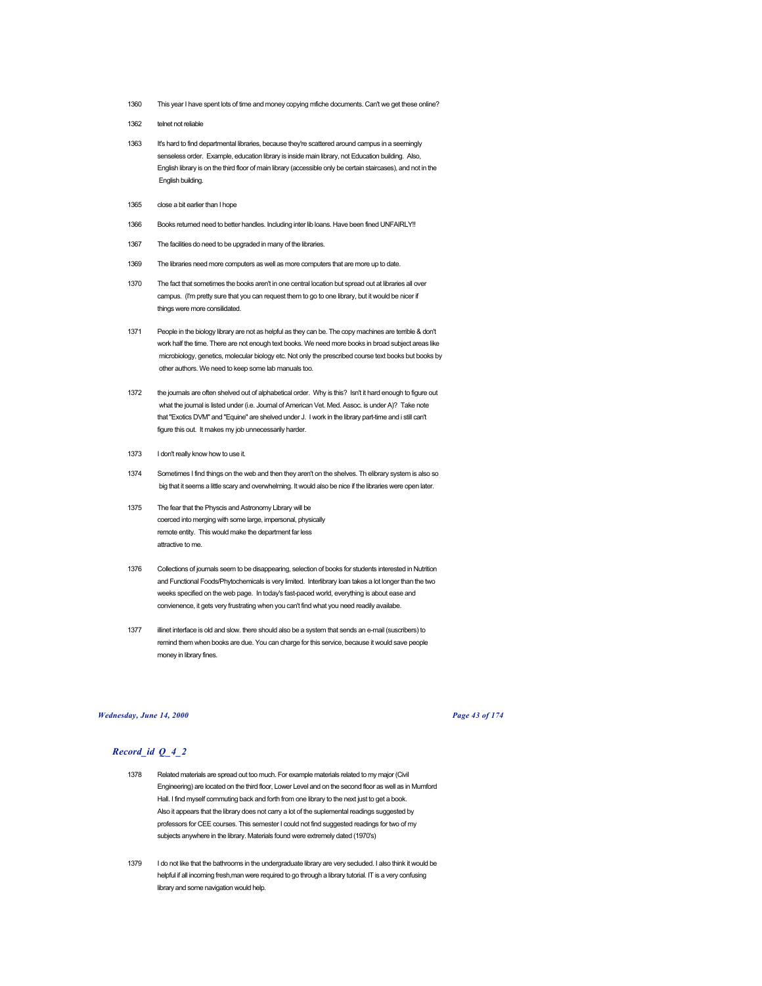- 1360 This year I have spent lots of time and money copying mfiche documents. Can't we get these online?
- 1362 telnet not reliable
- 1363 It's hard to find departmental libraries, because they're scattered around campus in a seemingly senseless order. Example, education library is inside main library, not Education building. Also, English library is on the third floor of main library (accessible only be certain staircases), and not in the English building.
- 1365 close a bit earlier than I hope
- 1366 Books returned need to better handles. Including inter lib loans. Have been fined UNFAIRLY!!
- 1367 The facilities do need to be upgraded in many of the libraries.
- 1369 The libraries need more computers as well as more computers that are more up to date.
- 1370 The fact that sometimes the books aren't in one central location but spread out at libraries all over campus. (I'm pretty sure that you can request them to go to one library, but it would be nicer if things were more consilidated.
- 1371 People in the biology library are not as helpful as they can be. The copy machines are terrible & don't work half the time. There are not enough text books. We need more books in broad subject areas like microbiology, genetics, molecular biology etc. Not only the prescribed course text books but books by other authors. We need to keep some lab manuals too.
- 1372 the journals are often shelved out of alphabetical order. Why is this? Isn't it hard enough to figure out what the journal is listed under (i.e. Journal of American Vet. Med. Assoc. is under A)? Take note that "Exotics DVM" and "Equine" are shelved under J. I work in the library part-time and i still can't figure this out. It makes my job unnecessarily harder.
- 1373 I don't really know how to use it.
- 1374 Sometimes I find things on the web and then they aren't on the shelves. Th elibrary system is also so big that it seems a little scary and overwhelming. It would also be nice if the libraries were open later.
- 1375 The fear that the Physcis and Astronomy Library will be coerced into merging with some large, impersonal, physically remote entity. This would make the department far less attractive to me.
- 1376 Collections of journals seem to be disappearing, selection of books for students interested in Nutrition and Functional Foods/Phytochemicals is very limited. Interlibrary loan takes a lot longer than the two weeks specified on the web page. In today's fast-paced world, everything is about ease and convienence, it gets very frustrating when you can't find what you need readily availabe.
- 1377 illinet interface is old and slow. there should also be a system that sends an e-mail (suscribers) to remind them when books are due. You can charge for this service, because it would save people money in library fines.

#### *Wednesday, June 14, 2000 Page 43 of 174*

- 1378 Related materials are spread out too much. For example materials related to my major (Civil Engineering) are located on the third floor, Lower Level and on the second floor as well as in Mumford Hall. I find myself commuting back and forth from one library to the next just to get a book. Also it appears that the library does not carry a lot of the suplemental readings suggested by professors for CEE courses. This semester I could not find suggested readings for two of my subjects anywhere in the library. Materials found were extremely dated (1970's)
- 1379 I do not like that the bathrooms in the undergraduate library are very secluded. I also think it would be helpful if all incoming fresh,man were required to go through a library tutorial. IT is a very confusing library and some navigation would help.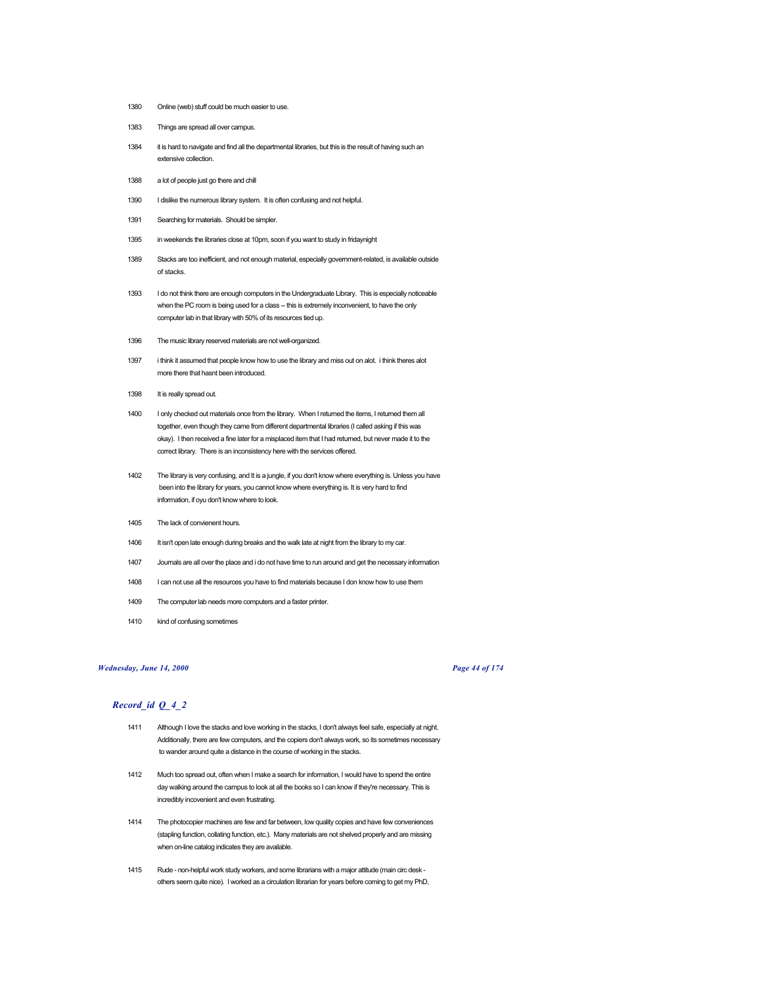- 1380 Online (web) stuff could be much easier to use.
- 1383 Things are spread all over campus.
- 1384 it is hard to navigate and find all the departmental libraries, but this is the result of having such an extensive collection.
- 1388 a lot of people just go there and chill
- 1390 I dislike the numerous library system. It is often confusing and not helpful.
- 1391 Searching for materials. Should be simpler.
- 1395 in weekends the libraries close at 10pm, soon if you want to study in fridaynight
- 1389 Stacks are too inefficient, and not enough material, especially government-related, is available outside of stacks.
- 1393 I do not think there are enough computers in the Undergraduate Library. This is especially noticeable when the PC room is being used for a class -- this is extremely inconvenient, to have the only computer lab in that library with 50% of its resources tied up.
- 1396 The music library reserved materials are not well-organized.
- 1397 i think it assumed that people know how to use the library and miss out on alot. i think theres alot more there that hasnt been introduced.
- 1398 It is really spread out.
- 1400 I only checked out materials once from the library. When I returned the items, I returned them all together, even though they came from different departmental libraries (I called asking if this was okay). I then received a fine later for a misplaced item that I had returned, but never made it to the correct library. There is an inconsistency here with the services offered.
- 1402 The library is very confusing, and It is a jungle, if you don't know where everything is. Unless you have been into the library for years, you cannot know where everything is. It is very hard to find information, if oyu don't know where to look.
- 1405 The lack of convienent hours.
- 1406 It isn't open late enough during breaks and the walk late at night from the library to my car.
- 1407 Journals are all over the place and i do not have time to run around and get the necessary information
- 1408 I can not use all the resources you have to find materials because I don know how to use them
- 1409 The computer lab needs more computers and a faster printer.
- 1410 kind of confusing sometimes

## *Wednesday, June 14, 2000 Page 44 of 174*

- 1411 Although I love the stacks and love working in the stacks, I don't always feel safe, especially at night. Additionally, there are few computers, and the copiers don't always work, so its sometimes necessary to wander around quite a distance in the course of working in the stacks.
- 1412 Much too spread out, often when I make a search for information, I would have to spend the entire day walking around the campus to look at all the books so I can know if they're necessary. This is incredibly incovenient and even frustrating.
- 1414 The photocopier machines are few and far between, low quality copies and have few conveniences (stapling function, collating function, etc.). Many materials are not shelved properly and are missing when on-line catalog indicates they are available.
- 1415 Rude non-helpful work study workers, and some librarians with a major attitude (main circ desk others seem quite nice). I worked as a circulation librarian for years before coming to get my PhD,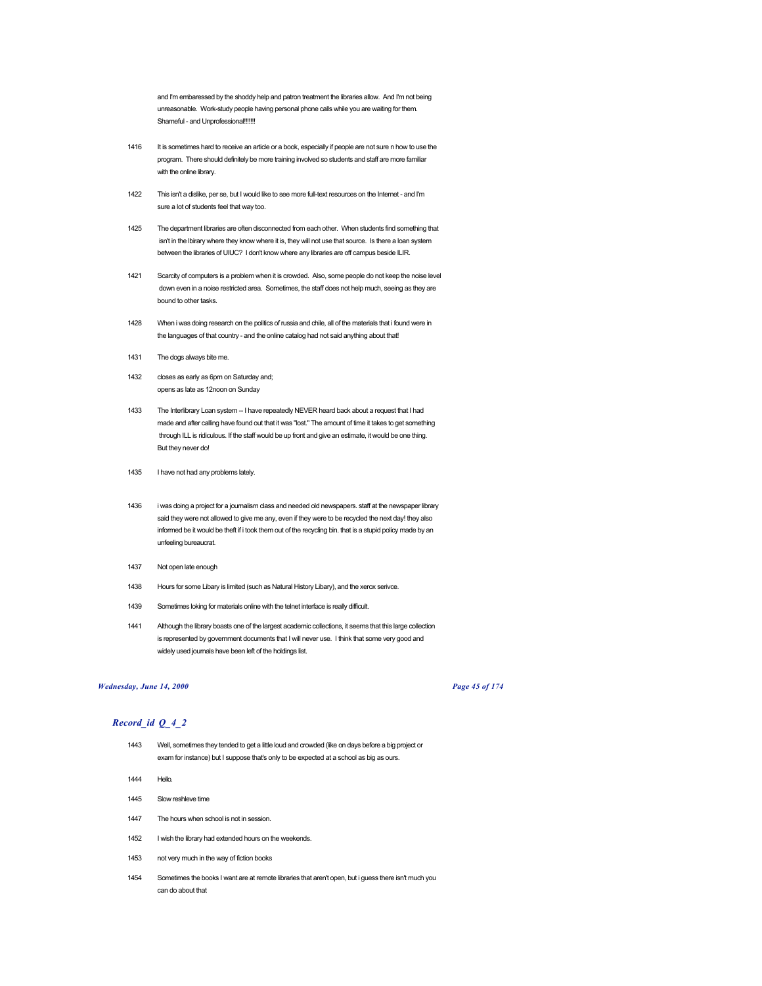and I'm embaressed by the shoddy help and patron treatment the libraries allow. And I'm not being unreasonable. Work-study people having personal phone calls while you are waiting for them. Shameful - and Unprofessional!!!!!!!

- 1416 It is sometimes hard to receive an article or a book, especially if people are not sure n how to use the program. There should definitely be more training involved so students and staff are more familiar with the online library.
- 1422 This isn't a dislike, per se, but I would like to see more full-text resources on the Internet and I'm sure a lot of students feel that way too.
- 1425 The department libraries are often disconnected from each other. When students find something that isn't in the lbirary where they know where it is, they will not use that source. Is there a loan system between the libraries of UIUC? I don't know where any libraries are off campus beside ILIR.
- 1421 Scarcity of computers is a problem when it is crowded. Also, some people do not keep the noise level down even in a noise restricted area. Sometimes, the staff does not help much, seeing as they are bound to other tasks.
- 1428 When i was doing research on the politics of russia and chile, all of the materials that i found were in the languages of that country - and the online catalog had not said anything about that!
- 1431 The dogs always bite me.
- 1432 closes as early as 6pm on Saturday and; opens as late as 12noon on Sunday
- 1433 The Interlibrary Loan system -- I have repeatedly NEVER heard back about a request that I had made and after calling have found out that it was "lost." The amount of time it takes to get something through ILL is ridiculous. If the staff would be up front and give an estimate, it would be one thing. But they never do!
- 1435 I have not had any problems lately.
- 1436 i was doing a project for a journalism class and needed old newspapers. staff at the newspaper library said they were not allowed to give me any, even if they were to be recycled the next day! they also informed be it would be theft if i took them out of the recycling bin. that is a stupid policy made by an unfeeling bureaucrat.
- 1437 Not open late enough
- 1438 Hours for some Libary is limited (such as Natural History Libary), and the xerox serivce.
- 1439 Sometimes loking for materials online with the telnet interface is really difficult.
- 1441 Although the library boasts one of the largest academic collections, it seems that this large collection is represented by government documents that I will never use. I think that some very good and widely used journals have been left of the holdings list.

### *Wednesday, June 14, 2000 Page 45 of 174*

- 1443 Well, sometimes they tended to get a little loud and crowded (like on days before a big project or exam for instance) but I suppose that's only to be expected at a school as big as ours.
- 1444 Hello.
- 1445 Slow reshleve time
- 1447 The hours when school is not in session.
- 1452 I wish the library had extended hours on the weekends.
- 1453 not very much in the way of fiction books
- 1454 Sometimes the books I want are at remote libraries that aren't open, but i guess there isn't much you can do about that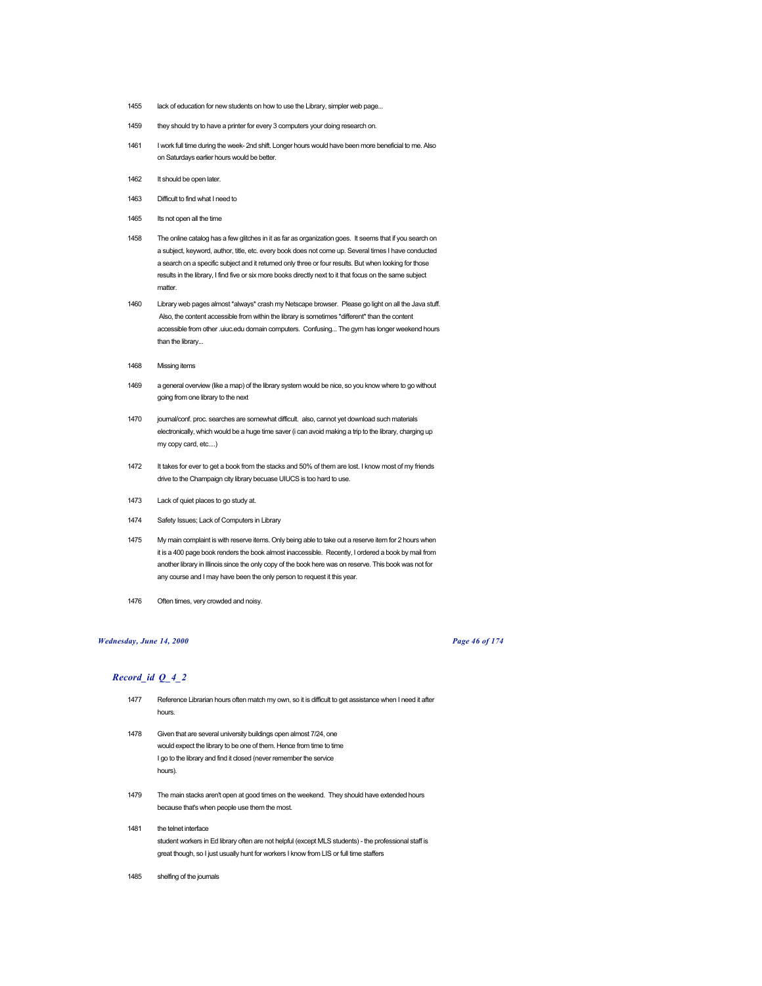- 1455 lack of education for new students on how to use the Library, simpler web page...
- 1459 they should try to have a printer for every 3 computers your doing research on.
- 1461 I work full time during the week- 2nd shift. Longer hours would have been more beneficial to me. Also on Saturdays earlier hours would be better.
- 1462 It should be open later.
- 1463 Difficult to find what I need to
- 1465 Its not open all the time
- 1458 The online catalog has a few glitches in it as far as organization goes. It seems that if you search on a subject, keyword, author, title, etc. every book does not come up. Several times I have conducted a search on a specific subject and it returned only three or four results. But when looking for those results in the library, I find five or six more books directly next to it that focus on the same subject matter.
- 1460 Library web pages almost \*always\* crash my Netscape browser. Please go light on all the Java stuff. Also, the content accessible from within the library is sometimes \*different\* than the content accessible from other .uiuc.edu domain computers. Confusing... The gym has longer weekend hours than the library...
- 1468 Missing items
- 1469 a general overview (like a map) of the library system would be nice, so you know where to go without going from one library to the next
- 1470 journal/conf. proc. searches are somewhat difficult. also, cannot yet download such materials electronically, which would be a huge time saver (i can avoid making a trip to the library, charging up my copy card, etc....)
- 1472 It takes for ever to get a book from the stacks and 50% of them are lost. I know most of my friends drive to the Champaign city library becuase UIUCS is too hard to use.
- 1473 Lack of quiet places to go study at.
- 1474 Safety Issues; Lack of Computers in Library
- 1475 My main complaint is with reserve items. Only being able to take out a reserve item for 2 hours when it is a 400 page book renders the book almost inaccessible. Recently, I ordered a book by mail from another library in Illinois since the only copy of the book here was on reserve. This book was not for any course and I may have been the only person to request it this year.
- 1476 Often times, very crowded and noisy.

#### *Wednesday, June 14, 2000 Page 46 of 174*

- 1477 Reference Librarian hours often match my own, so it is difficult to get assistance when I need it after hours.
- 1478 Given that are several university buildings open almost 7/24, one would expect the library to be one of them. Hence from time to time I go to the library and find it closed (never remember the service hours).
- 1479 The main stacks aren't open at good times on the weekend. They should have extended hours because that's when people use them the most.
- 1481 the telnet interface student workers in Ed library often are not helpful (except MLS students) - the professional staff is great though, so I just usually hunt for workers I know from LIS or full time staffers
- 1485 shelfing of the journals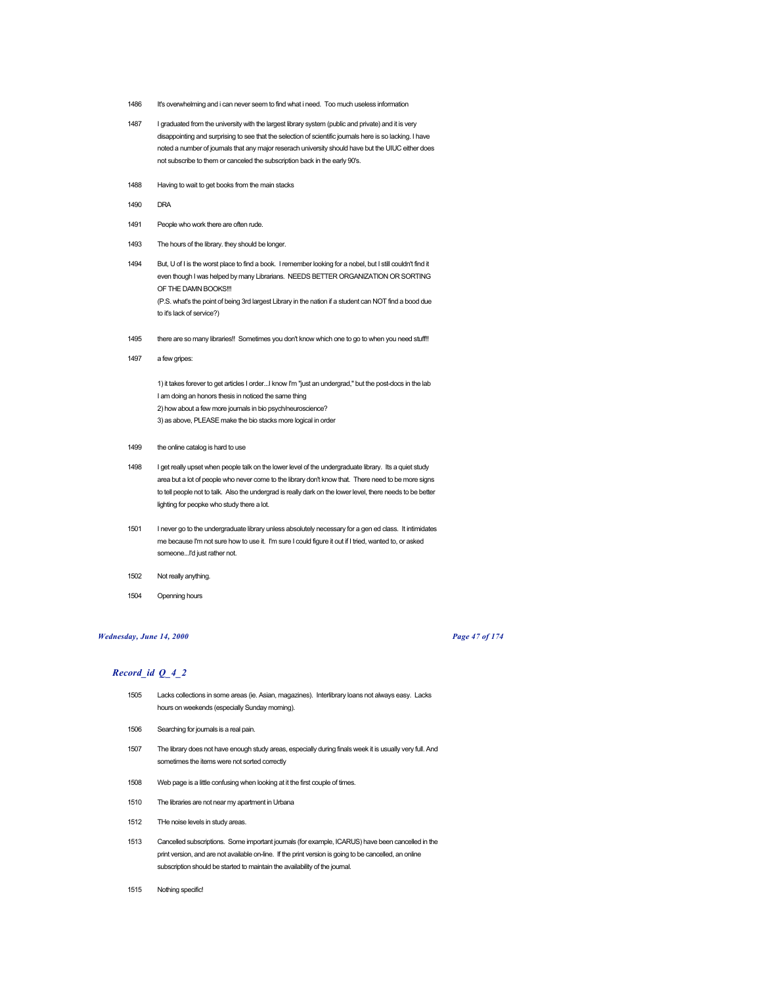- 1486 It's overwhelming and i can never seem to find what i need. Too much useless information
- 1487 I graduated from the university with the largest library system (public and private) and it is very disappointing and surprising to see that the selection of scientific journals here is so lacking. I have noted a number of journals that any major reserach university should have but the UIUC either does not subscribe to them or canceled the subscription back in the early 90's.
- 1488 Having to wait to get books from the main stacks
- 1490 DRA
- 1491 People who work there are often rude.
- 1493 The hours of the library. they should be longer.
- 1494 But, U of I is the worst place to find a book. I remember looking for a nobel, but I still couldn't find it even though I was helped by many Librarians. NEEDS BETTER ORGANIZATION OR SORTING OF THE DAMN BOOKS!!! (P.S. what's the point of being 3rd largest Library in the nation if a student can NOT find a bood due to it's lack of service?)
- 1495 there are so many libraries!! Sometimes you don't know which one to go to when you need stuff!!
- 1497 a few gripes:

1) it takes forever to get articles I order...I know I'm "just an undergrad," but the post-docs in the lab I am doing an honors thesis in noticed the same thing 2) how about a few more journals in bio psych/neuroscience? 3) as above, PLEASE make the bio stacks more logical in order

- 1499 the online catalog is hard to use
- 1498 I get really upset when people talk on the lower level of the undergraduate library. Its a quiet study area but a lot of people who never come to the library don't know that. There need to be more signs to tell people not to talk. Also the undergrad is really dark on the lower level, there needs to be better lighting for peopke who study there a lot.
- 1501 I never go to the undergraduate library unless absolutely necessary for a gen ed class. It intimidates me because I'm not sure how to use it. I'm sure I could figure it out if I tried, wanted to, or asked someone...I'd just rather not.
- 1502 Not really anything.
- 1504 Openning hours

## *Wednesday, June 14, 2000 Page 47 of 174*

- 1505 Lacks collections in some areas (ie. Asian, magazines). Interlibrary loans not always easy. Lacks hours on weekends (especially Sunday morning).
- 1506 Searching for journals is a real pain.
- 1507 The library does not have enough study areas, especially during finals week it is usually very full. And sometimes the items were not sorted correctly
- 1508 Web page is a little confusing when looking at it the first couple of times.
- 1510 The libraries are not near my apartment in Urbana
- 1512 THe noise levels in study areas.
- 1513 Cancelled subscriptions. Some important journals (for example, ICARUS) have been cancelled in the print version, and are not available on-line. If the print version is going to be cancelled, an online subscription should be started to maintain the availability of the journal.
- 1515 Nothing specific!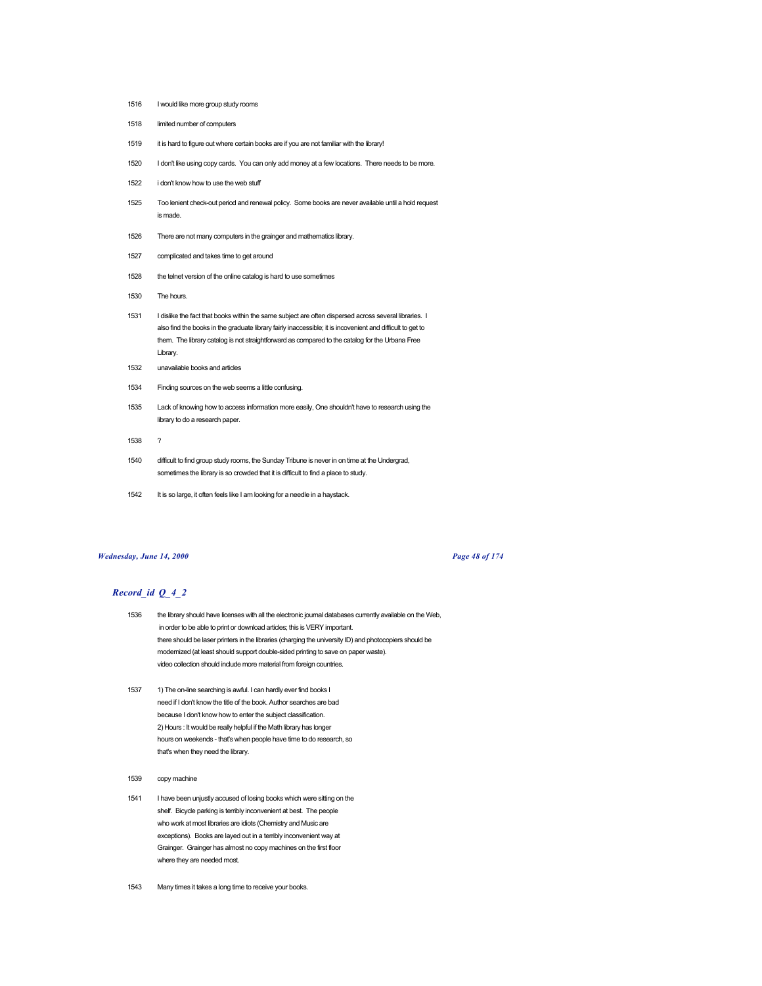- 1516 I would like more group study rooms
- 1518 limited number of computers
- 1519 it is hard to figure out where certain books are if you are not familiar with the library!
- 1520 I don't like using copy cards. You can only add money at a few locations. There needs to be more.
- 1522 i don't know how to use the web stuff
- 1525 Too lenient check-out period and renewal policy. Some books are never available until a hold request is made.
- 1526 There are not many computers in the grainger and mathematics library.
- 1527 complicated and takes time to get around
- 1528 the telnet version of the online catalog is hard to use sometimes
- 1530 The hours.
- 1531 I dislike the fact that books within the same subject are often dispersed across several libraries. I also find the books in the graduate library fairly inaccessible; it is incovenient and difficult to get to them. The library catalog is not straightforward as compared to the catalog for the Urbana Free Library.
- 1532 unavailable books and articles
- 1534 Finding sources on the web seems a little confusing.
- 1535 Lack of knowing how to access information more easily, One shouldn't have to research using the library to do a research paper.
- 1538 ?
- 1540 difficult to find group study rooms, the Sunday Tribune is never in on time at the Undergrad, sometimes the library is so crowded that it is difficult to find a place to study.
- 1542 It is so large, it often feels like I am looking for a needle in a haystack.

#### *Wednesday, June 14, 2000 Page 48 of 174*

- 1536 the library should have licenses with all the electronic journal databases currently available on the Web, in order to be able to print or download articles; this is VERY important. there should be laser printers in the libraries (charging the university ID) and photocopiers should be modernized (at least should support double-sided printing to save on paper waste). video collection should include more material from foreign countries.
- 1537 1) The on-line searching is awful. I can hardly ever find books I need if I don't know the title of the book. Author searches are bad because I don't know how to enter the subject classification. 2) Hours : It would be really helpful if the Math library has longer hours on weekends - that's when people have time to do research, so that's when they need the library.
- 1539 copy machine
- 1541 I have been unjustly accused of losing books which were sitting on the shelf. Bicycle parking is terribly inconvenient at best. The people who work at most libraries are idiots (Chemistry and Music are exceptions). Books are layed out in a terribly inconvenient way at Grainger. Grainger has almost no copy machines on the first floor where they are needed most.
- 1543 Many times it takes a long time to receive your books.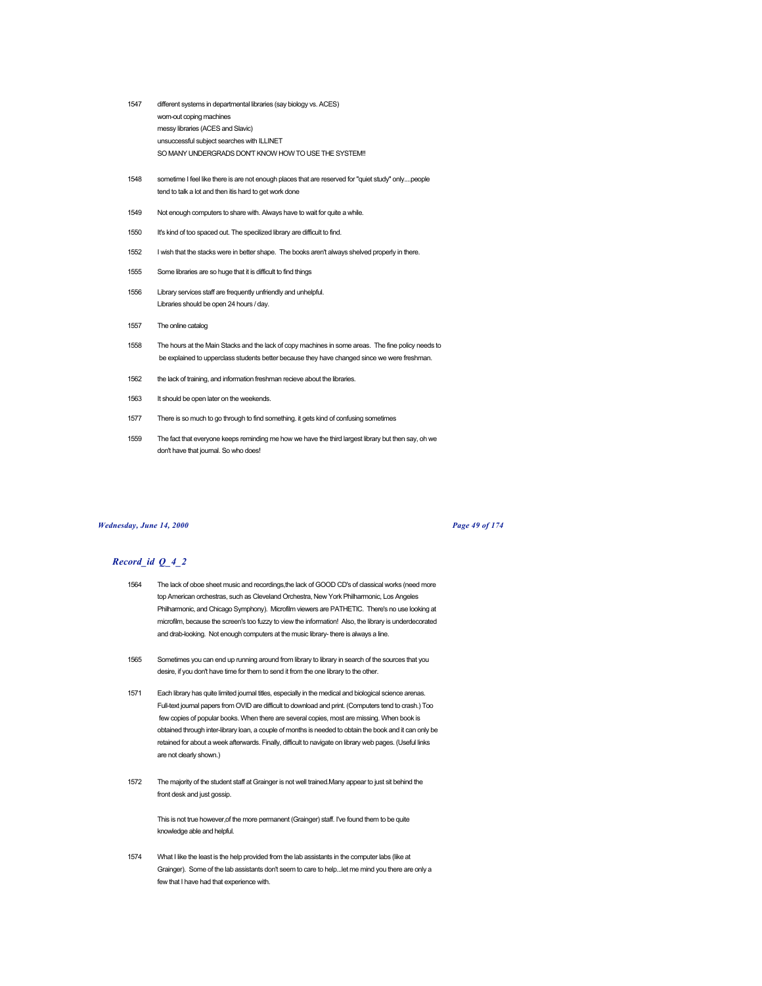- 1547 different systems in departmental libraries (say biology vs. ACES) worn-out coping machines messy libraries (ACES and Slavic) unsuccessful subject searches with ILLINET SO MANY UNDERGRADS DON'T KNOW HOW TO USE THE SYSTEM!!
- 1548 sometime I feel like there is are not enough places that are reserved for "quiet study" only....people tend to talk a lot and then itis hard to get work done
- 1549 Not enough computers to share with. Always have to wait for quite a while.
- 1550 It's kind of too spaced out. The specilized library are difficult to find.
- 1552 I wish that the stacks were in better shape. The books aren't always shelved properly in there.
- 1555 Some libraries are so huge that it is difficult to find things
- 1556 Library services staff are frequently unfriendly and unhelpful. Libraries should be open 24 hours / day.
- 1557 The online catalog
- 1558 The hours at the Main Stacks and the lack of copy machines in some areas. The fine policy needs to be explained to upperclass students better because they have changed since we were freshman.
- 1562 the lack of training, and information freshman recieve about the libraries.
- 1563 It should be open later on the weekends.
- 1577 There is so much to go through to find something. it gets kind of confusing sometimes
- 1559 The fact that everyone keeps reminding me how we have the third largest library but then say, oh we don't have that journal. So who does!

#### *Wednesday, June 14, 2000 Page 49 of 174*

## *Record\_id Q\_4\_2*

- 1564 The lack of oboe sheet music and recordings,the lack of GOOD CD's of classical works (need more top American orchestras, such as Cleveland Orchestra, New York Philharmonic, Los Angeles Philharmonic, and Chicago Symphony). Microfilm viewers are PATHETIC. There's no use looking at microfilm, because the screen's too fuzzy to view the information! Also, the library is underdecorated and drab-looking. Not enough computers at the music library- there is always a line.
- 1565 Sometimes you can end up running around from library to library in search of the sources that you desire, if you don't have time for them to send it from the one library to the other.
- 1571 Each library has quite limited journal titles, especially in the medical and biological science arenas. Full-text journal papers from OVID are difficult to download and print. (Computers tend to crash.) Too few copies of popular books. When there are several copies, most are missing. When book is obtained through inter-library loan, a couple of months is needed to obtain the book and it can only be retained for about a week afterwards. Finally, difficult to navigate on library web pages. (Useful links are not clearly shown.)
- 1572 The majority of the student staff at Grainger is not well trained.Many appear to just sit behind the front desk and just gossip.

This is not true however,of the more permanent (Grainger) staff. I've found them to be quite knowledge able and helpful.

1574 What I like the least is the help provided from the lab assistants in the computer labs (like at Grainger). Some of the lab assistants don't seem to care to help...let me mind you there are only a few that I have had that experience with.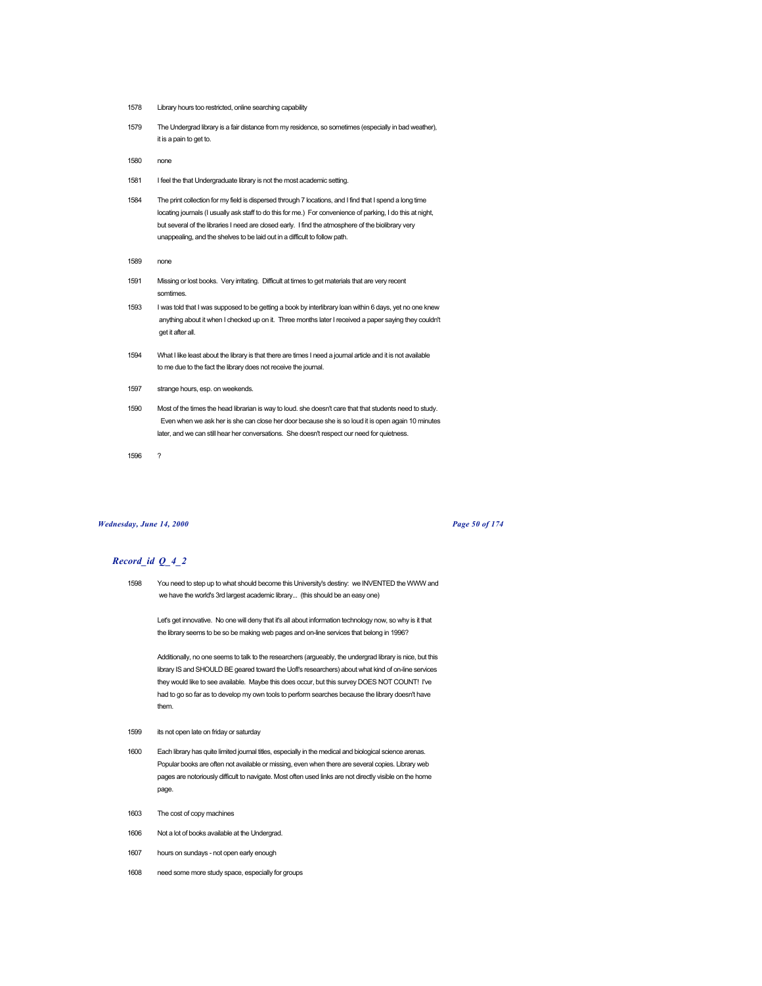- 1578 Library hours too restricted, online searching capability
- 1579 The Undergrad library is a fair distance from my residence, so sometimes (especially in bad weather), it is a pain to get to.
- 1580 none
- 1581 I feel the that Undergraduate library is not the most academic setting.
- 1584 The print collection for my field is dispersed through 7 locations, and I find that I spend a long time locating journals (I usually ask staff to do this for me.) For convenience of parking, I do this at night, but several of the libraries I need are closed early. I find the atmosphere of the biolibrary very unappealing, and the shelves to be laid out in a difficult to follow path.
- 1589 none
- 1591 Missing or lost books. Very irritating. Difficult at times to get materials that are very recent somtimes.
- 1593 I was told that I was supposed to be getting a book by interlibrary loan within 6 days, yet no one knew anything about it when I checked up on it. Three months later I received a paper saying they couldn't get it after all.
- 1594 What I like least about the library is that there are times I need a journal article and it is not available to me due to the fact the library does not receive the journal.
- 1597 strange hours, esp. on weekends.
- 1590 Most of the times the head librarian is way to loud. she doesn't care that that students need to study. Even when we ask her is she can close her door because she is so loud it is open again 10 minutes later, and we can still hear her conversations. She doesn't respect our need for quietness.

1596 ?

#### *Wednesday, June 14, 2000 Page 50 of 174*

# *Record\_id Q\_4\_2*

1598 You need to step up to what should become this University's destiny: we INVENTED the WWW and we have the world's 3rd largest academic library... (this should be an easy one)

Let's get innovative. No one will deny that it's all about information technology now, so why is it that the library seems to be so be making web pages and on-line services that belong in 1996?

Additionally, no one seems to talk to the researchers (argueably, the undergrad library is nice, but this library IS and SHOULD BE geared toward the UofI's researchers) about what kind of on-line services they would like to see available. Maybe this does occur, but this survey DOES NOT COUNT! I've had to go so far as to develop my own tools to perform searches because the library doesn't have them.

- 1599 its not open late on friday or saturday
- 1600 Each library has quite limited journal titles, especially in the medical and biological science arenas. Popular books are often not available or missing, even when there are several copies. Library web pages are notoriously difficult to navigate. Most often used links are not directly visible on the home page.
- 1603 The cost of copy machines
- 1606 Not a lot of books available at the Undergrad.
- 1607 hours on sundays not open early enough
- 1608 need some more study space, especially for groups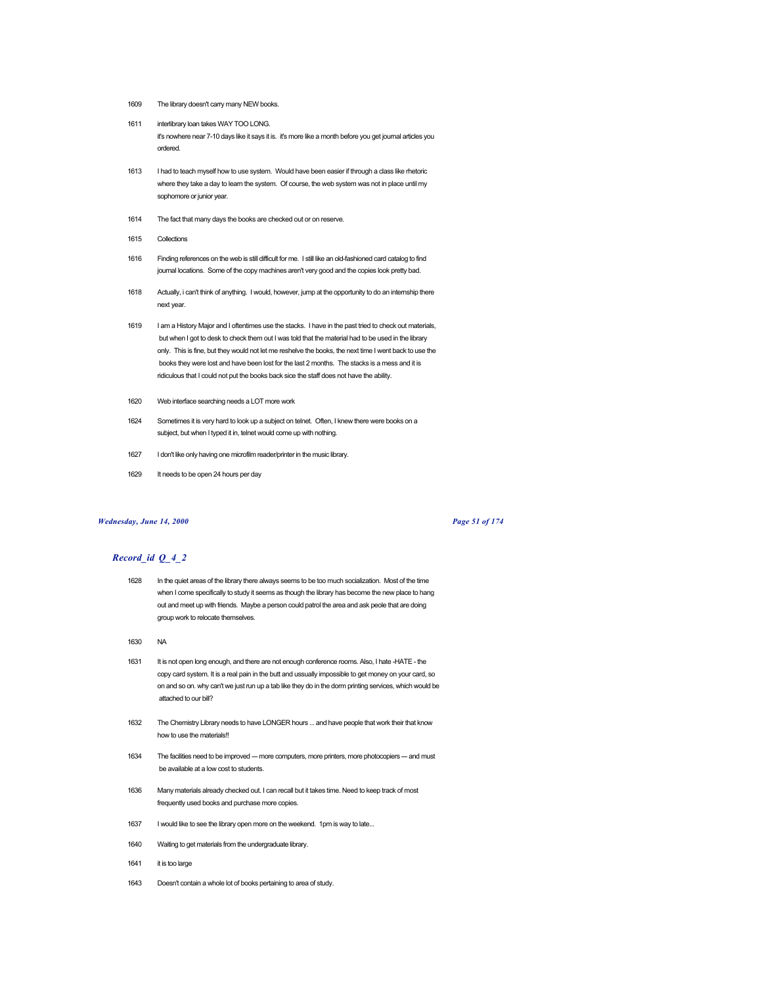- 1609 The library doesn't carry many NEW books.
- 1611 interlibrary loan takes WAY TOO LONG. it's nowhere near 7-10 days like it says it is. it's more like a month before you get journal articles you ordered.
- 1613 I had to teach myself how to use system. Would have been easier if through a class like rhetoric where they take a day to learn the system. Of course, the web system was not in place until my sophomore or junior year.
- 1614 The fact that many days the books are checked out or on reserve.
- 1615 Collections
- 1616 Finding references on the web is still difficult for me. I still like an old-fashioned card catalog to find journal locations. Some of the copy machines aren't very good and the copies look pretty bad.
- 1618 Actually, i can't think of anything. I would, however, jump at the opportunity to do an internship there next year.
- 1619 I am a History Major and I oftentimes use the stacks. I have in the past tried to check out materials, but when I got to desk to check them out I was told that the material had to be used in the library only. This is fine, but they would not let me reshelve the books, the next time I went back to use the books they were lost and have been lost for the last 2 months. The stacks is a mess and it is ridiculous that I could not put the books back sice the staff does not have the ability.
- 1620 Web interface searching needs a LOT more work
- 1624 Sometimes it is very hard to look up a subject on telnet. Often, I knew there were books on a subject, but when I typed it in, telnet would come up with nothing.
- 1627 I don't like only having one microfilm reader/printer in the music library.
- 1629 It needs to be open 24 hours per day

#### *Wednesday, June 14, 2000 Page 51 of 174*

- 1628 In the quiet areas of the library there always seems to be too much socialization. Most of the time when I come specifically to study it seems as though the library has become the new place to hang out and meet up with friends. Maybe a person could patrol the area and ask peole that are doing group work to relocate themselves.
- 1630 NA
- 1631 It is not open long enough, and there are not enough conference rooms. Also, I hate -HATE the copy card system. It is a real pain in the butt and ussually impossible to get money on your card, so on and so on. why can't we just run up a tab like they do in the dorm printing services, which would be attached to our bill?
- 1632 The Chemistry Library needs to have LONGER hours ... and have people that work their that know how to use the materials!
- 1634 The facilities need to be improved --- more computers, more printers, more photocopiers --- and must be available at a low cost to students.
- 1636 Many materials already checked out. I can recall but it takes time. Need to keep track of most frequently used books and purchase more copies.
- 1637 I would like to see the library open more on the weekend. 1pm is way to late...
- 1640 Waiting to get materials from the undergraduate library.
- 1641 it is too large
- 1643 Doesn't contain a whole lot of books pertaining to area of study.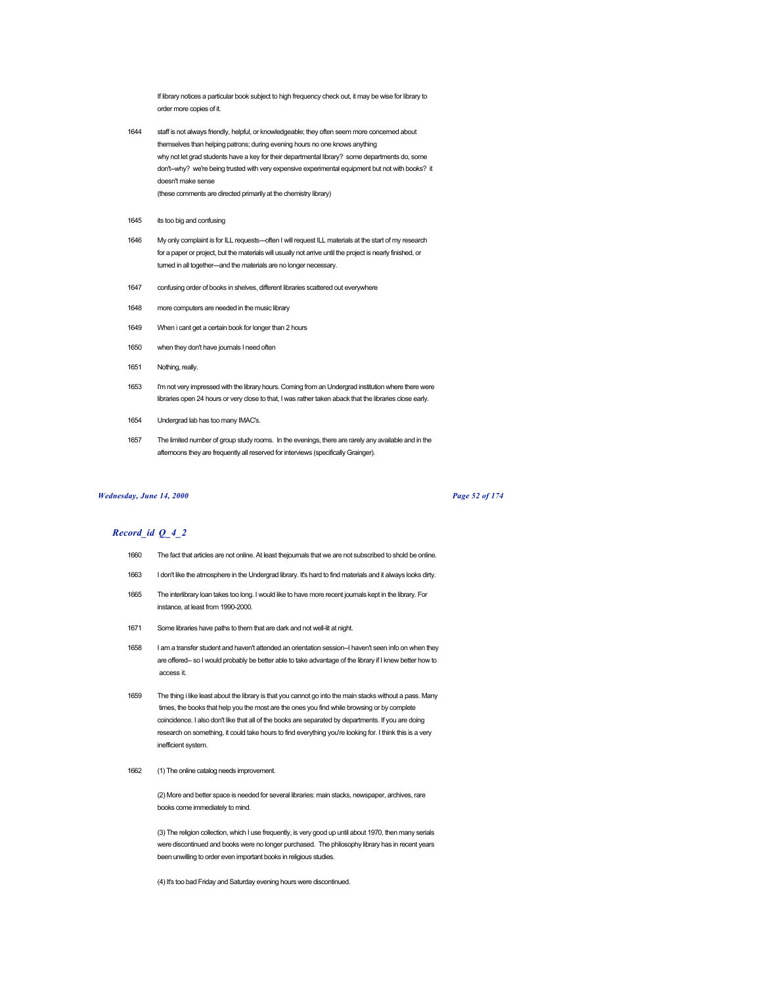If library notices a particular book subject to high frequency check out, it may be wise for library to order more copies of it.

- 1644 staff is not always friendly, helpful, or knowledgeable; they often seem more concerned about themselves than helping patrons; during evening hours no one knows anything why not let grad students have a key for their departmental library? some departments do, some don't--why? we're being trusted with very expensive experimental equipment but not with books? it doesn't make sense (these comments are directed primarily at the chemistry library)
- 1645 its too big and confusing
- 1646 My only complaint is for ILL requests---often I will request ILL materials at the start of my research for a paper or project, but the materials will usually not arrive until the project is nearly finished, or turned in all together---and the materials are no longer necessary.
- 1647 confusing order of books in shelves, different libraries scattered out everywhere
- 1648 more computers are needed in the music library
- 1649 When i cant get a certain book for longer than 2 hours
- 1650 when they don't have journals I need often
- 1651 Nothing, really.
- 1653 I'm not very impressed with the library hours. Coming from an Undergrad institution where there were libraries open 24 hours or very close to that, I was rather taken aback that the libraries close early.
- 1654 Undergrad lab has too many IMAC's.
- 1657 The limited number of group study rooms. In the evenings, there are rarely any available and in the afternoons they are frequently all reserved for interviews (specifically Grainger).

#### *Wednesday, June 14, 2000 Page 52 of 174*

# *Record\_id Q\_4\_2*

- 1660 The fact that articles are not online. At least thejournals that we are not subscribed to shold be online.
- 1663 I don't like the atmosphere in the Undergrad library. It's hard to find materials and it always looks dirty.
- 1665 The interlibrary loan takes too long. I would like to have more recent journals kept in the library. For instance, at least from 1990-2000.
- 1671 Some libraries have paths to them that are dark and not well-lit at night.
- 1658 I am a transfer student and haven't attended an orientation session--I haven't seen info on when they are offered-- so I would probably be better able to take advantage of the library if I knew better how to access it.
- 1659 The thing i like least about the library is that you cannot go into the main stacks without a pass. Many times, the books that help you the most are the ones you find while browsing or by complete coincidence. I also don't like that all of the books are separated by departments. If you are doing research on something, it could take hours to find everything you're looking for. I think this is a very inefficient system.
- 1662 (1) The online catalog needs improvement.

(2) More and better space is needed for several libraries: main stacks, newspaper, archives, rare books come immediately to mind.

(3) The religion collection, which I use frequently, is very good up until about 1970, then many serials were discontinued and books were no longer purchased. The philosophy library has in recent years been unwilling to order even important books in religious studies.

(4) It's too bad Friday and Saturday evening hours were discontinued.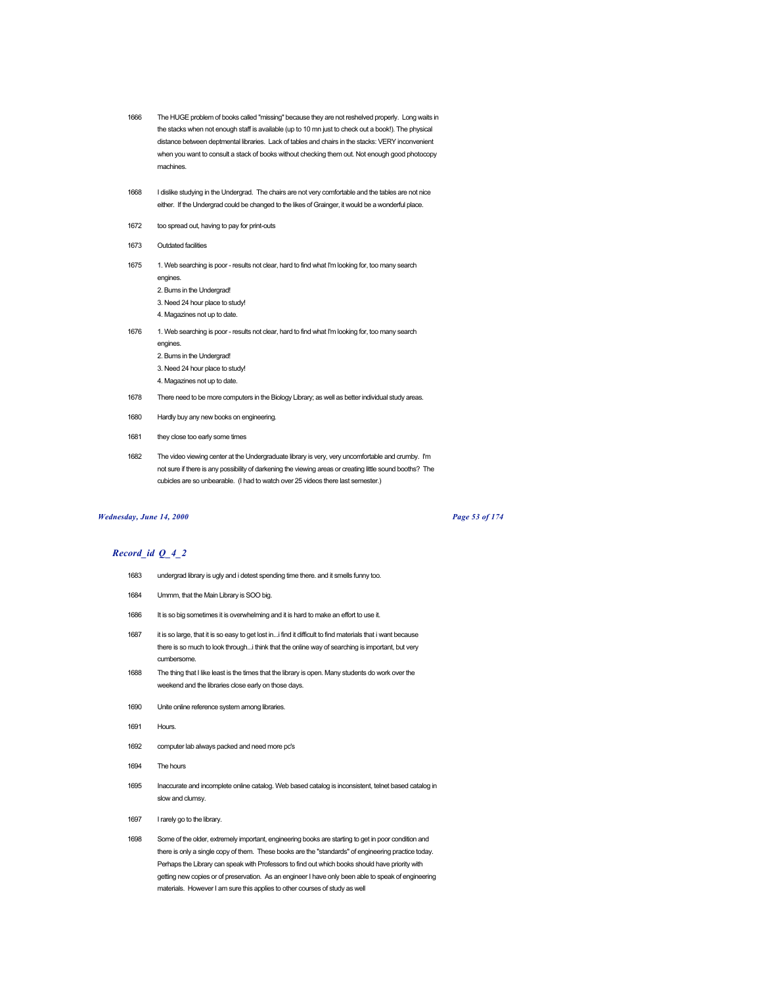- 1666 The HUGE problem of books called "missing" because they are not reshelved properly. Long waits in the stacks when not enough staff is available (up to 10 mn just to check out a book!). The physical distance between deptmental libraries. Lack of tables and chairs in the stacks: VERY inconvenient when you want to consult a stack of books without checking them out. Not enough good photocopy machines.
- 1668 I dislike studying in the Undergrad. The chairs are not very comfortable and the tables are not nice either. If the Undergrad could be changed to the likes of Grainger, it would be a wonderful place.
- 1672 too spread out, having to pay for print-outs
- 1673 Outdated facilities
- 1675 1. Web searching is poor results not clear, hard to find what I'm looking for, too many search engines.
	- 2. Bums in the Undergrad!
	- 3. Need 24 hour place to study!
	- 4. Magazines not up to date.
- 1676 1. Web searching is poor results not clear, hard to find what I'm looking for, too many search engines.
	- 2. Bums in the Undergrad!
	- 3. Need 24 hour place to study!
	- 4. Magazines not up to date
- 1678 There need to be more computers in the Biology Library; as well as better individual study areas.
- 1680 Hardly buy any new books on engineering.
- 1681 they close too early some times
- 1682 The video viewing center at the Undergraduate library is very, very uncomfortable and crumby. I'm not sure if there is any possibility of darkening the viewing areas or creating little sound booths? The cubicles are so unbearable. (I had to watch over 25 videos there last semester.)

## *Wednesday, June 14, 2000 Page 53 of 174*

- 1683 undergrad library is ugly and i detest spending time there. and it smells funny too.
- 1684 Ummm, that the Main Library is SOO big.
- 1686 It is so big sometimes it is overwhelming and it is hard to make an effort to use it.
- 1687 it is so large, that it is so easy to get lost in...i find it difficult to find materials that i want because there is so much to look through...i think that the online way of searching is important, but very cumbersome.
- 1688 The thing that I like least is the times that the library is open. Many students do work over the weekend and the libraries close early on those days.
- 1690 Unite online reference system among libraries.
- 1691 Hours.
- 1692 computer lab always packed and need more pc's
- 1694 The hours
- 1695 Inaccurate and incomplete online catalog. Web based catalog is inconsistent, telnet based catalog in slow and clumsy.
- 1697 I rarely go to the library.
- 1698 Some of the older, extremely important, engineering books are starting to get in poor condition and there is only a single copy of them. These books are the "standards" of engineering practice today. Perhaps the Library can speak with Professors to find out which books should have priority with getting new copies or of preservation. As an engineer I have only been able to speak of engineering materials. However I am sure this applies to other courses of study as well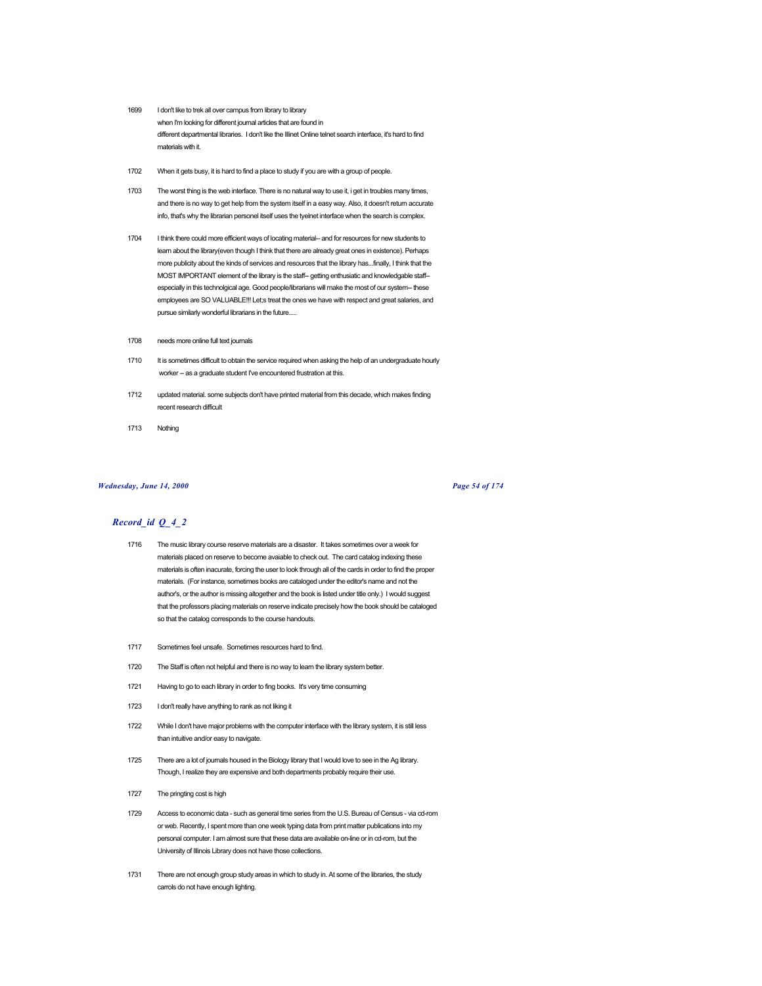- 1699 I don't like to trek all over campus from library to library when I'm looking for different journal articles that are found in different departmental libraries. I don't like the Illinet Online telnet search interface, it's hard to find materials with it.
- 1702 When it gets busy, it is hard to find a place to study if you are with a group of people.
- 1703 The worst thing is the web interface. There is no natural way to use it, i get in troubles many times, and there is no way to get help from the system itself in a easy way. Also, it doesn't return accurate info, that's why the librarian personel itself uses the tyelnet interface when the search is complex.
- 1704 I think there could more efficient ways of locating material-- and for resources for new students to learn about the library(even though I think that there are already great ones in existence). Perhaps more publicity about the kinds of services and resources that the library has...finally, I think that the MOST IMPORTANT element of the library is the staff-- getting enthusiatic and knowledgable staff- especially in this technolgical age. Good people/librarians will make the most of our system-- these employees are SO VALUABLE!!! Let;s treat the ones we have with respect and great salaries, and pursue similarly wonderful librarians in the future.....
- 1708 needs more online full text journals
- 1710 It is sometimes difficult to obtain the service required when asking the help of an undergraduate hourly worker -- as a graduate student I've encountered frustration at this.
- 1712 updated material. some subjects don't have printed material from this decade, which makes finding recent research difficult
- 1713 Nothing

#### *Wednesday, June 14, 2000 Page 54 of 174*

- 1716 The music library course reserve materials are a disaster. It takes sometimes over a week for materials placed on reserve to become avaiable to check out. The card catalog indexing these materials is often inacurate, forcing the user to look through all of the cards in order to find the proper materials. (For instance, sometimes books are cataloged under the editor's name and not the author's, or the author is missing altogether and the book is listed under title only.) I would suggest that the professors placing materials on reserve indicate precisely how the book should be cataloged so that the catalog corresponds to the course handouts.
- 1717 Sometimes feel unsafe. Sometimes resources hard to find.
- 1720 The Staff is often not helpful and there is no way to learn the library system better.
- 1721 Having to go to each library in order to fing books. It's very time consuming
- 1723 I don't really have anything to rank as not liking it
- 1722 While I don't have major problems with the computer interface with the library system, it is still less than intuitive and/or easy to navigate.
- 1725 There are a lot of journals housed in the Biology library that I would love to see in the Ag library. Though, I realize they are expensive and both departments probably require their use.
- 1727 The pringting cost is high
- 1729 Access to economic data such as general time series from the U.S. Bureau of Census via cd-rom or web. Recently, I spent more than one week typing data from print matter publications into my personal computer. I am almost sure that these data are available on-line or in cd-rom, but the University of Illinois Library does not have those collections.
- 1731 There are not enough group study areas in which to study in. At some of the libraries, the study carrols do not have enough lighting.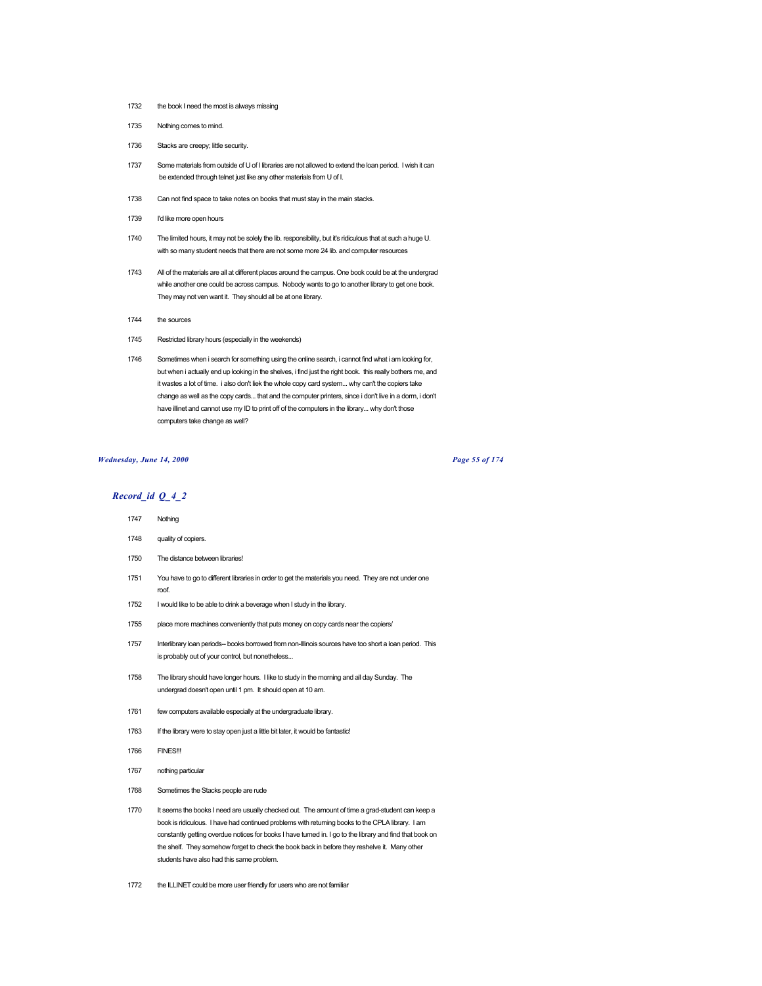- 1732 the book I need the most is always missing
- 1735 Nothing comes to mind.
- 1736 Stacks are creepy; little security.
- 1737 Some materials from outside of U of I libraries are not allowed to extend the loan period. I wish it can be extended through telnet just like any other materials from U of I.
- 1738 Can not find space to take notes on books that must stay in the main stacks.
- 1739 I'd like more open hours
- 1740 The limited hours, it may not be solely the lib. responsibility, but it's ridiculous that at such a huge U. with so many student needs that there are not some more 24 lib. and computer resources
- 1743 All of the materials are all at different places around the campus. One book could be at the undergrad while another one could be across campus. Nobody wants to go to another library to get one book. They may not ven want it. They should all be at one library.
- 1744 the sources
- 1745 Restricted library hours (especially in the weekends)
- 1746 Sometimes when i search for something using the online search, i cannot find what i am looking for, but when i actually end up looking in the shelves, i find just the right book. this really bothers me, and it wastes a lot of time. i also don't liek the whole copy card system... why can't the copiers take change as well as the copy cards... that and the computer printers, since i don't live in a dorm, i don't have illinet and cannot use my ID to print off of the computers in the library... why don't those computers take change as well?

#### *Wednesday, June 14, 2000 Page 55 of 174*

- *Record\_id Q\_4\_2* 1747 Nothing
	- 1748 quality of copiers.
	- 1750 The distance between libraries!
	- 1751 You have to go to different libraries in order to get the materials you need. They are not under one roof.
	- 1752 I would like to be able to drink a beverage when I study in the library.
	- 1755 place more machines conveniently that puts money on copy cards near the copiers/
	- 1757 Interlibrary loan periods-- books borrowed from non-Illinois sources have too short a loan period. This is probably out of your control, but nonetheless...
	- 1758 The library should have longer hours. I like to study in the morning and all day Sunday. The undergrad doesn't open until 1 pm. It should open at 10 am.
	- 1761 few computers available especially at the undergraduate library.
	- 1763 If the library were to stay open just a little bit later, it would be fantastic!
	- 1766 FINES!!!
	- 1767 nothing particular
	- 1768 Sometimes the Stacks people are rude
	- 1770 It seems the books I need are usually checked out. The amount of time a grad-student can keep a book is ridiculous. I have had continued problems with returning books to the CPLA library. I am constantly getting overdue notices for books I have turned in. I go to the library and find that book on the shelf. They somehow forget to check the book back in before they reshelve it. Many other students have also had this same problem.
	- 1772 the ILLINET could be more user friendly for users who are not familiar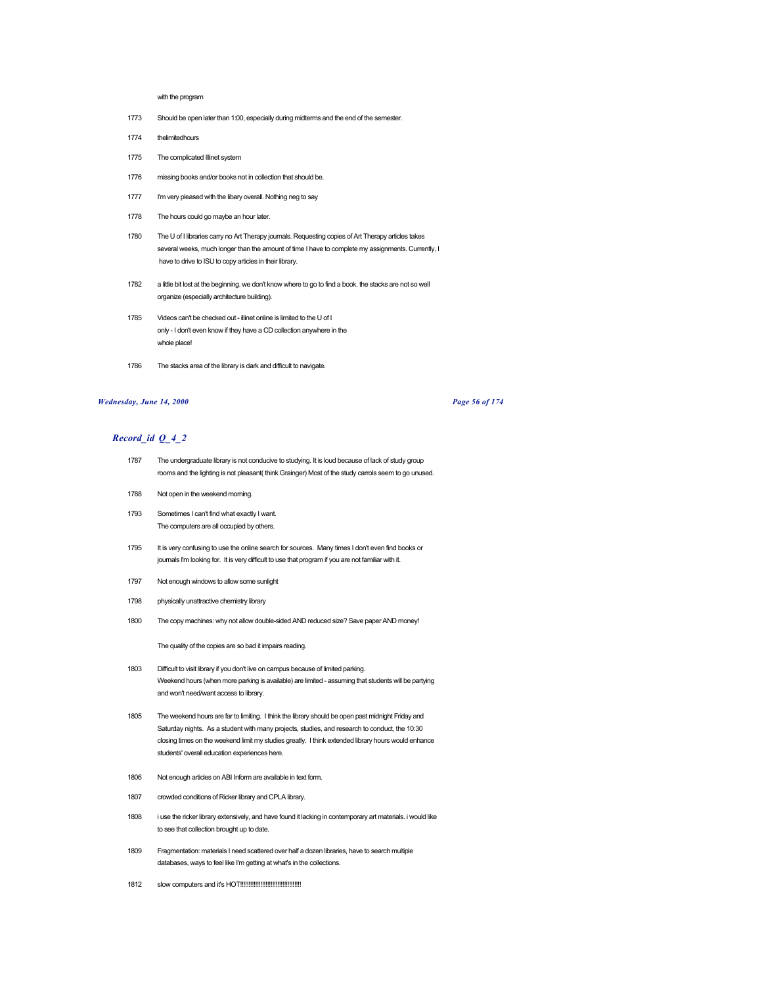### with the program

- 1773 Should be open later than 1:00, especially during midterms and the end of the semester.
- 1774 thelimitedhours
- 1775 The complicated Illinet system
- 1776 missing books and/or books not in collection that should be.
- 1777 I'm very pleased with the libary overall. Nothing neg to say
- 1778 The hours could go maybe an hour later.
- 1780 The U of I libraries carry no Art Therapy journals. Requesting copies of Art Therapy articles takes several weeks, much longer than the amount of time I have to complete my assignments. Currently, I have to drive to ISU to copy articles in their library.
- 1782 a little bit lost at the beginning. we don't know where to go to find a book. the stacks are not so well organize (especially architecture building).
- 1785 Videos can't be checked out illinet online is limited to the U of I only - I don't even know if they have a CD collection anywhere in the whole place!
- 1786 The stacks area of the library is dark and difficult to navigate.

## *Wednesday, June 14, 2000 Page 56 of 174*

# *Record\_id Q\_4\_2*

- 1787 The undergraduate library is not conducive to studying. It is loud because of lack of study group rooms and the lighting is not pleasant( think Grainger) Most of the study carrols seem to go unused.
- 1788 Not open in the weekend morning.
- 1793 Sometimes I can't find what exactly I want. The computers are all occupied by others.
- 1795 It is very confusing to use the online search for sources. Many times I don't even find books or journals I'm looking for. It is very difficult to use that program if you are not familiar with it.
- 1797 Not enough windows to allow some sunlight
- 1798 physically unattractive chemistry library
- 1800 The copy machines: why not allow double-sided AND reduced size? Save paper AND money!

The quality of the copies are so bad it impairs reading.

- 1803 Difficult to visit library if you don't live on campus because of limited parking. Weekend hours (when more parking is available) are limited - assuming that students will be partying and won't need/want access to library.
- 1805 The weekend hours are far to limiting. I think the library should be open past midnight Friday and Saturday nights. As a student with many projects, studies, and research to conduct, the 10:30 closing times on the weekend limit my studies greatly. I think extended library hours would enhance students' overall education experiences here.
- 1806 Not enough articles on ABI Inform are available in text form.
- 1807 crowded conditions of Ricker library and CPLA library.
- 1808 i use the ricker library extensively, and have found it lacking in contemporary art materials. i would like to see that collection brought up to date.
- 1809 Fragmentation: materials I need scattered over half a dozen libraries, have to search multiple databases, ways to feel like I'm getting at what's in the collections.
- 1812 slow computers and it's HOT!!!!!!!!!!!!!!!!!!!!!!!!!!!!!!!!!!!!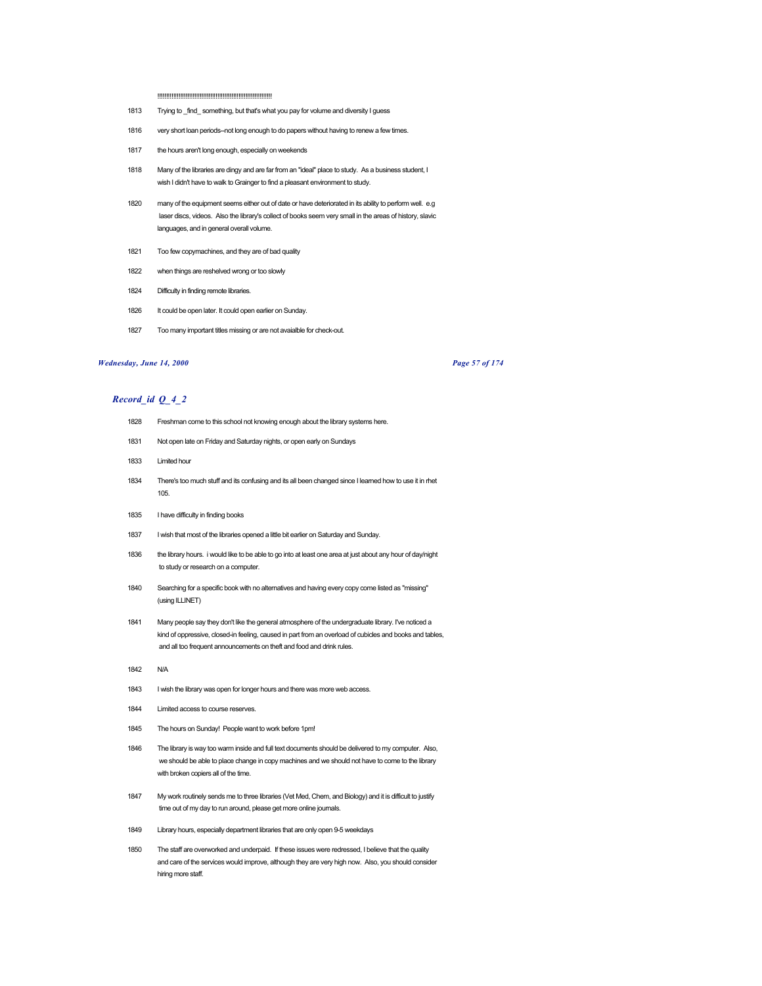!!!!!!!!!!!!!!!!!!!!!!!!!!!!!!!!!!!!!!!!!!!!!!!!!!!!!!!!!!!!!!!!!

- 1813 Trying to \_find\_ something, but that's what you pay for volume and diversity I guess
- 1816 very short loan periods--not long enough to do papers without having to renew a few times.
- 1817 the hours aren't long enough, especially on weekends
- 1818 Many of the libraries are dingy and are far from an "ideal" place to study. As a business student, I wish I didn't have to walk to Grainger to find a pleasant environment to study.
- 1820 many of the equipment seems either out of date or have deteriorated in its ability to perform well. e.g laser discs, videos. Also the library's collect of books seem very small in the areas of history, slavic languages, and in general overall volume.
- 1821 Too few copymachines, and they are of bad quality
- 1822 when things are reshelved wrong or too slowly
- 1824 Difficulty in finding remote libraries.
- 1826 It could be open later. It could open earlier on Sunday.
- 1827 Too many important titles missing or are not avaialble for check-out.

## *Wednesday, June 14, 2000 Page 57 of 174*

- 1828 Freshman come to this school not knowing enough about the library systems here.
- 1831 Not open late on Friday and Saturday nights, or open early on Sundays
- 1833 Limited hour
- 1834 There's too much stuff and its confusing and its all been changed since I learned how to use it in rhet 105.
- 1835 I have difficulty in finding books
- 1837 I wish that most of the libraries opened a little bit earlier on Saturday and Sunday.
- 1836 the library hours. i would like to be able to go into at least one area at just about any hour of day/night to study or research on a computer.
- 1840 Searching for a specific book with no alternatives and having every copy come listed as "missing" (using ILLINET)
- 1841 Many people say they don't like the general atmosphere of the undergraduate library. I've noticed a kind of oppressive, closed-in feeling, caused in part from an overload of cubicles and books and tables, and all too frequent announcements on theft and food and drink rules.
- 1842 N/A
- 1843 I wish the library was open for longer hours and there was more web access.
- 1844 Limited access to course reserves.
- 1845 The hours on Sunday! People want to work before 1pm!
- 1846 The library is way too warm inside and full text documents should be delivered to my computer. Also, we should be able to place change in copy machines and we should not have to come to the library with broken copiers all of the time.
- 1847 My work routinely sends me to three libraries (Vet Med, Chem, and Biology) and it is difficult to justify time out of my day to run around, please get more online journals.
- 1849 Library hours, especially department libraries that are only open 9-5 weekdays
- 1850 The staff are overworked and underpaid. If these issues were redressed, I believe that the quality and care of the services would improve, although they are very high now. Also, you should consider hiring more staff.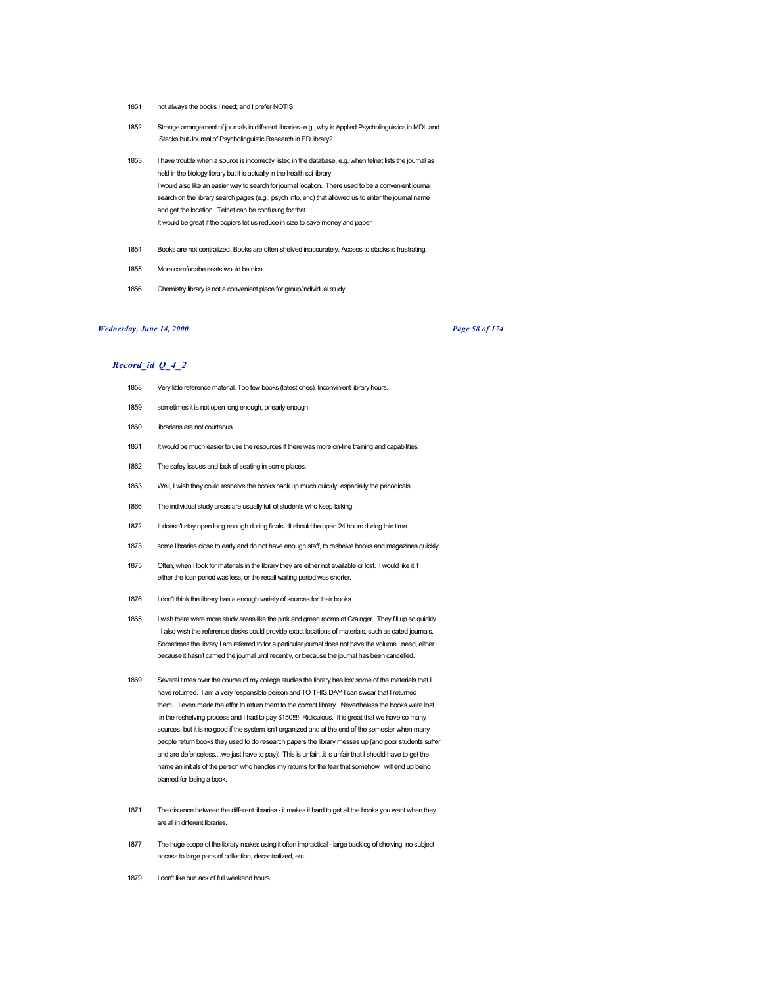- 1851 not always the books I need; and I prefer NOTIS
- 1852 Strange arrangement of journals in different libraries--e.g., why is Applied Psycholinguistics in MDL and Stacks but Journal of Psycholinguistic Research in ED library?
- 1853 I have trouble when a source is incorrectly listed in the database, e.g. when telnet lists the journal as held in the biology library but it is actually in the health sci library. I would also like an easier way to search for journal location. There used to be a convenient journal search on the library search pages (e.g., psych info, eric) that allowed us to enter the journal name and get the location. Telnet can be confusing for that. It would be great if the copiers let us reduce in size to save money and paper
- 1854 Books are not centralized. Books are often shelved inaccurately. Access to stacks is frustrating.
- 1855 More comfortabe seats would be nice.
- 1856 Chemistry library is not a convenient place for group/individual study

## *Wednesday, June 14, 2000 Page 58 of 174*

- 1858 Very little reference material. Too few books (latest ones). Inconvinient library hours.
- 1859 sometimes it is not open long enough, or early enough
- 1860 librarians are not courteous
- 1861 It would be much easier to use the resources if there was more on-line training and capabilities.
- 1862 The safey issues and lack of seating in some places.
- 1863 Well, I wish they could reshelve the books back up much quickly, especially the periodicals
- 1866 The individual study areas are usually full of students who keep talking.
- 1872 It doesn't stay open long enough during finals. It should be open 24 hours during this time.
- 1873 some libraries close to early and do not have enough staff, to reshelve books and magazines quickly.
- 1875 Often, when I look for materials in the library they are either not available or lost. I would like it if either the loan period was less, or the recall waiting period was shorter.
- 1876 I don't think the library has a enough variety of sources for their books
- 1865 I wish there were more study areas like the pink and green rooms at Grainger. They fill up so quickly. I also wish the reference desks could provide exact locations of materials, such as dated journals. Sometimes the library I am referred to for a particular journal does not have the volume I need, either because it hasn't carried the journal until recently, or because the journal has been cancelled.
- 1869 Several times over the course of my college studies the library has lost some of the materials that I have returned. I am a very responsible person and TO THIS DAY I can swear that I returned them....I even made the effor to return them to the correct library. Nevertheless the books were lost in the reshelving process and I had to pay \$150!!!! Ridiculous. It is great that we have so many sources, but it is no good if the system isn't organized and at the end of the semester when many people return books they used to do research papers the library messes up (and poor students suffer and are defenseless....we just have to pay)! This is unfair...it is unfair that I should have to get the name an initials of the person who handles my returns for the fear that somehow I will end up being blamed for losing a book.
- 1871 The distance between the different libraries it makes it hard to get all the books you want when they are all in different libraries.
- 1877 The huge scope of the library makes using it often impractical large backlog of shelving, no subject access to large parts of collection, decentralized, etc.
- 1879 I don't like our lack of full weekend hours.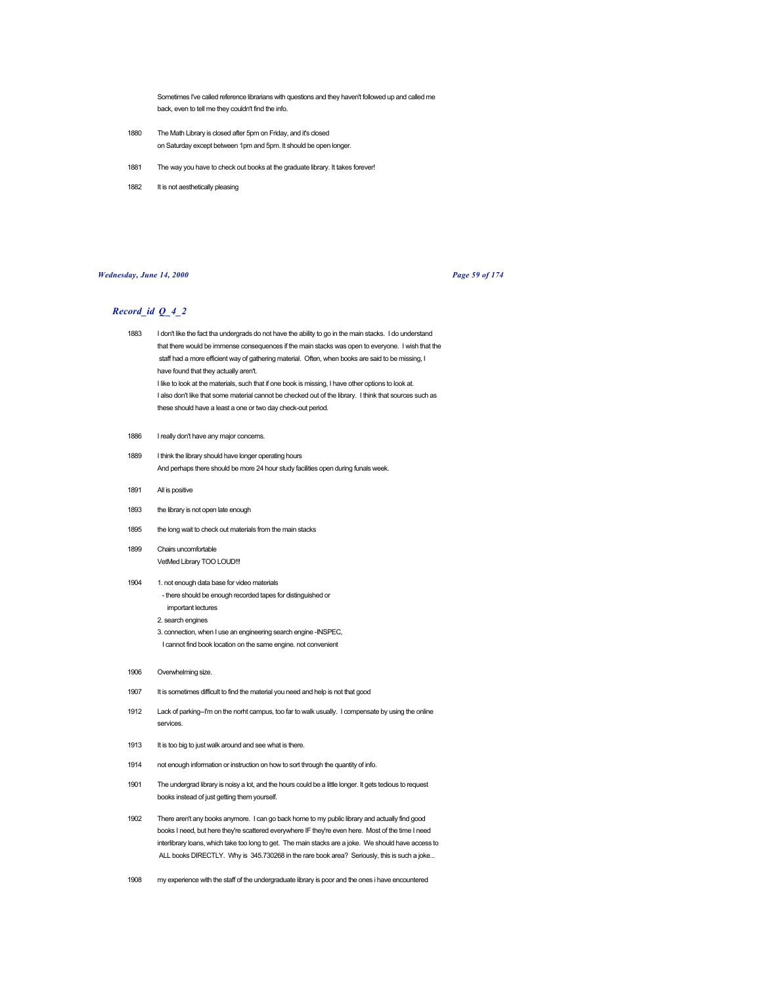Sometimes I've called reference librarians with questions and they haven't followed up and called me back, even to tell me they couldn't find the info.

- 1880 The Math Library is closed after 5pm on Friday, and it's closed on Saturday except between 1pm and 5pm. It should be open longer.
- 1881 The way you have to check out books at the graduate library. It takes forever!
- 1882 It is not aesthetically pleasing

## *Wednesday, June 14, 2000 Page 59 of 174*

- 1883 I don't like the fact tha undergrads do not have the ability to go in the main stacks. I do understand that there would be immense consequences if the main stacks was open to everyone. I wish that the staff had a more efficient way of gathering material. Often, when books are said to be missing, I have found that they actually aren't. I like to look at the materials, such that if one book is missing, I have other options to look at. I also don't like that some material cannot be checked out of the library. I think that sources such as these should have a least a one or two day check-out period.
- 1886 I really don't have any major concerns.
- 1889 I think the library should have longer operating hours And perhaps there should be more 24 hour study facilities open during funals week.
- 1891 All is positive
- 1893 the library is not open late enough
- 1895 the long wait to check out materials from the main stacks
- 1899 Chairs uncomfortable VetMed Library TOO LOUD!!!
- 1904 1. not enough data base for video materials - there should be enough recorded tapes for distinguished or important lectures
	- 2. search engines
	- 3. connection, when I use an engineering search engine -INSPEC, I cannot find book location on the same engine. not convenient
- 1906 Overwhelming size.
- 1907 It is sometimes difficult to find the material you need and help is not that good
- 1912 Lack of parking--I'm on the norht campus, too far to walk usually. I compensate by using the online services.
- 1913 It is too big to just walk around and see what is there.
- 1914 not enough information or instruction on how to sort through the quantity of info.
- 1901 The undergrad library is noisy a lot, and the hours could be a little longer. It gets tedious to request books instead of just getting them yourself.
- 1902 There aren't any books anymore. I can go back home to my public library and actually find good books I need, but here they're scattered everywhere IF they're even here. Most of the time I need interlibrary loans, which take too long to get. The main stacks are a joke. We should have access to ALL books DIRECTLY. Why is 345.730268 in the rare book area? Seriously, this is such a joke...
- 1908 my experience with the staff of the undergraduate library is poor and the ones i have encountered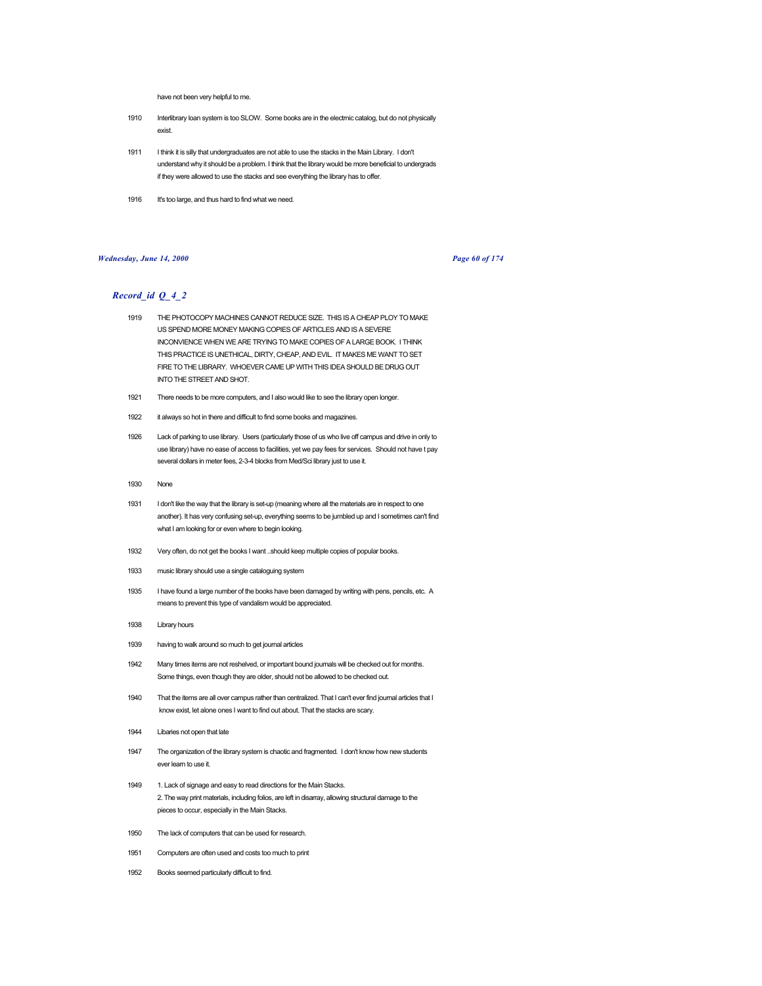have not been very helpful to me.

- 1910 Interlibrary loan system is too SLOW. Some books are in the electrnic catalog, but do not physically exist.
- 1911 I think it is silly that undergraduates are not able to use the stacks in the Main Library. I don't understand why it should be a problem. I think that the library would be more beneficial to undergrads if they were allowed to use the stacks and see everything the library has to offer.
- 1916 It's too large, and thus hard to find what we need.

## *Wednesday, June 14, 2000 Page 60 of 174*

- 1919 THE PHOTOCOPY MACHINES CANNOT REDUCE SIZE. THIS IS A CHEAP PLOY TO MAKE US SPEND MORE MONEY MAKING COPIES OF ARTICLES AND IS A SEVERE INCONVIENCE WHEN WE ARE TRYING TO MAKE COPIES OF A LARGE BOOK. I THINK THIS PRACTICE IS UNETHICAL, DIRTY, CHEAP, AND EVIL. IT MAKES ME WANT TO SET FIRE TO THE LIBRARY. WHOEVER CAME UP WITH THIS IDEA SHOULD BE DRUG OUT INTO THE STREET AND SHOT.
- 1921 There needs to be more computers, and I also would like to see the library open longer.
- 1922 it always so hot in there and difficult to find some books and magazines.
- 1926 Lack of parking to use library. Users (particularly those of us who live off campus and drive in only to use library) have no ease of access to facilities, yet we pay fees for services. Should not have t pay several dollars in meter fees, 2-3-4 blocks from Med/Sci library just to use it.
- 1930 None
- 1931 I don't like the way that the library is set-up (meaning where all the materials are in respect to one another). It has very confusing set-up, everything seems to be jumbled up and I sometimes can't find what I am looking for or even where to begin looking.
- 1932 Very often, do not get the books I want ..should keep multiple copies of popular books.
- 1933 music library should use a single cataloguing system
- 1935 I have found a large number of the books have been damaged by writing with pens, pencils, etc. A means to prevent this type of vandalism would be appreciated.
- 1938 Library hours
- 1939 having to walk around so much to get journal articles
- 1942 Many times items are not reshelved, or important bound journals will be checked out for months. Some things, even though they are older, should not be allowed to be checked out.
- 1940 That the items are all over campus rather than centralized. That I can't ever find journal articles that I know exist, let alone ones I want to find out about. That the stacks are scary.
- 1944 Libaries not open that late
- 1947 The organization of the library system is chaotic and fragmented. I don't know how new students ever learn to use it.
- 1949 1. Lack of signage and easy to read directions for the Main Stacks. 2. The way print materials, including folios, are left in disarray, allowing structural damage to the pieces to occur, especially in the Main Stacks.
- 1950 The lack of computers that can be used for research.
- 1951 Computers are often used and costs too much to print
- 1952 Books seemed particularly difficult to find.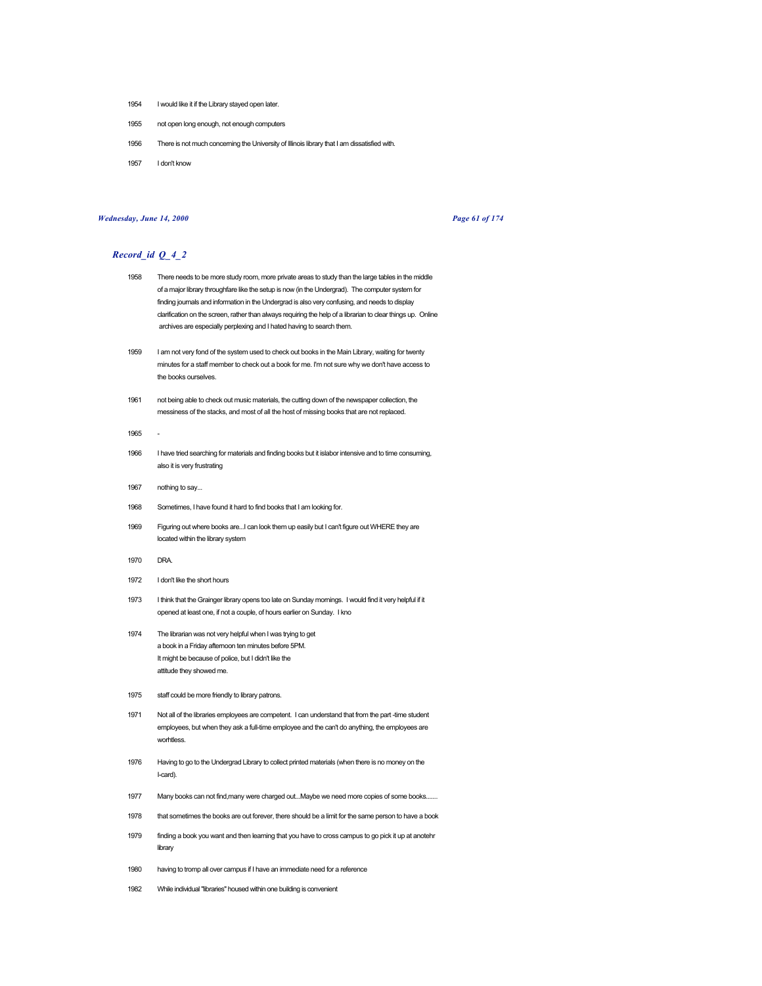- 1954 I would like it if the Library stayed open later.
- 1955 not open long enough, not enough computers
- 1956 There is not much concerning the University of Illinois library that I am dissatisfied with.
- 1957 I don't know

# *Wednesday, June 14, 2000 Page 61 of 174*

- 1958 There needs to be more study room, more private areas to study than the large tables in the middle of a major library throughfare like the setup is now (in the Undergrad). The computer system for finding journals and information in the Undergrad is also very confusing, and needs to display clarification on the screen, rather than always requiring the help of a librarian to clear things up. Online archives are especially perplexing and I hated having to search them.
- 1959 I am not very fond of the system used to check out books in the Main Library, waiting for twenty minutes for a staff member to check out a book for me. I'm not sure why we don't have access to the books ourselves.
- 1961 not being able to check out music materials, the cutting down of the newspaper collection, the messiness of the stacks, and most of all the host of missing books that are not replaced.
- 1965
- 1966 I have tried searching for materials and finding books but it islabor intensive and to time consuming, also it is very frustrating
- 1967 nothing to say...
- 1968 Sometimes, I have found it hard to find books that I am looking for.
- 1969 Figuring out where books are...I can look them up easily but I can't figure out WHERE they are located within the library system
- 1970 DRA.
- 1972 I don't like the short hours
- 1973 I think that the Grainger library opens too late on Sunday mornings. I would find it very helpful if it opened at least one, if not a couple, of hours earlier on Sunday. I kno
- 1974 The librarian was not very helpful when I was trying to get a book in a Friday afternoon ten minutes before 5PM. It might be because of police, but I didn't like the attitude they showed me.
- 1975 staff could be more friendly to library patrons.
- 1971 Not all of the libraries employees are competent. I can understand that from the part -time student employees, but when they ask a full-time employee and the can't do anything, the employees are worhtless.
- 1976 Having to go to the Undergrad Library to collect printed materials (when there is no money on the I-card).
- 1977 Many books can not find,many were charged out...Maybe we need more copies of some books.......
- 1978 that sometimes the books are out forever, there should be a limit for the same person to have a book
- 1979 finding a book you want and then learning that you have to cross campus to go pick it up at anotehr library
- 1980 having to tromp all over campus if I have an immediate need for a reference
- 1982 While individual "libraries" housed within one building is convenient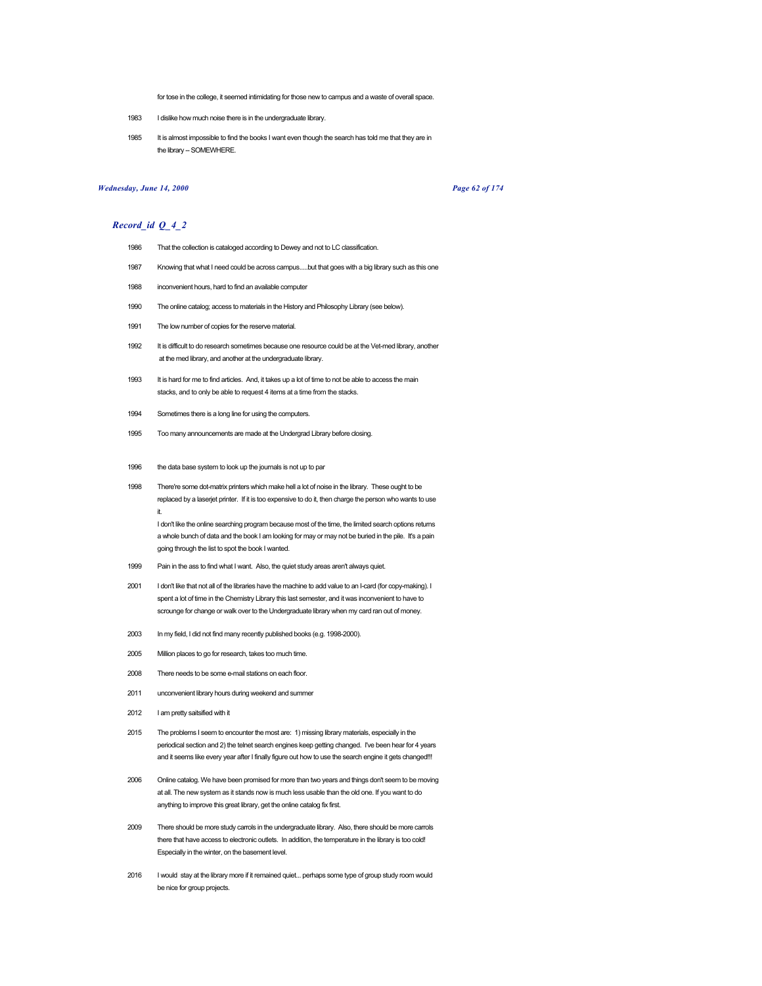for tose in the college, it seemed intimidating for those new to campus and a waste of overall space.

- 1983 I dislike how much noise there is in the undergraduate library.
- 1985 It is almost impossible to find the books I want even though the search has told me that they are in the library -- SOMEWHERE.

### *Wednesday, June 14, 2000 Page 62 of 174*

# *Record\_id Q\_4\_2*

- 1986 That the collection is cataloged according to Dewey and not to LC classification.
- 1987 Knowing that what I need could be across campus.....but that goes with a big library such as this one
- 1988 inconvenient hours, hard to find an available computer
- 1990 The online catalog; access to materials in the History and Philosophy Library (see below).
- 1991 The low number of copies for the reserve material.
- 1992 It is difficult to do research sometimes because one resource could be at the Vet-med library, another at the med library, and another at the undergraduate library.
- 1993 It is hard for me to find articles. And, it takes up a lot of time to not be able to access the main stacks, and to only be able to request 4 items at a time from the stacks.
- 1994 Sometimes there is a long line for using the computers.
- 1995 Too many announcements are made at the Undergrad Library before closing.
- 1996 the data base system to look up the journals is not up to par
- 1998 There're some dot-matrix printers which make hell a lot of noise in the library. These ought to be replaced by a laserjet printer. If it is too expensive to do it, then charge the person who wants to use it.

I don't like the online searching program because most of the time, the limited search options returns a whole bunch of data and the book I am looking for may or may not be buried in the pile. It's a pain going through the list to spot the book I wanted.

- 1999 Pain in the ass to find what I want. Also, the quiet study areas aren't always quiet.
- 2001 I don't like that not all of the libraries have the machine to add value to an I-card (for copy-making). I spent a lot of time in the Chemistry Library this last semester, and it was inconvenient to have to scrounge for change or walk over to the Undergraduate library when my card ran out of money.
- 2003 In my field, I did not find many recently published books (e.g. 1998-2000).
- 2005 Million places to go for research, takes too much time.
- 2008 There needs to be some e-mail stations on each floor.
- 2011 unconvenient library hours during weekend and summer
- 2012 I am pretty saitsified with it
- 2015 The problems I seem to encounter the most are: 1) missing library materials, especially in the periodical section and 2) the telnet search engines keep getting changed. I've been hear for 4 years and it seems like every year after I finally figure out how to use the search engine it gets changed!!!
- 2006 Online catalog. We have been promised for more than two years and things don't seem to be moving at all. The new system as it stands now is much less usable than the old one. If you want to do anything to improve this great library, get the online catalog fix first.
- 2009 There should be more study carrols in the undergraduate library. Also, there should be more carrols there that have access to electronic outlets. In addition, the temperature in the library is too cold! Especially in the winter, on the basement level.
- 2016 I would stay at the library more if it remained quiet... perhaps some type of group study room would be nice for group projects.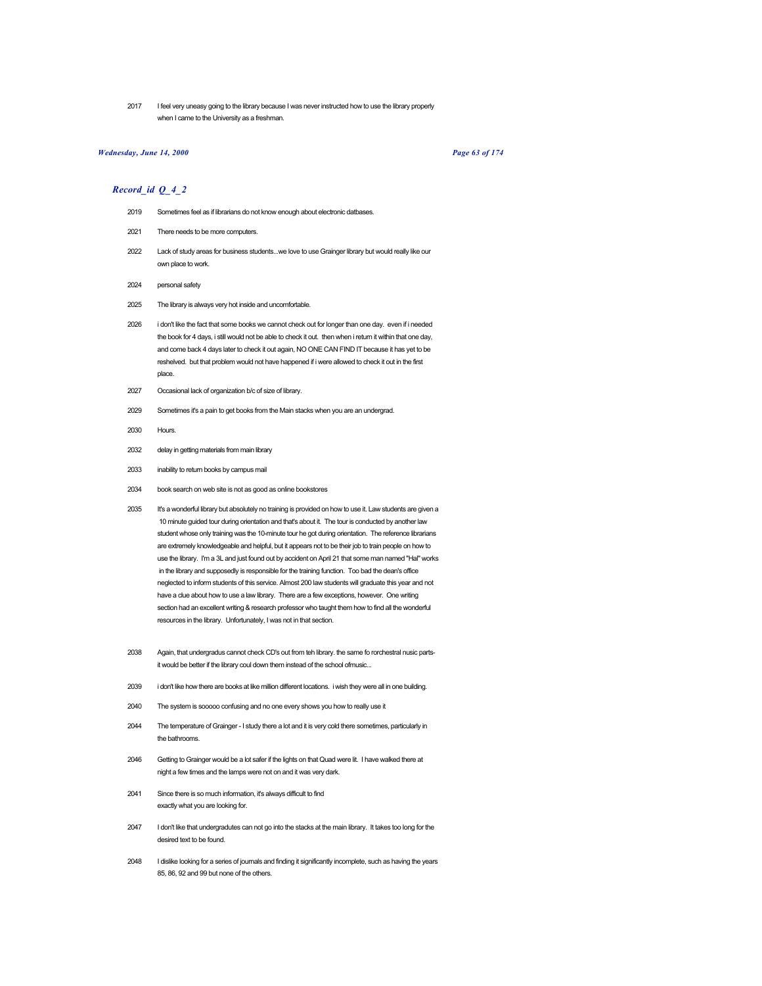2017 I feel very uneasy going to the library because I was never instructed how to use the library properly when I came to the University as a freshman.

## *Wednesday, June 14, 2000 Page 63 of 174*

- 2019 Sometimes feel as if librarians do not know enough about electronic datbases.
- 2021 There needs to be more computers.
- 2022 Lack of study areas for business students...we love to use Grainger library but would really like our own place to work.
- 2024 personal safety
- 2025 The library is always very hot inside and uncomfortable.
- 2026 i don't like the fact that some books we cannot check out for longer than one day. even if i needed the book for 4 days, i still would not be able to check it out. then when i return it within that one day, and come back 4 days later to check it out again, NO ONE CAN FIND IT because it has yet to be reshelved. but that problem would not have happened if i were allowed to check it out in the first place.
- 2027 Occasional lack of organization b/c of size of library.
- 2029 Sometimes it's a pain to get books from the Main stacks when you are an undergrad.
- 2030 Hours.
- 2032 delay in getting materials from main library
- 2033 inability to return books by campus mail
- 2034 book search on web site is not as good as online bookstores
- 2035 It's a wonderful library but absolutely no training is provided on how to use it. Law students are given a 10 minute guided tour during orientation and that's about it. The tour is conducted by another law student whose only training was the 10-minute tour he got during orientation. The reference librarians are extremely knowledgeable and helpful, but it appears not to be their job to train people on how to use the library. I'm a 3L and just found out by accident on April 21 that some man named "Hal" works in the library and supposedly is responsible for the training function. Too bad the dean's office neglected to inform students of this service. Almost 200 law students will graduate this year and not have a clue about how to use a law library. There are a few exceptions, however. One writing section had an excellent writing & research professor who taught them how to find all the wonderful resources in the library. Unfortunately, I was not in that section.
- 2038 Again, that undergradus cannot check CD's out from teh library. the same fo rorchestral nusic partsit would be better if the library coul down them instead of the school ofmusic...
- 2039 i don't like how there are books at like million different locations. i wish they were all in one building.
- 2040 The system is sooooo confusing and no one every shows you how to really use it
- 2044 The temperature of Grainger I study there a lot and it is very cold there sometimes, particularly in the bathrooms.
- 2046 Getting to Grainger would be a lot safer if the lights on that Quad were lit. I have walked there at night a few times and the lamps were not on and it was very dark.
- 2041 Since there is so much information, it's always difficult to find exactly what you are looking for.
- 2047 I don't like that undergradutes can not go into the stacks at the main library. It takes too long for the desired text to be found.
- 2048 I dislike looking for a series of journals and finding it significantly incomplete, such as having the years 85, 86, 92 and 99 but none of the others.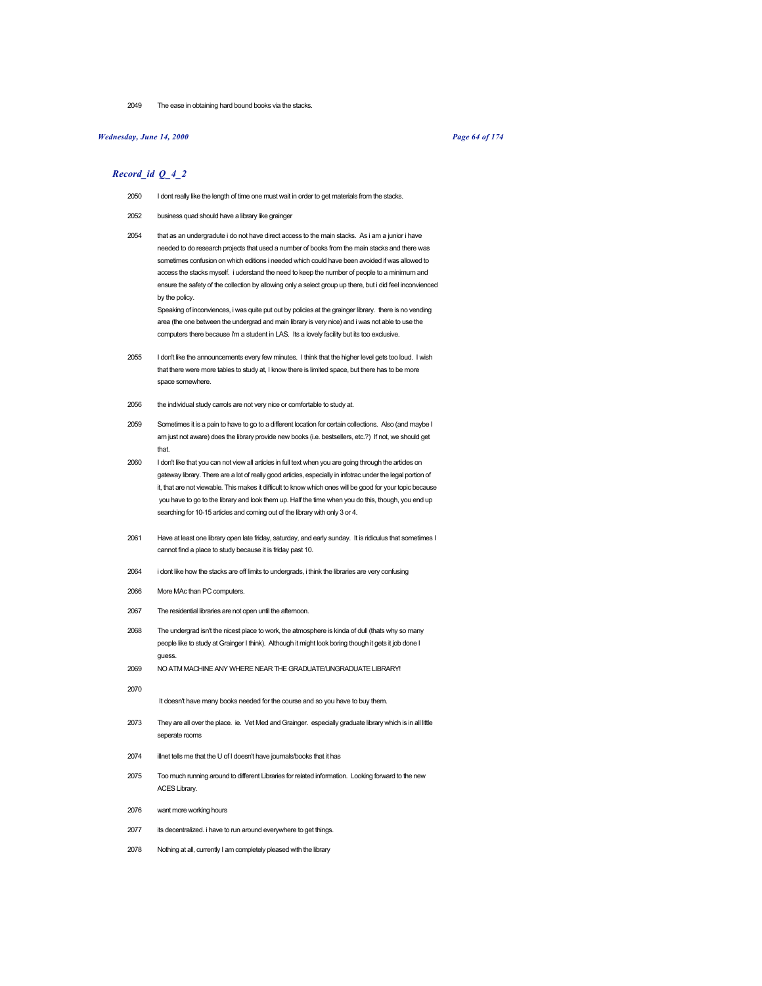2049 The ease in obtaining hard bound books via the stacks.

### *Wednesday, June 14, 2000 Page 64 of 174*

### *Record\_id Q\_4\_2*

- 2050 I dont really like the length of time one must wait in order to get materials from the stacks.
- 2052 business quad should have a library like grainger
- 2054 that as an undergradute i do not have direct access to the main stacks. As i am a junior i have needed to do research projects that used a number of books from the main stacks and there was sometimes confusion on which editions i needed which could have been avoided if was allowed to access the stacks myself. i uderstand the need to keep the number of people to a minimum and ensure the safety of the collection by allowing only a select group up there, but i did feel inconvienced by the policy.

Speaking of inconviences, i was quite put out by policies at the grainger library. there is no vending area (the one between the undergrad and main library is very nice) and i was not able to use the computers there because i'm a student in LAS. Its a lovely facility but its too exclusive.

- 2055 I don't like the announcements every few minutes. I think that the higher level gets too loud. I wish that there were more tables to study at, I know there is limited space, but there has to be more space somewhere.
- 2056 the individual study carrols are not very nice or comfortable to study at.
- 2059 Sometimes it is a pain to have to go to a different location for certain collections. Also (and maybe I am just not aware) does the library provide new books (i.e. bestsellers, etc.?) If not, we should get that.
- 2060 I don't like that you can not view all articles in full text when you are going through the articles on gateway library. There are a lot of really good articles, especially in infotrac under the legal portion of it, that are not viewable. This makes it difficult to know which ones will be good for your topic because you have to go to the library and look them up. Half the time when you do this, though, you end up searching for 10-15 articles and coming out of the library with only 3 or 4.
- 2061 Have at least one library open late friday, saturday, and early sunday. It is ridiculus that sometimes I cannot find a place to study because it is friday past 10.
- 2064 i dont like how the stacks are off limits to undergrads, i think the libraries are very confusing
- 2066 More MAc than PC computers.
- 2067 The residential libraries are not open until the afternoon.
- 2068 The undergrad isn't the nicest place to work, the atmosphere is kinda of dull (thats why so many people like to study at Grainger I think). Although it might look boring though it gets it job done I guess.
- 2069 NO ATM MACHINE ANY WHERE NEAR THE GRADUATE/UNGRADUATE LIBRARY!
	- It doesn't have many books needed for the course and so you have to buy them.
- 2073 They are all over the place. ie. Vet Med and Grainger. especially graduate library which is in all little seperate rooms
- 2074 illnet tells me that the U of I doesn't have journals/books that it has
- 2075 Too much running around to different Libraries for related information. Looking forward to the new ACES Library.
- 2076 want more working hours

2070

- 2077 its decentralized. i have to run around everywhere to get things.
- 2078 Nothing at all, currently I am completely pleased with the library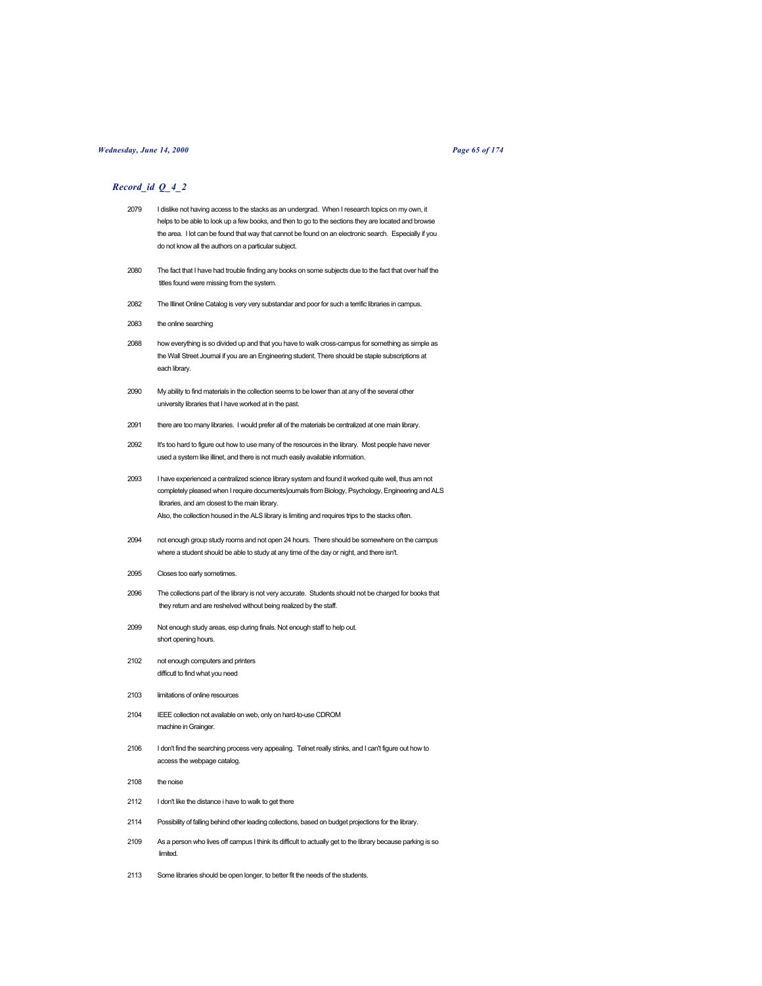## *Wednesday, June 14, 2000 Page 65 of 174*

- 2079 I dislike not having access to the stacks as an undergrad. When I research topics on my own, it helps to be able to look up a few books, and then to go to the sections they are located and browse the area. I lot can be found that way that cannot be found on an electronic search. Especially if you do not know all the authors on a particular subject.
- 2080 The fact that I have had trouble finding any books on some subjects due to the fact that over half the titles found were missing from the system.
- 2082 The Illinet Online Catalog is very very substandar and poor for such a terrific libraries in campus.
- 2083 the online searching
- 2088 how everything is so divided up and that you have to walk cross-campus for something as simple as the Wall Street Journal if you are an Engineering student. There should be staple subscriptions at each library.
- 2090 My ability to find materials in the collection seems to be lower than at any of the several other university libraries that I have worked at in the past.
- 2091 there are too many libraries. I would prefer all of the materials be centralized at one main library.
- 2092 It's too hard to figure out how to use many of the resources in the library. Most people have never used a system like illinet, and there is not much easily available information.
- 2093 I have experienced a centralized science library system and found it worked quite well, thus am not completely pleased when I require documents/journals from Biology, Psychology, Engineering and ALS libraries, and am closest to the main library. Also, the collection housed in the ALS library is limiting and requires trips to the stacks often.
- 2094 not enough group study rooms and not open 24 hours. There should be somewhere on the campus where a student should be able to study at any time of the day or night, and there isn't.
- 2095 Closes too early sometimes.
- 2096 The collections part of the library is not very accurate. Students should not be charged for books that they return and are reshelved without being realized by the staff.
- 2099 Not enough study areas, esp during finals. Not enough staff to help out. short opening hours.
- 2102 not enough computers and printers difficutl to find what you need
- 2103 limitations of online resources
- 2104 IEEE collection not available on web, only on hard-to-use CDROM machine in Grainger.
- 2106 I don't find the searching process very appealing. Telnet really stinks, and I can't figure out how to access the webpage catalog.
- 2108 the noise
- 2112 I don't like the distance i have to walk to get there
- 2114 Possibility of falling behind other leading collections, based on budget projections for the library.
- 2109 As a person who lives off campus I think its difficult to actually get to the library because parking is so limited.
- 2113 Some libraries should be open longer, to better fit the needs of the students.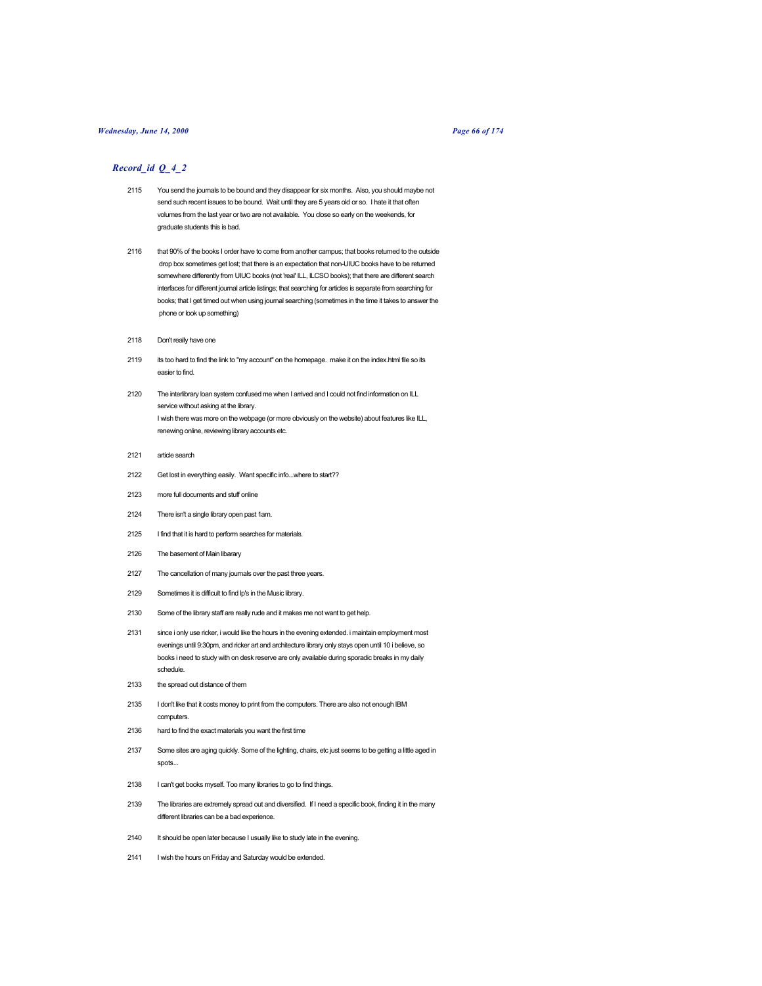### *Wednesday, June 14, 2000 Page 66 of 174*

- 2115 You send the journals to be bound and they disappear for six months. Also, you should maybe not send such recent issues to be bound. Wait until they are 5 years old or so. I hate it that often volumes from the last year or two are not available. You close so early on the weekends, for graduate students this is bad.
- 2116 that 90% of the books I order have to come from another campus; that books returned to the outside drop box sometimes get lost; that there is an expectation that non-UIUC books have to be returned somewhere differently from UIUC books (not 'real' ILL, ILCSO books); that there are different search interfaces for different journal article listings; that searching for articles is separate from searching for books; that I get timed out when using journal searching (sometimes in the time it takes to answer the phone or look up something)
- 2118 Don't really have one
- 2119 its too hard to find the link to "my account" on the homepage. make it on the index.html file so its easier to find.
- 2120 The interlibrary loan system confused me when I arrived and I could not find information on ILL service without asking at the library. I wish there was more on the webpage (or more obviously on the website) about features like ILL, renewing online, reviewing library accounts etc.
- 2121 article search
- 2122 Get lost in everything easily. Want specific info...where to start??
- 2123 more full documents and stuff online
- 2124 There isn't a single library open past 1am.
- 2125 I find that it is hard to perform searches for materials.
- 2126 The basement of Main libarary
- 2127 The cancellation of many journals over the past three years.
- 2129 Sometimes it is difficult to find lp's in the Music library.
- 2130 Some of the library staff are really rude and it makes me not want to get help.
- 2131 since i only use ricker, i would like the hours in the evening extended. i maintain employment most evenings until 9:30pm, and ricker art and architecture library only stays open until 10 i believe, so books i need to study with on desk reserve are only available during sporadic breaks in my daily schedule.
- 2133 the spread out distance of them
- 2135 I don't like that it costs money to print from the computers. There are also not enough IBM computers.
- 2136 hard to find the exact materials you want the first time
- 2137 Some sites are aging quickly. Some of the lighting, chairs, etc just seems to be getting a little aged in spots...
- 2138 I can't get books myself. Too many libraries to go to find things.
- 2139 The libraries are extremely spread out and diversified. If I need a specific book, finding it in the many different libraries can be a bad experience.
- 2140 It should be open later because I usually like to study late in the evening.
- 2141 I wish the hours on Friday and Saturday would be extended.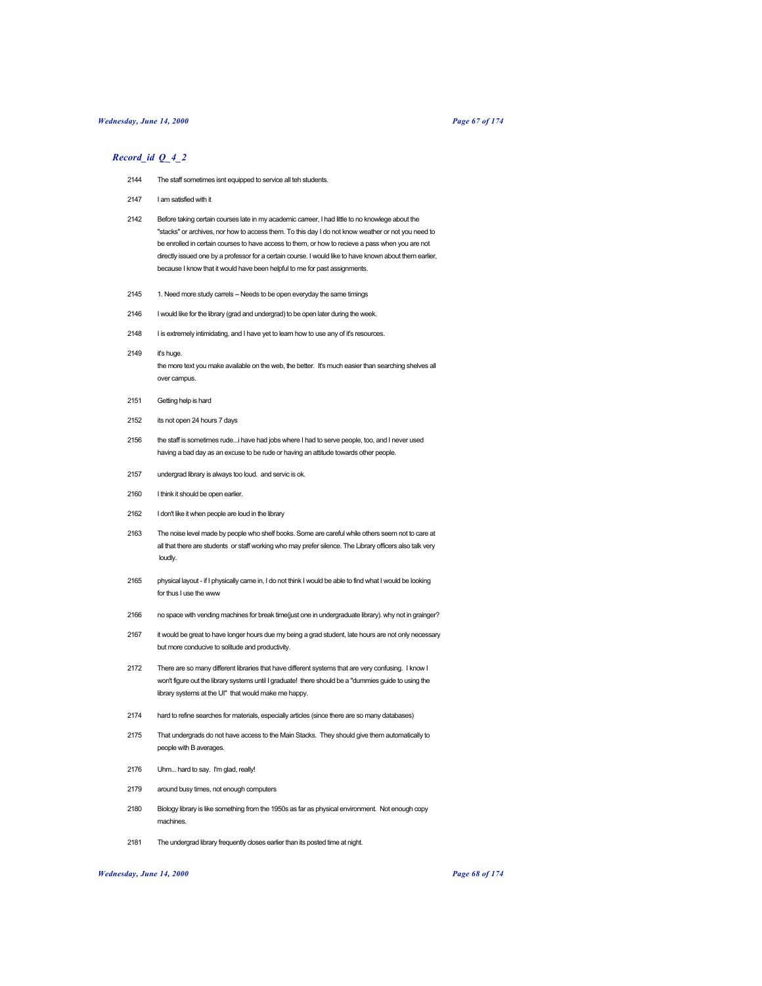#### *Wednesday, June 14, 2000 Page 67 of 174*

### *Record\_id Q\_4\_2*

- 2144 The staff sometimes isnt equipped to service all teh students.
- 2147 I am satisfied with it
- 2142 Before taking certain courses late in my academic carreer, I had little to no knowlege about the "stacks" or archives, nor how to access them. To this day I do not know weather or not you need to be enrolled in certain courses to have access to them, or how to recieve a pass when you are not directly issued one by a professor for a certain course. I would like to have known about them earlier, because I know that it would have been helpful to me for past assignments.
- 2145 1. Need more study carrels -- Needs to be open everyday the same timings
- 2146 I would like for the library (grad and undergrad) to be open later during the week.
- 2148 I is extremely intimidating, and I have yet to learn how to use any of it's resources.
- 2149 it's huge. the more text you make available on the web, the better. It's much easier than searching shelves all over campus.
- 2151 Getting help is hard
- 2152 its not open 24 hours 7 days
- 2156 the staff is sometimes rude...i have had jobs where I had to serve people, too, and I never used having a bad day as an excuse to be rude or having an attitude towards other people.
- 2157 undergrad library is always too loud. and servic is ok.
- 2160 I think it should be open earlier.
- 2162 I don't like it when people are loud in the library
- 2163 The noise level made by people who shelf books. Some are careful while others seem not to care at all that there are students or staff working who may prefer silence. The Library officers also talk very loudly.
- 2165 physical layout if I physically came in, I do not think I would be able to find what I would be looking for thus I use the www
- 2166 no space with vending machines for break time(just one in undergraduate library). why not in grainger?
- 2167 it would be great to have longer hours due my being a grad student, late hours are not only necessary but more conducive to solitude and productivity.
- 2172 There are so many different libraries that have different systems that are very confusing. I know I won't figure out the library systems until I graduate! there should be a "dummies guide to using the library systems at the UI" that would make me happy.
- 2174 hard to refine searches for materials, especially articles (since there are so many databases)
- 2175 That undergrads do not have access to the Main Stacks. They should give them automatically to people with B averages.
- 2176 Uhm... hard to say. I'm glad, really!
- 2179 around busy times, not enough computers
- 2180 Biology library is like something from the 1950s as far as physical environment. Not enough copy machines.
- 2181 The undergrad library frequently closes earlier than its posted time at night.

#### *Wednesday, June 14, 2000 Page 68 of 174*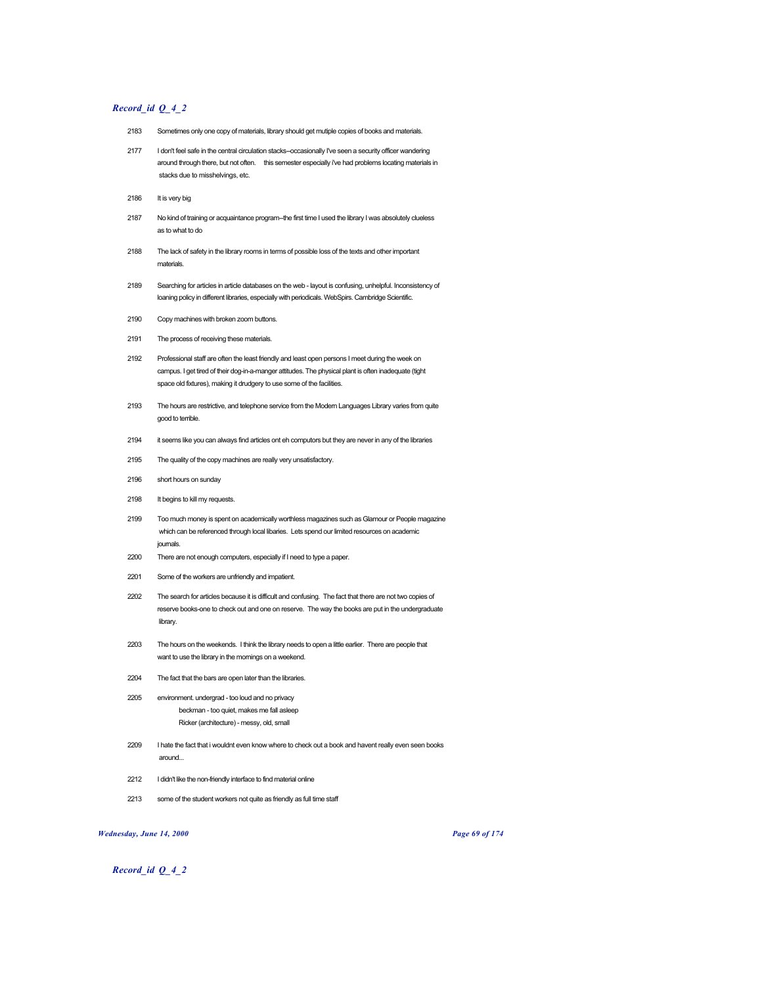# *Record\_id Q\_4\_2*

- 2183 Sometimes only one copy of materials, library should get mutiple copies of books and materials.
- 2177 I don't feel safe in the central circulation stacks--occasionally I've seen a security officer wandering around through there, but not often. this semester especially i've had problems locating materials in stacks due to misshelvings, etc.
- 2186 It is very big
- 2187 No kind of training or acquaintance program--the first time I used the library I was absolutely clueless as to what to do
- 2188 The lack of safety in the library rooms in terms of possible loss of the texts and other important materials.
- 2189 Searching for articles in article databases on the web layout is confusing, unhelpful. Inconsistency of loaning policy in different libraries, especially with periodicals. WebSpirs. Cambridge Scientific.
- 2190 Copy machines with broken zoom buttons.
- 2191 The process of receiving these materials.
- 2192 Professional staff are often the least friendly and least open persons I meet during the week on campus. I get tired of their dog-in-a-manger attitudes. The physical plant is often inadequate (tight space old fixtures), making it drudgery to use some of the facilities.
- 2193 The hours are restrictive, and telephone service from the Modern Languages Library varies from quite good to terrible.
- 2194 it seems like you can always find articles ont eh computors but they are never in any of the libraries
- 2195 The quality of the copy machines are really very unsatisfactory.
- 2196 short hours on sunday
- 2198 It begins to kill my requests.
- 2199 Too much money is spent on academically worthless magazines such as Glamour or People magazine which can be referenced through local libaries. Lets spend our limited resources on academic journals.
- 2200 There are not enough computers, especially if I need to type a paper.
- 2201 Some of the workers are unfriendly and impatient.
- 2202 The search for articles because it is difficult and confusing. The fact that there are not two copies of reserve books-one to check out and one on reserve. The way the books are put in the undergraduate library.
- 2203 The hours on the weekends. I think the library needs to open a little earlier. There are people that want to use the library in the mornings on a weekend.
- 2204 The fact that the bars are open later than the libraries.
- 2205 environment. undergrad too loud and no privacy beckman - too quiet, makes me fall asleep Ricker (architecture) - messy, old, small
- 2209 I hate the fact that i wouldnt even know where to check out a book and havent really even seen books around...
- 2212 I didn't like the non-friendly interface to find material online
- 2213 some of the student workers not quite as friendly as full time staff

*Wednesday, June 14, 2000 Page 69 of 174*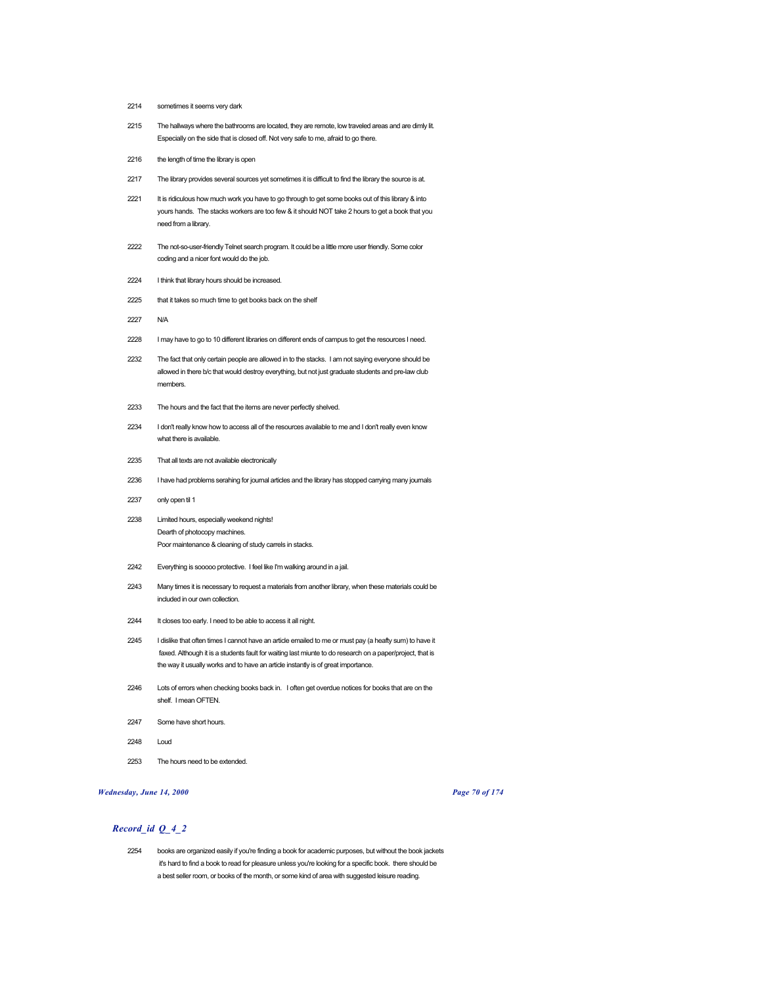- 2214 sometimes it seems very dark
- 2215 The hallways where the bathrooms are located, they are remote, low traveled areas and are dimly lit. Especially on the side that is closed off. Not very safe to me, afraid to go there.
- 2216 the length of time the library is open
- 2217 The library provides several sources yet sometimes it is difficult to find the library the source is at.
- 2221 It is ridiculous how much work you have to go through to get some books out of this library & into yours hands. The stacks workers are too few & it should NOT take 2 hours to get a book that you need from a library.
- 2222 The not-so-user-friendly Telnet search program. It could be a little more user friendly. Some color coding and a nicer font would do the job.
- 2224 I think that library hours should be increased.
- 2225 that it takes so much time to get books back on the shelf
- 2227 N/A
- 2228 I may have to go to 10 different libraries on different ends of campus to get the resources I need.
- 2232 The fact that only certain people are allowed in to the stacks. I am not saying everyone should be allowed in there b/c that would destroy everything, but not just graduate students and pre-law club members.
- 2233 The hours and the fact that the items are never perfectly shelved.
- 2234 I don't really know how to access all of the resources available to me and I don't really even know what there is available.
- 2235 That all texts are not available electronically
- 2236 I have had problems serahing for journal articles and the library has stopped carrying many journals
- 2237 only open til 1
- 2238 Limited hours, especially weekend nights! Dearth of photocopy machines. Poor maintenance & cleaning of study carrels in stacks.
- 2242 Everything is sooooo protective. I feel like I'm walking around in a jail.
- 2243 Many times it is necessary to request a materials from another library, when these materials could be included in our own collection.
- 2244 It closes too early. I need to be able to access it all night.
- 2245 I dislike that often times I cannot have an article emailed to me or must pay (a heafty sum) to have it faxed. Although it is a students fault for waiting last miunte to do research on a paper/project, that is the way it usually works and to have an article instantly is of great importance.
- 2246 Lots of errors when checking books back in. I often get overdue notices for books that are on the shelf. I mean OFTEN.
- 2247 Some have short hours.
- 2248 Loud
- 2253 The hours need to be extended.

#### *Wednesday, June 14, 2000 Page 70 of 174*

# *Record\_id Q\_4\_2*

2254 books are organized easily if you're finding a book for academic purposes, but without the book jackets it's hard to find a book to read for pleasure unless you're looking for a specific book. there should be a best seller room, or books of the month, or some kind of area with suggested leisure reading.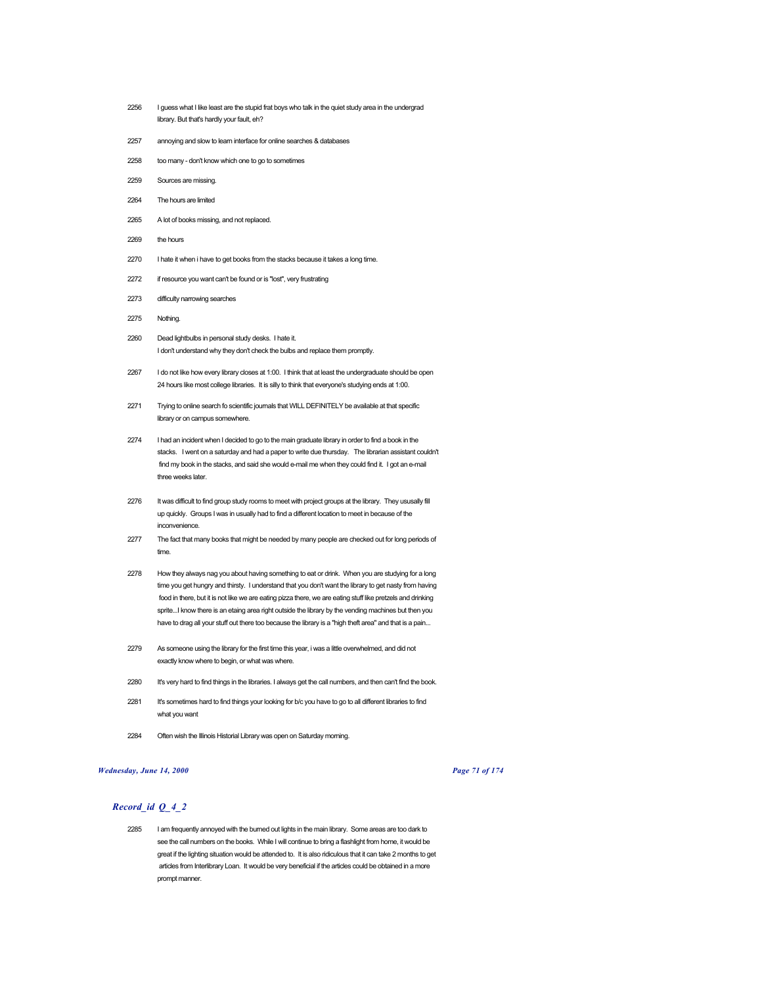- 2256 I guess what I like least are the stupid frat boys who talk in the quiet study area in the undergrad library. But that's hardly your fault, eh?
- 2257 annoying and slow to learn interface for online searches & databases
- 2258 too many don't know which one to go to sometimes
- 2259 Sources are missing.
- 2264 The hours are limited
- 2265 A lot of books missing, and not replaced.
- 2269 the hours
- 2270 I hate it when i have to get books from the stacks because it takes a long time.
- 2272 if resource you want can't be found or is "lost", very frustrating
- 2273 difficulty narrowing searches
- 2275 Nothing.
- 2260 Dead lightbulbs in personal study desks. I hate it. I don't understand why they don't check the bulbs and replace them promptly.
- 2267 I do not like how every library closes at 1:00. I think that at least the undergraduate should be open 24 hours like most college libraries. It is silly to think that everyone's studying ends at 1:00.
- 2271 Trying to online search fo scientific journals that WILL DEFINITELY be available at that specific library or on campus somewhere.
- 2274 I had an incident when I decided to go to the main graduate library in order to find a book in the stacks. I went on a saturday and had a paper to write due thursday. The librarian assistant couldn't find my book in the stacks, and said she would e-mail me when they could find it. I got an e-mail three weeks later.
- 2276 It was difficult to find group study rooms to meet with project groups at the library. They ususally fill up quickly. Groups I was in usually had to find a different location to meet in because of the inconvenience
- 2277 The fact that many books that might be needed by many people are checked out for long periods of time.
- 2278 How they always nag you about having something to eat or drink. When you are studying for a long time you get hungry and thirsty. I understand that you don't want the library to get nasty from having food in there, but it is not like we are eating pizza there, we are eating stuff like pretzels and drinking sprite...I know there is an etaing area right outside the library by the vending machines but then you have to drag all your stuff out there too because the library is a "high theft area" and that is a pain...
- 2279 As someone using the library for the first time this year, i was a little overwhelmed, and did not exactly know where to begin, or what was where.
- 2280 It's very hard to find things in the libraries. I always get the call numbers, and then can't find the book.
- 2281 It's sometimes hard to find things your looking for b/c you have to go to all different libraries to find what you want
- 2284 Often wish the Illinois Historial Library was open on Saturday moming.

# *Wednesday, June 14, 2000 Page 71 of 174*

# *Record\_id Q\_4\_2*

2285 I am frequently annoyed with the burned out lights in the main library. Some areas are too dark to see the call numbers on the books. While I will continue to bring a flashlight from home, it would be great if the lighting situation would be attended to. It is also ridiculous that it can take 2 months to get articles from Interlibrary Loan. It would be very beneficial if the articles could be obtained in a more prompt manner.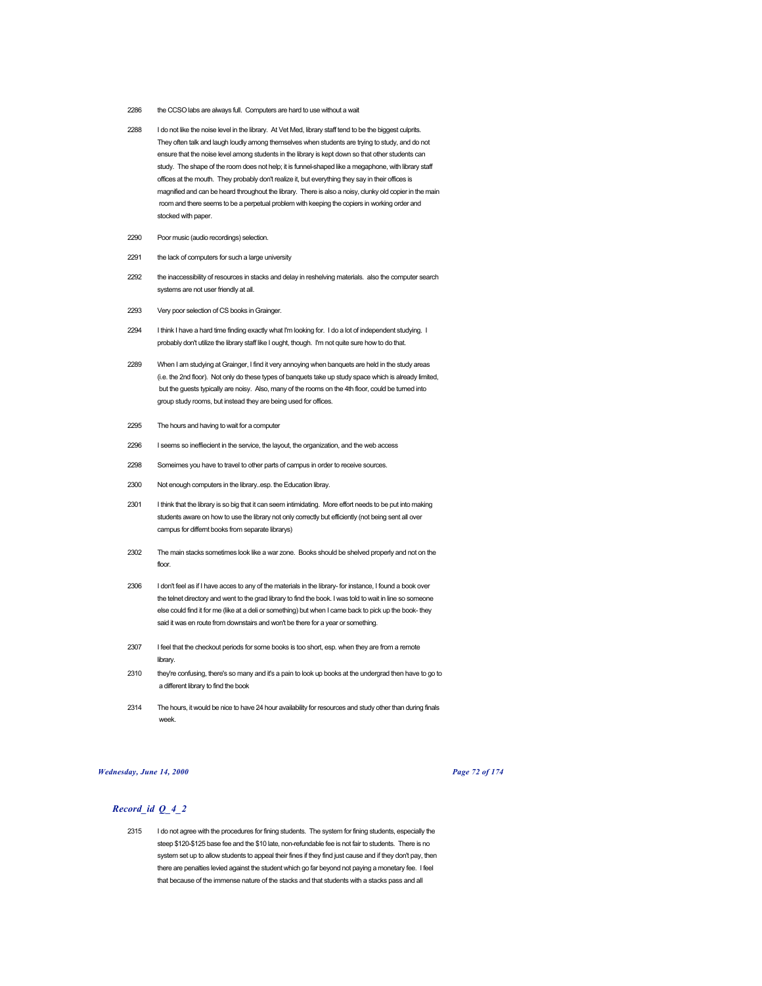- 2286 the CCSO labs are always full. Computers are hard to use without a wait
- 2288 I do not like the noise level in the library. At Vet Med, library staff tend to be the biggest culprits. They often talk and laugh loudly among themselves when students are trying to study, and do not ensure that the noise level among students in the library is kept down so that other students can study. The shape of the room does not help; it is funnel-shaped like a megaphone, with library staff offices at the mouth. They probably don't realize it, but everything they say in their offices is magnified and can be heard throughout the library. There is also a noisy, clunky old copier in the main room and there seems to be a perpetual problem with keeping the copiers in working order and stocked with paper.
- 2290 Poor music (audio recordings) selection.
- 2291 the lack of computers for such a large university
- 2292 the inaccessibility of resources in stacks and delay in reshelving materials. also the computer search systems are not user friendly at all.
- 2293 Very poor selection of CS books in Grainger.
- 2294 I think I have a hard time finding exactly what I'm looking for. I do a lot of independent studying. I probably don't utilize the library staff like I ought, though. I'm not quite sure how to do that.
- 2289 When I am studying at Grainger, I find it very annoying when banquets are held in the study areas (i.e. the 2nd floor). Not only do these types of banquets take up study space which is already limited, but the guests typically are noisy. Also, many of the rooms on the 4th floor, could be turned into group study rooms, but instead they are being used for offices.
- 2295 The hours and having to wait for a computer
- 2296 I seems so ineffiecient in the service, the layout, the organization, and the web access
- 2298 Someimes you have to travel to other parts of campus in order to receive sources.
- 2300 Not enough computers in the library..esp. the Education libray.
- 2301 I think that the library is so big that it can seem intimidating. More effort needs to be put into making students aware on how to use the library not only correctly but efficiently (not being sent all over campus for differnt books from separate librarys)
- 2302 The main stacks sometimes look like a war zone. Books should be shelved properly and not on the floor.
- 2306 I don't feel as if I have acces to any of the materials in the library- for instance, I found a book over the telnet directory and went to the grad library to find the book. I was told to wait in line so someone else could find it for me (like at a deli or something) but when I came back to pick up the book- they said it was en route from downstairs and won't be there for a year or something.
- 2307 I feel that the checkout periods for some books is too short, esp. when they are from a remote library.
- 2310 they're confusing, there's so many and it's a pain to look up books at the undergrad then have to go to a different library to find the book
- 2314 The hours, it would be nice to have 24 hour availability for resources and study other than during finals week.

### *Wednesday, June 14, 2000 Page 72 of 174*

# *Record\_id Q\_4\_2*

2315 I do not agree with the procedures for fining students. The system for fining students, especially the steep \$120-\$125 base fee and the \$10 late, non-refundable fee is not fair to students. There is no system set up to allow students to appeal their fines if they find just cause and if they don't pay, then there are penalties levied against the student which go far beyond not paying a monetary fee. I feel that because of the immense nature of the stacks and that students with a stacks pass and all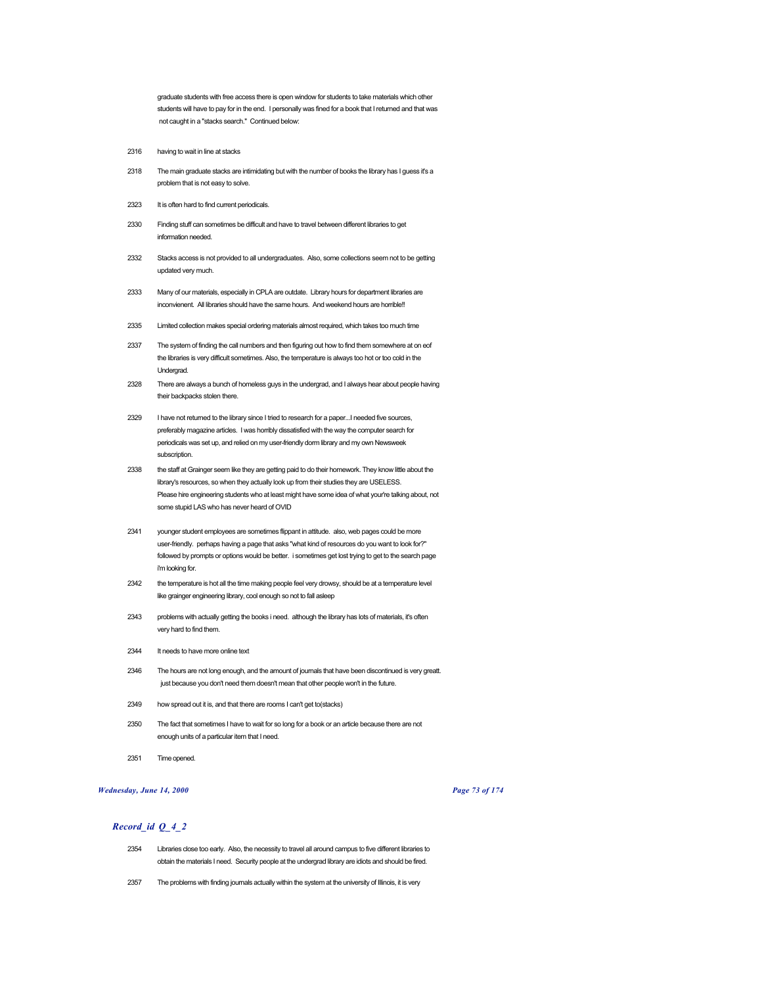graduate students with free access there is open window for students to take materials which other students will have to pay for in the end. I personally was fined for a book that I returned and that was not caught in a "stacks search." Continued below:

- 2316 having to wait in line at stacks
- 2318 The main graduate stacks are intimidating but with the number of books the library has I guess it's a problem that is not easy to solve.
- 2323 It is often hard to find current periodicals.
- 2330 Finding stuff can sometimes be difficult and have to travel between different libraries to get information needed.
- 2332 Stacks access is not provided to all undergraduates. Also, some collections seem not to be getting updated very much.
- 2333 Many of our materials, especially in CPLA are outdate. Library hours for department libraries are inconvienent. All libraries should have the same hours. And weekend hours are horrible!!
- 2335 Limited collection makes special ordering materials almost required, which takes too much time
- 2337 The system of finding the call numbers and then figuring out how to find them somewhere at on eof the libraries is very difficult sometimes. Also, the temperature is always too hot or too cold in the Undergrad.
- 2328 There are always a bunch of homeless guys in the undergrad, and I always hear about people having their hackpacks stolen there.
- 2329 I have not returned to the library since I tried to research for a paper...I needed five sources, preferably magazine articles. I was horribly dissatisfied with the way the computer search for periodicals was set up, and relied on my user-friendly dorm library and my own Newsweek subscription.
- 2338 the staff at Grainger seem like they are getting paid to do their homework. They know little about the library's resources, so when they actually look up from their studies they are USELESS. Please hire engineering students who at least might have some idea of what your're talking about, not some stupid LAS who has never heard of OVID
- 2341 younger student employees are sometimes flippant in attitude. also, web pages could be more user-friendly. perhaps having a page that asks "what kind of resources do you want to look for?" followed by prompts or options would be better. i sometimes get lost trying to get to the search page i'm looking for.
- 2342 the temperature is hot all the time making people feel very drowsy, should be at a temperature level like grainger engineering library, cool enough so not to fall asleep
- 2343 problems with actually getting the books i need. although the library has lots of materials, it's often very hard to find them.
- 2344 It needs to have more online text
- 2346 The hours are not long enough, and the amount of journals that have been discontinued is very greatt. just because you don't need them doesn't mean that other people won't in the future.
- 2349 how spread out it is, and that there are rooms I can't get to(stacks)
- 2350 The fact that sometimes I have to wait for so long for a book or an article because there are not enough units of a particular item that I need.
- 2351 Time opened.

## *Wednesday, June 14, 2000 Page 73 of 174*

- 2354 Libraries close too early. Also, the necessity to travel all around campus to five different libraries to obtain the materials I need. Security people at the undergrad library are idiots and should be fired.
- 2357 The problems with finding journals actually within the system at the university of Illinois, it is very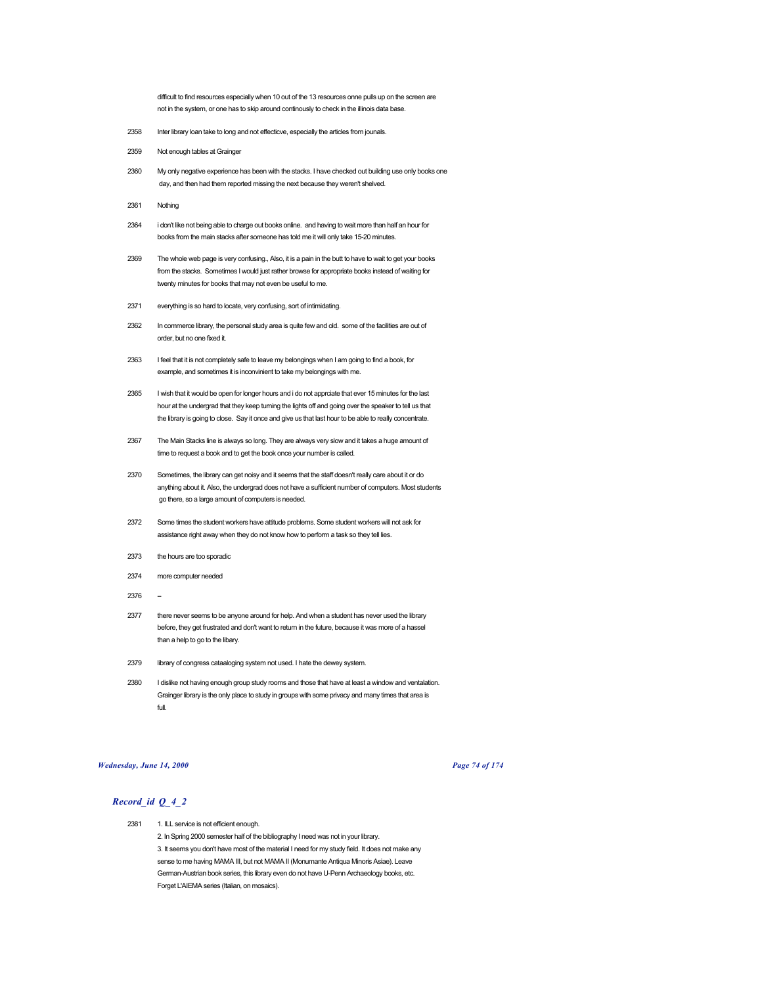difficult to find resources especially when 10 out of the 13 resources onne pulls up on the screen are not in the system, or one has to skip around continously to check in the illinois data base.

- 2358 Inter library loan take to long and not effecticve, especially the articles from jounals.
- 2359 Not enough tables at Grainger
- 2360 My only negative experience has been with the stacks. I have checked out building use only books one day, and then had them reported missing the next because they weren't shelved.
- 2361 Nothing
- 2364 i don't like not being able to charge out books online. and having to wait more than half an hour for books from the main stacks after someone has told me it will only take 15-20 minutes.
- 2369 The whole web page is very confusing., Also, it is a pain in the butt to have to wait to get your books from the stacks. Sometimes I would just rather browse for appropriate books instead of waiting for twenty minutes for books that may not even be useful to me.
- 2371 everything is so hard to locate, very confusing, sort of intimidating.
- 2362 In commerce library, the personal study area is quite few and old. some of the facilities are out of order, but no one fixed it.
- 2363 I feel that it is not completely safe to leave my belongings when I am going to find a book, for example, and sometimes it is inconvinient to take my belongings with me.
- 2365 I wish that it would be open for longer hours and i do not apprciate that ever 15 minutes for the last hour at the undergrad that they keep turning the lights off and going over the speaker to tell us that the library is going to close. Say it once and give us that last hour to be able to really concentrate.
- 2367 The Main Stacks line is always so long. They are always very slow and it takes a huge amount of time to request a book and to get the book once your number is called.
- 2370 Sometimes, the library can get noisy and it seems that the staff doesn't really care about it or do anything about it. Also, the undergrad does not have a sufficient number of computers. Most students go there, so a large amount of computers is needed.
- 2372 Some times the student workers have attitude problems. Some student workers will not ask for assistance right away when they do not know how to perform a task so they tell lies.
- 2373 the hours are too sporadic
- 2374 more computer needed
- 2376
- 2377 there never seems to be anyone around for help. And when a student has never used the library before, they get frustrated and don't want to return in the future, because it was more of a hassel than a help to go to the libary.
- 2379 library of congress cataaloging system not used. I hate the dewey system.
- 2380 I dislike not having enough group study rooms and those that have at least a window and ventalation. Grainger library is the only place to study in groups with some privacy and many times that area is full.

### *Wednesday, June 14, 2000 Page 74 of 174*

# *Record\_id Q\_4\_2*

2381 1. ILL service is not efficient enough. 2. In Spring 2000 semester half of the bibliography I need was not in your library. 3. It seems you don't have most of the material I need for my study field. It does not make any sense to me having MAMA III, but not MAMA II (Monumante Antiqua Minoris Asiae). Leave German-Austrian book series, this library even do not have U-Penn Archaeology books, etc. Forget L'AIEMA series (Italian, on mosaics).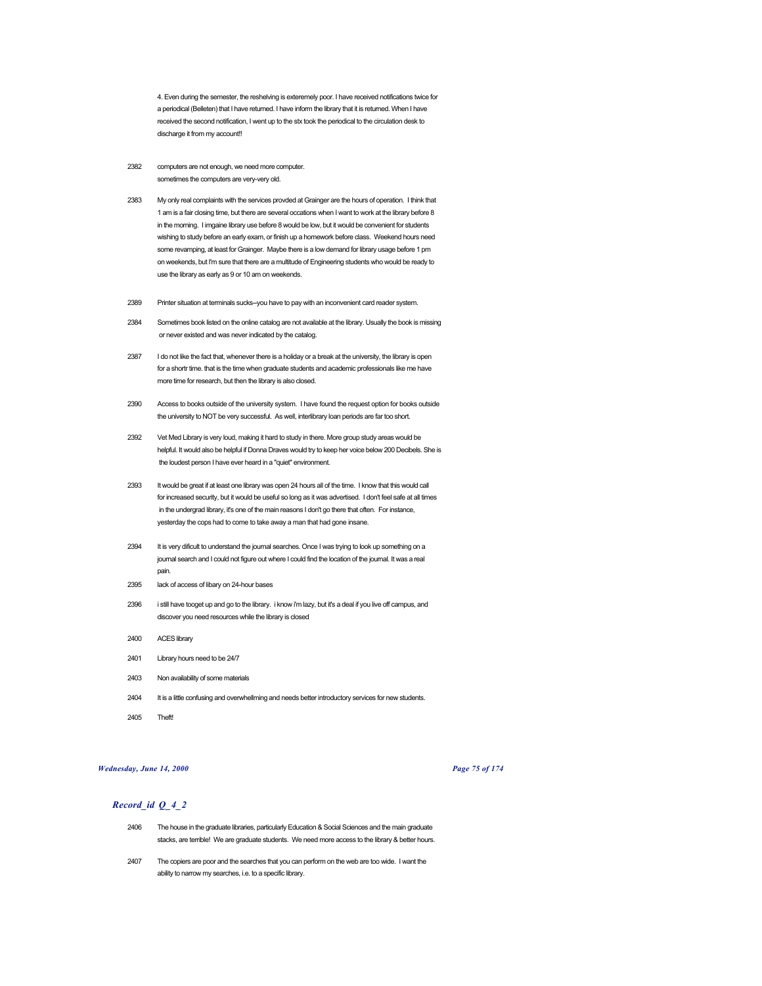4. Even during the semester, the reshelving is exteremely poor. I have received notifications twice for a periodical (Belleten) that I have returned. I have inform the library that it is returned. When I have received the second notification, I went up to the stx took the periodical to the circulation desk to discharge it from my account!!

- 2382 computers are not enough, we need more computer. sometimes the computers are very-very old.
- 2383 My only real complaints with the services provded at Grainger are the hours of operation. I think that 1 am is a fair closing time, but there are several occations when I want to work at the library before 8 in the morning. I imgaine library use before 8 would be low, but it would be convenient for students wishing to study before an early exam, or finish up a homework before class. Weekend hours need some revamping, at least for Grainger. Maybe there is a low demand for library usage before 1 pm on weekends, but I'm sure that there are a multitude of Engineering students who would be ready to use the library as early as 9 or 10 am on weekends.
- 2389 Printer situation at terminals sucks--you have to pay with an inconvenient card reader system.
- 2384 Sometimes book listed on the online catalog are not available at the library. Usually the book is missing or never existed and was never indicated by the catalog.
- 2387 I do not like the fact that, whenever there is a holiday or a break at the university, the library is open for a shortr time. that is the time when graduate students and academic professionals like me have more time for research, but then the library is also closed.
- 2390 Access to books outside of the university system. I have found the request option for books outside the university to NOT be very successful. As well, interlibrary loan periods are far too short.
- 2392 Vet Med Library is very loud, making it hard to study in there. More group study areas would be helpful. It would also be helpful if Donna Draves would try to keep her voice below 200 Decibels. She is the loudest person I have ever heard in a "quiet" environment.
- 2393 It would be great if at least one library was open 24 hours all of the time. I know that this would call for increased security, but it would be useful so long as it was advertised. I don't feel safe at all times in the undergrad library, it's one of the main reasons I don't go there that often. For instance, yesterday the cops had to come to take away a man that had gone insane.
- 2394 It is very dificult to understand the journal searches. Once I was trying to look up something on a journal search and I could not figure out where I could find the location of the journal. It was a real pain.
- 2395 lack of access of libary on 24-hour bases
- 2396 i still have tooget up and go to the library. i know i'm lazy, but it's a deal if you live off campus, and discover you need resources while the library is closed
- 2400 ACES library
- 2401 Library hours need to be 24/7
- 2403 Non availability of some materials
- 2404 It is a little confusing and overwhellming and needs better introductory services for new students.
- 2405 Theft!

### *Wednesday, June 14, 2000 Page 75 of 174*

- 2406 The house in the graduate libraries, particularly Education & Social Sciences and the main graduate stacks, are terrible! We are graduate students. We need more access to the library & better hours.
- 2407 The copiers are poor and the searches that you can perform on the web are too wide. I want the ability to narrow my searches, i.e. to a specific library.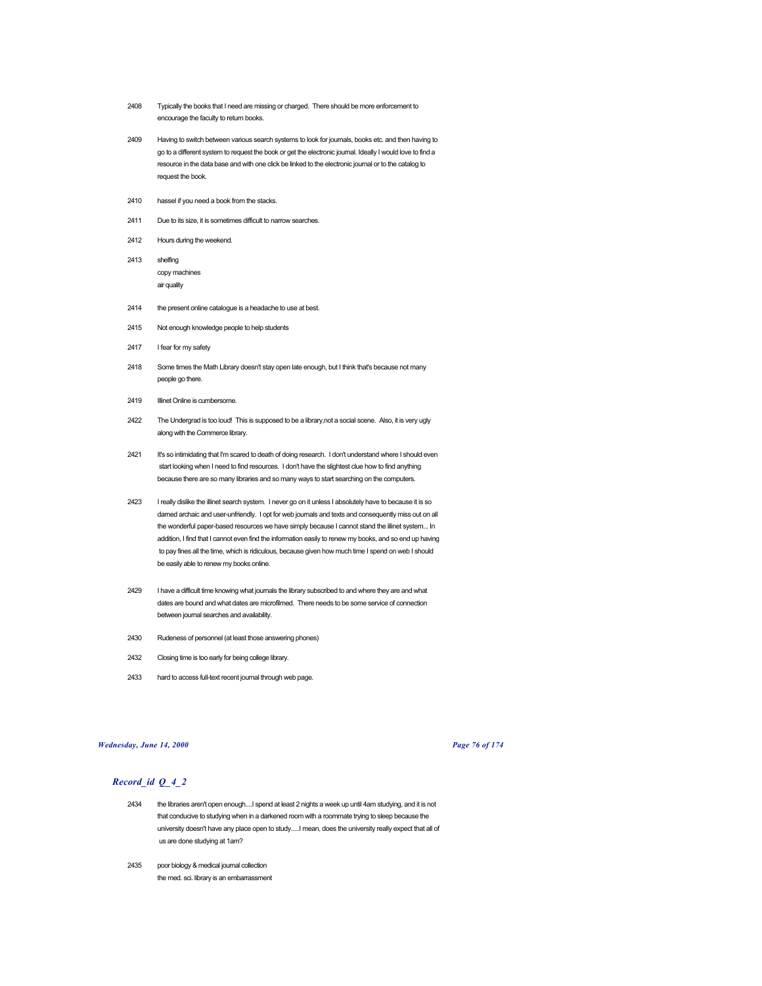- 2408 Typically the books that I need are missing or charged. There should be more enforcement to encourage the faculty to return books.
- 2409 Having to switch between various search systems to look for journals, books etc. and then having to go to a different system to request the book or get the electronic journal. Ideally I would love to find a resource in the data base and with one click be linked to the electronic journal or to the catalog to request the book.
- 2410 hassel if you need a book from the stacks.
- 2411 Due to its size, it is sometimes difficult to narrow searches.
- 2412 Hours during the weekend.
- 2413 shelfing copy machines air quality
- 2414 the present online catalogue is a headache to use at best.
- 2415 Not enough knowledge people to help students
- 2417 I fear for my safety
- 2418 Some times the Math Library doesn't stay open late enough, but I think that's because not many people go there.
- 2419 **Illinet Online is cumbersome.**
- 2422 The Undergrad is too loud! This is supposed to be a library,not a social scene. Also, it is very ugly along with the Commerce library.
- 2421 It's so intimidating that I'm scared to death of doing research. I don't understand where I should even start looking when I need to find resources. I don't have the slightest clue how to find anything because there are so many libraries and so many ways to start searching on the computers.
- 2423 I really dislike the illinet search system. I never go on it unless I absolutely have to because it is so darned archaic and user-unfriendly. I opt for web journals and texts and consequently miss out on all the wonderful paper-based resources we have simply because I cannot stand the illinet system... In addition, I find that I cannot even find the information easily to renew my books, and so end up having to pay fines all the time, which is ridiculous, because given how much time I spend on web I should be easily able to renew my books online.
- 2429 I have a difficult time knowing what journals the library subscribed to and where they are and what dates are bound and what dates are microfilmed. There needs to be some service of connection between journal searches and availability.
- 2430 Rudeness of personnel (at least those answering phones)
- 2432 Closing time is too early for being college library.
- 2433 hard to access full-text recent journal through web page.

### *Wednesday, June 14, 2000 Page 76 of 174*

- 2434 the libraries aren't open enough....I spend at least 2 nights a week up until 4am studying, and it is not that conducive to studying when in a darkened room with a roommate trying to sleep because the university doesn't have any place open to study.....I mean, does the university really expect that all of us are done studying at 1am?
- 2435 poor biology & medical journal collection the med. sci. library is an embarrassment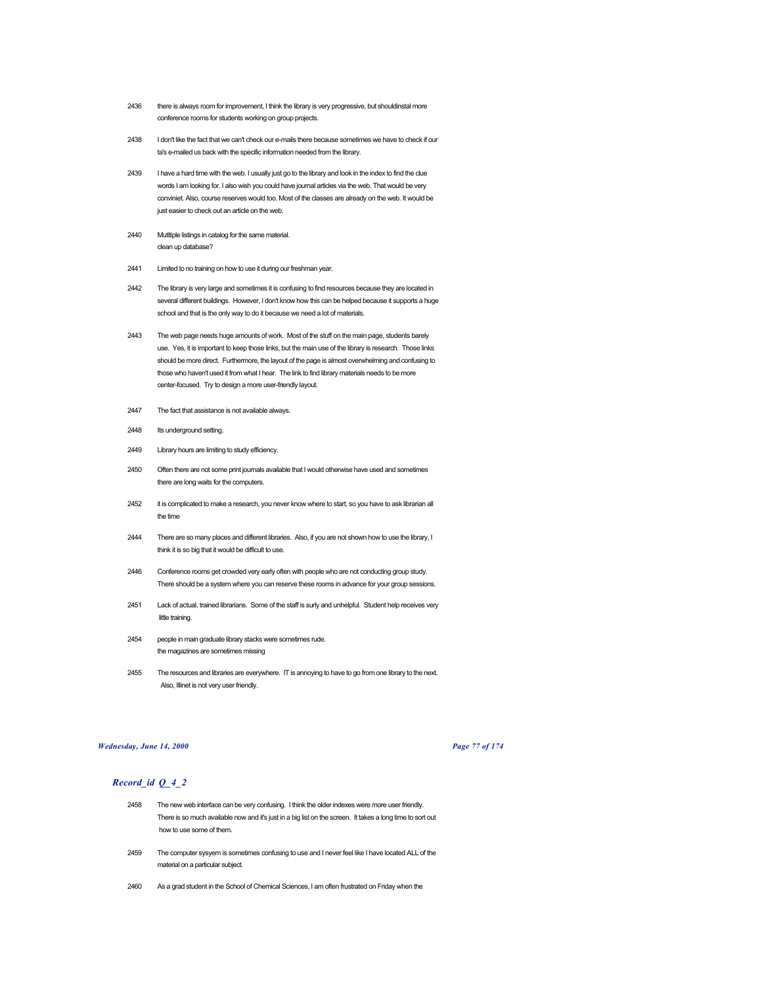- 2436 there is always room for improvement, I think the library is very progressive, but shouldinstal more conference rooms for students working on group projects.
- 2438 I don't like the fact that we can't check our e-mails there because sometimes we have to check if our ta's e-mailed us back with the specific information needed from the library.
- 2439 I have a hard time with the web. I usually just go to the library and look in the index to find the clue words I am looking for. I also wish you could have journal articles via the web. That would be very conviniet. Also, course reserves would too. Most of the classes are already on the web. It would be just easier to check out an article on the web.
- 2440 Mutltiple listings in catalog for the same material. clean up database?
- 2441 Limited to no training on how to use it during our freshman year.
- 2442 The library is very large and sometimes it is confusing to find resources because they are located in several different buildings. However, I don't know how this can be helped because it supports a huge school and that is the only way to do it because we need a lot of materials.
- 2443 The web page needs huge amounts of work. Most of the stuff on the main page, students barely use. Yes, it is important to keep those links, but the main use of the library is research. Those links should be more direct. Furthermore, the layout of the page is almost overwhelming and confusing to those who haven't used it from what I hear. The link to find library materials needs to be more center-focused. Try to design a more user-friendly layout.
- 2447 The fact that assistance is not available always.
- 2448 Its underground setting.
- 2449 Library hours are limiting to study efficiency.
- 2450 Often there are not some print journals available that I would otherwise have used and sometimes there are long waits for the computers.
- 2452 it is complicated to make a research, you never know where to start, so you have to ask librarian all the time
- 2444 There are so many places and different libraries. Also, if you are not shown how to use the library, I think it is so big that it would be difficult to use.
- 2446 Conference rooms get crowded very early often with people who are not conducting group study. There should be a system where you can reserve these rooms in advance for your group sessions.
- 2451 Lack of actual, trained librarians. Some of the staff is surly and unhelpful. Student help receives very little training.
- 2454 people in main graduate library stacks were sometimes rude. the magazines are sometimes missing
- 2455 The resources and libraries are everywhere. IT is annoying to have to go from one library to the next. Also, Illinet is not very user friendly.

### *Wednesday, June 14, 2000 Page 77 of 174*

- 2458 The new web interface can be very confusing. I think the older indexes were more user friendly. There is so much available now and it's just in a big list on the screen. It takes a long time to sort out how to use some of them.
- 2459 The computer sysyem is sometimes confusing to use and I never feel like I have located ALL of the material on a particular subject.
- 2460 As a grad student in the School of Chemical Sciences, I am often frustrated on Friday when the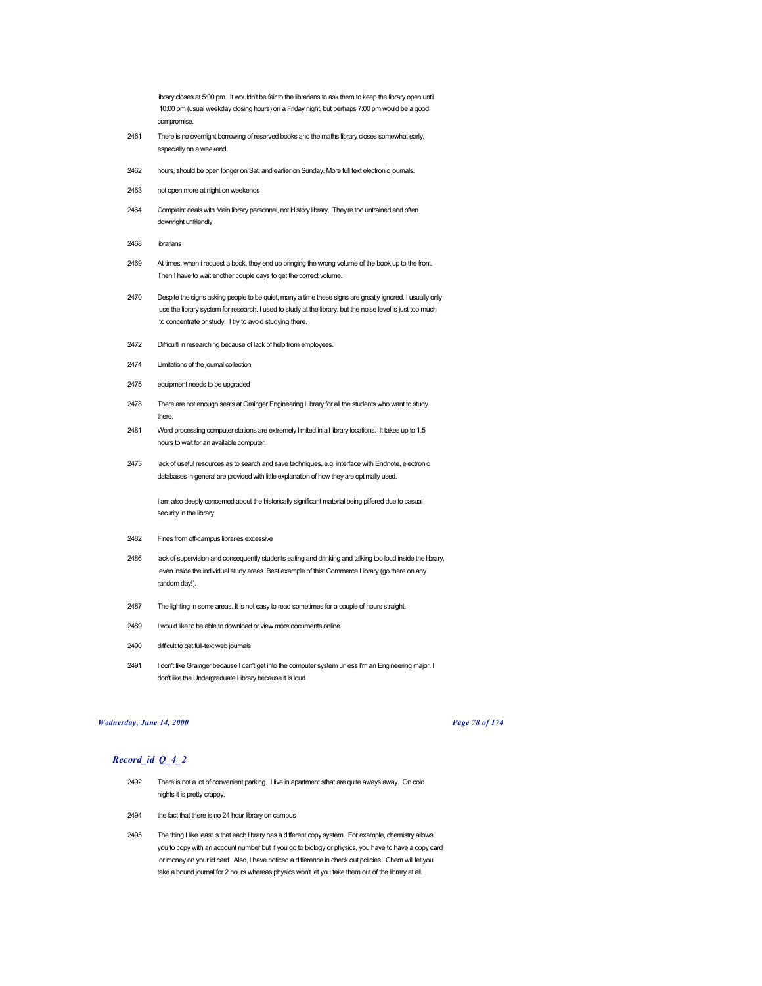library closes at 5:00 pm. It wouldn't be fair to the librarians to ask them to keep the library open until 10:00 pm (usual weekday closing hours) on a Friday night, but perhaps 7:00 pm would be a good compromise.

- 2461 There is no overnight borrowing of reserved books and the maths library closes somewhat early, especially on a weekend.
- 2462 hours, should be open longer on Sat. and earlier on Sunday. More full text electronic journals.
- 2463 not open more at night on weekends
- 2464 Complaint deals with Main library personnel, not History library. They're too untrained and often downright unfriendly.
- 2468 librarians
- 2469 At times, when i request a book, they end up bringing the wrong volume of the book up to the front. Then I have to wait another couple days to get the correct volume.
- 2470 Despite the signs asking people to be quiet, many a time these signs are greatly ignored. I usually only use the library system for research. I used to study at the library, but the noise level is just too much to concentrate or study. I try to avoid studying there.
- 2472 Difficultl in researching because of lack of help from employees.
- 2474 Limitations of the journal collection.
- 2475 equipment needs to be upgraded
- 2478 There are not enough seats at Grainger Engineering Library for all the students who want to study there.
- 2481 Word processing computer stations are extremely limited in all library locations. It takes up to 1.5 hours to wait for an available computer.
- 2473 lack of useful resources as to search and save techniques, e.g. interface with Endnote, electronic databases in general are provided with little explanation of how they are optimally used.

I am also deeply concerned about the historically significant material being pilfered due to casual security in the library.

- 2482 Fines from off-campus libraries excessive
- 2486 lack of supervision and consequently students eating and drinking and talking too loud inside the library, even inside the individual study areas. Best example of this: Commerce Library (go there on any random day!).
- 2487 The lighting in some areas. It is not easy to read sometimes for a couple of hours straight.
- 2489 I would like to be able to download or view more documents online.
- 2490 difficult to get full-text web journals
- 2491 I don't like Grainger because I can't get into the computer system unless I'm an Engineering major. I don't like the Undergraduate Library because it is loud

#### *Wednesday, June 14, 2000 Page 78 of 174*

- 2492 There is not a lot of convenient parking. I live in apartment sthat are quite aways away. On cold nights it is pretty crappy.
- 2494 the fact that there is no 24 hour library on campus
- 2495 The thing I like least is that each library has a different copy system. For example, chemistry allows you to copy with an account number but if you go to biology or physics, you have to have a copy card or money on your id card. Also, I have noticed a difference in check out policies. Chem will let you take a bound journal for 2 hours whereas physics won't let you take them out of the library at all.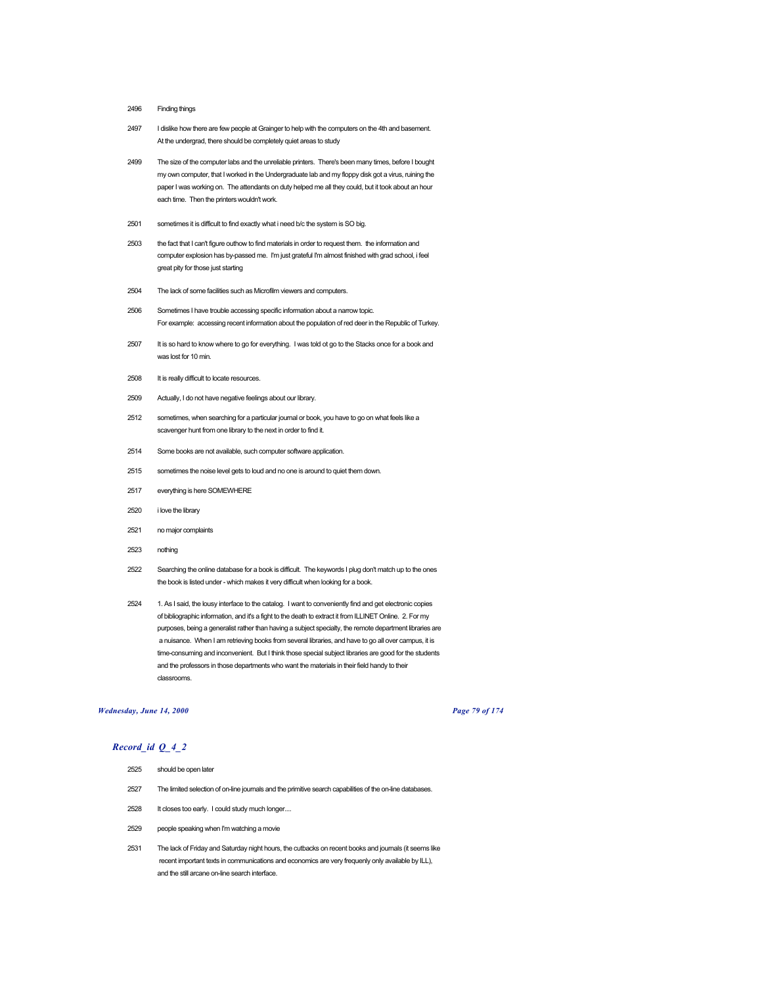# 2496 Finding things

- 2497 I dislike how there are few people at Grainger to help with the computers on the 4th and basement. At the undergrad, there should be completely quiet areas to study
- 2499 The size of the computer labs and the unreliable printers. There's been many times, before I bought my own computer, that I worked in the Undergraduate lab and my floppy disk got a virus, ruining the paper I was working on. The attendants on duty helped me all they could, but it took about an hour each time. Then the printers wouldn't work.
- 2501 sometimes it is difficult to find exactly what i need b/c the system is SO big.
- 2503 the fact that I can't figure outhow to find materials in order to request them. the information and computer explosion has by-passed me. I'm just grateful I'm almost finished with grad school, i feel great pity for those just starting
- 2504 The lack of some facilities such as Microfilm viewers and computers.
- 2506 Sometimes I have trouble accessing specific information about a narrow topic. For example: accessing recent information about the population of red deer in the Republic of Turkey.
- 2507 It is so hard to know where to go for everything. I was told ot go to the Stacks once for a book and was lost for 10 min.
- 2508 It is really difficult to locate resources.
- 2509 Actually, I do not have negative feelings about our library.
- 2512 sometimes, when searching for a particular journal or book, you have to go on what feels like a scavenger hunt from one library to the next in order to find it.
- 2514 Some books are not available, such computer software application.
- 2515 sometimes the noise level gets to loud and no one is around to quiet them down.
- 2517 everything is here SOMEWHERE
- 2520 i love the library
- 2521 no major complaints
- 2523 nothing
- 2522 Searching the online database for a book is difficult. The keywords I plug don't match up to the ones the book is listed under - which makes it very difficult when looking for a book.
- 2524 1. As I said, the lousy interface to the catalog. I want to conveniently find and get electronic copies of bibliographic information, and it's a fight to the death to extract it from ILLINET Online. 2. For my purposes, being a generalist rather than having a subject specialty, the remote department libraries are a nuisance. When I am retrieving books from several libraries, and have to go all over campus, it is time-consuming and inconvenient. But I think those special subject libraries are good for the students and the professors in those departments who want the materials in their field handy to their classrooms.

#### *Wednesday, June 14, 2000 Page 79 of 174*

- 2525 should be open later
- 2527 The limited selection of on-line journals and the primitive search capabilities of the on-line databases.
- 2528 It closes too early. I could study much longer....
- 2529 people speaking when I'm watching a movie
- 2531 The lack of Friday and Saturday night hours, the cutbacks on recent books and journals (it seems like recent important texts in communications and economics are very frequenly only available by ILL), and the still arcane on-line search interface.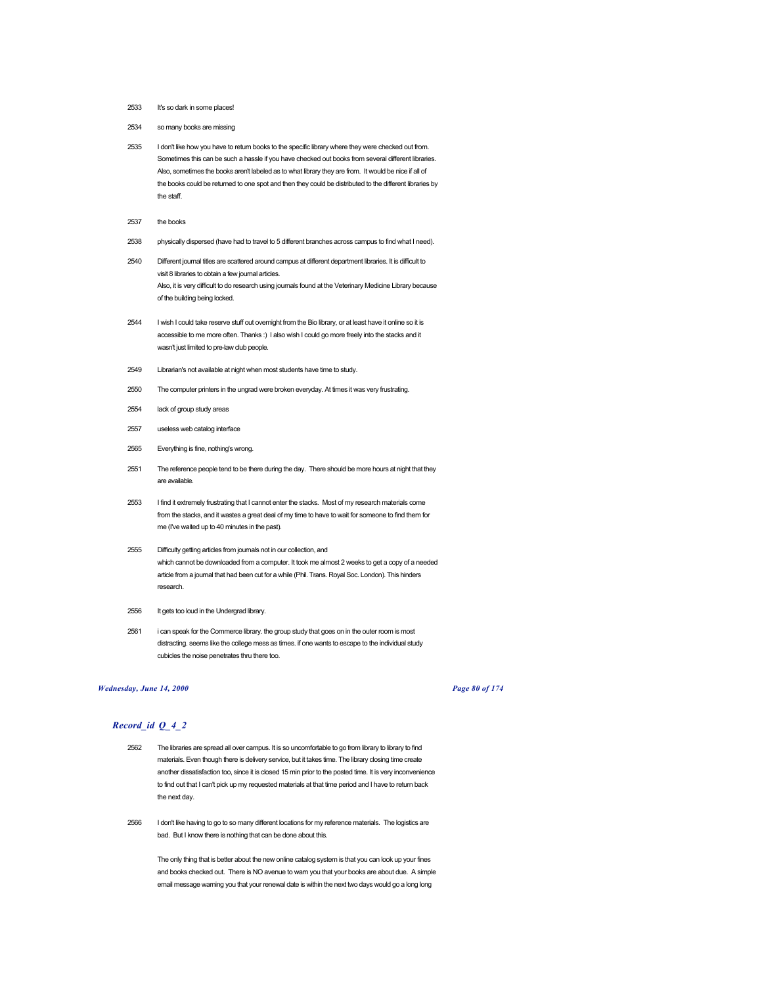- 2533 It's so dark in some places!
- 2534 so many books are missing
- 2535 I don't like how you have to return books to the specific library where they were checked out from. Sometimes this can be such a hassle if you have checked out books from several different libraries. Also, sometimes the books aren't labeled as to what library they are from. It would be nice if all of the books could be returned to one spot and then they could be distributed to the different libraries by the staff.
- 2537 the books
- 2538 physically dispersed (have had to travel to 5 different branches across campus to find what I need).
- 2540 Different journal titles are scattered around campus at different department libraries. It is difficult to visit 8 libraries to obtain a few journal articles. Also, it is very difficult to do research using journals found at the Veterinary Medicine Library because of the building being locked.
- 2544 I wish I could take reserve stuff out overnight from the Bio library, or at least have it online so it is accessible to me more often. Thanks :) I also wish I could go more freely into the stacks and it wasn't just limited to pre-law club people.
- 2549 Librarian's not available at night when most students have time to study.
- 2550 The computer printers in the ungrad were broken everyday. At times it was very frustrating.
- 2554 lack of group study areas
- 2557 useless web catalog interface
- 2565 Everything is fine, nothing's wrong.
- 2551 The reference people tend to be there during the day. There should be more hours at night that they are available.
- 2553 I find it extremely frustrating that I cannot enter the stacks. Most of my research materials come from the stacks, and it wastes a great deal of my time to have to wait for someone to find them for me (I've waited up to 40 minutes in the past).
- 2555 Difficulty getting articles from journals not in our collection, and which cannot be downloaded from a computer. It took me almost 2 weeks to get a copy of a needed article from a journal that had been cut for a while (Phil. Trans. Royal Soc. London). This hinders research.
- 2556 It gets too loud in the Undergrad library.
- 2561 i can speak for the Commerce library. the group study that goes on in the outer room is most distracting. seems like the college mess as times. if one wants to escape to the individual study cubicles the noise penetrates thru there too.

## *Wednesday, June 14, 2000 Page 80 of 174*

## *Record\_id Q\_4\_2*

- 2562 The libraries are spread all over campus. It is so uncomfortable to go from library to library to find materials. Even though there is delivery service, but it takes time. The library closing time create another dissatisfaction too, since it is closed 15 min prior to the posted time. It is very inconvenience to find out that I can't pick up my requested materials at that time period and I have to return back the next day.
- 2566 I don't like having to go to so many different locations for my reference materials. The logistics are bad. But I know there is nothing that can be done about this.

The only thing that is better about the new online catalog system is that you can look up your fines and books checked out. There is NO avenue to warn you that your books are about due. A simple email message warning you that your renewal date is within the next two days would go a long long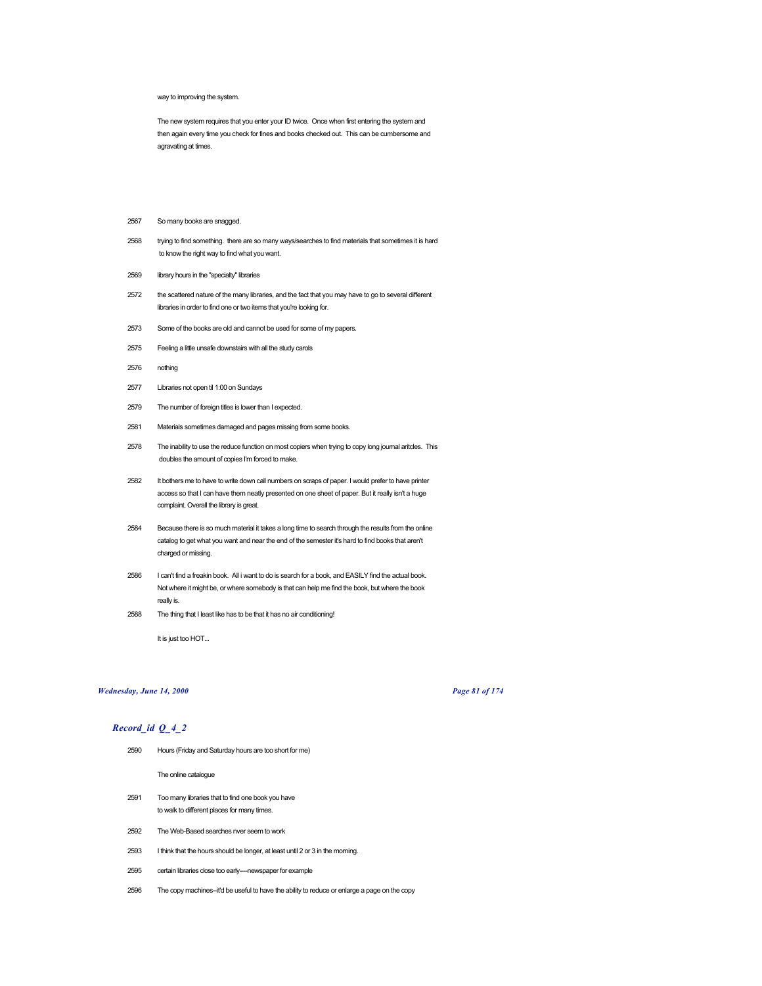#### way to improving the system.

The new system requires that you enter your ID twice. Once when first entering the system and then again every time you check for fines and books checked out. This can be cumbersome and agravating at times.

- 2567 So many books are snagged.
- 2568 trying to find something. there are so many ways/searches to find materials that sometimes it is hard to know the right way to find what you want.
- 2569 library hours in the "specialty" libraries
- 2572 the scattered nature of the many libraries, and the fact that you may have to go to several different libraries in order to find one or two items that you're looking for.
- 2573 Some of the books are old and cannot be used for some of my papers.
- 2575 Feeling a little unsafe downstairs with all the study carols
- 2576 nothing
- 2577 Libraries not open til 1:00 on Sundays
- 2579 The number of foreign titles is lower than I expected.
- 2581 Materials sometimes damaged and pages missing from some books.
- 2578 The inability to use the reduce function on most copiers when trying to copy long journal aritcles. This doubles the amount of copies I'm forced to make.
- 2582 It bothers me to have to write down call numbers on scraps of paper. I would prefer to have printer access so that I can have them neatly presented on one sheet of paper. But it really isn't a huge complaint. Overall the library is great.
- 2584 Because there is so much material it takes a long time to search through the results from the online catalog to get what you want and near the end of the semester it's hard to find books that aren't charged or missing.
- 2586 I can't find a freakin book. All i want to do is search for a book, and EASILY find the actual book. Not where it might be, or where somebody is that can help me find the book, but where the book really is.
- 2588 The thing that I least like has to be that it has no air conditioning!

It is just too HOT...

# *Wednesday, June 14, 2000 Page 81 of 174*

## *Record\_id Q\_4\_2*

2590 Hours (Friday and Saturday hours are too short for me)

The online catalogue

- 2591 Too many libraries that to find one book you have to walk to different places for many times.
- 2592 The Web-Based searches nver seem to work
- 2593 I think that the hours should be longer, at least until 2 or 3 in the morning.
- 2595 certain libraries close too early----newspaper for example
- 2596 The copy machines--it'd be useful to have the ability to reduce or enlarge a page on the copy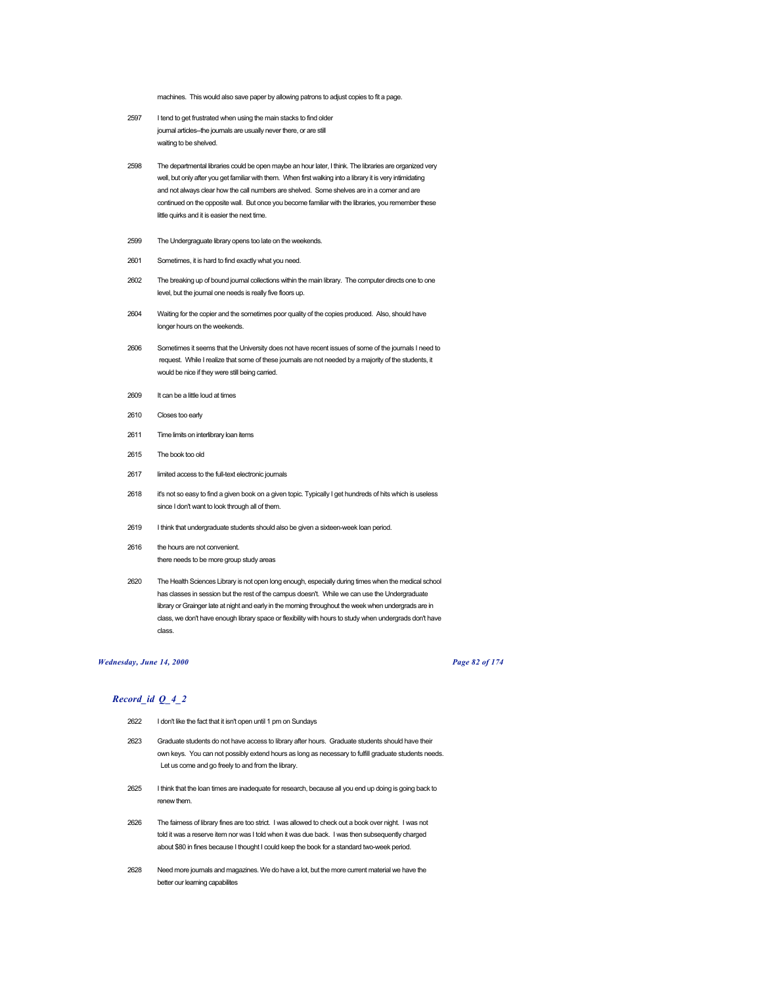machines. This would also save paper by allowing patrons to adjust copies to fit a page.

- 2597 I tend to get frustrated when using the main stacks to find older journal articles-the journals are usually never there, or are still waiting to be shelved.
- 2598 The departmental libraries could be open maybe an hour later, I think. The libraries are organized very well, but only after you get familiar with them. When first walking into a library it is very intimidating and not always clear how the call numbers are shelved. Some shelves are in a corner and are continued on the opposite wall. But once you become familiar with the libraries, you remember these little quirks and it is easier the next time.
- 2599 The Undergraguate library opens too late on the weekends.
- 2601 Sometimes, it is hard to find exactly what you need.
- 2602 The breaking up of bound journal collections within the main library. The computer directs one to one level, but the journal one needs is really five floors up.
- 2604 Waiting for the copier and the sometimes poor quality of the copies produced. Also, should have longer hours on the weekends.
- 2606 Sometimes it seems that the University does not have recent issues of some of the journals I need to request. While I realize that some of these journals are not needed by a majority of the students, it would be nice if they were still being carried.
- 2609 It can be a little loud at times
- 2610 Closes too early
- 2611 Time limits on interlibrary loan items
- 2615 The book too old
- 2617 limited access to the full-text electronic journals
- 2618 it's not so easy to find a given book on a given topic. Typically I get hundreds of hits which is useless since I don't want to look through all of them.
- 2619 I think that undergraduate students should also be given a sixteen-week loan period.
- 2616 the hours are not convenient. there needs to be more group study areas
- 2620 The Health Sciences Library is not open long enough, especially during times when the medical school has classes in session but the rest of the campus doesn't. While we can use the Undergraduate library or Grainger late at night and early in the morning throughout the week when undergrads are in class, we don't have enough library space or flexibility with hours to study when undergrads don't have class.

### *Wednesday, June 14, 2000 Page 82 of 174*

- 2622 I don't like the fact that it isn't open until 1 pm on Sundays
- 2623 Graduate students do not have access to library after hours. Graduate students should have their own keys. You can not possibly extend hours as long as necessary to fulfill graduate students needs. Let us come and go freely to and from the library.
- 2625 I think that the loan times are inadequate for research, because all you end up doing is going back to renew them.
- 2626 The fairness of library fines are too strict. I was allowed to check out a book over night. I was not told it was a reserve item nor was I told when it was due back. I was then subsequently charged about \$80 in fines because I thought I could keep the book for a standard two-week period.
- 2628 Need more journals and magazines. We do have a lot, but the more current material we have the better our learning capabilites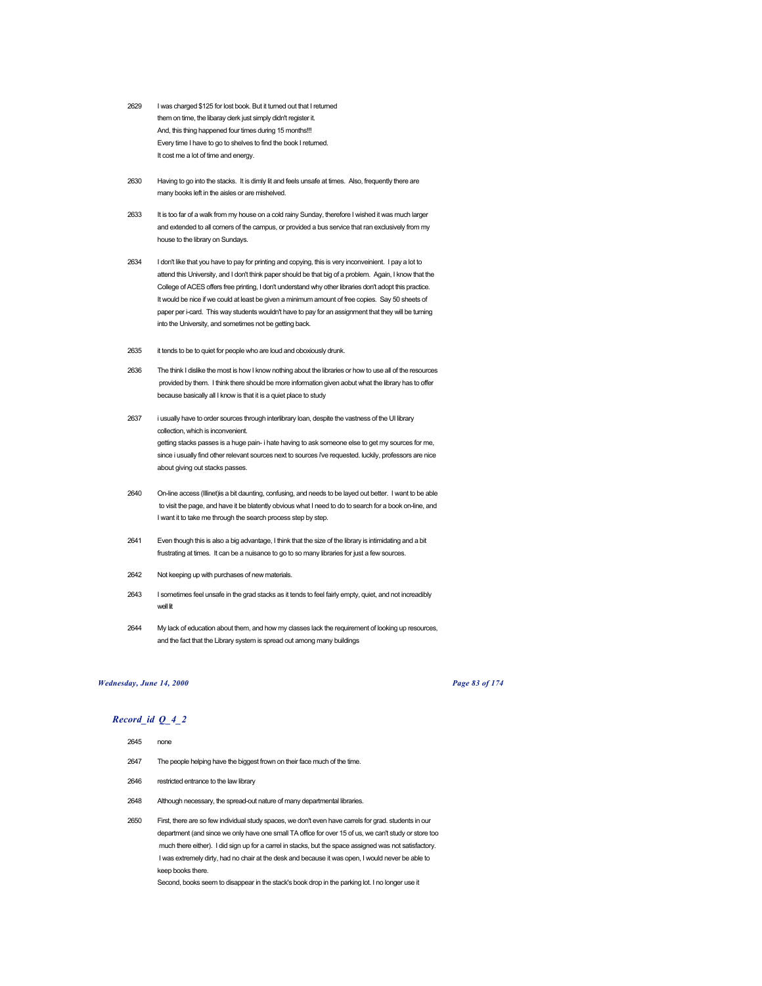- 2629 I was charged \$125 for lost book. But it turned out that I returned them on time, the libaray clerk just simply didn't register it. And, this thing happened four times during 15 months!!! Every time I have to go to shelves to find the book I returned. It cost me a lot of time and energy.
- 2630 Having to go into the stacks. It is dimly lit and feels unsafe at times. Also, frequently there are many books left in the aisles or are mishelved.
- 2633 It is too far of a walk from my house on a cold rainy Sunday, therefore I wished it was much larger and extended to all corners of the campus, or provided a bus service that ran exclusively from my house to the library on Sundays.
- 2634 I don't like that you have to pay for printing and copying, this is very inconveinient. I pay a lot to attend this University, and I don't think paper should be that big of a problem. Again, I know that the College of ACES offers free printing, I don't understand why other libraries don't adopt this practice. It would be nice if we could at least be given a minimum amount of free copies. Say 50 sheets of paper per i-card. This way students wouldn't have to pay for an assignment that they will be turning into the University, and sometimes not be getting back.
- 2635 it tends to be to quiet for people who are loud and oboxiously drunk.
- 2636 The think I dislike the most is how I know nothing about the libraries or how to use all of the resources provided by them. I think there should be more information given aobut what the library has to offer because basically all I know is that it is a quiet place to study
- 2637 i usually have to order sources through interlibrary loan, despite the vastness of the UI library collection, which is inconvenient. getting stacks passes is a huge pain- i hate having to ask someone else to get my sources for me, since i usually find other relevant sources next to sources i've requested. luckily, professors are nice about giving out stacks passes.
- 2640 On-line access (Illinet)is a bit daunting, confusing, and needs to be layed out better. I want to be able to visit the page, and have it be blatently obvious what I need to do to search for a book on-line, and I want it to take me through the search process step by step.
- 2641 Even though this is also a big advantage, I think that the size of the library is intimidating and a bit frustrating at times. It can be a nuisance to go to so many libraries for just a few sources.
- 2642 Not keeping up with purchases of new materials.
- 2643 I sometimes feel unsafe in the grad stacks as it tends to feel fairly empty, quiet, and not increadibly well lit
- 2644 My lack of education about them, and how my classes lack the requirement of looking up resources, and the fact that the Library system is spread out among many buildings

### *Wednesday, June 14, 2000 Page 83 of 174*

### *Record\_id Q\_4\_2*

- 2645 none
- 2647 The people helping have the biggest frown on their face much of the time.
- 2646 restricted entrance to the law library
- 2648 Although necessary, the spread-out nature of many departmental libraries.

2650 First, there are so few individual study spaces, we don't even have carrels for grad. students in our department (and since we only have one small TA office for over 15 of us, we can't study or store too much there either). I did sign up for a carrel in stacks, but the space assigned was not satisfactory. I was extremely dirty, had no chair at the desk and because it was open, I would never be able to keep books there.

Second, books seem to disappear in the stack's book drop in the parking lot. I no longer use it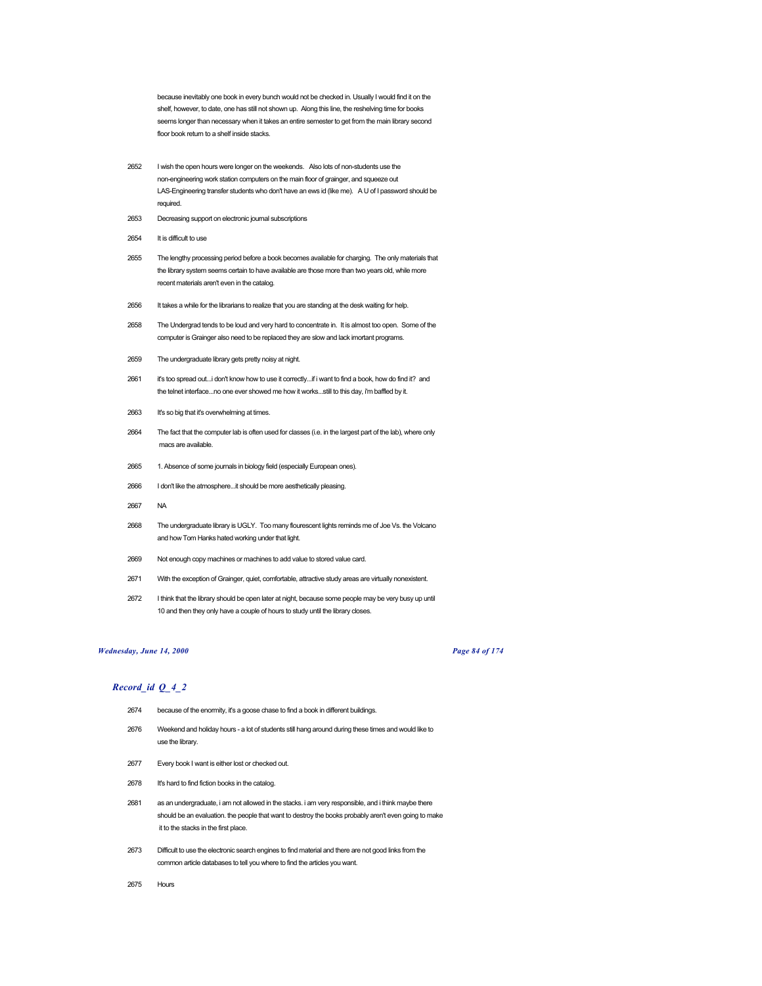because inevitably one book in every bunch would not be checked in. Usually I would find it on the shelf, however, to date, one has still not shown up. Along this line, the reshelving time for books seems longer than necessary when it takes an entire semester to get from the main library second floor book return to a shelf inside stacks.

- 2652 I wish the open hours were longer on the weekends. Also lots of non-students use the non-engineering work station computers on the main floor of grainger, and squeeze out LAS-Engineering transfer students who don't have an ews id (like me). A U of I password should be required.
- 2653 Decreasing support on electronic journal subscriptions
- 2654 It is difficult to use
- 2655 The lengthy processing period before a book becomes available for charging. The only materials that the library system seems certain to have available are those more than two years old, while more recent materials aren't even in the catalog.
- 2656 It takes a while for the librarians to realize that you are standing at the desk waiting for help.
- 2658 The Undergrad tends to be loud and very hard to concentrate in. It is almost too open. Some of the computer is Grainger also need to be replaced they are slow and lack imortant programs.
- 2659 The undergraduate library gets pretty noisy at night.
- 2661 it's too spread out...i don't know how to use it correctly...if i want to find a book, how do find it? and the telnet interface...no one ever showed me how it works...still to this day, i'm baffled by it.
- 2663 It's so big that it's overwhelming at times.
- 2664 The fact that the computer lab is often used for classes (i.e. in the largest part of the lab), where only macs are available.
- 2665 1. Absence of some journals in biology field (especially European ones).
- 2666 I don't like the atmosphere...it should be more aesthetically pleasing.
- 2667 NA
- 2668 The undergraduate library is UGLY. Too many flourescent lights reminds me of Joe Vs. the Volcano and how Tom Hanks hated working under that light.
- 2669 Not enough copy machines or machines to add value to stored value card.
- 2671 With the exception of Grainger, quiet, comfortable, attractive study areas are virtually nonexistent.
- 2672 I think that the library should be open later at night, because some people may be very busy up until 10 and then they only have a couple of hours to study until the library closes.

### *Wednesday, June 14, 2000 Page 84 of 174*

- 2674 because of the enormity, it's a goose chase to find a book in different buildings.
- 2676 Weekend and holiday hours a lot of students still hang around during these times and would like to use the library.
- 2677 Every book I want is either lost or checked out.
- 2678 It's hard to find fiction books in the catalog.
- 2681 as an undergraduate, i am not allowed in the stacks. i am very responsible, and i think maybe there should be an evaluation. the people that want to destroy the books probably aren't even going to make it to the stacks in the first place.
- 2673 Difficult to use the electronic search engines to find material and there are not good links from the common article databases to tell you where to find the articles you want.
- 2675 Hours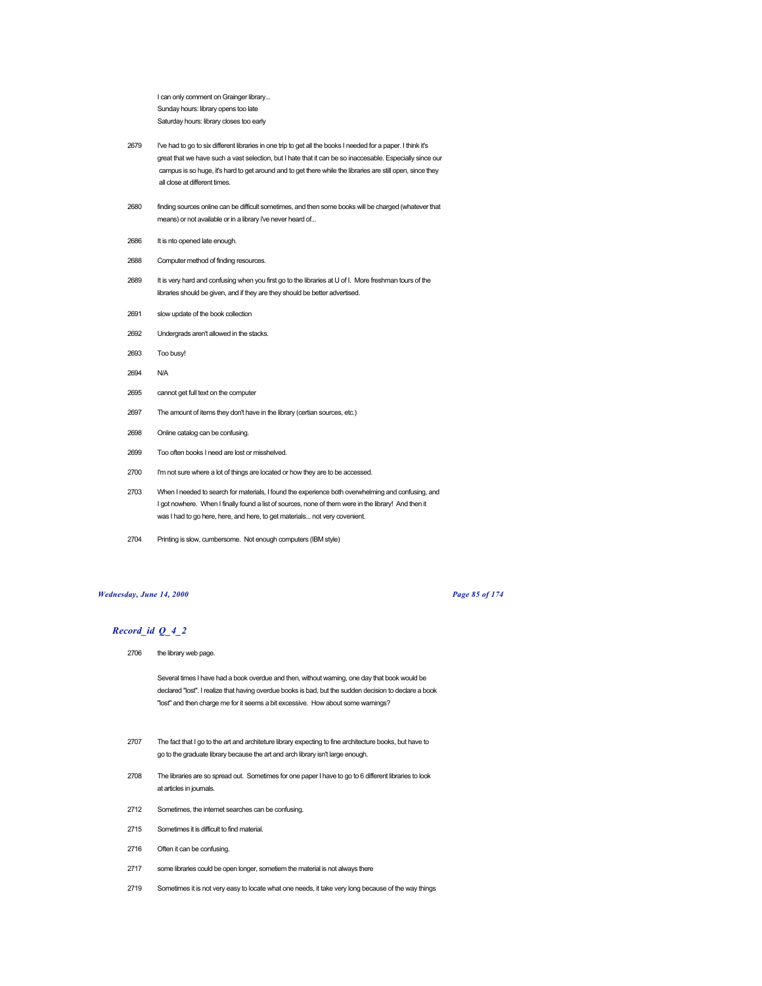I can only comment on Grainger library... Sunday hours: library opens too late Saturday hours: library closes too early

- 2679 I've had to go to six different libraries in one trip to get all the books I needed for a paper. I think it's great that we have such a vast selection, but I hate that it can be so inaccesable. Especially since our campus is so huge, it's hard to get around and to get there while the libraries are still open, since they all close at different times.
- 2680 finding sources online can be difficult sometimes, and then some books will be charged (whatever that means) or not available or in a library i've never heard of...
- 2686 It is nto opened late enough.
- 2688 Computer method of finding resources.
- 2689 It is very hard and confusing when you first go to the libraries at U of I. More freshman tours of the libraries should be given, and if they are they should be better advertised.
- 2691 slow update of the book collection
- 2692 Undergrads aren't allowed in the stacks.
- 2693 Too busy!
- 2694 N/A
- 2695 cannot get full text on the computer
- 2697 The amount of items they don't have in the library (certian sources, etc.)
- 2698 Online catalog can be confusing.
- 2699 Too often books I need are lost or misshelved.
- 2700 I'm not sure where a lot of things are located or how they are to be accessed.
- 2703 When I needed to search for materials, I found the experience both overwhelming and confusing, and I got nowhere. When I finally found a list of sources, none of them were in the library! And then it was I had to go here, here, and here, to get materials... not very covenient.
- 2704 Printing is slow, cumbersome. Not enough computers (IBM style)

### *Wednesday, June 14, 2000 Page 85 of 174*

# *Record\_id Q\_4\_2*

2706 the library web page.

Several times I have had a book overdue and then, without warning, one day that book would be declared "lost". I realize that having overdue books is bad, but the sudden decision to declare a book "lost" and then charge me for it seems a bit excessive. How about some warnings?

- 2707 The fact that I go to the art and architeture library expecting to fine architecture books, but have to go to the graduate library because the art and arch library isn't large enough.
- 2708 The libraries are so spread out. Sometimes for one paper I have to go to 6 different libraries to look at articles in journals.
- 2712 Sometimes, the internet searches can be confusing.
- 2715 Sometimes it is difficult to find material.
- 2716 Often it can be confusing.
- 2717 some libraries could be open longer, sometiem the material is not always there
- 2719 Sometimes it is not very easy to locate what one needs, it take very long because of the way things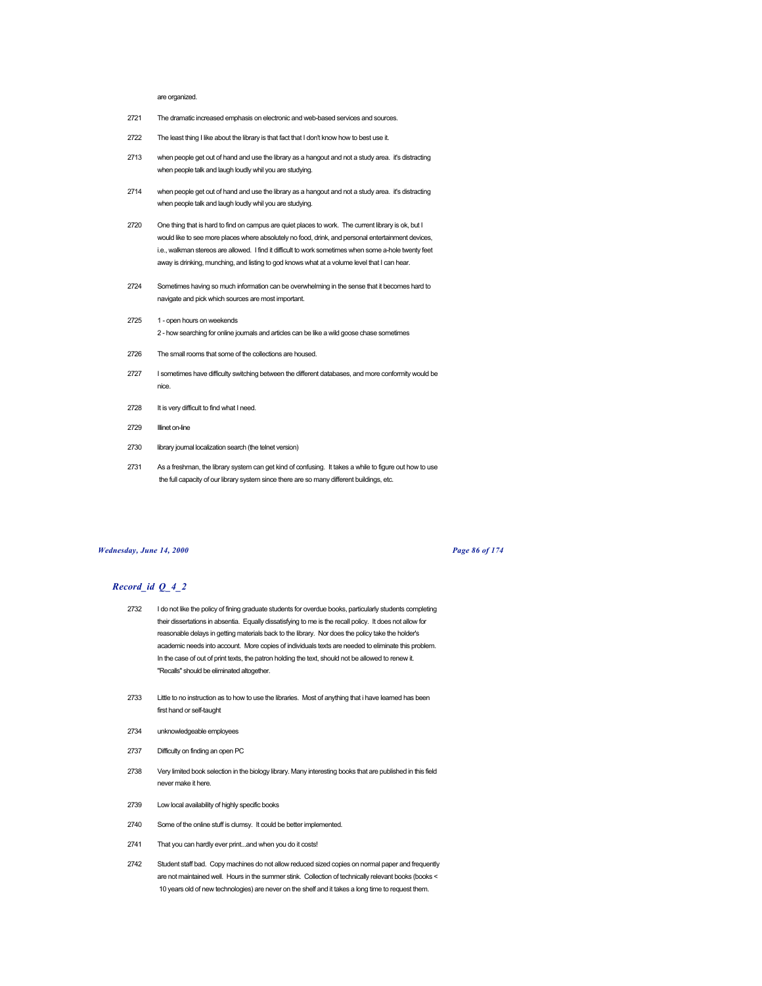#### are organized.

- 2721 The dramatic increased emphasis on electronic and web-based services and sources.
- 2722 The least thing I like about the library is that fact that I don't know how to best use it.
- 2713 when people get out of hand and use the library as a hangout and not a study area. it's distracting when people talk and laugh loudly whil you are studying.
- 2714 when people get out of hand and use the library as a hangout and not a study area. it's distracting when people talk and laugh loudly whil you are studying.
- 2720 One thing that is hard to find on campus are quiet places to work. The current library is ok, but I would like to see more places where absolutely no food, drink, and personal entertainment devices, i.e., walkman stereos are allowed. I find it difficult to work sometimes when some a-hole twenty feet away is drinking, munching, and listing to god knows what at a volume level that I can hear.
- 2724 Sometimes having so much information can be overwhelming in the sense that it becomes hard to navigate and pick which sources are most important.
- 2725 1 open hours on weekends 2 - how searching for online journals and articles can be like a wild goose chase sometimes
- 2726 The small rooms that some of the collections are housed.
- 2727 I sometimes have difficulty switching between the different databases, and more conformity would be nice.
- 2728 It is very difficult to find what I need.
- 2729 Illinet on-line
- 2730 library journal localization search (the telnet version)
- 2731 As a freshman, the library system can get kind of confusing. It takes a while to figure out how to use the full capacity of our library system since there are so many different buildings, etc.

#### *Wednesday, June 14, 2000 Page 86 of 174*

- 2732 I do not like the policy of fining graduate students for overdue books, particularly students completing their dissertations in absentia. Equally dissatisfying to me is the recall policy. It does not allow for reasonable delays in getting materials back to the library. Nor does the policy take the holder's academic needs into account. More copies of individuals texts are needed to eliminate this problem. In the case of out of print texts, the patron holding the text, should not be allowed to renew it. "Recalls" should be eliminated altogether.
- 2733 Little to no instruction as to how to use the libraries. Most of anything that i have learned has been first hand or self-taught
- 2734 unknowledgeable employees
- 2737 Difficulty on finding an open PC
- 2738 Very limited book selection in the biology library. Many interesting books that are published in this field never make it here.
- 2739 Low local availability of highly specific books
- 2740 Some of the online stuff is clumsy. It could be better implemented.
- 2741 That you can hardly ever print...and when you do it costs!
- 2742 Student staff bad. Copy machines do not allow reduced sized copies on normal paper and frequently are not maintained well. Hours in the summer stink. Collection of technically relevant books (books < 10 years old of new technologies) are never on the shelf and it takes a long time to request them.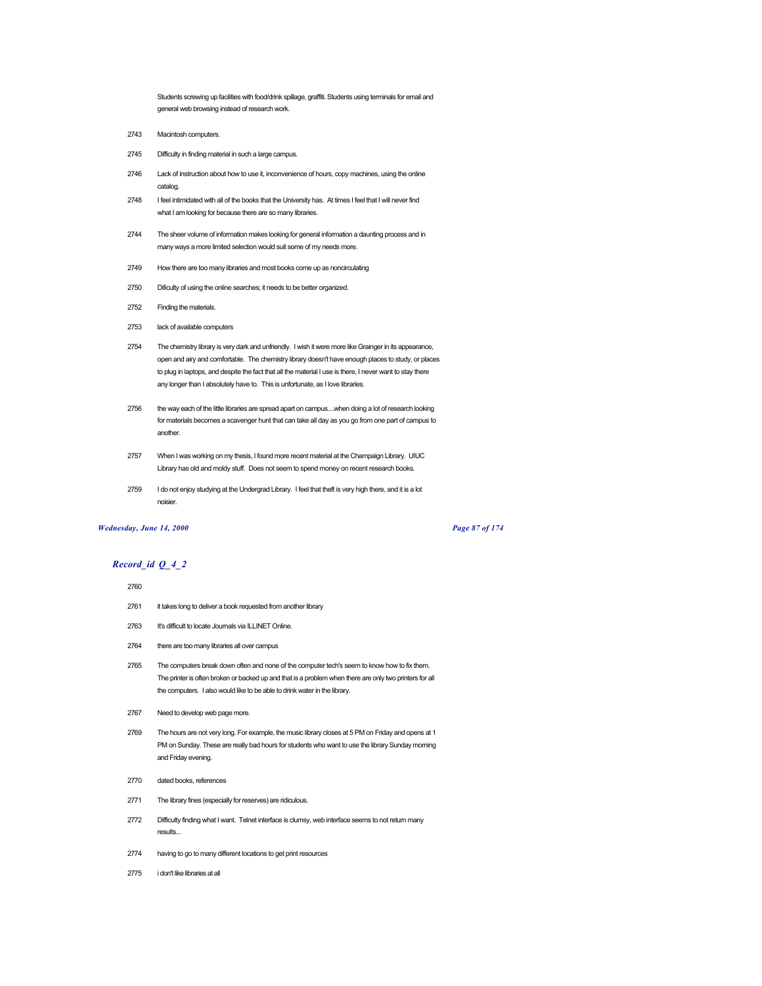Students screwing up facilities with food/drink spillage, graffiti. Students using terminals for email and general web browsing instead of research work.

- 2743 Macintosh computers.
- 2745 Difficulty in finding material in such a large campus.
- 2746 Lack of instruction about how to use it, inconvenience of hours, copy machines, using the online catalog.
- 2748 I feel intimidated with all of the books that the University has. At times I feel that I will never find what I am looking for because there are so many libraries.
- 2744 The sheer volume of information makes looking for general information a daunting process and in many ways a more limited selection would suit some of my needs more.
- 2749 How there are too many libraries and most books come up as noncirculating
- 2750 Dificulty of using the online searches; it needs to be better organized.
- 2752 Finding the materials.
- 2753 lack of available computers
- 2754 The chemistry library is very dark and unfriendly. I wish it were more like Grainger in its appearance, open and airy and comfortable. The chemistry library doesn't have enough places to study, or places to plug in laptops, and despite the fact that all the material I use is there, I never want to stay there any longer than I absolutely have to. This is unfortunate, as I love libraries.
- 2756 the way each of the little libraries are spread apart on campus....when doing a lot of research looking for materials becomes a scavenger hunt that can take all day as you go from one part of campus to another.
- 2757 When I was working on my thesis, I found more recent material at the Champaign Library. UIUC Library has old and moldy stuff. Does not seem to spend money on recent research books.
- 2759 I do not enjoy studying at the Undergrad Library. I feel that theft is very high there, and it is a lot noisier.

# *Wednesday, June 14, 2000 Page 87 of 174*

### *Record\_id Q\_4\_2*

#### 2760

- 2761 it takes long to deliver a book requested from another library
- 2763 It's difficult to locate Journals via ILLINET Online.
- 2764 there are too many libraries all over campus
- 2765 The computers break down often and none of the computer tech's seem to know how to fix them. The printer is often broken or backed up and that is a problem when there are only two printers for all the computers. I also would like to be able to drink water in the library.
- 2767 Need to develop web page more.
- 2769 The hours are not very long. For example, the music library closes at 5 PM on Friday and opens at 1 PM on Sunday. These are really bad hours for students who want to use the library Sunday morning and Friday evening.
- 2770 dated books, references
- 2771 The library fines (especially for reserves) are ridiculous.
- 2772 Difficulty finding what I want. Telnet interface is clumsy, web interface seems to not return many results...
- 2774 having to go to many different locations to get print resources
- 2775 i don't like libraries at all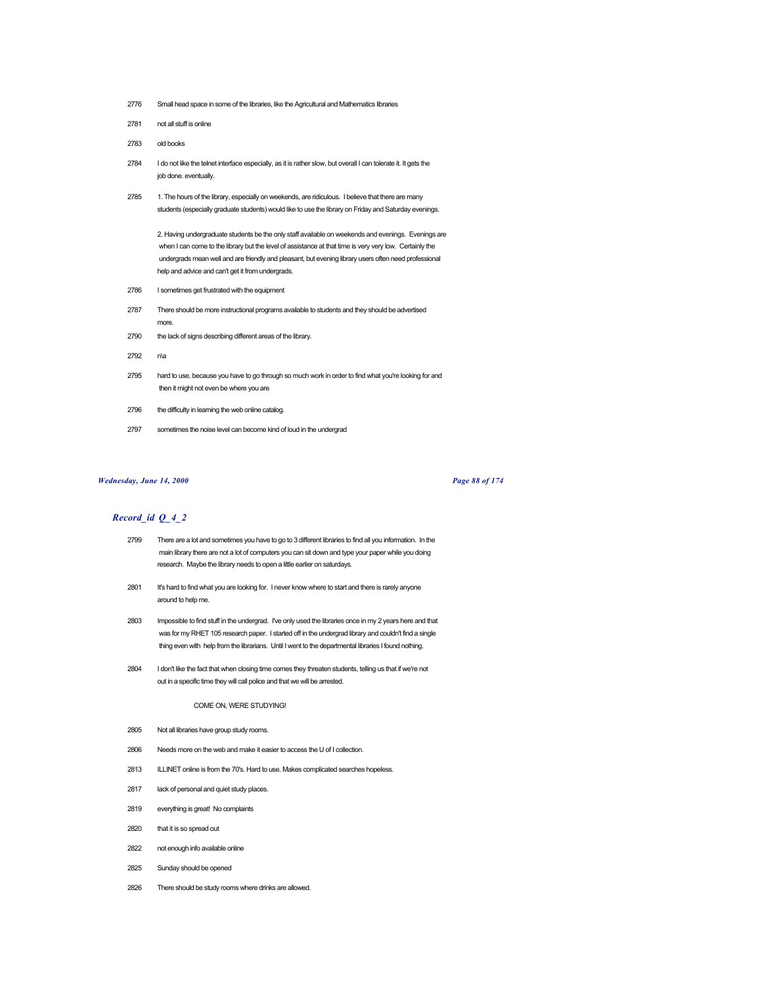- 2776 Small head space in some of the libraries, like the Agricultural and Mathematics libraries
- 2781 not all stuff is online
- 2783 old books
- 2784 I do not like the telnet interface especially, as it is rather slow, but overall I can tolerate it. It gets the job done. eventually.
- 2785 1. The hours of the library, especially on weekends, are ridiculous. I believe that there are many students (especially graduate students) would like to use the library on Friday and Saturday evenings.

2. Having undergraduate students be the only staff available on weekends and evenings. Evenings are when I can come to the library but the level of assistance at that time is very very low. Certainly the undergrads mean well and are friendly and pleasant, but evening library users often need professional help and advice and can't get it from undergrads.

- 2786 I sometimes get frustrated with the equipment
- 2787 There should be more instructional programs available to students and they should be advertised more.
- 2790 the lack of signs describing different areas of the library.
- 2792 n\a
- 2795 hard to use, because you have to go through so much work in order to find what you're looking for and then it might not even be where you are
- 2796 the difficulty in learning the web online catalog.
- 2797 sometimes the noise level can become kind of loud in the undergrad

### *Wednesday, June 14, 2000 Page 88 of 174*

### *Record\_id Q\_4\_2*

- 2799 There are a lot and sometimes you have to go to 3 different libraries to find all you information. In the main library there are not a lot of computers you can sit down and type your paper while you doing research. Maybe the library needs to open a little earlier on saturdays.
- 2801 It's hard to find what you are looking for. I never know where to start and there is rarely anyone around to help me.
- 2803 Impossible to find stuff in the undergrad. I've only used the libraries once in my 2 years here and that was for my RHET 105 research paper. I started off in the undergrad library and couldn't find a single thing even with help from the librarians. Until I went to the departmental libraries I found nothing.
- 2804 I don't like the fact that when closing time comes they threaten students, telling us that if we're not out in a specific time they will call police and that we will be arrested.

#### COME ON, WERE STUDYING!

- 2805 Not all libraries have group study rooms.
- 2806 Needs more on the web and make it easier to access the U of I collection.
- 2813 ILLINET online is from the 70's. Hard to use. Makes complicated searches hopeless.
- 2817 lack of personal and quiet study places.
- 2819 everything is great! No complaints
- 2820 that it is so spread out
- 2822 not enough info available online
- 2825 Sunday should be opened
- 2826 There should be study rooms where drinks are allowed.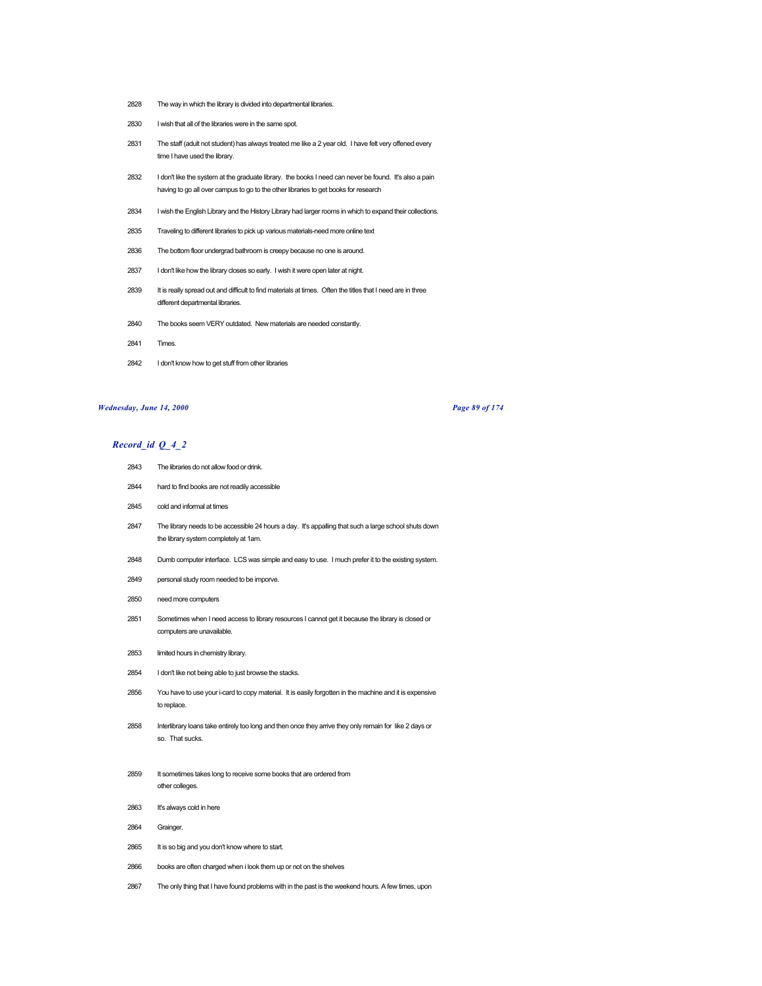- The way in which the library is divided into departmental libraries.
- I wish that all of the libraries were in the same spot.
- The staff (adult not student) has always treated me like a 2 year old. I have felt very offened every time I have used the library.
- I don't like the system at the graduate library. the books I need can never be found. It's also a pain having to go all over campus to go to the other libraries to get books for research
- I wish the English Library and the History Library had larger rooms in which to expand their collections.
- Traveling to different libraries to pick up various materials-need more online text
- The bottom floor undergrad bathroom is creepy because no one is around.
- I don't like how the library closes so early. I wish it were open later at night.
- 2839 It is really spread out and difficult to find materials at times. Often the titles that I need are in three different departmental libraries.
- The books seem VERY outdated. New materials are needed constantly.
- Times.
- I don't know how to get stuff from other libraries

### *Wednesday, June 14, 2000 Page 89 of 174*

- The libraries do not allow food or drink.
- hard to find books are not readily accessible
- cold and informal at times
- The library needs to be accessible 24 hours a day. It's appalling that such a large school shuts down the library system completely at 1am.
- Dumb computer interface. LCS was simple and easy to use. I much prefer it to the existing system.
- personal study room needed to be imporve.
- need more computers
- Sometimes when I need access to library resources I cannot get it because the library is closed or computers are unavailable.
- limited hours in chemistry library.
- I don't like not being able to just browse the stacks.
- You have to use your i-card to copy material. It is easily forgotten in the machine and it is expensive to replace.
- Interlibrary loans take entirely too long and then once they arrive they only remain for like 2 days or so. That sucks.
- It sometimes takes long to receive some books that are ordered from other colleges.
- It's always cold in here
- Grainger.
- 2865 It is so big and you don't know where to start.
- books are often charged when i look them up or not on the shelves
- The only thing that I have found problems with in the past is the weekend hours. A few times, upon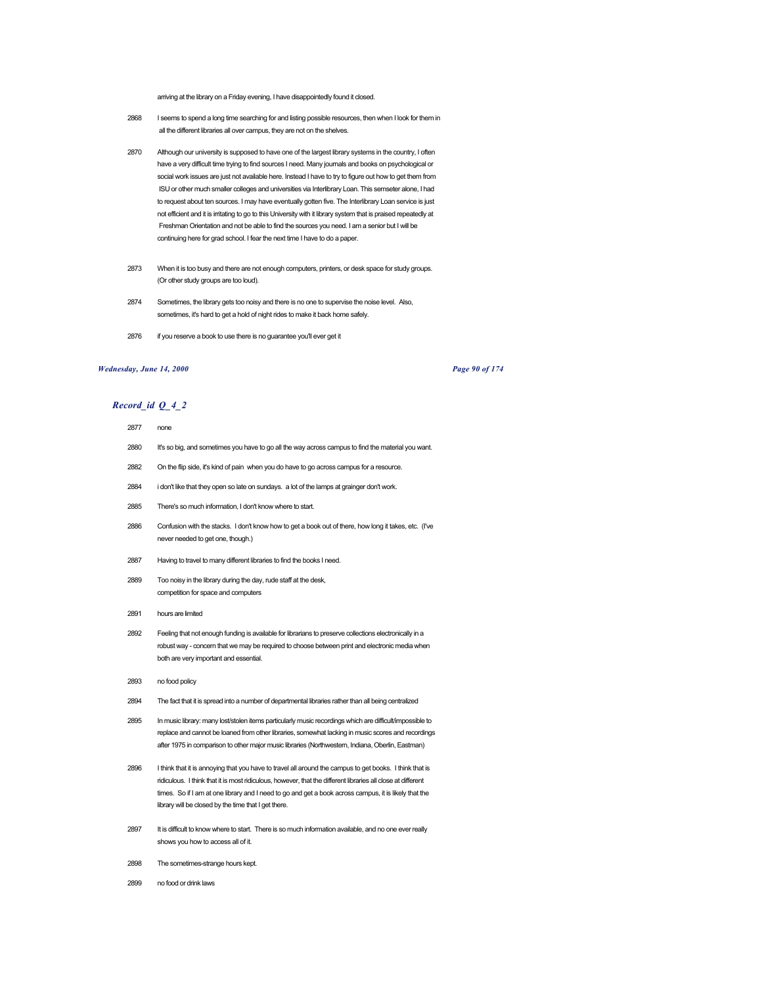arriving at the library on a Friday evening, I have disappointedly found it closed.

- 2868 I seems to spend a long time searching for and listing possible resources, then when I look for them in all the different libraries all over campus, they are not on the shelves.
- 2870 Although our university is supposed to have one of the largest library systems in the country, I often have a very difficult time trying to find sources I need. Many journals and books on psychological or social work issues are just not available here. Instead I have to try to figure out how to get them from ISU or other much smaller colleges and universities via Interlibrary Loan. This semseter alone, I had to request about ten sources. I may have eventually gotten five. The Interlibrary Loan service is just not efficient and it is irritating to go to this University with it library system that is praised repeatedly at Freshman Orientation and not be able to find the sources you need. I am a senior but I will be continuing here for grad school. I fear the next time I have to do a paper.
- 2873 When it is too busy and there are not enough computers, printers, or desk space for study groups. (Or other study groups are too loud).
- 2874 Sometimes, the library gets too noisy and there is no one to supervise the noise level. Also, sometimes, it's hard to get a hold of night rides to make it back home safely.
- 2876 if you reserve a book to use there is no guarantee you'll ever get it

## *Wednesday, June 14, 2000 Page 90 of 174*

# *Record\_id Q\_4\_2*

#### 2877 none

- 2880 It's so big, and sometimes you have to go all the way across campus to find the material you want.
- 2882 On the flip side, it's kind of pain when you do have to go across campus for a resource.
- 2884 i don't like that they open so late on sundays. a lot of the lamps at grainger don't work.
- 2885 There's so much information, I don't know where to start.
- 2886 Confusion with the stacks. I don't know how to get a book out of there, how long it takes, etc. (I've never needed to get one, though.)
- 2887 Having to travel to many different libraries to find the books I need.
- 2889 Too noisy in the library during the day, rude staff at the desk, competition for space and computers
- 2891 hours are limited
- 2892 Feeling that not enough funding is available for librarians to preserve collections electronically in a robust way - concern that we may be required to choose between print and electronic media when both are very important and essential.
- 2893 no food policy
- 2894 The fact that it is spread into a number of departmental libraries rather than all being centralized
- 2895 In music library: many lost/stolen items particularly music recordings which are difficult/impossible to replace and cannot be loaned from other libraries, somewhat lacking in music scores and recordings after 1975 in comparison to other major music libraries (Northwestern, Indiana, Oberlin, Eastman)
- 2896 I think that it is annoying that you have to travel all around the campus to get books. I think that is ridiculous. I think that it is most ridiculous, however, that the different libraries all close at different times. So if I am at one library and I need to go and get a book across campus, it is likely that the library will be closed by the time that I get there.
- 2897 It is difficult to know where to start. There is so much information available, and no one ever really shows you how to access all of it.
- 2898 The sometimes-strange hours kept.
- 2899 no food or drink laws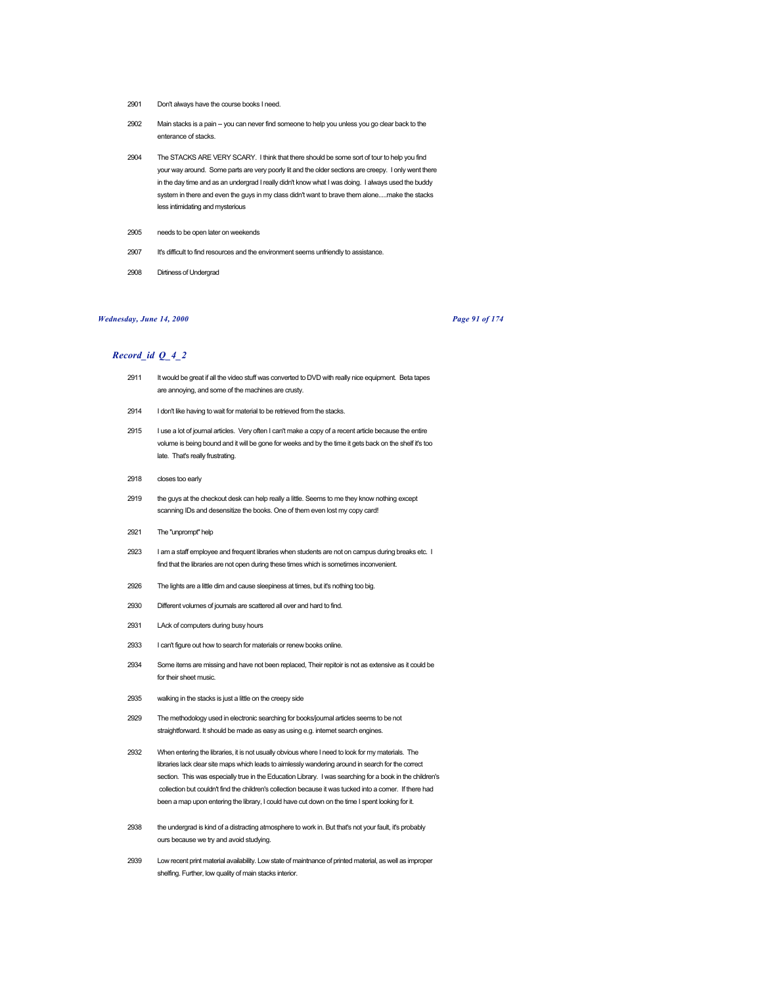- 2901 Don't always have the course books I need.
- 2902 Main stacks is a pain -- you can never find someone to help you unless you go clear back to the enterance of stacks.
- 2904 The STACKS ARE VERY SCARY. I think that there should be some sort of tour to help you find your way around. Some parts are very poorly lit and the older sections are creepy. I only went there in the day time and as an undergrad I really didn't know what I was doing. I always used the buddy system in there and even the guys in my class didn't want to brave them alone.....make the stacks less intimidating and mysterious
- 2905 needs to be open later on weekends
- 2907 It's difficult to find resources and the environment seems unfriendly to assistance.
- 2908 Dirtiness of Undergrad

#### *Wednesday, June 14, 2000 Page 91 of 174*

- 2911 It would be great if all the video stuff was converted to DVD with really nice equipment. Beta tapes are annoying, and some of the machines are crusty.
- 2914 I don't like having to wait for material to be retrieved from the stacks.
- 2915 I use a lot of journal articles. Very often I can't make a copy of a recent article because the entire volume is being bound and it will be gone for weeks and by the time it gets back on the shelf it's too late. That's really frustrating.
- 2918 closes too early
- 2919 the guys at the checkout desk can help really a little. Seems to me they know nothing except scanning IDs and desensitize the books. One of them even lost my copy card!
- 2921 The "unprompt" help
- 2923 I am a staff employee and frequent libraries when students are not on campus during breaks etc. I find that the libraries are not open during these times which is sometimes inconvenient.
- 2926 The lights are a little dim and cause sleepiness at times, but it's nothing too big.
- 2930 Different volumes of journals are scattered all over and hard to find.
- 2931 LAck of computers during busy hours
- 2933 I can't figure out how to search for materials or renew books online.
- 2934 Some items are missing and have not been replaced, Their repitoir is not as extensive as it could be for their sheet music.
- 2935 walking in the stacks is just a little on the creepy side
- 2929 The methodology used in electronic searching for books/journal articles seems to be not straightforward. It should be made as easy as using e.g. internet search engines.
- 2932 When entering the libraries, it is not usually obvious where I need to look for my materials. The libraries lack clear site maps which leads to aimlessly wandering around in search for the correct section. This was especially true in the Education Library. I was searching for a book in the children's collection but couldn't find the children's collection because it was tucked into a corner. If there had been a map upon entering the library, I could have cut down on the time I spent looking for it.
- 2938 the undergrad is kind of a distracting atmosphere to work in. But that's not your fault, it's probably ours because we try and avoid studying.
- 2939 Low recent print material availability. Low state of maintnance of printed material, as well as improper shelfing. Further, low quality of main stacks interior.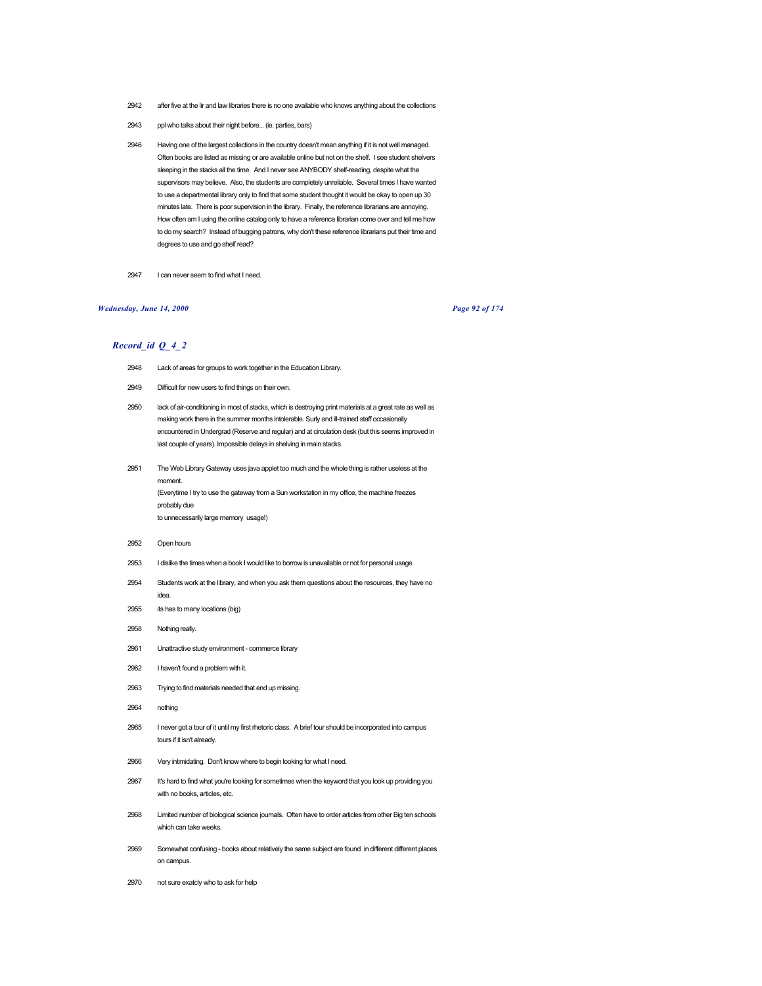- 2942 after five at the lir and law libraries there is no one available who knows anything about the collections
- 2943 ppl who talks about their night before... (ie. parties, bars)
- 2946 Having one of the largest collections in the country doesn't mean anything if it is not well managed. Often books are listed as missing or are available online but not on the shelf. I see student shelvers sleeping in the stacks all the time. And I never see ANYBODY shelf-reading, despite what the supervisors may believe. Also, the students are completely unreliable. Several times I have wanted to use a departmental library only to find that some student thought it would be okay to open up 30 minutes late. There is poor supervision in the library. Finally, the reference librarians are annoying. How often am I using the online catalog only to have a reference librarian come over and tell me how to do my search? Instead of bugging patrons, why don't these reference librarians put their time and degrees to use and go shelf read?
- 2947 I can never seem to find what I need.

## *Wednesday, June 14, 2000 Page 92 of 174*

- 2948 Lack of areas for groups to work together in the Education Library.
- 2949 Difficult for new users to find things on their own.
- 2950 lack of air-conditioning in most of stacks, which is destroying print materials at a great rate as well as making work there in the summer months intolerable. Surly and ill-trained staff occasionally encountered in Undergrad (Reserve and regular) and at circulation desk (but this seems improved in last couple of years). Impossible delays in shelving in main stacks.
- 2951 The Web Library Gateway uses java applet too much and the whole thing is rather useless at the moment. (Everytime I try to use the gateway from a Sun workstation in my office, the machine freezes probably due to unnecessarily large memory usage!)
- 2952 Open hours
- 2953 I dislike the times when a book I would like to borrow is unavailable or not for personal usage.
- 2954 Students work at the library, and when you ask them questions about the resources, they have no idea.
- 2955 its has to many locations (big)
- 2958 Nothing really.
- 2961 Unattractive study environment commerce library
- 2962 I haven't found a problem with it.
- 2963 Trying to find materials needed that end up missing.
- 2964 nothing
- 2965 I never got a tour of it until my first rhetoric class. A brief tour should be incorporated into campus tours if it isn't already.
- 2966 Very intimidating. Don't know where to begin looking for what I need.
- 2967 It's hard to find what you're looking for sometimes when the keyword that you look up providing you with no books, articles, etc.
- 2968 Limited number of biological science journals. Often have to order articles from other Big ten schools which can take weeks.
- 2969 Somewhat confusing books about relatively the same subject are found in different different places on campus.
- 2970 not sure exatcly who to ask for help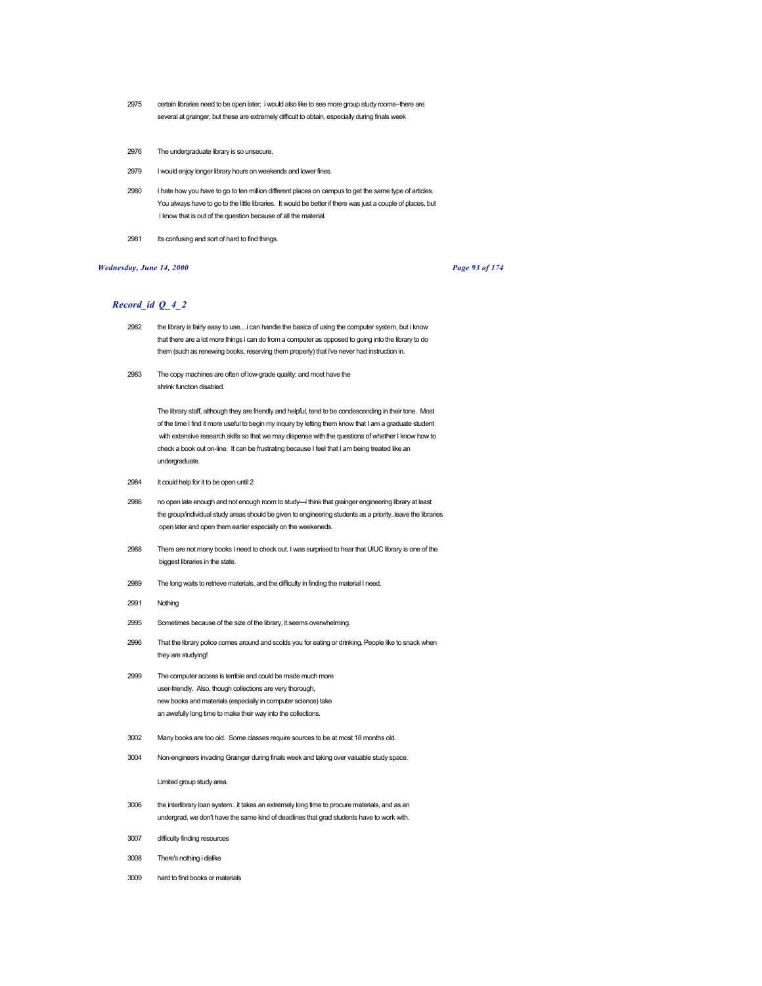- 2975 certain libraries need to be open later; i would also like to see more group study rooms--there are several at grainger, but these are extremely difficult to obtain, especially during finals week
- 2976 The undergraduate library is so unsecure.
- 2979 I would enjoy longer library hours on weekends and lower fines.
- 2980 I hate how you have to go to ten million different places on campus to get the same type of articles. You always have to go to the little libraries. It would be better if there was just a couple of places, but I know that is out of the question because of all the material.
- 2981 Its confusing and sort of hard to find things.

## *Wednesday, June 14, 2000 Page 93 of 174*

## *Record\_id Q\_4\_2*

- 2982 the library is fairly easy to use....i can handle the basics of using the computer system, but i know that there are a lot more things i can do from a computer as opposed to going into the library to do them (such as renewing books, reserving them properly) that i've never had instruction in.
- 2983 The copy machines are often of low-grade quality; and most have the shrink function disabled.

The library staff, although they are friendly and helpful, tend to be condescending in their tone. Most of the time I find it more useful to begin my inquiry by letting them know that I am a graduate student with extensive research skills so that we may dispense with the questions of whether I know how to check a book out on-line. It can be frustrating because I feel that I am being treated like an undergraduate.

- 2984 It could help for it to be open until 2
- 2986 no open late enough and not enough room to study---i think that grainger engineering library at least the group/individual study areas should be given to engineering students as a priority..leave the libraries open later and open them earlier especially on the weekeneds.
- 2988 There are not many books I need to check out. I was surprised to hear that UIUC library is one of the biggest libraries in the state.
- 2989 The long waits to retrieve materials, and the difficulty in finding the material I need.
- 2991 Nothing
- 2995 Sometimes because of the size of the library, it seems overwhelming.
- 2996 That the library police comes around and scolds you for eating or drinking. People like to snack when they are studying!
- 2999 The computer access is terrible and could be made much more user-friendly. Also, though collections are very thorough, new books and materials (especially in computer science) take an awefully long time to make their way into the collections.
- 3002 Many books are too old. Some classes require sources to be at most 18 months old.
- 3004 Non-engineers invading Grainger during finals week and taking over valuable study space.

#### Limited group study area.

- 3006 the interlibrary loan system...it takes an extremely long time to procure materials, and as an undergrad, we don't have the same kind of deadlines that grad students have to work with.
- 3007 difficulty finding resources
- 3008 There's nothing i dislike
- 3009 hard to find books or materials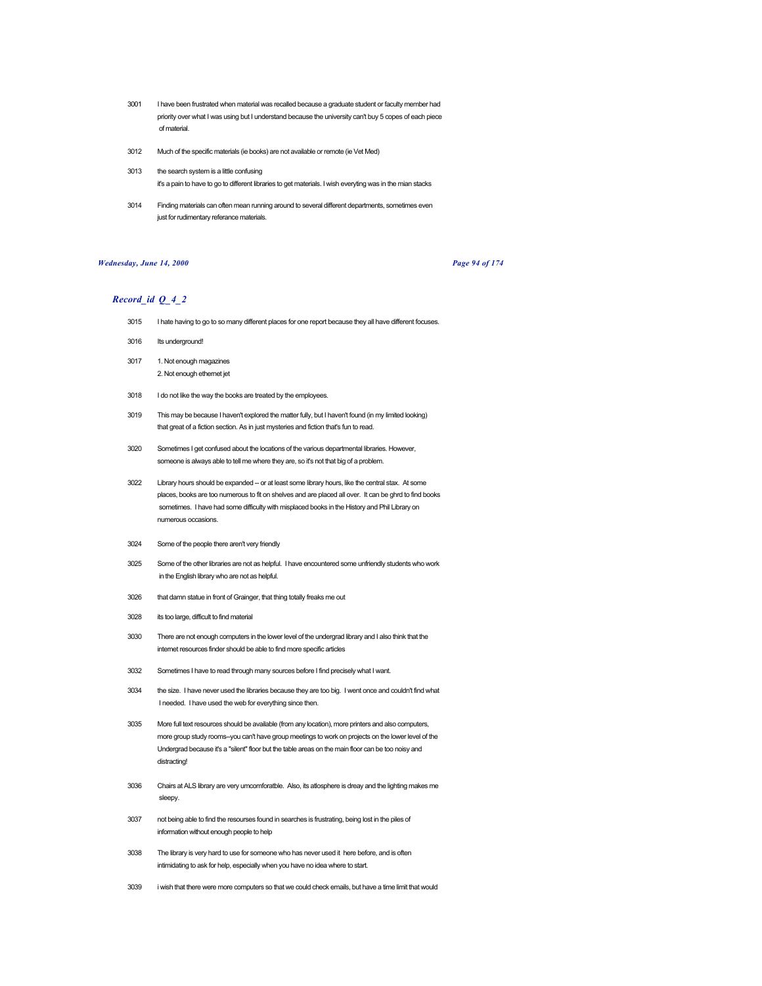- 3001 I have been frustrated when material was recalled because a graduate student or faculty member had priority over what I was using but I understand because the university can't buy 5 copes of each piece of material.
- 3012 Much of the specific materials (ie books) are not available or remote (ie Vet Med)
- 3013 the search system is a little confusing it's a pain to have to go to different libraries to get materials. I wish everyting was in the mian stacks
- 3014 Finding materials can often mean running around to several different departments, sometimes even just for rudimentary referance materials.

### *Wednesday, June 14, 2000 Page 94 of 174*

- 3015 I hate having to go to so many different places for one report because they all have different focuses.
- 3016 Its underground!
- 3017 1. Not enough magazines 2. Not enough ethernet jet
- 3018 I do not like the way the books are treated by the employees.
- 3019 This may be because I haven't explored the matter fully, but I haven't found (in my limited looking) that great of a fiction section. As in just mysteries and fiction that's fun to read.
- 3020 Sometimes I get confused about the locations of the various departmental libraries. However, someone is always able to tell me where they are, so it's not that big of a problem.
- 3022 Library hours should be expanded -- or at least some library hours, like the central stax. At some places, books are too numerous to fit on shelves and are placed all over. It can be ghrd to find books sometimes. I have had some difficulty with misplaced books in the History and Phil Library on numerous occasions.
- 3024 Some of the people there aren't very friendly
- 3025 Some of the other libraries are not as helpful. I have encountered some unfriendly students who work in the English library who are not as helpful.
- 3026 that damn statue in front of Grainger, that thing totally freaks me out
- 3028 its too large, difficult to find material
- 3030 There are not enough computers in the lower level of the undergrad library and I also think that the internet resources finder should be able to find more specific articles
- 3032 Sometimes I have to read through many sources before I find precisely what I want.
- 3034 the size. I have never used the libraries because they are too big. I went once and couldn't find what I needed. I have used the web for everything since then.
- 3035 More full text resources should be available (from any location), more printers and also computers, more group study rooms--you can't have group meetings to work on projects on the lower level of the Undergrad because it's a "silent" floor but the table areas on the main floor can be too noisy and distracting!
- 3036 Chairs at ALS library are very umcomforatble. Also, its atlosphere is dreay and the lighting makes me sleepy.
- 3037 not being able to find the resourses found in searches is frustrating, being lost in the piles of information without enough people to help
- 3038 The library is very hard to use for someone who has never used it here before, and is often intimidating to ask for help, especially when you have no idea where to start.
- 3039 i wish that there were more computers so that we could check emails, but have a time limit that would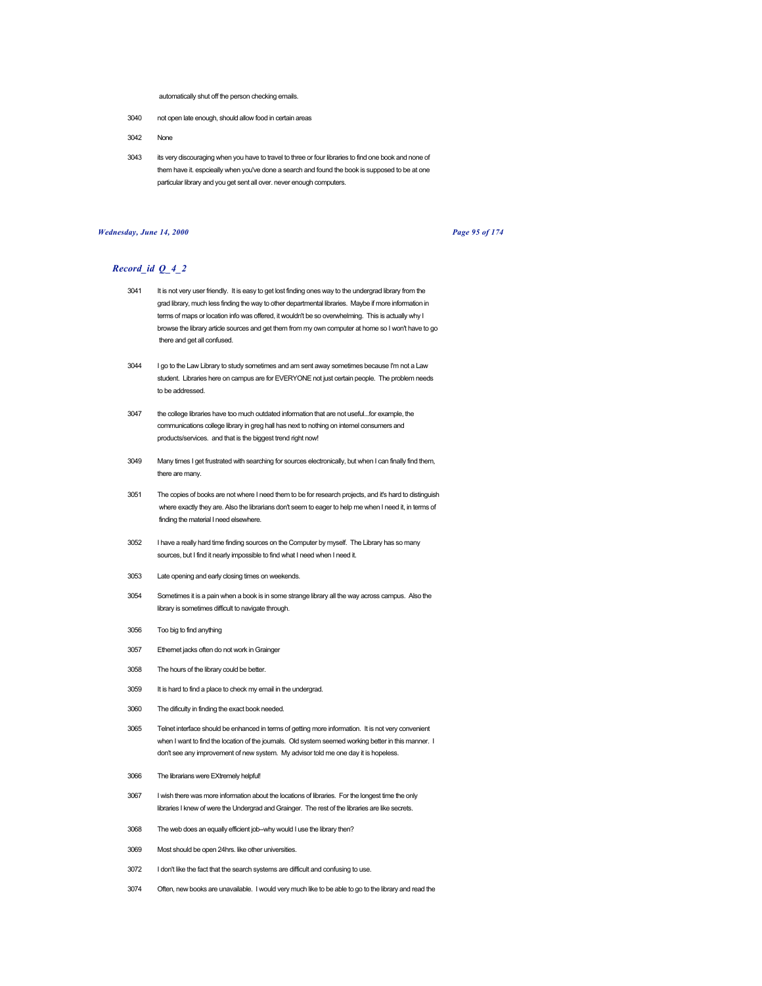automatically shut off the person checking emails.

- 3040 not open late enough, should allow food in certain areas
- 3042 None
- 3043 its very discouraging when you have to travel to three or four libraries to find one book and none of them have it. espcieally when you've done a search and found the book is supposed to be at one particular library and you get sent all over. never enough computers.

### *Wednesday, June 14, 2000 Page 95 of 174*

- 3041 It is not very user friendly. It is easy to get lost finding ones way to the undergrad library from the grad library, much less finding the way to other departmental libraries. Maybe if more information in terms of maps or location info was offered, it wouldn't be so overwhelming. This is actually why I browse the library article sources and get them from my own computer at home so I won't have to go there and get all confused.
- 3044 I go to the Law Library to study sometimes and am sent away sometimes because I'm not a Law student. Libraries here on campus are for EVERYONE not just certain people. The problem needs to be addressed.
- 3047 the college libraries have too much outdated information that are not useful...for example, the communications college library in greg hall has next to nothing on internel consumers and products/services. and that is the biggest trend right now!
- 3049 Many times I get frustrated with searching for sources electronically, but when I can finally find them, there are many.
- 3051 The copies of books are not where I need them to be for research projects, and it's hard to distinguish where exactly they are. Also the librarians don't seem to eager to help me when I need it, in terms of finding the material I need elsewhere.
- 3052 I have a really hard time finding sources on the Computer by myself. The Library has so many sources, but I find it nearly impossible to find what I need when I need it.
- 3053 Late opening and early closing times on weekends.
- 3054 Sometimes it is a pain when a book is in some strange library all the way across campus. Also the library is sometimes difficult to navigate through.
- 3056 Too big to find anything
- 3057 Ethernet jacks often do not work in Grainger
- 3058 The hours of the library could be better.
- 3059 It is hard to find a place to check my email in the undergrad.
- 3060 The dificulty in finding the exact book needed.
- 3065 Telnet interface should be enhanced in terms of getting more information. It is not very convenient when I want to find the location of the journals. Old system seemed working better in this manner. I don't see any improvement of new system. My advisor told me one day it is hopeless.
- 3066 The librarians were EXtremely helpful!
- 3067 I wish there was more information about the locations of libraries. For the longest time the only libraries I knew of were the Undergrad and Grainger. The rest of the libraries are like secrets.
- 3068 The web does an equally efficient job--why would I use the library then?
- 3069 Most should be open 24hrs. like other universities.
- 3072 I don't like the fact that the search systems are difficult and confusing to use.
- 3074 Often, new books are unavailable. I would very much like to be able to go to the library and read the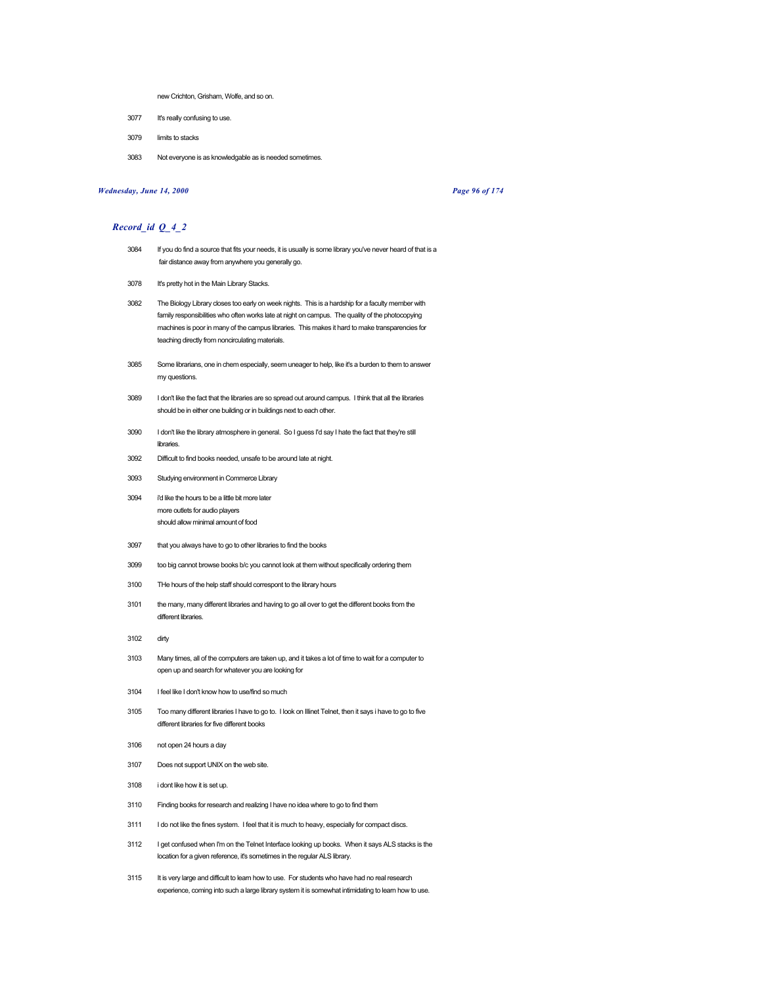new Crichton, Grisham, Wolfe, and so on.

- 3077 It's really confusing to use.
- 3079 limits to stacks
- 3083 Not everyone is as knowledgable as is needed sometimes.

## *Wednesday, June 14, 2000 Page 96 of 174*

- 3084 If you do find a source that fits your needs, it is usually is some library you've never heard of that is a fair distance away from anywhere you generally go.
- 3078 It's pretty hot in the Main Library Stacks.
- 3082 The Biology Library closes too early on week nights. This is a hardship for a faculty member with family responsibilities who often works late at night on campus. The quality of the photocopying machines is poor in many of the campus libraries. This makes it hard to make transparencies for teaching directly from noncirculating materials.
- 3085 Some librarians, one in chem especially, seem uneager to help, like it's a burden to them to answer my questions.
- 3089 I don't like the fact that the libraries are so spread out around campus. I think that all the libraries should be in either one building or in buildings next to each other.
- 3090 I don't like the library atmosphere in general. So I guess I'd say I hate the fact that they're still libraries.
- 3092 Difficult to find books needed, unsafe to be around late at night.
- 3093 Studying environment in Commerce Library
- 3094 i'd like the hours to be a little bit more later more outlets for audio players should allow minimal amount of food
- 3097 that you always have to go to other libraries to find the books
- 3099 too big cannot browse books b/c you cannot look at them without specifically ordering them
- 3100 THe hours of the help staff should correspont to the library hours
- 3101 the many, many different libraries and having to go all over to get the different books from the different libraries.
- 3102 dirty
- 3103 Many times, all of the computers are taken up, and it takes a lot of time to wait for a computer to open up and search for whatever you are looking for
- 3104 I feel like I don't know how to use/find so much
- 3105 Too many different libraries I have to go to. I look on Illinet Telnet, then it says i have to go to five different libraries for five different books
- 3106 not open 24 hours a day
- 3107 Does not support UNIX on the web site.
- 3108 i dont like how it is set up.
- 3110 Finding books for research and realizing I have no idea where to go to find them
- 3111 I do not like the fines system. I feel that it is much to heavy, especially for compact discs.
- 3112 I get confused when I'm on the Telnet Interface looking up books. When it says ALS stacks is the location for a given reference, it's sometimes in the regular ALS library.
- 3115 It is very large and difficult to learn how to use. For students who have had no real research experience, coming into such a large library system it is somewhat intimidating to learn how to use.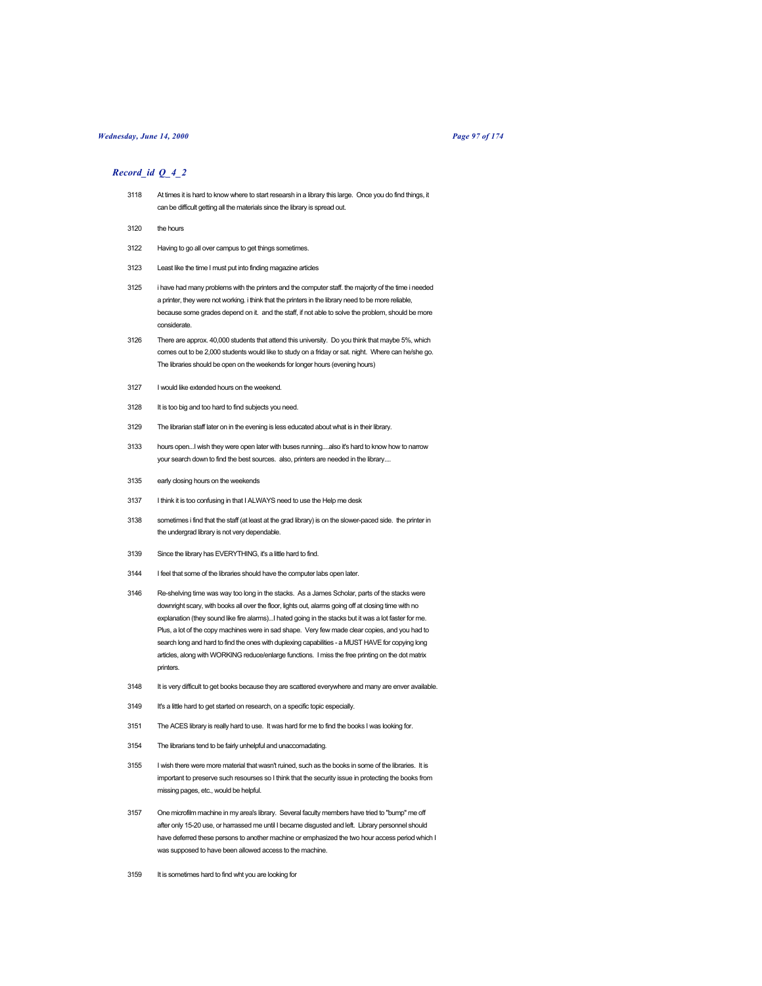# *Wednesday, June 14, 2000 Page 97 of 174*

- 3118 At times it is hard to know where to start researsh in a library this large. Once you do find things, it can be difficult getting all the materials since the library is spread out.
- 3120 the hours
- 3122 Having to go all over campus to get things sometimes.
- 3123 Least like the time I must put into finding magazine articles
- 3125 i have had many problems with the printers and the computer staff. the majority of the time i needed a printer, they were not working. i think that the printers in the library need to be more reliable, because some grades depend on it. and the staff, if not able to solve the problem, should be more considerate.
- 3126 There are approx. 40,000 students that attend this university. Do you think that maybe 5%, which comes out to be 2,000 students would like to study on a friday or sat. night. Where can he/she go. The libraries should be open on the weekends for longer hours (evening hours)
- 3127 I would like extended hours on the weekend.
- 3128 It is too big and too hard to find subjects you need.
- 3129 The librarian staff later on in the evening is less educated about what is in their library.
- 3133 hours open...I wish they were open later with buses running....also it's hard to know how to narrow your search down to find the best sources. also, printers are needed in the library....
- 3135 early closing hours on the weekends
- 3137 I think it is too confusing in that I ALWAYS need to use the Help me desk
- 3138 sometimes i find that the staff (at least at the grad library) is on the slower-paced side. the printer in the undergrad library is not very dependable.
- 3139 Since the library has EVERYTHING, it's a little hard to find.
- 3144 I feel that some of the libraries should have the computer labs open later.
- 3146 Re-shelving time was way too long in the stacks. As a James Scholar, parts of the stacks were downright scary, with books all over the floor, lights out, alarms going off at closing time with no explanation (they sound like fire alarms)...I hated going in the stacks but it was a lot faster for me. Plus, a lot of the copy machines were in sad shape. Very few made clear copies, and you had to search long and hard to find the ones with duplexing capabilities - a MUST HAVE for copying long articles, along with WORKING reduce/enlarge functions. I miss the free printing on the dot matrix printers.
- 3148 It is very difficult to get books because they are scattered everywhere and many are enver available.
- 3149 It's a little hard to get started on research, on a specific topic especially.
- 3151 The ACES library is really hard to use. It was hard for me to find the books I was looking for.
- 3154 The librarians tend to be fairly unhelpful and unaccomadating.
- 3155 I wish there were more material that wasn't ruined, such as the books in some of the libraries. It is important to preserve such resourses so I think that the security issue in protecting the books from missing pages, etc., would be helpful.
- 3157 One microfilm machine in my area's library. Several faculty members have tried to "bump" me off after only 15-20 use, or harrassed me until I became disgusted and left. Library personnel should have deferred these persons to another machine or emphasized the two hour access period which I was supposed to have been allowed access to the machine.
- 3159 It is sometimes hard to find wht you are looking for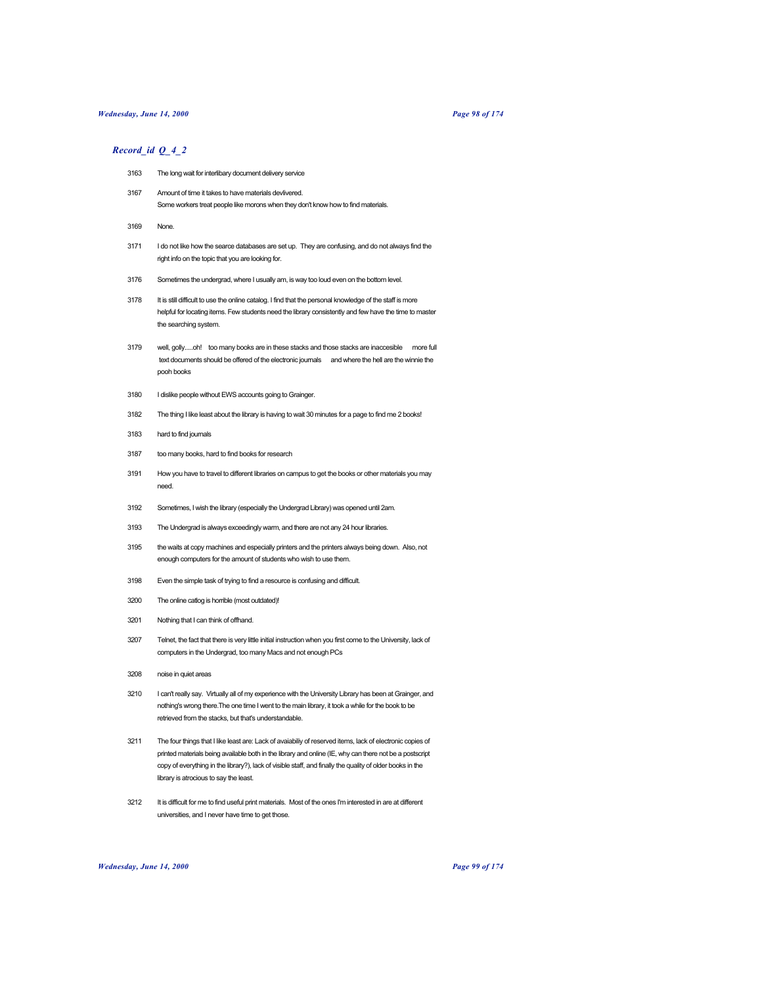# *Wednesday, June 14, 2000 Page 98 of 174*

| 3163 | The long wait for interlibary document delivery service                                                                                                |
|------|--------------------------------------------------------------------------------------------------------------------------------------------------------|
| 3167 | Amount of time it takes to have materials devlivered.<br>Some workers treat people like morons when they don't know how to find materials.             |
| 3169 | None.                                                                                                                                                  |
| 3171 | I do not like how the searce databases are set up. They are confusing, and do not always find the<br>right info on the topic that you are looking for. |
| 3176 | Sometimes the undergrad, where I usually am, is way too loud even on the bottom level.                                                                 |
| 3178 | It is still difficult to use the online catalog. I find that the personal knowledge of the staff is more                                               |

- helpful for locating items. Few students need the library consistently and few have the time to master the searching system.
- 3179 well, golly.....oh! too many books are in these stacks and those stacks are inaccesible more full text documents should be offered of the electronic journals and where the hell are the winnie the pooh books
- 3180 I dislike people without EWS accounts going to Grainger.
- 3182 The thing I like least about the library is having to wait 30 minutes for a page to find me 2 books!
- 3183 hard to find journals
- 3187 too many books, hard to find books for research
- 3191 How you have to travel to different libraries on campus to get the books or other materials you may need.
- 3192 Sometimes, I wish the library (especially the Undergrad Library) was opened until 2am.
- 3193 The Undergrad is always exceedingly warm, and there are not any 24 hour libraries.
- 3195 the waits at copy machines and especially printers and the printers always being down. Also, not enough computers for the amount of students who wish to use them.
- 3198 Even the simple task of trying to find a resource is confusing and difficult.
- 3200 The online catlog is horrible (most outdated)!
- 3201 Nothing that I can think of offhand.
- 3207 Telnet, the fact that there is very little initial instruction when you first come to the University, lack of computers in the Undergrad, too many Macs and not enough PCs
- 3208 noise in quiet areas
- 3210 I can't really say. Virtually all of my experience with the University Library has been at Grainger, and nothing's wrong there.The one time I went to the main library, it took a while for the book to be retrieved from the stacks, but that's understandable.
- 3211 The four things that I like least are: Lack of avaiabiliy of reserved items, lack of electronic copies of printed materials being available both in the library and online (IE, why can there not be a postscript copy of everything in the library?), lack of visible staff, and finally the quality of older books in the library is atrocious to say the least.
- 3212 It is difficult for me to find useful print materials. Most of the ones I'm interested in are at different universities, and I never have time to get those.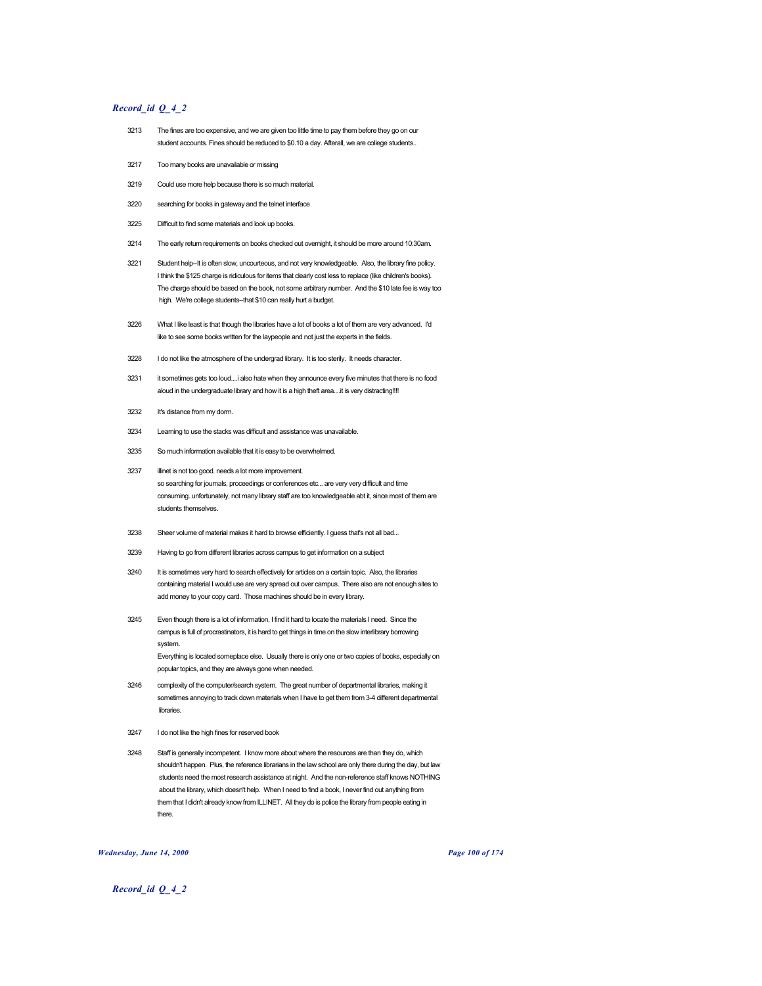# *Record\_id Q\_4\_2*

- 3213 The fines are too expensive, and we are given too little time to pay them before they go on our student accounts. Fines should be reduced to \$0.10 a day. Afterall, we are college students..
- 3217 Too many books are unavailable or missing
- 3219 Could use more help because there is so much material.
- 3220 searching for books in gateway and the telnet interface
- 3225 Difficult to find some materials and look up books.
- 3214 The early return requirements on books checked out overnight, it should be more around 10:30am.
- 3221 Student help--It is often slow, uncourteous, and not very knowledgeable. Also, the library fine policy. I think the \$125 charge is ridiculous for items that clearly cost less to replace (like children's books). The charge should be based on the book, not some arbitrary number. And the \$10 late fee is way too high. We're college students--that \$10 can really hurt a budget.
- 3226 What I like least is that though the libraries have a lot of books a lot of them are very advanced. I'd like to see some books written for the laypeople and not just the experts in the fields.
- 3228 I do not like the atmosphere of the undergrad library. It is too sterily. It needs character.
- 3231 it sometimes gets too loud....i also hate when they announce every five minutes that there is no food aloud in the undergraduate library and how it is a high theft area....it is very distracting!!!!
- 3232 It's distance from my dorm.
- 3234 Learning to use the stacks was difficult and assistance was unavailable.
- 3235 So much information available that it is easy to be overwhelmed.
- 3237 illinet is not too good. needs a lot more improvement. so searching for journals, proceedings or conferences etc... are very very difficult and time consuming. unfortunately, not many library staff are too knowledgeable abt it, since most of them are students themselves.
- 3238 Sheer volume of material makes it hard to browse efficiently. I guess that's not all bad...
- 3239 Having to go from different libraries across campus to get information on a subject
- 3240 It is sometimes very hard to search effectively for articles on a certain topic. Also, the libraries containing material I would use are very spread out over campus. There also are not enough sites to add money to your copy card. Those machines should be in every library.
- 3245 Even though there is a lot of information, I find it hard to locate the materials I need. Since the campus is full of procrastinators, it is hard to get things in time on the slow interlibrary borrowing system. Everything is located someplace else. Usually there is only one or two copies of books, especially on

popular topics, and they are always gone when needed.

- 3246 complexity of the computer/search system. The great number of departmental libraries, making it sometimes annoying to track down materials when I have to get them from 3-4 different departmental libraries.
- 3247 I do not like the high fines for reserved book
- 3248 Staff is generally incompetent. I know more about where the resources are than they do, which shouldn't happen. Plus, the reference librarians in the law school are only there during the day, but law students need the most research assistance at night. And the non-reference staff knows NOTHING about the library, which doesn't help. When I need to find a book, I never find out anything from them that I didn't already know from ILLINET. All they do is police the library from people eating in there.

#### *Wednesday, June 14, 2000 Page 100 of 174*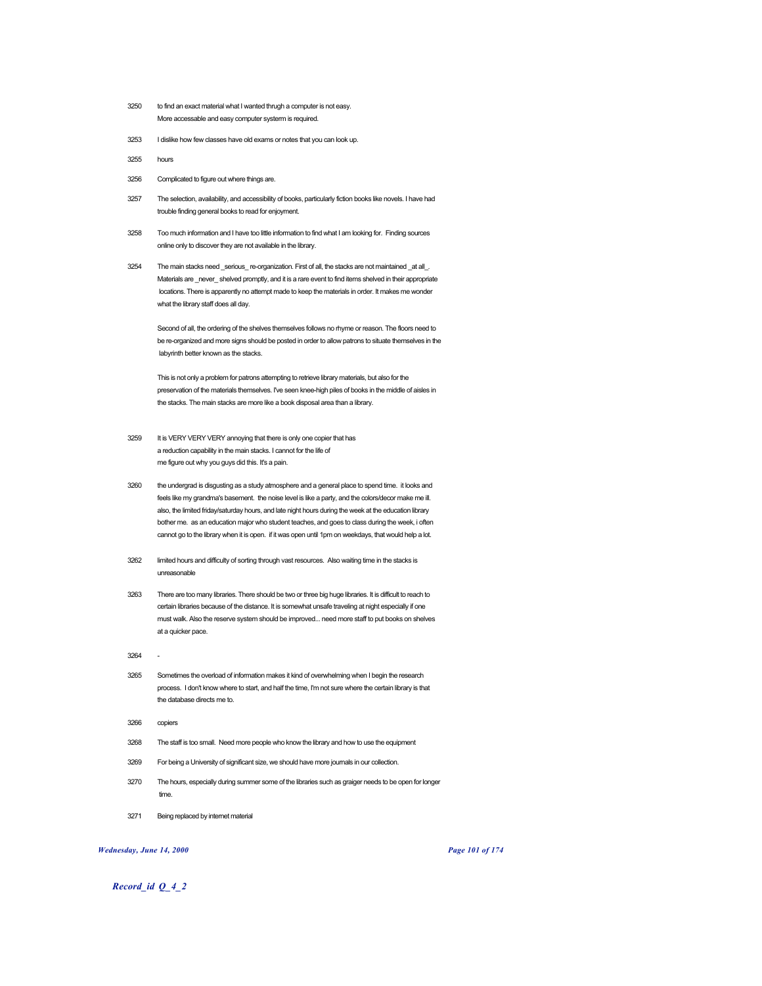- 3250 to find an exact material what I wanted thrugh a computer is not easy. More accessable and easy computer systerm is required.
- 3253 I dislike how few classes have old exams or notes that you can look up.

3255 hours

- 3256 Complicated to figure out where things are.
- 3257 The selection, availability, and accessibility of books, particularly fiction books like novels. I have had trouble finding general books to read for enjoyment.
- 3258 Too much information and I have too little information to find what I am looking for. Finding sources online only to discover they are not available in the library.
- 3254 The main stacks need \_serious\_re-organization. First of all, the stacks are not maintained \_at all\_. Materials are \_never\_shelved promptly, and it is a rare event to find items shelved in their appropriate locations. There is apparently no attempt made to keep the materials in order. It makes me wonder what the library staff does all day.

Second of all, the ordering of the shelves themselves follows no rhyme or reason. The floors need to be re-organized and more signs should be posted in order to allow patrons to situate themselves in the labyrinth better known as the stacks.

This is not only a problem for patrons attempting to retrieve library materials, but also for the preservation of the materials themselves. I've seen knee-high piles of books in the middle of aisles in the stacks. The main stacks are more like a book disposal area than a library.

- 3259 It is VERY VERY VERY annoying that there is only one copier that has a reduction capability in the main stacks. I cannot for the life of me figure out why you guys did this. It's a pain.
- 3260 the undergrad is disgusting as a study atmosphere and a general place to spend time. it looks and feels like my grandma's basement. the noise level is like a party, and the colors/decor make me ill. also, the limited friday/saturday hours, and late night hours during the week at the education library bother me. as an education major who student teaches, and goes to class during the week, i often cannot go to the library when it is open. if it was open until 1pm on weekdays, that would help a lot.
- 3262 limited hours and difficulty of sorting through vast resources. Also waiting time in the stacks is unreasonable
- 3263 There are too many libraries. There should be two or three big huge libraries. It is difficult to reach to certain libraries because of the distance. It is somewhat unsafe traveling at night especially if one must walk. Also the reserve system should be improved... need more staff to put books on shelves at a quicker pace.

3264 -

- 3265 Sometimes the overload of information makes it kind of overwhelming when I begin the research process. I don't know where to start, and half the time, I'm not sure where the certain library is that the database directs me to.
- 3266 copiers
- 3268 The staff is too small. Need more people who know the library and how to use the equipment
- 3269 For being a University of significant size, we should have more journals in our collection.
- 3270 The hours, especially during summer some of the libraries such as graiger needs to be open for longer time.
- 3271 Being replaced by internet material

## *Wednesday, June 14, 2000 Page 101 of 174*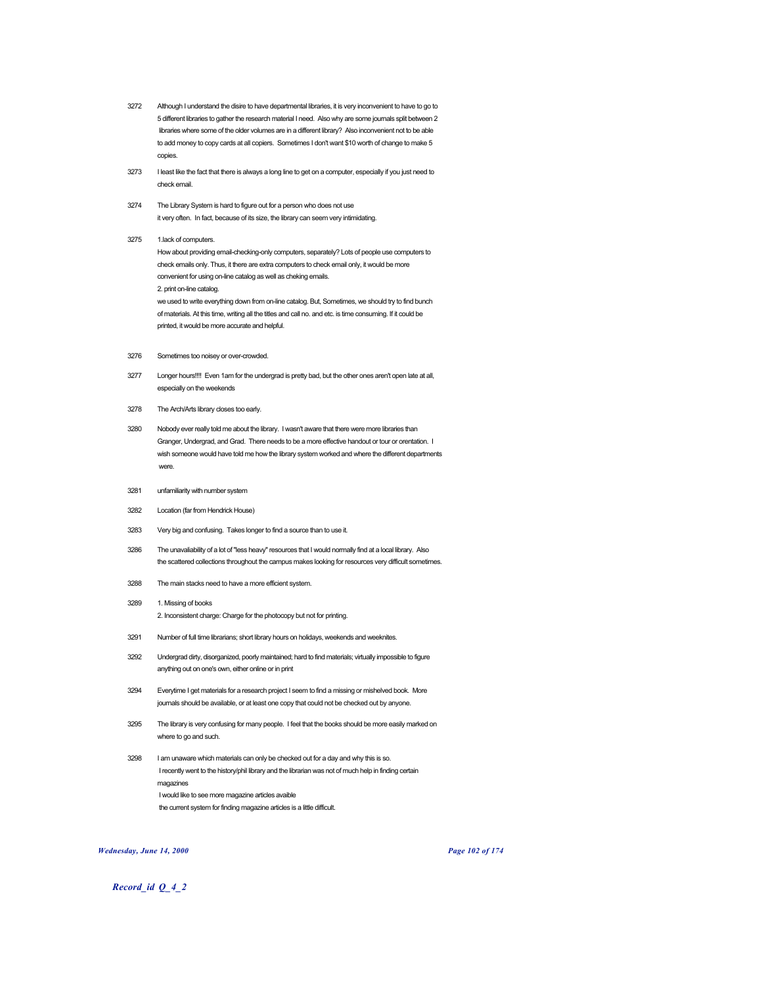- 3272 Although I understand the disire to have departmental libraries, it is very inconvenient to have to go to 5 different libraries to gather the research material I need. Also why are some journals split between 2 libraries where some of the older volumes are in a different library? Also inconvenient not to be able to add money to copy cards at all copiers. Sometimes I don't want \$10 worth of change to make 5 copies.
- 3273 I least like the fact that there is always a long line to get on a computer, especially if you just need to check email.
- 3274 The Library System is hard to figure out for a person who does not use it very often. In fact, because of its size, the library can seem very intimidating.

#### 3275 1.lack of computers.

How about providing email-checking-only computers, separately? Lots of people use computers to check emails only. Thus, it there are extra computers to check email only, it would be more convenient for using on-line catalog as well as cheking emails. 2. print on-line catalog. we used to write everything down from on-line catalog. But, Sometimes, we should try to find bunch of materials. At this time, writing all the titles and call no. and etc. is time consuming. If it could be printed, it would be more accurate and helpful.

- 3276 Sometimes too noisey or over-crowded.
- 3277 Longer hours!!!! Even 1am for the undergrad is pretty bad, but the other ones aren't open late at all, especially on the weekends
- 3278 The Arch/Arts library closes too early.
- 3280 Nobody ever really told me about the library. I wasn't aware that there were more libraries than Granger, Undergrad, and Grad. There needs to be a more effective handout or tour or orentation. I wish someone would have told me how the library system worked and where the different departments were.
- 3281 unfamiliarity with number system
- 3282 Location (far from Hendrick House)
- 3283 Very big and confusing. Takes longer to find a source than to use it.
- 3286 The unavaliability of a lot of "less heavy" resources that I would normally find at a local library. Also the scattered collections throughout the campus makes looking for resources very difficult sometimes.
- 3288 The main stacks need to have a more efficient system.
- 3289 1. Missing of books 2. Inconsistent charge: Charge for the photocopy but not for printing.
- 3291 Number of full time librarians; short library hours on holidays, weekends and weeknites.
- 3292 Undergrad dirty, disorganized, poorly maintained; hard to find materials; virtually impossible to figure anything out on one's own, either online or in print
- 3294 Everytime I get materials for a research project I seem to find a missing or mishelved book. More journals should be available, or at least one copy that could not be checked out by anyone.
- 3295 The library is very confusing for many people. I feel that the books should be more easily marked on where to go and such.
- 3298 I am unaware which materials can only be checked out for a day and why this is so. I recently went to the history/phil library and the librarian was not of much help in finding certain magazines I would like to see more magazine articles avaible the current system for finding magazine articles is a little difficult.

#### *Wednesday, June 14, 2000 Page 102 of 174*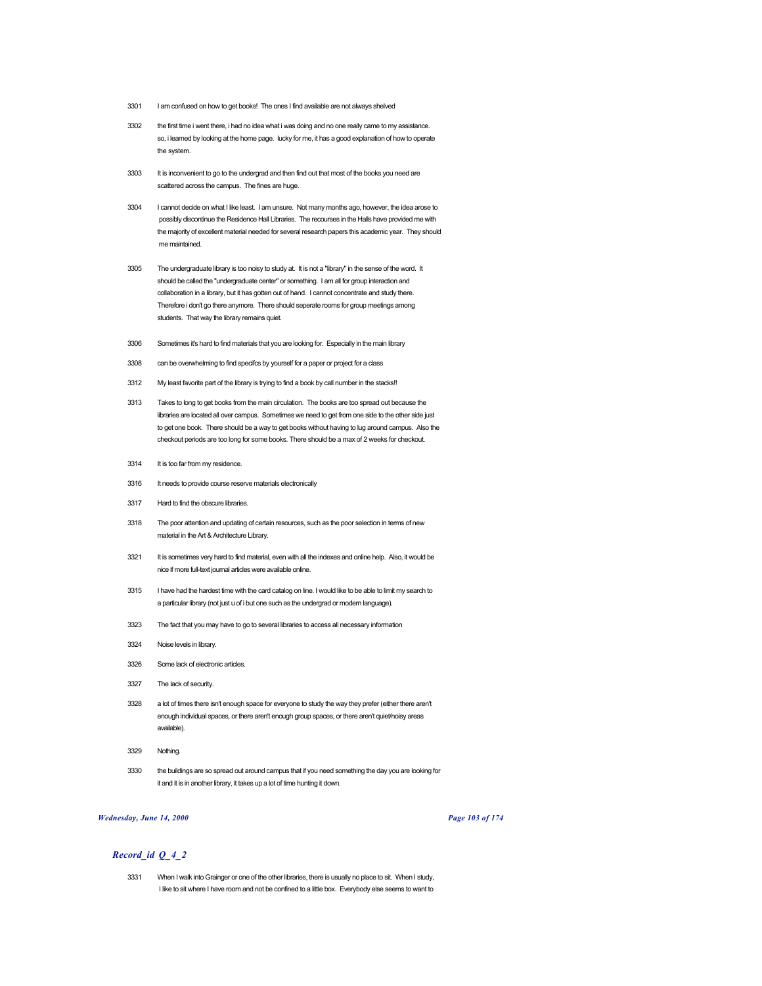- 3301 I am confused on how to get books! The ones I find available are not always shelved
- 3302 the first time i went there, i had no idea what i was doing and no one really came to my assistance. so, i learned by looking at the home page. lucky for me, it has a good explanation of how to operate the system.
- 3303 It is inconvenient to go to the undergrad and then find out that most of the books you need are scattered across the campus. The fines are huge.
- 3304 I cannot decide on what I like least. I am unsure. Not many months ago, however, the idea arose to possibly discontinue the Residence Hall Libraries. The recourses in the Halls have provided me with the majority of excellent material needed for several research papers this academic year. They should me maintained.
- 3305 The undergraduate library is too noisy to study at. It is not a "library" in the sense of the word. It should be called the "undergraduate center" or something. I am all for group interaction and collaboration in a library, but it has gotten out of hand. I cannot concentrate and study there. Therefore i don't go there anymore. There should seperate rooms for group meetings among students. That way the library remains quiet.
- 3306 Sometimes it's hard to find materials that you are looking for. Especially in the main library
- 3308 can be overwhelming to find specifcs by yourself for a paper or project for a class
- 3312 My least favorite part of the library is trying to find a book by call number in the stacks!!
- 3313 Takes to long to get books from the main circulation. The books are too spread out because the libraries are located all over campus. Sometimes we need to get from one side to the other side just to get one book. There should be a way to get books without having to lug around campus. Also the checkout periods are too long for some books. There should be a max of 2 weeks for checkout.
- 3314 It is too far from my residence.
- 3316 It needs to provide course reserve materials electronically
- 3317 Hard to find the obscure libraries.
- 3318 The poor attention and updating of certain resources, such as the poor selection in terms of new material in the Art & Architecture Library.
- 3321 It is sometimes very hard to find material, even with all the indexes and online help. Also, it would be nice if more full-text journal articles were available online.
- 3315 I have had the hardest time with the card catalog on line. I would like to be able to limit my search to a particular library (not just u of i but one such as the undergrad or modern language).
- 3323 The fact that you may have to go to several libraries to access all necessary information
- 3324 Noise levels in library.
- 3326 Some lack of electronic articles.
- 3327 The lack of security.
- 3328 a lot of times there isn't enough space for everyone to study the way they prefer (either there aren't enough individual spaces, or there aren't enough group spaces, or there aren't quiet/noisy areas available).
- 3329 Nothing.
- 3330 the buildings are so spread out around campus that if you need something the day you are looking for it and it is in another library, it takes up a lot of time hunting it down.

#### *Wednesday, June 14, 2000 Page 103 of 174*

## *Record\_id Q\_4\_2*

3331 When I walk into Grainger or one of the other libraries, there is usually no place to sit. When I study, I like to sit where I have room and not be confined to a little box. Everybody else seems to want to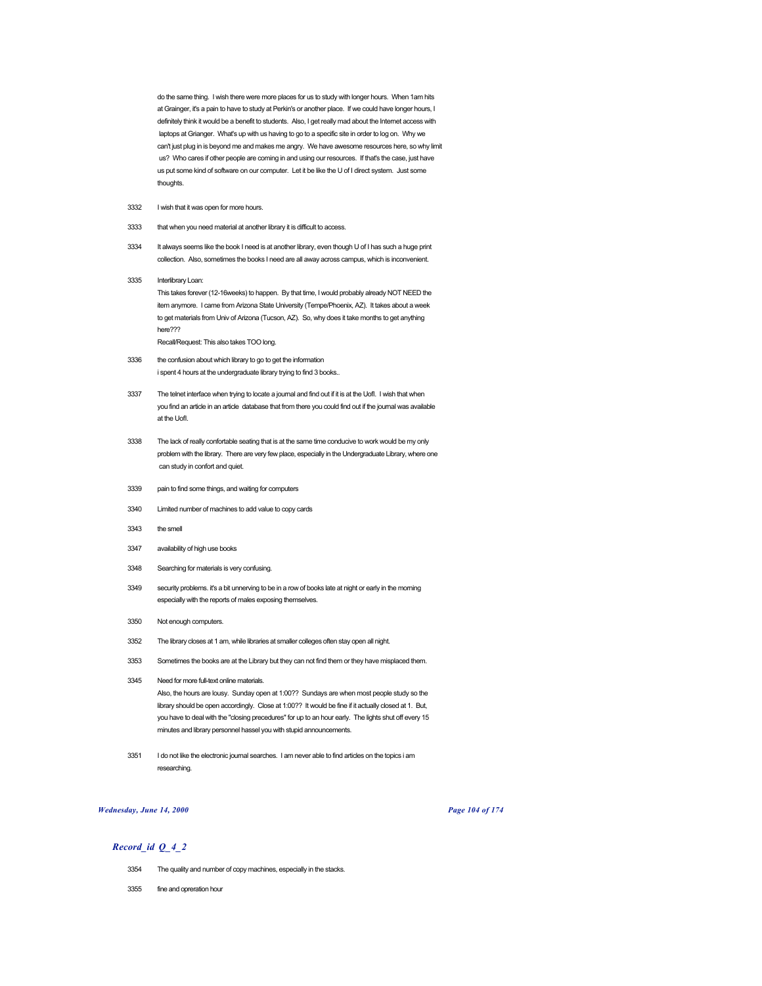do the same thing. I wish there were more places for us to study with longer hours. When 1am hits at Grainger, it's a pain to have to study at Perkin's or another place. If we could have longer hours, I definitely think it would be a benefit to students. Also, I get really mad about the Internet access with laptops at Grianger. What's up with us having to go to a specific site in order to log on. Why we can't just plug in is beyond me and makes me angry. We have awesome resources here, so why limit us? Who cares if other people are coming in and using our resources. If that's the case, just have us put some kind of software on our computer. Let it be like the U of I direct system. Just some thoughts.

- 3332 I wish that it was open for more hours.
- 3333 that when you need material at another library it is difficult to access.
- 3334 It always seems like the book I need is at another library, even though U of I has such a huge print collection. Also, sometimes the books I need are all away across campus, which is inconvenient.
- 3335 Interlibrary Loan:

This takes forever (12-16weeks) to happen. By that time, I would probably already NOT NEED the item anymore. I came from Arizona State University (Tempe/Phoenix, AZ). It takes about a week to get materials from Univ of Arizona (Tucson, AZ). So, why does it take months to get anything here??? Recall/Request: This also takes TOO long.

- 3336 the confusion about which library to go to get the information i spent 4 hours at the undergraduate library trying to find 3 books..
- 3337 The telnet interface when trying to locate a journal and find out if it is at the UofI. I wish that when you find an article in an article database that from there you could find out if the journal was available at the UofI.
- 3338 The lack of really confortable seating that is at the same time conducive to work would be my only problem with the library. There are very few place, especially in the Undergraduate Library, where one can study in confort and quiet.
- 3339 pain to find some things, and waiting for computers
- 3340 Limited number of machines to add value to copy cards
- 3343 the smell
- 3347 availability of high use books
- 3348 Searching for materials is very confusing.
- 3349 security problems. it's a bit unnerving to be in a row of books late at night or early in the morning especially with the reports of males exposing themselves.
- 3350 Not enough computers.
- 3352 The library closes at 1 am, while libraries at smaller colleges often stay open all night.
- 3353 Sometimes the books are at the Library but they can not find them or they have misplaced them.
- 3345 Need for more full-text online materials. Also, the hours are lousy. Sunday open at 1:00?? Sundays are when most people study so the library should be open accordingly. Close at 1:00?? It would be fine if it actually closed at 1. But, you have to deal with the "closing precedures" for up to an hour early. The lights shut off every 15 minutes and library personnel hassel you with stupid announcements.
- 3351 I do not like the electronic journal searches. I am never able to find articles on the topics i am researching.

## *Wednesday, June 14, 2000 Page 104 of 174*

- 3354 The quality and number of copy machines, especially in the stacks.
- 3355 fine and opreration hour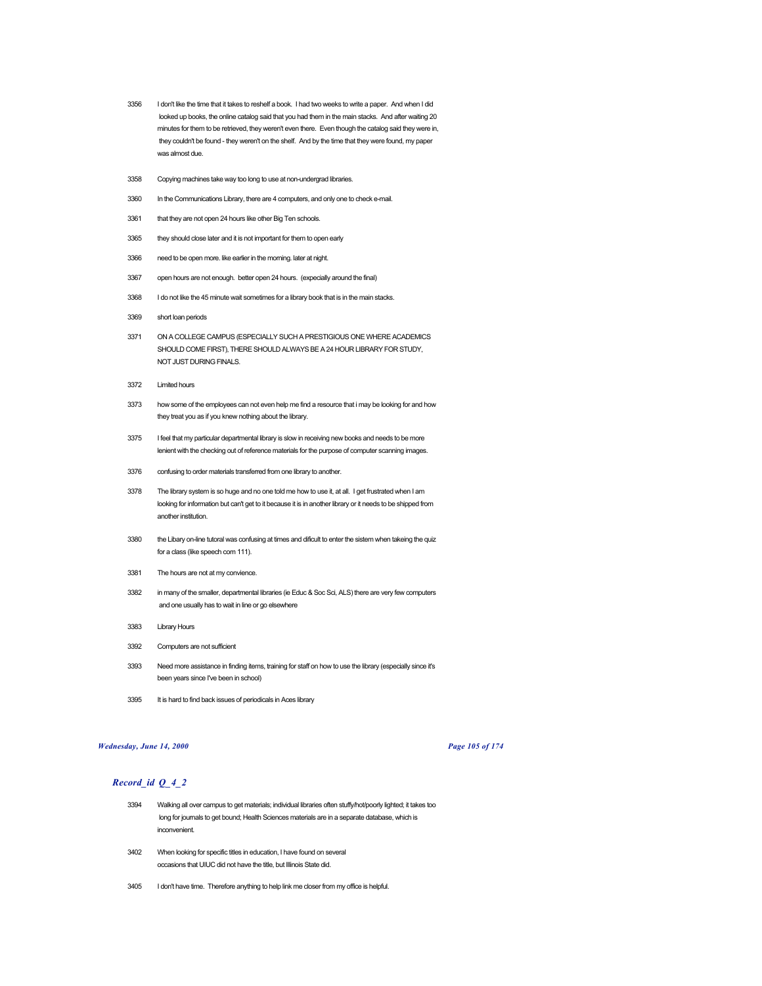- 3356 I don't like the time that it takes to reshelf a book. I had two weeks to write a paper. And when I did looked up books, the online catalog said that you had them in the main stacks. And after waiting 20 minutes for them to be retrieved, they weren't even there. Even though the catalog said they were in, they couldn't be found - they weren't on the shelf. And by the time that they were found, my paper was almost due.
- 3358 Copying machines take way too long to use at non-undergrad libraries.
- 3360 In the Communications Library, there are 4 computers, and only one to check e-mail.
- 3361 that they are not open 24 hours like other Big Ten schools.
- 3365 they should close later and it is not important for them to open early
- 3366 need to be open more. like earlier in the morning. later at night.
- 3367 open hours are not enough. better open 24 hours. (expecially around the final)
- 3368 I do not like the 45 minute wait sometimes for a library book that is in the main stacks.
- 3369 short loan periods
- 3371 ON A COLLEGE CAMPUS (ESPECIALLY SUCH A PRESTIGIOUS ONE WHERE ACADEMICS SHOULD COME FIRST), THERE SHOULD ALWAYS BE A 24 HOUR LIBRARY FOR STUDY, NOT JUST DURING FINALS.
- 3372 Limited hours
- 3373 how some of the employees can not even help me find a resource that i may be looking for and how they treat you as if you knew nothing about the library.
- 3375 I feel that my particular departmental library is slow in receiving new books and needs to be more lenient with the checking out of reference materials for the purpose of computer scanning images.
- 3376 confusing to order materials transferred from one library to another.
- 3378 The library system is so huge and no one told me how to use it, at all. I get frustrated when I am looking for information but can't get to it because it is in another library or it needs to be shipped from another institution.
- 3380 the Libary on-line tutoral was confusing at times and dificult to enter the sistem when takeing the quiz for a class (like speech com 111).
- 3381 The hours are not at my convience.
- 3382 in many of the smaller, departmental libraries (ie Educ & Soc Sci, ALS) there are very few computers and one usually has to wait in line or go elsewhere
- 3383 Library Hours
- 3392 Computers are not sufficient
- 3393 Need more assistance in finding items, training for staff on how to use the library (especially since it's been years since I've been in school)
- 3395 It is hard to find back issues of periodicals in Aces library

# *Wednesday, June 14, 2000 Page 105 of 174*

- 3394 Walking all over campus to get materials; individual libraries often stuffy/hot/poorly lighted; it takes too long for journals to get bound; Health Sciences materials are in a separate database, which is inconvenient.
- 3402 When looking for specific titles in education, I have found on several occasions that UIUC did not have the title, but Illinois State did.
- 3405 I don't have time. Therefore anything to help link me closer from my office is helpful.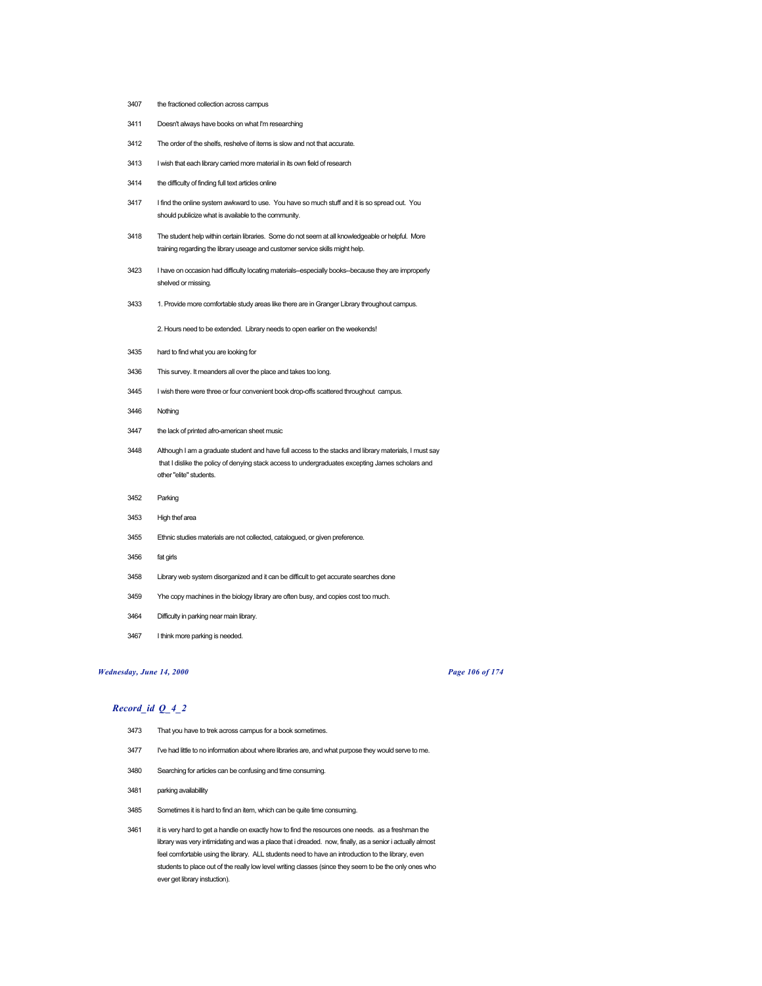- the fractioned collection across campus
- Doesn't always have books on what I'm researching
- The order of the shelfs, reshelve of items is slow and not that accurate.
- 3413 I wish that each library carried more material in its own field of research
- the difficulty of finding full text articles online
- I find the online system awkward to use. You have so much stuff and it is so spread out. You should publicize what is available to the community.
- The student help within certain libraries. Some do not seem at all knowledgeable or helpful. More training regarding the library useage and customer service skills might help.
- I have on occasion had difficulty locating materials--especially books--because they are improperly shelved or missing.
- 1. Provide more comfortable study areas like there are in Granger Library throughout campus.

2. Hours need to be extended. Library needs to open earlier on the weekends!

- hard to find what you are looking for
- This survey. It meanders all over the place and takes too long.
- I wish there were three or four convenient book drop-offs scattered throughout campus.
- Nothing
- the lack of printed afro-american sheet music
- Although I am a graduate student and have full access to the stacks and library materials, I must say that I dislike the policy of denying stack access to undergraduates excepting James scholars and other "elite" students.
- Parking
- High thef area
- Ethnic studies materials are not collected, catalogued, or given preference.
- fat girls
- Library web system disorganized and it can be difficult to get accurate searches done
- Yhe copy machines in the biology library are often busy, and copies cost too much.
- Difficulty in parking near main library.
- I think more parking is needed.

# *Wednesday, June 14, 2000 Page 106 of 174*

- That you have to trek across campus for a book sometimes.
- 3477 I've had little to no information about where libraries are, and what purpose they would serve to me.
- Searching for articles can be confusing and time consuming.
- parking availabillity
- Sometimes it is hard to find an item, which can be quite time consuming.
- 3461 it is very hard to get a handle on exactly how to find the resources one needs. as a freshman the library was very intimidating and was a place that i dreaded. now, finally, as a senior i actually almost feel comfortable using the library. ALL students need to have an introduction to the library, even students to place out of the really low level writing classes (since they seem to be the only ones who ever get library instuction).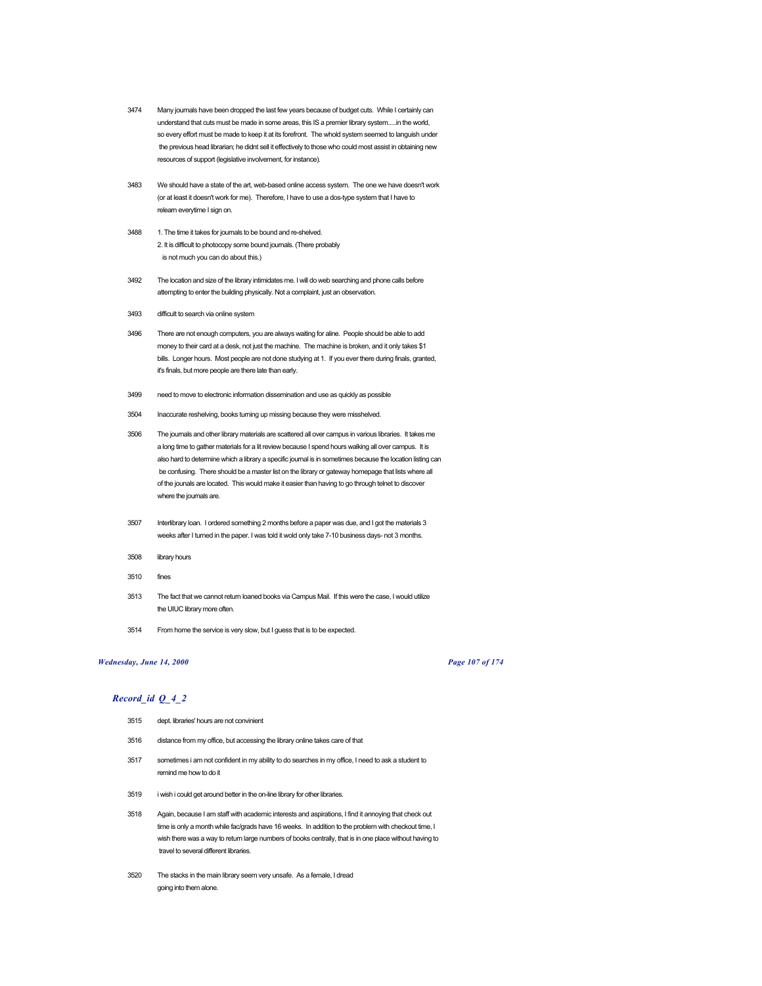- 3474 Many journals have been dropped the last few years because of budget cuts. While I certainly can understand that cuts must be made in some areas, this IS a premier library system.....in the world, so every effort must be made to keep it at its forefront. The whold system seemed to languish under the previous head librarian; he didnt sell it effectively to those who could most assist in obtaining new resources of support (legislative involvement, for instance).
- 3483 We should have a state of the art, web-based online access system. The one we have doesn't work (or at least it doesn't work for me). Therefore, I have to use a dos-type system that I have to relearn everytime I sign on.
- 3488 1. The time it takes for journals to be bound and re-shelved. 2. It is difficult to photocopy some bound journals. (There probably is not much you can do about this.)
- 3492 The location and size of the library intimidates me. I will do web searching and phone calls before attempting to enter the building physically. Not a complaint, just an observation.
- 3493 difficult to search via online system
- 3496 There are not enough computers, you are always waiting for aline. People should be able to add money to their card at a desk, not just the machine. The machine is broken, and it only takes \$1 bills. Longer hours. Most people are not done studying at 1. If you ever there during finals, granted, it's finals, but more people are there late than early.
- 3499 need to move to electronic information dissemination and use as quickly as possible
- 3504 Inaccurate reshelving, books turning up missing because they were misshelved.
- 3506 The journals and other library materials are scattered all over campus in various libraries. It takes me a long time to gather materials for a lit review because I spend hours walking all over campus. It is also hard to determine which a library a specific journal is in sometimes because the location listing can be confusing. There should be a master list on the library or gateway homepage that lists where all of the jounals are located. This would make it easier than having to go through telnet to discover where the journals are.
- 3507 Interlibrary loan. I ordered something 2 months before a paper was due, and I got the materials 3 weeks after I turned in the paper. I was told it wold only take 7-10 business days- not 3 months.
- 3508 library hours
- 3510 fines
- 3513 The fact that we cannot return loaned books via Campus Mail. If this were the case, I would utilize the UIUC library more often.
- 3514 From home the service is very slow, but I guess that is to be expected.

# *Wednesday, June 14, 2000 Page 107 of 174*

- 3515 dept. libraries' hours are not convinient
- 3516 distance from my office, but accessing the library online takes care of that
- 3517 sometimes i am not confident in my ability to do searches in my office, I need to ask a student to remind me how to do it
- 3519 i wish i could get around better in the on-line library for other libraries.
- 3518 Again, because I am staff with academic interests and aspirations, I find it annoying that check out time is only a month while fac/grads have 16 weeks. In addition to the problem with checkout time, I wish there was a way to return large numbers of books centrally, that is in one place without having to travel to several different libraries.
- 3520 The stacks in the main library seem very unsafe. As a female, I dread going into them alone.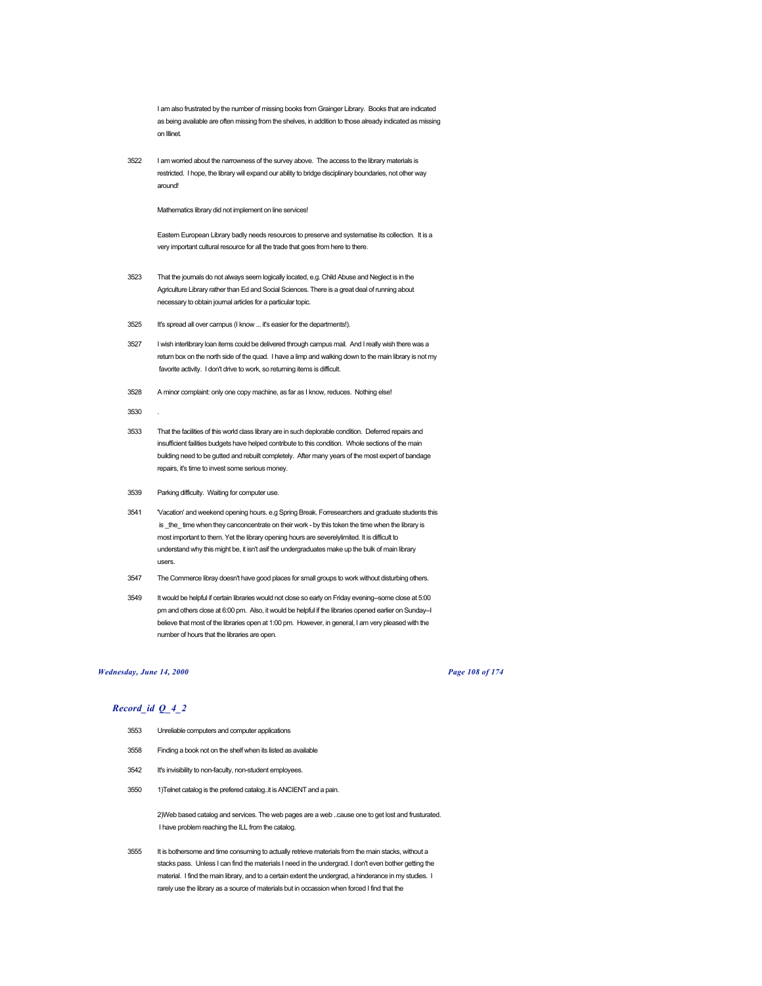I am also frustrated by the number of missing books from Grainger Library. Books that are indicated as being available are often missing from the shelves, in addition to those already indicated as missing on Illinet.

3522 I am worried about the narrowness of the survey above. The access to the library materials is restricted. I hope, the library will expand our ability to bridge disciplinary boundaries, not other way around!

Mathematics library did not implement on line services!

Eastern European Library badly needs resources to preserve and systematise its collection. It is a very important cultural resource for all the trade that goes from here to there.

- 3523 That the journals do not always seem logically located, e.g. Child Abuse and Neglect is in the Agriculture Library rather than Ed and Social Sciences. There is a great deal of running about necessary to obtain journal articles for a particular topic.
- 3525 It's spread all over campus (I know ... it's easier for the departments!).
- 3527 I wish interlibrary loan items could be delivered through campus mail. And I really wish there was a return box on the north side of the quad. I have a limp and walking down to the main library is not my favorite activity. I don't drive to work, so returning items is difficult.
- 3528 A minor complaint: only one copy machine, as far as I know, reduces. Nothing else!
- 3530
- 3533 That the facilities of this world class library are in such deplorable condition. Deferred repairs and insufficient failities budgets have helped contribute to this condition. Whole sections of the main building need to be gutted and rebuilt completely. After many years of the most expert of bandage repairs, it's time to invest some serious money.
- 3539 Parking difficulty. Waiting for computer use.
- 3541 'Vacation' and weekend opening hours. e.g Spring Break. Forresearchers and graduate students this is \_the\_ time when they canconcentrate on their work - by this token the time when the library is most important to them. Yet the library opening hours are severelylimited. It is difficult to understand why this might be, it isn't asif the undergraduates make up the bulk of main library users.
- 3547 The Commerce libray doesn't have good places for small groups to work without disturbing others.
- 3549 It would be helpful if certain libraries would not close so early on Friday evening--some close at 5:00 pm and others close at 6:00 pm. Also, it would be helpful if the libraries opened earlier on Sunday--I believe that most of the libraries open at 1:00 pm. However, in general, I am very pleased with the number of hours that the libraries are open.

## *Wednesday, June 14, 2000 Page 108 of 174*

# *Record\_id Q\_4\_2*

- 3553 Unreliable computers and computer applications
- 3558 Finding a book not on the shelf when its listed as available
- 3542 It's invisibility to non-faculty, non-student employees.
- 3550 1)Telnet catalog is the prefered catalog..it is ANCIENT and a pain.

2)Web based catalog and services. The web pages are a web ..cause one to get lost and frusturated. I have problem reaching the ILL from the catalog.

3555 It is bothersome and time consuming to actually retrieve materials from the main stacks, without a stacks pass. Unless I can find the materials I need in the undergrad. I don't even bother getting the material. I find the main library, and to a certain extent the undergrad, a hinderance in my studies. I rarely use the library as a source of materials but in occassion when forced I find that the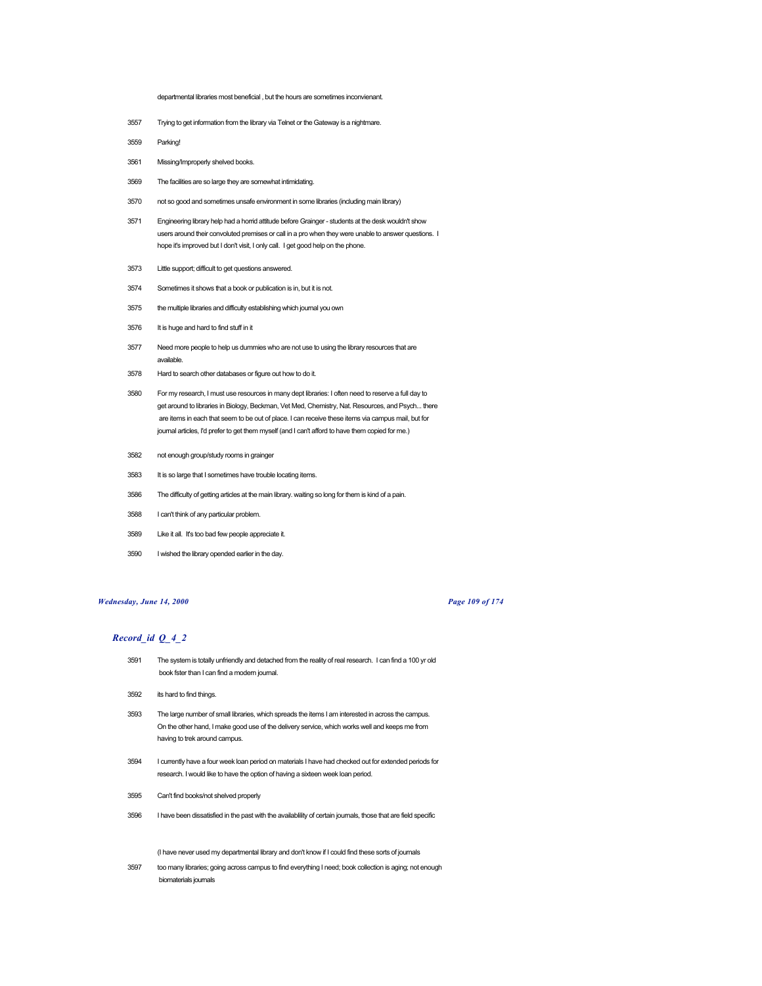departmental libraries most beneficial , but the hours are sometimes inconvienant.

- Trying to get information from the library via Telnet or the Gateway is a nightmare.
- Parking!
- Missing/Improperly shelved books.
- The facilities are so large they are somewhat intimidating.
- not so good and sometimes unsafe environment in some libraries (including main library)
- Engineering library help had a horrid attitude before Grainger students at the desk wouldn't show users around their convoluted premises or call in a pro when they were unable to answer questions. I hope it's improved but I don't visit, I only call. I get good help on the phone.
- Little support; difficult to get questions answered.
- Sometimes it shows that a book or publication is in, but it is not.
- the multiple libraries and difficulty establishing which journal you own
- It is huge and hard to find stuff in it
- Need more people to help us dummies who are not use to using the library resources that are available.
- Hard to search other databases or figure out how to do it.
- For my research, I must use resources in many dept libraries: I often need to reserve a full day to get around to libraries in Biology, Beckman, Vet Med, Chemistry, Nat. Resources, and Psych... there are items in each that seem to be out of place. I can receive these items via campus mail, but for journal articles, I'd prefer to get them myself (and I can't afford to have them copied for me.)
- not enough group/study rooms in grainger
- It is so large that I sometimes have trouble locating items.
- The difficulty of getting articles at the main library. waiting so long for them is kind of a pain.
- I can't think of any particular problem.
- Like it all. It's too bad few people appreciate it.
- I wished the library opended earlier in the day.

### *Wednesday, June 14, 2000 Page 109 of 174*

# *Record\_id Q\_4\_2*

- The system is totally unfriendly and detached from the reality of real research. I can find a 100 yr old book fster than I can find a modern journal.
- its hard to find things.
- The large number of small libraries, which spreads the items I am interested in across the campus. On the other hand, I make good use of the delivery service, which works well and keeps me from having to trek around campus.
- I currently have a four week loan period on materials I have had checked out for extended periods for research. I would like to have the option of having a sixteen week loan period.
- Can't find books/not shelved properly
- I have been dissatisfied in the past with the availablility of certain journals, those that are field specific

(I have never used my departmental library and don't know if I could find these sorts of journals

 too many libraries; going across campus to find everything I need; book collection is aging; not enough biomaterials journals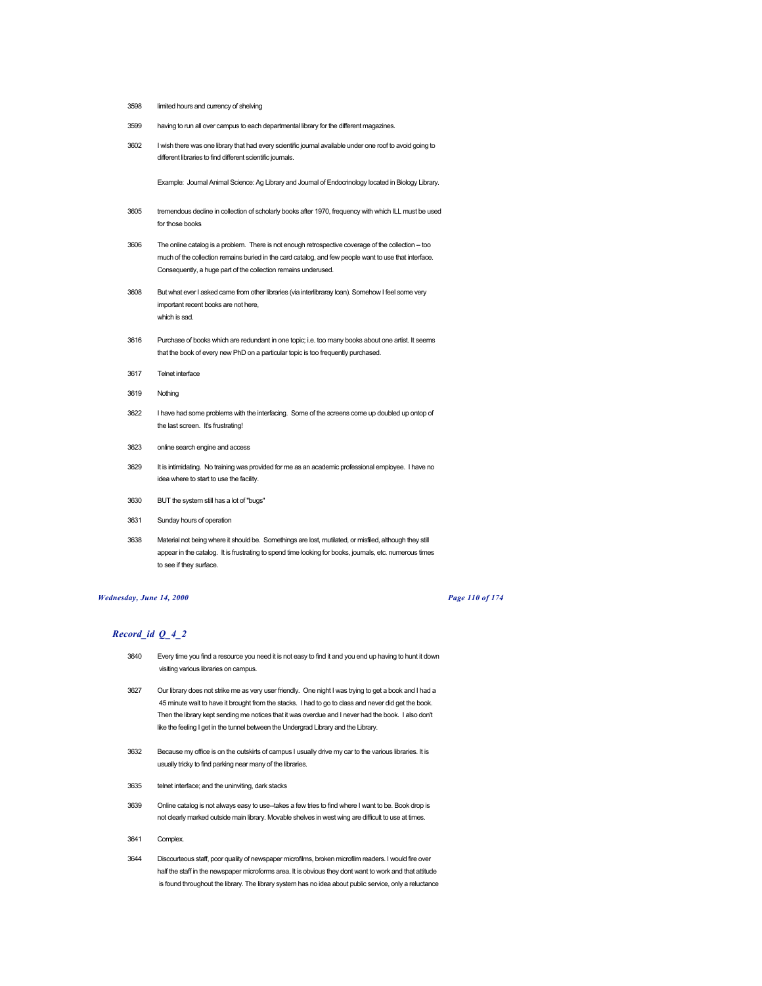- 3598 limited hours and currency of shelving
- 3599 having to run all over campus to each departmental library for the different magazines.
- 3602 I wish there was one library that had every scientific journal available under one roof to avoid going to different libraries to find different scientific journals.

Example: Journal Animal Science: Ag Library and Journal of Endocrinology located in Biology Library.

- 3605 tremendous decline in collection of scholarly books after 1970, frequency with which ILL must be used for those books
- 3606 The online catalog is a problem. There is not enough retrospective coverage of the collection -- too much of the collection remains buried in the card catalog, and few people want to use that interface. Consequently, a huge part of the collection remains underused.
- 3608 But what ever I asked came from other libraries (via interlibraray loan). Somehow I feel some very important recent books are not here, which is sad.
- 3616 Purchase of books which are redundant in one topic; i.e. too many books about one artist. It seems that the book of every new PhD on a particular topic is too frequently purchased.
- 3617 Telnet interface
- 3619 Nothing
- 3622 I have had some problems with the interfacing. Some of the screens come up doubled up ontop of the last screen. It's frustrating!
- 3623 online search engine and access
- 3629 It is intimidating. No training was provided for me as an academic professional employee. I have no idea where to start to use the facility.
- 3630 BUT the system still has a lot of "bugs"
- 3631 Sunday hours of operation
- 3638 Material not being where it should be. Somethings are lost, mutilated, or misfiled, although they still appear in the catalog. It is frustrating to spend time looking for books, journals, etc. numerous times to see if they surface.

### *Wednesday, June 14, 2000 Page 110 of 174*

- 3640 Every time you find a resource you need it is not easy to find it and you end up having to hunt it down visiting various libraries on campus.
- 3627 Our library does not strike me as very user friendly. One night I was trying to get a book and I had a 45 minute wait to have it brought from the stacks. I had to go to class and never did get the book. Then the library kept sending me notices that it was overdue and I never had the book. I also don't like the feeling I get in the tunnel between the Undergrad Library and the Library.
- 3632 Because my office is on the outskirts of campus I usually drive my car to the various libraries. It is usually tricky to find parking near many of the libraries.
- 3635 telnet interface; and the uninviting, dark stacks
- 3639 Online catalog is not always easy to use--takes a few tries to find where I want to be. Book drop is not clearly marked outside main library. Movable shelves in west wing are difficult to use at times.
- 3641 Complex.
- 3644 Discourteous staff, poor quality of newspaper microfilms, broken microfilm readers. I would fire over half the staff in the newspaper microforms area. It is obvious they dont want to work and that attitude is found throughout the library. The library system has no idea about public service, only a reluctance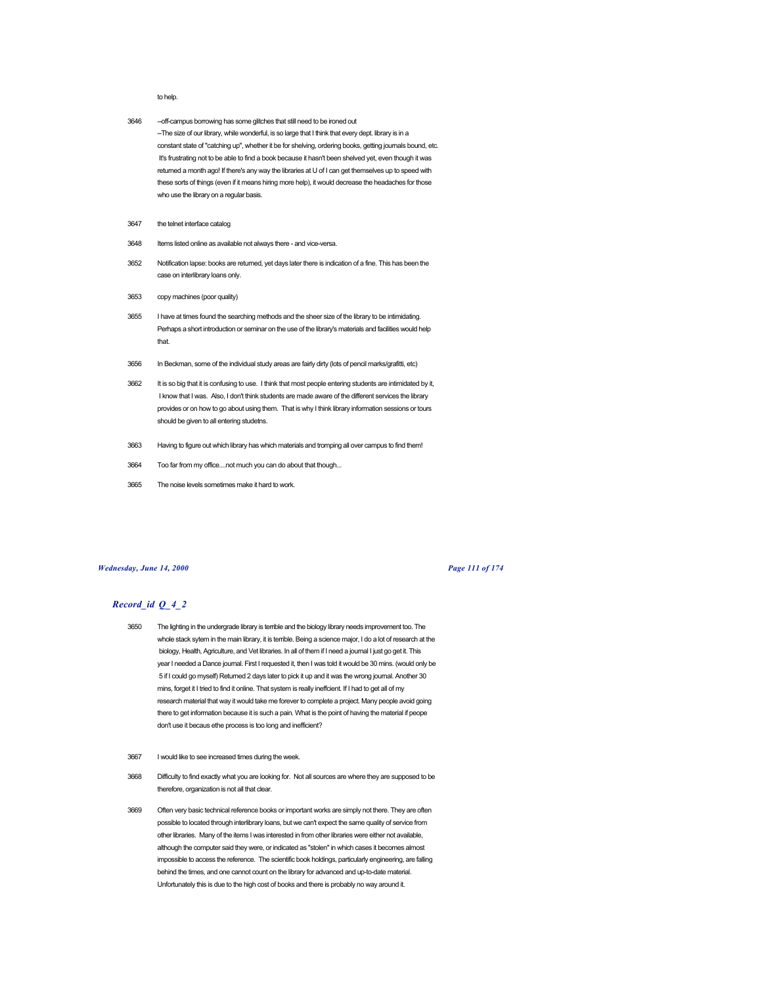#### to help.

- 3646 --off-campus borrowing has some glitches that still need to be ironed out -The size of our library, while wonderful, is so large that I think that every dept. library is in a constant state of "catching up", whether it be for shelving, ordering books, getting journals bound, etc. It's frustrating not to be able to find a book because it hasn't been shelved yet, even though it was returned a month ago! If there's any way the libraries at U of I can get themselves up to speed with these sorts of things (even if it means hiring more help), it would decrease the headaches for those who use the library on a regular basis.
- 3647 the telnet interface catalog
- 3648 Items listed online as available not always there and vice-versa.
- 3652 Notification lapse: books are returned, yet days later there is indication of a fine. This has been the case on interlibrary loans only.
- 3653 copy machines (poor quality)
- 3655 I have at times found the searching methods and the sheer size of the library to be intimidating. Perhaps a short introduction or seminar on the use of the library's materials and facilities would help that.
- 3656 In Beckman, some of the individual study areas are fairly dirty (lots of pencil marks/grafitti, etc)
- 3662 It is so big that it is confusing to use. I think that most people entering students are intimidated by it, I know that I was. Also, I don't think students are made aware of the different services the library provides or on how to go about using them. That is why I think library information sessions or tours should be given to all entering studetns.
- 3663 Having to figure out which library has which materials and tromping all over campus to find them!
- 3664 Too far from my office....not much you can do about that though...
- 3665 The noise levels sometimes make it hard to work.

### *Wednesday, June 14, 2000 Page 111 of 174*

- 3650 The lighting in the undergrade library is terrible and the biology library needs improvement too. The whole stack sytem in the main library, it is terrible. Being a science major, I do a lot of research at the biology, Health, Agriculture, and Vet libraries. In all of them if I need a journal I just go get it. This year I needed a Dance journal. First I requested it, then I was told it would be 30 mins. (would only be 5 if I could go myself) Returned 2 days later to pick it up and it was the wrong journal. Another 30 mins, forget it I tried to find it online. That system is really ineffcient. If I had to get all of my research material that way it would take me forever to complete a project. Many people avoid going there to get information because it is such a pain. What is the point of having the material if peope don't use it becaus ethe process is too long and inefficient?
- 3667 I would like to see increased times during the week.
- 3668 Difficulty to find exactly what you are looking for. Not all sources are where they are supposed to be therefore, organization is not all that clear.
- 3669 Often very basic technical reference books or important works are simply not there. They are often possible to located through interlibrary loans, but we can't expect the same quality of service from other libraries. Many of the items I was interested in from other libraries were either not available, although the computer said they were, or indicated as "stolen" in which cases it becomes almost impossible to access the reference. The scientific book holdings, particularly engineering, are falling behind the times, and one cannot count on the library for advanced and up-to-date material. Unfortunately this is due to the high cost of books and there is probably no way around it.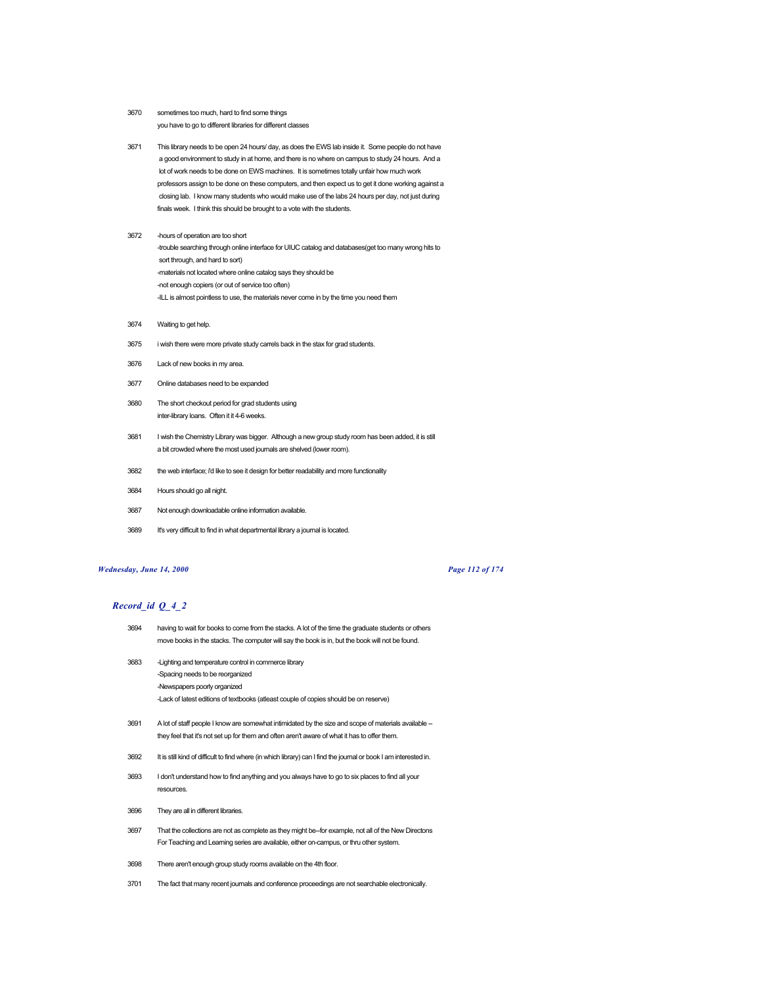- 3670 sometimes too much, hard to find some things you have to go to different libraries for different classes
- 3671 This library needs to be open 24 hours/ day, as does the EWS lab inside it. Some people do not have a good environment to study in at home, and there is no where on campus to study 24 hours. And a lot of work needs to be done on EWS machines. It is sometimes totally unfair how much work professors assign to be done on these computers, and then expect us to get it done working against a closing lab. I know many students who would make use of the labs 24 hours per day, not just during finals week. I think this should be brought to a vote with the students.
- 3672 -hours of operation are too short -trouble searching through online interface for UIUC catalog and databases(get too many wrong hits to sort through, and hard to sort) -materials not located where online catalog says they should be -not enough copiers (or out of service too often) -ILL is almost pointless to use, the materials never come in by the time you need them
- 3674 Waiting to get help.
- 3675 i wish there were more private study carrels back in the stax for grad students.
- 3676 Lack of new books in my area.
- 3677 Online databases need to be expanded
- 3680 The short checkout period for grad students using inter-library loans. Often it it 4-6 weeks.
- 3681 I wish the Chemistry Library was bigger. Although a new group study room has been added, it is still a bit crowded where the most used journals are shelved (lower room).
- 3682 the web interface; i'd like to see it design for better readability and more functionality
- 3684 Hours should go all night.
- 3687 Not enough downloadable online information available.
- 3689 It's very difficult to find in what departmental library a journal is located.

### *Wednesday, June 14, 2000 Page 112 of 174*

- 3694 having to wait for books to come from the stacks. A lot of the time the graduate students or others move books in the stacks. The computer will say the book is in, but the book will not be found.
- 3683 -Lighting and temperature control in commerce library -Spacing needs to be reorganized -Newspapers poorly organized -Lack of latest editions of textbooks (atleast couple of copies should be on reserve)
- 3691 A lot of staff people I know are somewhat intimidated by the size and scope of materials available -they feel that it's not set up for them and often aren't aware of what it has to offer them.
- 3692 It is still kind of difficult to find where (in which library) can I find the journal or book I am interested in.
- 3693 I don't understand how to find anything and you always have to go to six places to find all your resources.
- 3696 They are all in different libraries.
- 3697 That the collections are not as complete as they might be--for example, not all of the New Directons For Teaching and Learning series are available, either on-campus, or thru other system.
- 3698 There aren't enough group study rooms available on the 4th floor.
- 3701 The fact that many recent journals and conference proceedings are not searchable electronically.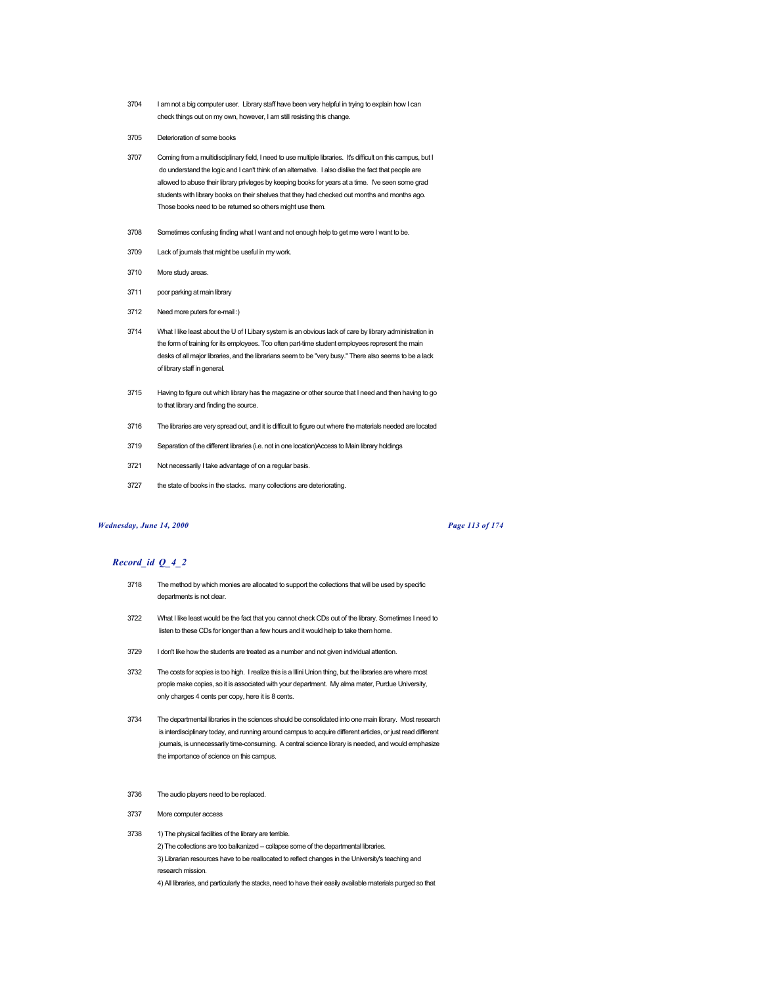- 3704 I am not a big computer user. Library staff have been very helpful in trying to explain how I can check things out on my own, however, I am still resisting this change.
- 3705 Deterioration of some books
- 3707 Coming from a multidisciplinary field, I need to use multiple libraries. It's difficult on this campus, but I do understand the logic and I can't think of an alternative. I also dislike the fact that people are allowed to abuse their library privleges by keeping books for years at a time. I've seen some grad students with library books on their shelves that they had checked out months and months ago. Those books need to be returned so others might use them.
- 3708 Sometimes confusing finding what I want and not enough help to get me were I want to be.
- 3709 Lack of journals that might be useful in my work.
- 3710 More study areas.
- 3711 poor parking at main library
- 3712 Need more puters for e-mail :)
- 3714 What I like least about the U of I Libary system is an obvious lack of care by library administration in the form of training for its employees. Too often part-time student employees represent the main desks of all major libraries, and the librarians seem to be "very busy." There also seems to be a lack of library staff in general.
- 3715 Having to figure out which library has the magazine or other source that I need and then having to go to that library and finding the source.
- 3716 The libraries are very spread out, and it is difficult to figure out where the materials needed are located
- 3719 Separation of the different libraries (i.e. not in one location)Access to Main library holdings
- 3721 Not necessarily I take advantage of on a regular basis.
- 3727 the state of books in the stacks. many collections are deteriorating.

### *Wednesday, June 14, 2000 Page 113 of 174*

# *Record\_id Q\_4\_2*

- 3718 The method by which monies are allocated to support the collections that will be used by specific departments is not clear.
- 3722 What I like least would be the fact that you cannot check CDs out of the library. Sometimes I need to listen to these CDs for longer than a few hours and it would help to take them home.
- 3729 I don't like how the students are treated as a number and not given individual attention.
- 3732 The costs for sopies is too high. I realize this is a Illini Union thing, but the libraries are where most prople make copies, so it is associated with your department. My alma mater, Purdue University, only charges 4 cents per copy, here it is 8 cents.
- 3734 The departmental libraries in the sciences should be consolidated into one main library. Most research is interdisciplinary today, and running around campus to acquire different articles, or just read different journals, is unnecessarily time-consuming. A central science library is needed, and would emphasize the importance of science on this campus.
- 3736 The audio players need to be replaced.
- 3737 More computer access
- 3738 1) The physical facilities of the library are terrible. 2) The collections are too balkanized -- collapse some of the departmental libraries. 3) Librarian resources have to be reallocated to reflect changes in the University's teaching and research mission.

4) All libraries, and particularly the stacks, need to have their easily available materials purged so that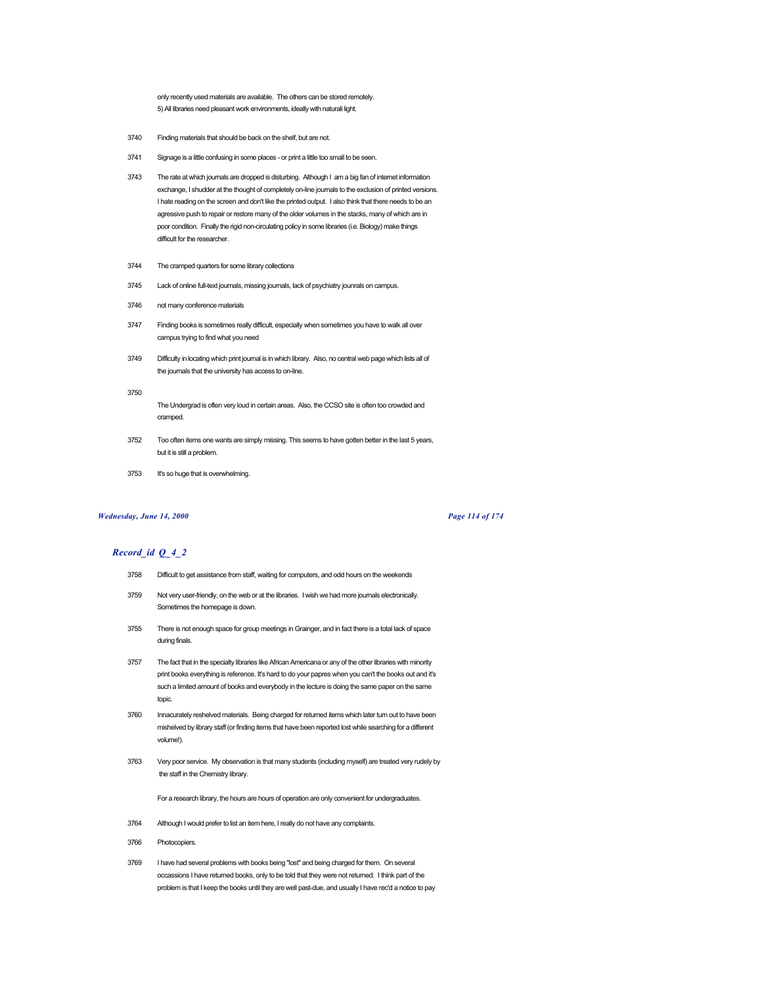only recently used materials are available. The others can be stored remotely. 5) All libraries need pleasant work environments, ideally with naturali light.

- 3740 Finding materials that should be back on the shelf, but are not.
- 3741 Signage is a little confusing in some places or print a little too small to be seen.
- 3743 The rate at which journals are dropped is disturbing. Although I am a big fan of internet information exchange, I shudder at the thought of completely on-line journals to the exclusion of printed versions. I hate reading on the screen and don't like the printed output. I also think that there needs to be an agressive push to repair or restore many of the older volumes in the stacks, many of which are in poor condition. Finally the rigid non-circulating policy in some libraries (i.e. Biology) make things difficult for the researcher.
- 3744 The cramped quarters for some library collections
- 3745 Lack of online full-text journals, missing journals, lack of psychiatry jounrals on campus.
- 3746 not many conference materials
- 3747 Finding books is sometimes really difficult, especially when sometimes you have to walk all over campus trying to find what you need
- 3749 Difficulty in locating which print journal is in which library. Also, no central web page which lists all of the journals that the university has access to on-line.
- 3750

The Undergrad is often very loud in certain areas. Also, the CCSO site is often too crowded and cramped.

- 3752 Too often items one wants are simply missing. This seems to have gotten better in the last 5 years, but it is still a problem.
- 3753 It's so huge that is overwhelming.

# *Wednesday, June 14, 2000 Page 114 of 174*

## *Record\_id Q\_4\_2*

- 3758 Difficult to get assistance from staff, waiting for computers, and odd hours on the weekends
- 3759 Not very user-friendly, on the web or at the libraries. I wish we had more journals electronically. Sometimes the homepage is down.
- 3755 There is not enough space for group meetings in Grainger, and in fact there is a total lack of space during finals.
- 3757 The fact that in the specialty libraries like African Americana or any of the other libraries with minority print books everything is reference. It's hard to do your papres when you can't the books out and it's such a limited amount of books and everybody in the lecture is doing the same paper on the same topic.
- 3760 Innacurately reshelved materials. Being charged for returned items which later turn out to have been mishelved by library staff (or finding items that have been reported lost while searching for a different volume!).
- 3763 Very poor service. My observation is that many students (including myself) are treated very rudely by the staff in the Chemistry library.

For a research library, the hours are hours of operation are only convenient for undergraduates.

- 3764 Although I would prefer to list an item here, I really do not have any complaints.
- 3766 Photocopiers.
- 3769 I have had several problems with books being "lost" and being charged for them. On several occassions I have returned books, only to be told that they were not returned. I think part of the problem is that I keep the books until they are well past-due, and usually I have rec'd a notice to pay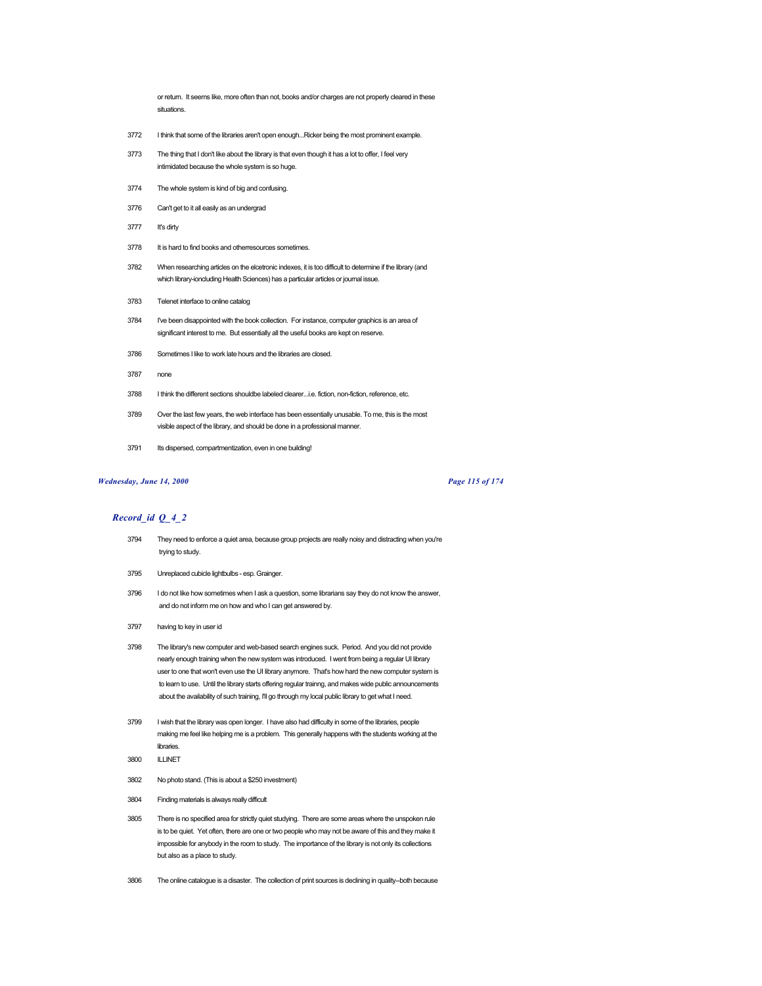or return. It seems like, more often than not, books and/or charges are not properly cleared in these situations.

- 3772 I think that some of the libraries aren't open enough...Ricker being the most prominent example.
- 3773 The thing that I don't like about the library is that even though it has a lot to offer, I feel very intimidated because the whole system is so huge.
- 3774 The whole system is kind of big and confusing.
- 3776 Can't get to it all easily as an undergrad
- 3777 It's dirty
- 3778 It is hard to find books and otherresources sometimes.
- 3782 When researching articles on the elcetronic indexes, it is too difficult to determine if the library (and which library-ioncluding Health Sciences) has a particular articles or journal issue.
- 3783 Telenet interface to online catalog
- 3784 I've been disappointed with the book collection. For instance, computer graphics is an area of significant interest to me. But essentially all the useful books are kept on reserve.
- 3786 Sometimes I like to work late hours and the libraries are closed.
- 3787 none
- 3788 I think the different sections shouldbe labeled clearer...i.e. fiction, non-fiction, reference, etc.
- 3789 Over the last few years, the web interface has been essentially unusable. To me, this is the most visible aspect of the library, and should be done in a professional manner.
- 3791 Its dispersed, compartmentization, even in one building!

## *Wednesday, June 14, 2000 Page 115 of 174*

- 3794 They need to enforce a quiet area, because group projects are really noisy and distracting when you're trying to study.
- 3795 Unreplaced cubicle lightbulbs esp. Grainger.
- 3796 I do not like how sometimes when I ask a question, some librarians say they do not know the answer, and do not inform me on how and who I can get answered by.
- 3797 having to key in user id
- 3798 The library's new computer and web-based search engines suck. Period. And you did not provide nearly enough training when the new system was introduced. I went from being a regular UI library user to one that won't even use the UI library anymore. That's how hard the new computer system is to learn to use. Until the library starts offering regular trainng, and makes wide public announcements about the availability of such training, I'll go through my local public library to get what I need.
- 3799 I wish that the library was open longer. I have also had difficulty in some of the libraries, people making me feel like helping me is a problem. This generally happens with the students working at the libraries.
- 3800 ILLINET
- 3802 No photo stand. (This is about a \$250 investment)
- 3804 Finding materials is always really difficult
- 3805 There is no specified area for strictly quiet studying. There are some areas where the unspoken rule is to be quiet. Yet often, there are one or two people who may not be aware of this and they make it impossible for anybody in the room to study. The importance of the library is not only its collections but also as a place to study.
- 3806 The online catalogue is a disaster. The collection of print sources is declining in quality--both because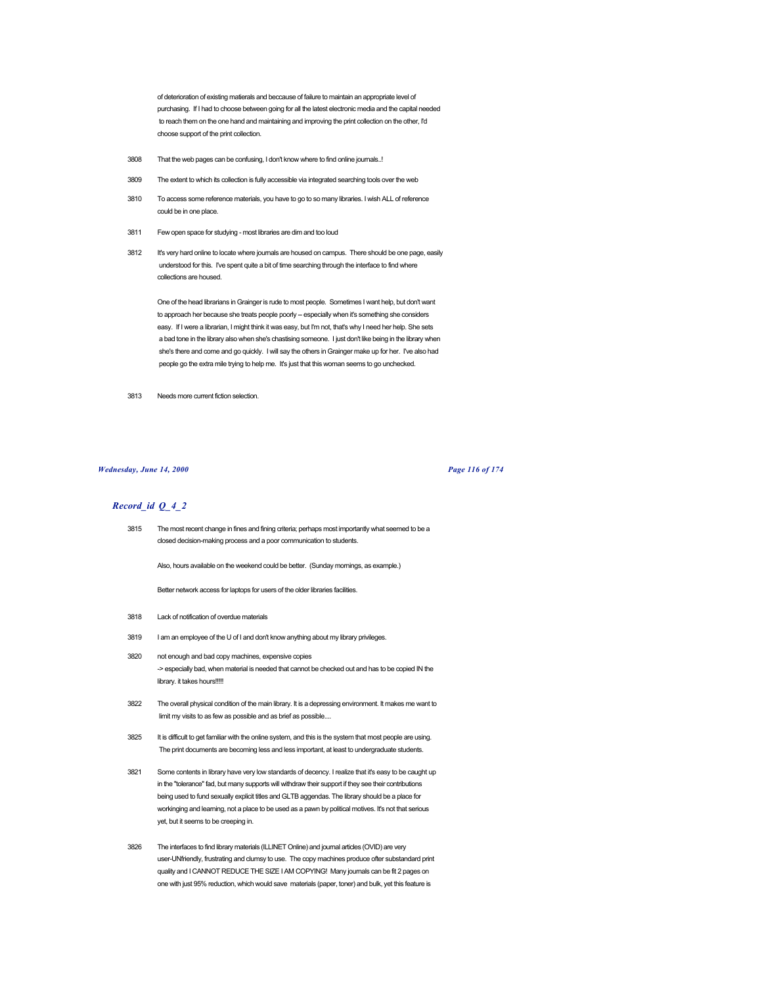of deterioration of existing matierals and beccause of failure to maintain an appropriate level of purchasing. If I had to choose between going for all the latest electronic media and the capital needed to reach them on the one hand and maintaining and improving the print collection on the other, I'd choose support of the print collection.

- 3808 That the web pages can be confusing, I don't know where to find online journals..!
- 3809 The extent to which its collection is fully accessible via integrated searching tools over the web
- 3810 To access some reference materials, you have to go to so many libraries. I wish ALL of reference could be in one place.
- 3811 Few open space for studying most libraries are dim and too loud
- 3812 It's very hard online to locate where journals are housed on campus. There should be one page, easily understood for this. I've spent quite a bit of time searching through the interface to find where collections are housed.

One of the head librarians in Grainger is rude to most people. Sometimes I want help, but don't want to approach her because she treats people poorly -- especially when it's something she considers easy. If I were a librarian, I might think it was easy, but I'm not, that's why I need her help. She sets a bad tone in the library also when she's chastising someone. I just don't like being in the library when she's there and come and go quickly. I will say the others in Grainger make up for her. I've also had people go the extra mile trying to help me. It's just that this woman seems to go unchecked.

3813 Needs more current fiction selection.

#### *Wednesday, June 14, 2000 Page 116 of 174*

# *Record\_id Q\_4\_2*

3815 The most recent change in fines and fining criteria; perhaps most importantly what seemed to be a closed decision-making process and a poor communication to students.

Also, hours available on the weekend could be better. (Sunday mornings, as example.)

Better network access for laptops for users of the older libraries facilities.

- 3818 Lack of notification of overdue materials
- 3819 I am an employee of the U of I and don't know anything about my library privileges.
- 3820 not enough and bad copy machines, expensive copies -> especially bad, when material is needed that cannot be checked out and has to be copied IN the library. it takes hours!!!!!
- 3822 The overall physical condition of the main library. It is a depressing environment. It makes me want to limit my visits to as few as possible and as brief as possible....
- 3825 It is difficult to get familiar with the online system, and this is the system that most people are using. The print documents are becoming less and less important, at least to undergraduate students.
- 3821 Some contents in library have very low standards of decency. I realize that it's easy to be caught up in the "tolerance" fad, but many supports will withdraw their support if they see their contributions being used to fund sexually explicit titles and GLTB aggendas. The library should be a place for workinging and learning, not a place to be used as a pawn by political motives. It's not that serious yet, but it seems to be creeping in.
- 3826 The interfaces to find library materials (ILLINET Online) and journal articles (OVID) are very user-UNfriendly, frustrating and clumsy to use. The copy machines produce ofter substandard print quality and I CANNOT REDUCE THE SIZE I AM COPYING! Many journals can be fit 2 pages on one with just 95% reduction, which would save materials (paper, toner) and bulk, yet this feature is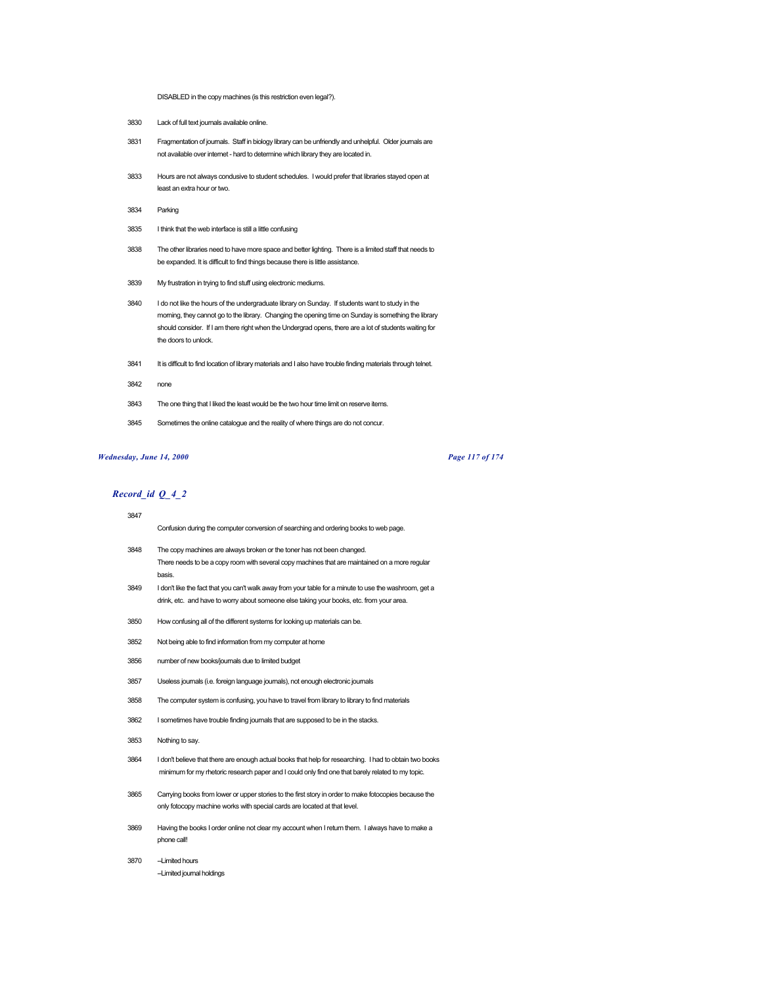DISABLED in the copy machines (is this restriction even legal?).

- 3830 Lack of full text journals available online.
- 3831 Fragmentation of journals. Staff in biology library can be unfriendly and unhelpful. Older journals are not available over internet - hard to determine which library they are located in.
- 3833 Hours are not always condusive to student schedules. I would prefer that libraries stayed open at least an extra hour or two.
- 3834 Parking
- 3835 I think that the web interface is still a little confusing
- 3838 The other libraries need to have more space and better lighting. There is a limited staff that needs to be expanded. It is difficult to find things because there is little assistance.
- 3839 My frustration in trying to find stuff using electronic mediums.
- 3840 I do not like the hours of the undergraduate library on Sunday. If students want to study in the morning, they cannot go to the library. Changing the opening time on Sunday is something the library should consider. If I am there right when the Undergrad opens, there are a lot of students waiting for the doors to unlock.
- 3841 It is difficult to find location of library materials and I also have trouble finding materials through telnet.
- 3842 none
- 3843 The one thing that I liked the least would be the two hour time limit on reserve items.
- 3845 Sometimes the online catalogue and the reality of where things are do not concur.

#### *Wednesday, June 14, 2000 Page 117 of 174*

*Record\_id Q\_4\_2*  $\overline{3}$ 

| 3847 |                                                                                                          |
|------|----------------------------------------------------------------------------------------------------------|
|      | Confusion during the computer conversion of searching and ordering books to web page.                    |
| 3848 | The copy machines are always broken or the toner has not been changed.                                   |
|      | There needs to be a copy room with several copy machines that are maintained on a more regular<br>basis. |
| 3849 | I don't like the fact that you can't walk away from your table for a minute to use the washroom, get a   |
|      | drink, etc. and have to worry about someone else taking your books, etc. from your area.                 |
| 3850 | How confusing all of the different systems for looking up materials can be.                              |
| 3852 | Not being able to find information from my computer at home                                              |
| 3856 | number of new books/journals due to limited budget                                                       |
| 3857 | Useless journals (i.e. foreign language journals), not enough electronic journals                        |
| 3858 | The computer system is confusing, you have to travel from library to library to find materials           |
| 3862 | I sometimes have trouble finding journals that are supposed to be in the stacks.                         |

- 3853 Nothing to say.
- 3864 I don't believe that there are enough actual books that help for researching. I had to obtain two books minimum for my rhetoric research paper and I could only find one that barely related to my topic.
- 3865 Carrying books from lower or upper stories to the first story in order to make fotocopies because the only fotocopy machine works with special cards are located at that level.
- 3869 Having the books I order online not clear my account when I return them. I always have to make a phone call!
- 3870 -- Limited hours -Limited journal holdings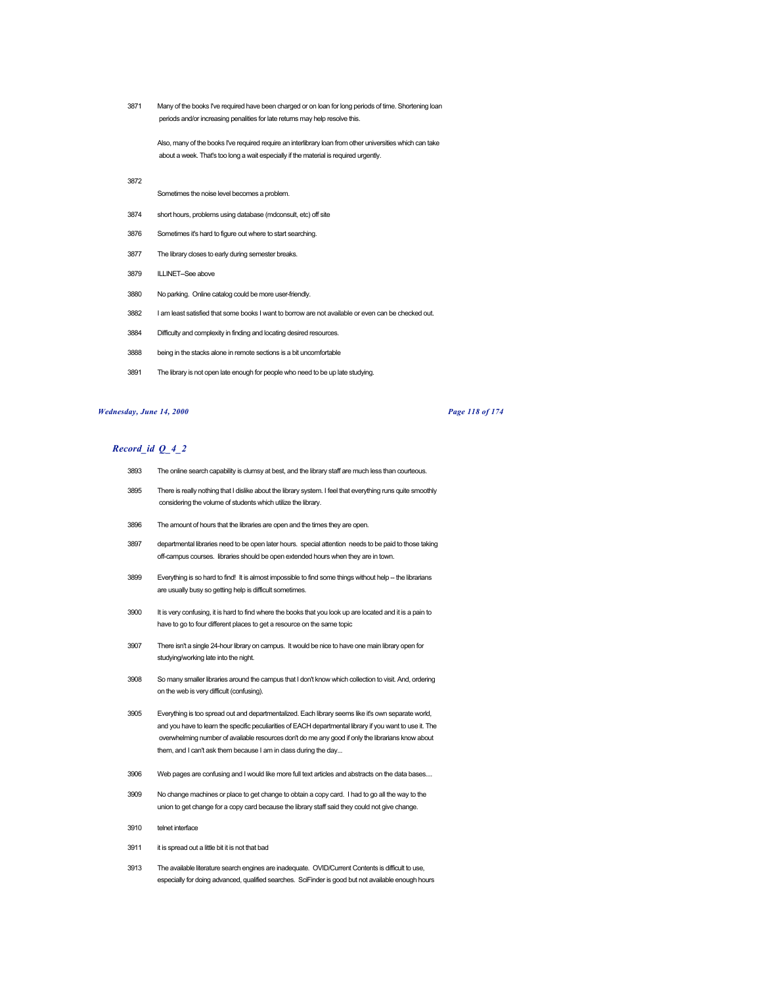3871 Many of the books I've required have been charged or on loan for long periods of time. Shortening loan periods and/or increasing penalities for late returns may help resolve this.

Also, many of the books I've required require an interlibrary loan from other universities which can take about a week. That's too long a wait especially if the material is required urgently.

3872

Sometimes the noise level becomes a problem.

- 3874 short hours, problems using database (mdconsult, etc) off site
- 3876 Sometimes it's hard to figure out where to start searching.
- 3877 The library closes to early during semester breaks.
- 3879 ILLINET--See above
- 3880 No parking. Online catalog could be more user-friendly.
- 3882 I am least satisfied that some books I want to borrow are not available or even can be checked out.
- 3884 Difficulty and complexity in finding and locating desired resources.
- 3888 being in the stacks alone in remote sections is a bit uncomfortable
- 3891 The library is not open late enough for people who need to be up late studying.

## *Wednesday, June 14, 2000 Page 118 of 174*

- 3893 The online search capability is clumsy at best, and the library staff are much less than courteous.
- 3895 There is really nothing that I dislike about the library system. I feel that everything runs quite smoothly considering the volume of students which utilize the library.
- 3896 The amount of hours that the libraries are open and the times they are open.
- 3897 departmental libraries need to be open later hours. special attention needs to be paid to those taking off-campus courses. libraries should be open extended hours when they are in town.
- 3899 Everything is so hard to find! It is almost impossible to find some things without help -- the librarians are usually busy so getting help is difficult sometimes.
- 3900 It is very confusing, it is hard to find where the books that you look up are located and it is a pain to have to go to four different places to get a resource on the same topic
- 3907 There isn't a single 24-hour library on campus. It would be nice to have one main library open for studying/working late into the night.
- 3908 So many smaller libraries around the campus that I don't know which collection to visit. And, ordering on the web is very difficult (confusing).
- 3905 Everything is too spread out and departmentalized. Each library seems like it's own separate world, and you have to learn the specific peculiarities of EACH departmental library if you want to use it. The overwhelming number of available resources don't do me any good if only the librarians know about them, and I can't ask them because I am in class during the day...
- 3906 Web pages are confusing and I would like more full text articles and abstracts on the data bases....
- 3909 No change machines or place to get change to obtain a copy card. I had to go all the way to the union to get change for a copy card because the library staff said they could not give change.
- 3910 telnet interface
- 3911 it is spread out a little bit it is not that bad
- 3913 The available literature search engines are inadequate. OVID/Current Contents is difficult to use, especially for doing advanced, qualified searches. SciFinder is good but not available enough hours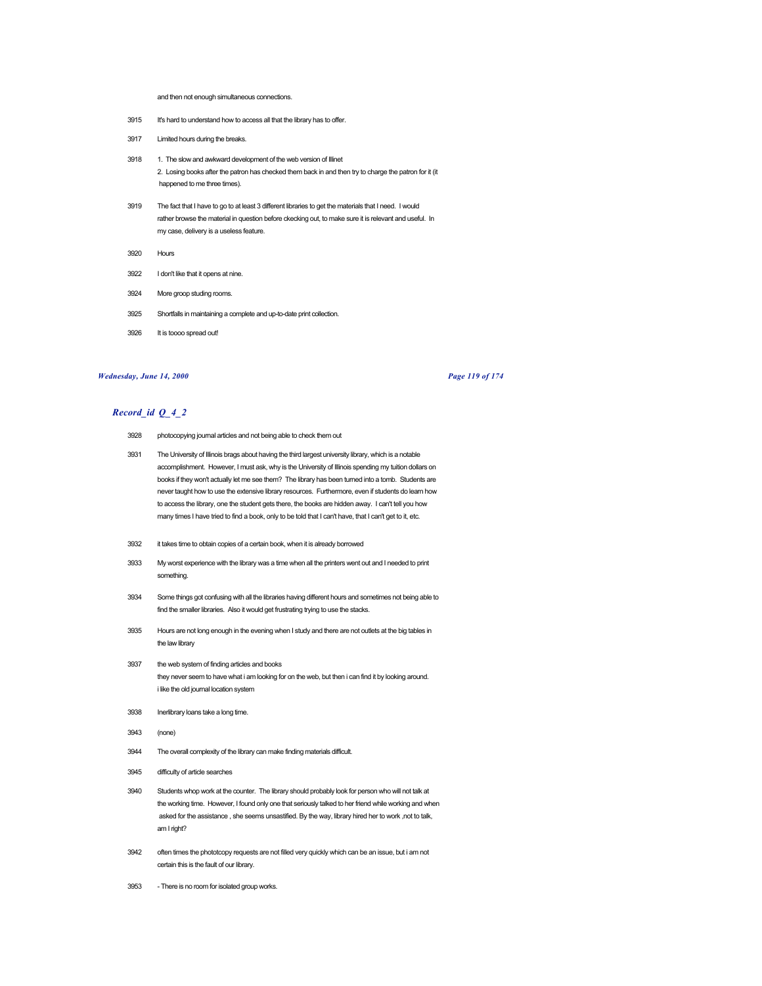#### and then not enough simultaneous connections.

- 3915 It's hard to understand how to access all that the library has to offer.
- 3917 Limited hours during the breaks.
- 3918 1. The slow and awkward development of the web version of Illinet 2. Losing books after the patron has checked them back in and then try to charge the patron for it (it happened to me three times).
- 3919 The fact that I have to go to at least 3 different libraries to get the materials that I need. I would rather browse the material in question before ckecking out, to make sure it is relevant and useful. In my case, delivery is a useless feature.
- 3920 Hours
- 3922 I don't like that it opens at nine.
- 3924 More groop studing rooms.
- 3925 Shortfalls in maintaining a complete and up-to-date print collection.
- 3926 It is toooo spread out!

# *Wednesday, June 14, 2000 Page 119 of 174*

- 3928 photocopying journal articles and not being able to check them out
- 3931 The University of Illinois brags about having the third largest university library, which is a notable accomplishment. However, I must ask, why is the University of Illinois spending my tuition dollars on books if they won't actually let me see them? The library has been turned into a tomb. Students are never taught how to use the extensive library resources. Furthermore, even if students do learn how to access the library, one the student gets there, the books are hidden away. I can't tell you how many times I have tried to find a book, only to be told that I can't have, that I can't get to it, etc.
- 3932 it takes time to obtain copies of a certain book, when it is already borrowed
- 3933 My worst experience with the library was a time when all the printers went out and I needed to print something.
- 3934 Some things got confusing with all the libraries having different hours and sometimes not being able to find the smaller libraries. Also it would get frustrating trying to use the stacks.
- 3935 Hours are not long enough in the evening when I study and there are not outlets at the big tables in the law library
- 3937 the web system of finding articles and books they never seem to have what i am looking for on the web, but then i can find it by looking around. i like the old journal location system
- 3938 Inerlibrary loans take a long time.
- 3943 (none)
- 3944 The overall complexity of the library can make finding materials difficult.
- 3945 difficulty of article searches
- 3940 Students whop work at the counter. The library should probably look for person who will not talk at the working time. However, I found only one that seriously talked to her friend while working and when asked for the assistance , she seems unsastified. By the way, library hired her to work ,not to talk, am I right?
- 3942 often times the phototcopy requests are not filled very quickly which can be an issue, but i am not certain this is the fault of our library.
- 3953 There is no room for isolated group works.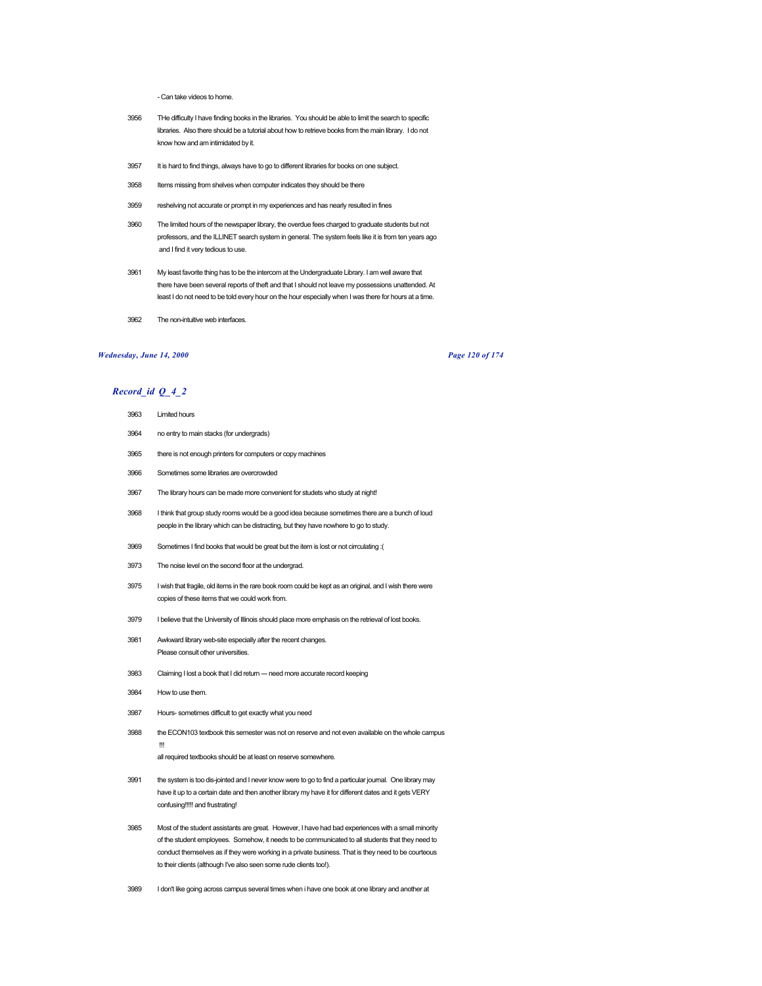- Can take videos to home.

- 3956 THe difficulty I have finding books in the libraries. You should be able to limit the search to specific libraries. Also there should be a tutorial about how to retrieve books from the main library. I do not know how and am intimidated by it.
- 3957 It is hard to find things, always have to go to different libraries for books on one subject.
- 3958 Items missing from shelves when computer indicates they should be there
- 3959 reshelving not accurate or prompt in my experiences and has nearly resulted in fines
- 3960 The limited hours of the newspaper library, the overdue fees charged to graduate students but not professors, and the ILLINET search system in general. The system feels like it is from ten years ago and I find it very tedious to use.
- 3961 My least favorite thing has to be the intercom at the Undergraduate Library. I am well aware that there have been several reports of theft and that I should not leave my possessions unattended. At least I do not need to be told every hour on the hour especially when I was there for hours at a time.
- 3962 The non-intuitive web interfaces.

## *Wednesday, June 14, 2000 Page 120 of 174*

- 3963 Limited hours
- 3964 no entry to main stacks (for undergrads)
- 3965 there is not enough printers for computers or copy machines
- 3966 Sometimes some libraries are overcrowded
- 3967 The library hours can be made more convenient for studets who study at night!
- 3968 I think that group study rooms would be a good idea because sometimes there are a bunch of loud people in the library which can be distracting, but they have nowhere to go to study.
- 3969 Sometimes I find books that would be great but the item is lost or not cirrculating :(
- 3973 The noise level on the second floor at the undergrad.
- 3975 I wish that fragile, old items in the rare book room could be kept as an original, and I wish there were copies of these items that we could work from.
- 3979 I believe that the University of Illinois should place more emphasis on the retrieval of lost books.
- 3981 Awkward library web-site especially after the recent changes. Please consult other universities.
- 3983 Claiming I lost a book that I did return -- need more accurate record keeping
- 3984 How to use them.
- 3987 Hours- sometimes difficult to get exactly what you need
- 3988 the ECON103 textbook this semester was not on reserve and not even available on the whole campus !!!
	- all required textbooks should be at least on reserve somewhere.
- 3991 the system is too dis-jointed and I never know were to go to find a particular journal. One library may have it up to a certain date and then another library my have it for different dates and it gets VERY confusing!!!!! and frustrating!
- 3985 Most of the student assistants are great. However, I have had bad experiences with a small minority of the student employees. Somehow, it needs to be communicated to all students that they need to conduct themselves as if they were working in a private business. That is they need to be courteous to their clients (although I've also seen some rude clients too!).
- 3989 I don't like going across campus several times when i have one book at one library and another at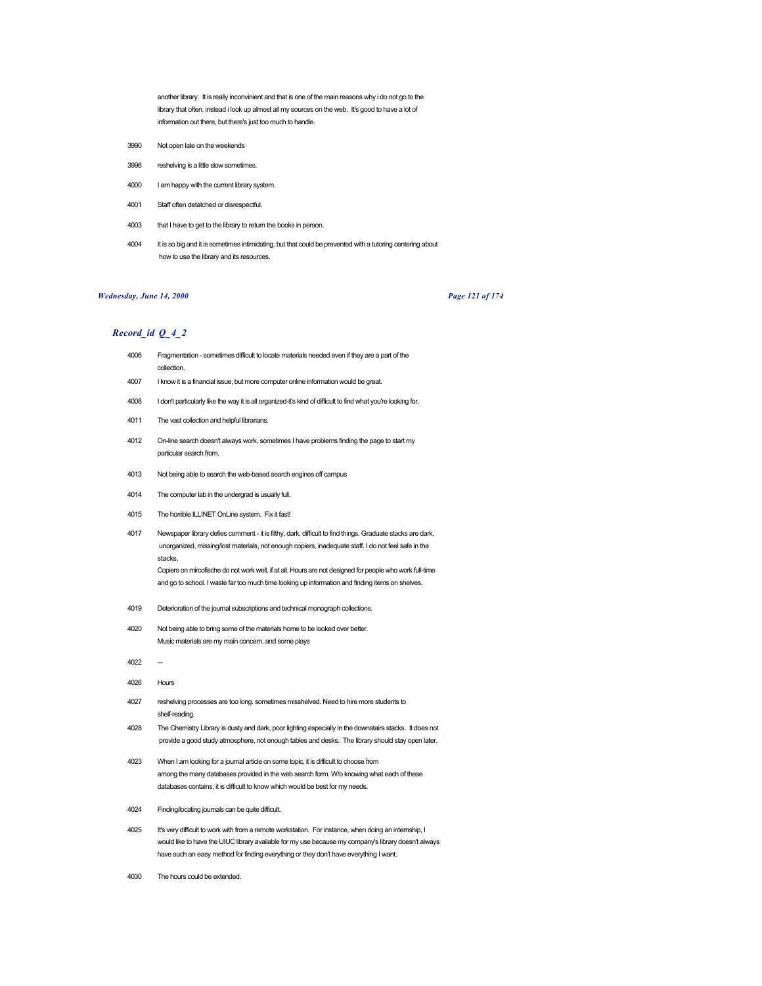another library. It is really inconvinient and that is one of the main reasons why i do not go to the library that often, instead i look up almost all my sources on the web. It's good to have a lot of information out there, but there's just too much to handle.

- 3990 Not open late on the weekends
- 3996 reshelving is a little slow sometimes.
- 4000 I am happy with the current library system.
- 4001 Staff often detatched or disrespectful.
- 4003 that I have to get to the library to return the books in person.
- 4004 It is so big and it is sometimes intimidating, but that could be prevented with a tutoring centering about how to use the library and its resources.

## *Wednesday, June 14, 2000 Page 121 of 174*

# *Record\_id Q\_4\_2*

- 4006 Fragmentation sometimes difficult to locate materials needed even if they are a part of the collection.
- 4007 I know it is a financial issue, but more computer online information would be great.
- 4008 I don't particularly like the way it is all organized-it's kind of difficult to find what you're looking for.
- 4011 The vast collection and helpful librarians.
- 4012 On-line search doesn't always work, sometimes I have problems finding the page to start my particular search from.
- 4013 Not being able to search the web-based search engines off campus
- 4014 The computer lab in the undergrad is usually full.
- 4015 The horrible ILLINET OnLine system. Fix it fast!
- 4017 Newspaper library defies comment it is filthy, dark, difficult to find things. Graduate stacks are dark, unorganized, missing/lost materials, not enough copiers, inadequate staff. I do not feel safe in the stacks.

Copiers on mircofische do not work well, if at all. Hours are not designed for people who work full-time and go to school. I waste far too much time looking up information and finding items on shelves.

- 4019 Deterioration of the journal subscriptions and technical monograph collections.
- 4020 Not being able to bring some of the materials home to be looked over better. Music materials are my main concern, and some plays
- $4022 -$
- 4026 Hours
- 4027 reshelving processes are too long. sometimes misshelved. Need to hire more students to shelf-reading.
- 4028 The Chemistry Library is dusty and dark, poor lighting especially in the downstairs stacks. It does not provide a good study atmosphere, not enough tables and desks. The library should stay open later.
- 4023 When I am looking for a journal article on some topic, it is difficult to choose from among the many databases provided in the web search form. W/o knowing what each of these databases contains, it is difficult to know which would be best for my needs.
- 4024 Finding/locating journals can be quite difficult.
- 4025 It's very difficult to work with from a remote workstation. For instance, when doing an internship, I would like to have the UIUC library available for my use because my company's library doesn't always have such an easy method for finding everything or they don't have everything I want.
- 4030 The hours could be extended.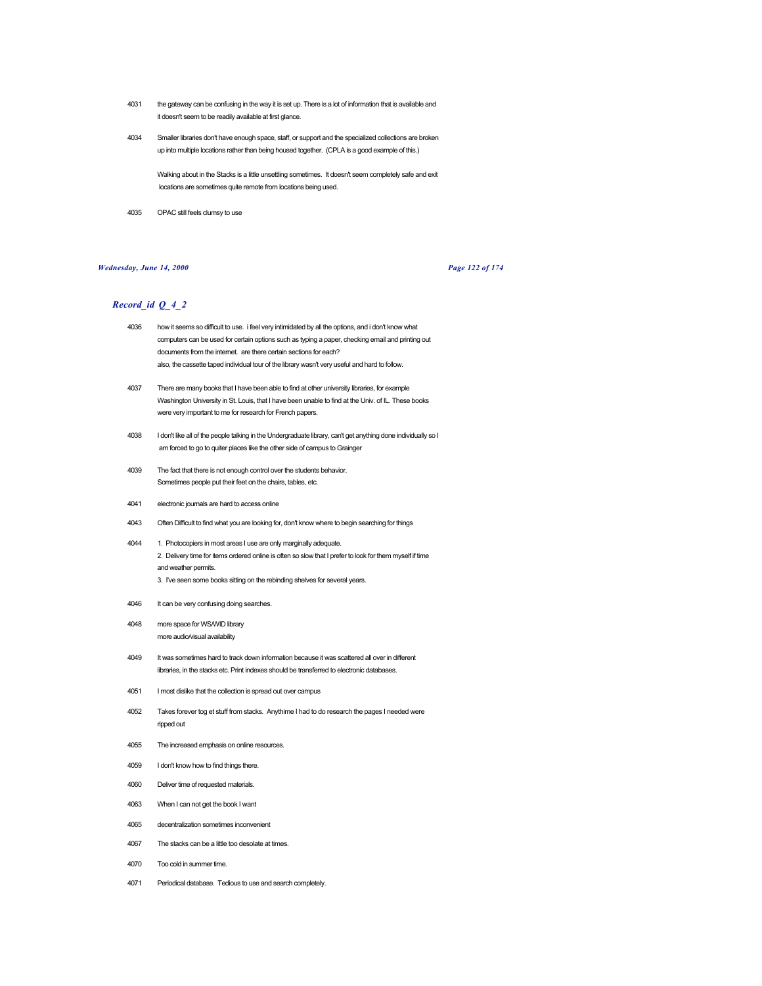- 4031 the gateway can be confusing in the way it is set up. There is a lot of information that is available and it doesn't seem to be readily available at first glance.
- 4034 Smaller libraries don't have enough space, staff, or support and the specialized collections are broken up into multiple locations rather than being housed together. (CPLA is a good example of this.)

Walking about in the Stacks is a little unsettling sometimes. It doesn't seem completely safe and exit locations are sometimes quite remote from locations being used.

4035 OPAC still feels clumsy to use

### *Wednesday, June 14, 2000 Page 122 of 174*

- 4036 how it seems so difficult to use. i feel very intimidated by all the options, and i don't know what computers can be used for certain options such as typing a paper, checking email and printing out documents from the internet. are there certain sections for each? also, the cassette taped individual tour of the library wasn't very useful and hard to follow.
- 4037 There are many books that I have been able to find at other university libraries, for example Washington University in St. Louis, that I have been unable to find at the Univ. of IL. These books were very important to me for research for French papers.
- 4038 I don't like all of the people talking in the Undergraduate library, can't get anything done individually so I am forced to go to quiter places like the other side of campus to Grainger
- 4039 The fact that there is not enough control over the students behavior. Sometimes people put their feet on the chairs, tables, etc.
- 4041 electronic journals are hard to access online
- 4043 Often Difficult to find what you are looking for, don't know where to begin searching for things
- 4044 1. Photocopiers in most areas I use are only marginally adequate. 2. Delivery time for items ordered online is often so slow that I prefer to look for them myself if time and weather permits. 3. I've seen some books sitting on the rebinding shelves for several years.
- 4046 It can be very confusing doing searches.
- 4048 more space for WS/WID library more audio/visual availability
- 4049 It was sometimes hard to track down information because it was scattered all over in different libraries, in the stacks etc. Print indexes should be transferred to electronic databases.
- 4051 I most dislike that the collection is spread out over campus
- 4052 Takes forever tog et stuff from stacks. Anythime I had to do research the pages I needed were ripped out
- 4055 The increased emphasis on online resources.
- 4059 I don't know how to find things there.
- 4060 Deliver time of requested materials.
- 4063 When I can not get the book I want
- 4065 decentralization sometimes inconvenient
- 4067 The stacks can be a little too desolate at times.
- 4070 Too cold in summer time.
- 4071 Periodical database. Tedious to use and search completely.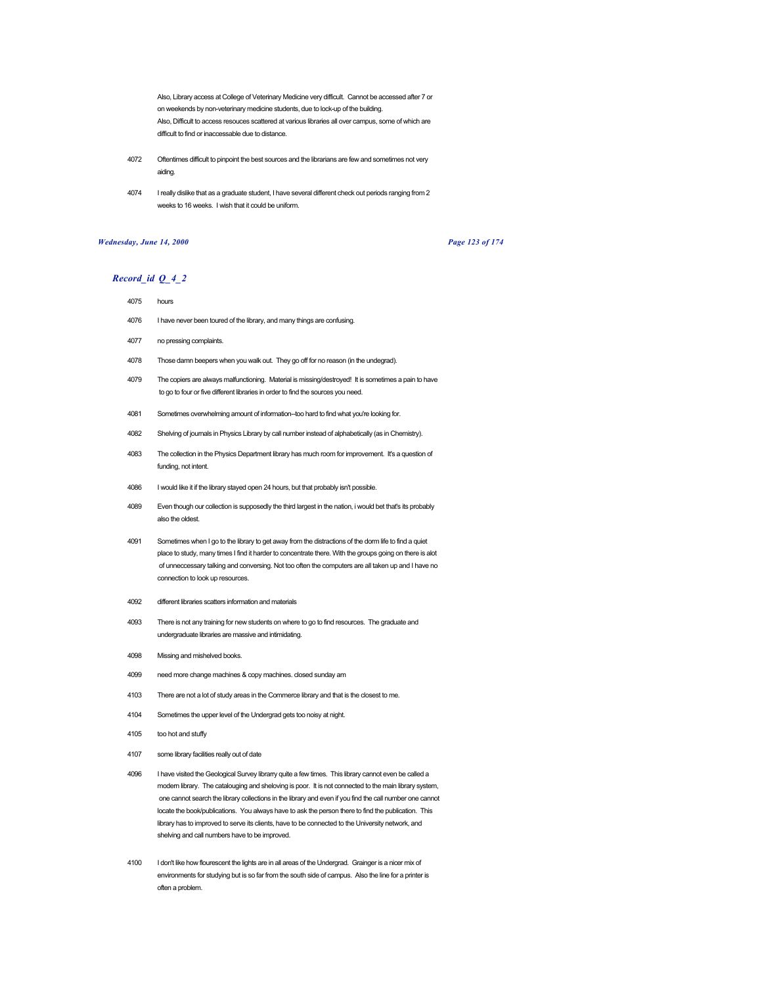Also, Library access at College of Veterinary Medicine very difficult. Cannot be accessed after 7 or on weekends by non-veterinary medicine students, due to lock-up of the building. Also, Difficult to access resouces scattered at various libraries all over campus, some of which are difficult to find or inaccessable due to distance.

- 4072 Oftentimes difficult to pinpoint the best sources and the librarians are few and sometimes not very aiding.
- 4074 I really dislike that as a graduate student, I have several different check out periods ranging from 2 weeks to 16 weeks. I wish that it could be uniform.

# *Wednesday, June 14, 2000 Page 123 of 174*

- 4075 hours
- 4076 I have never been toured of the library, and many things are confusing.
- 4077 no pressing complaints.
- 4078 Those damn beepers when you walk out. They go off for no reason (in the undegrad).
- 4079 The copiers are always malfunctioning. Material is missing/destroyed! It is sometimes a pain to have to go to four or five different libraries in order to find the sources you need.
- 4081 Sometimes overwhelming amount of information--too hard to find what you're looking for.
- 4082 Shelving of journals in Physics Library by call number instead of alphabetically (as in Chemistry).
- 4083 The collection in the Physics Department library has much room for improvement. It's a question of funding, not intent.
- 4086 I would like it if the library stayed open 24 hours, but that probably isn't possible.
- 4089 Even though our collection is supposedly the third largest in the nation, i would bet that's its probably also the oldest.
- 4091 Sometimes when I go to the library to get away from the distractions of the dorm life to find a quiet place to study, many times I find it harder to concentrate there. With the groups going on there is alot of unneccessary talking and conversing. Not too often the computers are all taken up and I have no connection to look up resources.
- 4092 different libraries scatters information and materials
- 4093 There is not any training for new students on where to go to find resources. The graduate and undergraduate libraries are massive and intimidating.
- 4098 Missing and mishelved books.
- 4099 need more change machines & copy machines. closed sunday am
- 4103 There are not a lot of study areas in the Commerce library and that is the closest to me.
- 4104 Sometimes the upper level of the Undergrad gets too noisy at night.
- 4105 too hot and stuffy
- 4107 some library facilities really out of date
- 4096 I have visited the Geological Survey librarry quite a few times. This library cannot even be called a modern library. The catalouging and sheloving is poor. It is not connected to the main library system, one cannot search the library collections in the library and even if you find the call number one cannot locate the book/publications. You always have to ask the person there to find the publication. This library has to improved to serve its clients, have to be connected to the University network, and shelving and call numbers have to be improved.
- 4100 I don't like how flourescent the lights are in all areas of the Undergrad. Grainger is a nicer mix of environments for studying but is so far from the south side of campus. Also the line for a printer is often a problem.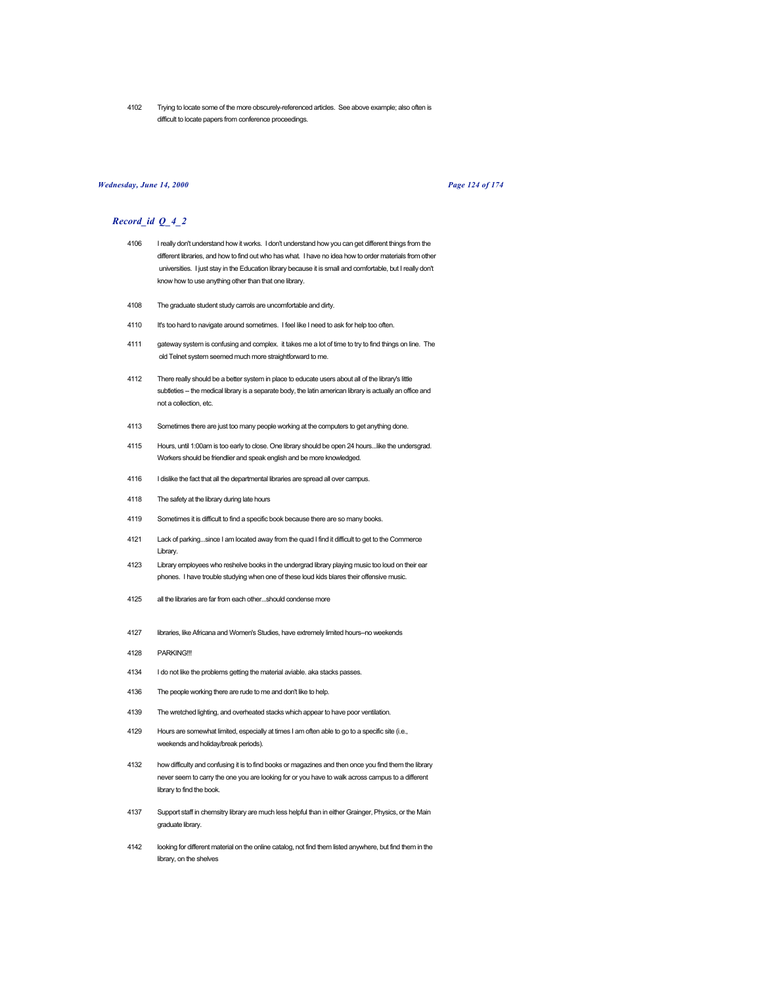4102 Trying to locate some of the more obscurely-referenced articles. See above example; also often is difficult to locate papers from conference proceedings.

#### *Wednesday, June 14, 2000 Page 124 of 174*

- 4106 I really don't understand how it works. I don't understand how you can get different things from the different libraries, and how to find out who has what. I have no idea how to order materials from other universities. I just stay in the Education library because it is small and comfortable, but I really don't know how to use anything other than that one library.
- 4108 The graduate student study carrols are uncomfortable and dirty.
- 4110 It's too hard to navigate around sometimes. I feel like I need to ask for help too often.
- 4111 gateway system is confusing and complex. it takes me a lot of time to try to find things on line. The old Telnet system seemed much more straightforward to me.
- 4112 There really should be a better system in place to educate users about all of the library's little subtleties -- the medical library is a separate body, the latin american library is actually an office and not a collection, etc.
- 4113 Sometimes there are just too many people working at the computers to get anything done.
- 4115 Hours, until 1:00am is too early to close. One library should be open 24 hours...like the undersgrad. Workers should be friendlier and speak english and be more knowledged.
- 4116 I dislike the fact that all the departmental libraries are spread all over campus.
- 4118 The safety at the library during late hours
- 4119 Sometimes it is difficult to find a specific book because there are so many books.
- 4121 Lack of parking...since I am located away from the quad I find it difficult to get to the Commerce Library.
- 4123 Library employees who reshelve books in the undergrad library playing music too loud on their ear phones. I have trouble studying when one of these loud kids blares their offensive music.
- 4125 all the libraries are far from each other...should condense more
- 4127 libraries, like Africana and Women's Studies, have extremely limited hours--no weekends
- 4128 PARKING!!!
- 4134 I do not like the problems getting the material aviable. aka stacks passes.
- 4136 The people working there are rude to me and don't like to help.
- 4139 The wretched lighting, and overheated stacks which appear to have poor ventilation.
- 4129 Hours are somewhat limited, especially at times I am often able to go to a specific site (i.e., weekends and holiday/break periods).
- 4132 how difficulty and confusing it is to find books or magazines and then once you find them the library never seem to carry the one you are looking for or you have to walk across campus to a different library to find the book.
- 4137 Support staff in chemsitry library are much less helpful than in either Grainger, Physics, or the Main graduate library.
- 4142 looking for different material on the online catalog, not find them listed anywhere, but find them in the library, on the shelves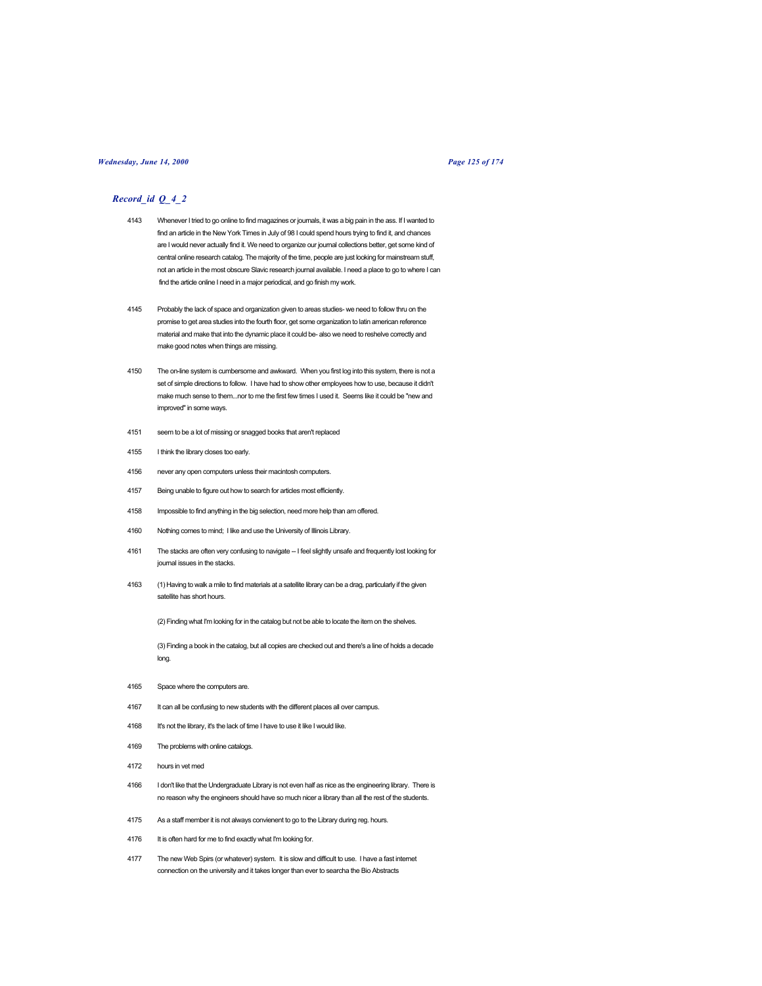# *Wednesday, June 14, 2000 Page 125 of 174*

# *Record\_id Q\_4\_2*

- 4143 Whenever I tried to go online to find magazines or journals, it was a big pain in the ass. If I wanted to find an article in the New York Times in July of 98 I could spend hours trying to find it, and chances are I would never actually find it. We need to organize our journal collections better, get some kind of central online research catalog. The majority of the time, people are just looking for mainstream stuff, not an article in the most obscure Slavic research journal available. I need a place to go to where I can find the article online I need in a major periodical, and go finish my work.
- 4145 Probably the lack of space and organization given to areas studies- we need to follow thru on the promise to get area studies into the fourth floor, get some organization to latin american reference material and make that into the dynamic place it could be- also we need to reshelve correctly and make good notes when things are missing.
- 4150 The on-line system is cumbersome and awkward. When you first log into this system, there is not a set of simple directions to follow. I have had to show other employees how to use, because it didn't make much sense to them...nor to me the first few times I used it. Seems like it could be "new and improved" in some ways.
- 4151 seem to be a lot of missing or snagged books that aren't replaced
- 4155 I think the library closes too early.
- 4156 never any open computers unless their macintosh computers.
- 4157 Being unable to figure out how to search for articles most efficiently.
- 4158 Impossible to find anything in the big selection, need more help than am offered.
- 4160 Nothing comes to mind; I like and use the University of Illinois Library.
- 4161 The stacks are often very confusing to navigate -- I feel slightly unsafe and frequently lost looking for journal issues in the stacks.
- 4163 (1) Having to walk a mile to find materials at a satellite library can be a drag, particularly if the given satellite has short hours.

(2) Finding what I'm looking for in the catalog but not be able to locate the item on the shelves.

(3) Finding a book in the catalog, but all copies are checked out and there's a line of holds a decade long.

- 4165 Space where the computers are.
- 4167 It can all be confusing to new students with the different places all over campus.
- 4168 It's not the library, it's the lack of time I have to use it like I would like.
- 4169 The problems with online catalogs.
- 4172 hours in vet med
- 4166 I don't like that the Undergraduate Library is not even half as nice as the engineering library. There is no reason why the engineers should have so much nicer a library than all the rest of the students.
- 4175 As a staff member it is not always convienent to go to the Library during reg. hours.
- 4176 It is often hard for me to find exactly what I'm looking for.
- 4177 The new Web Spirs (or whatever) system. It is slow and difficult to use. I have a fast internet connection on the university and it takes longer than ever to searcha the Bio Abstracts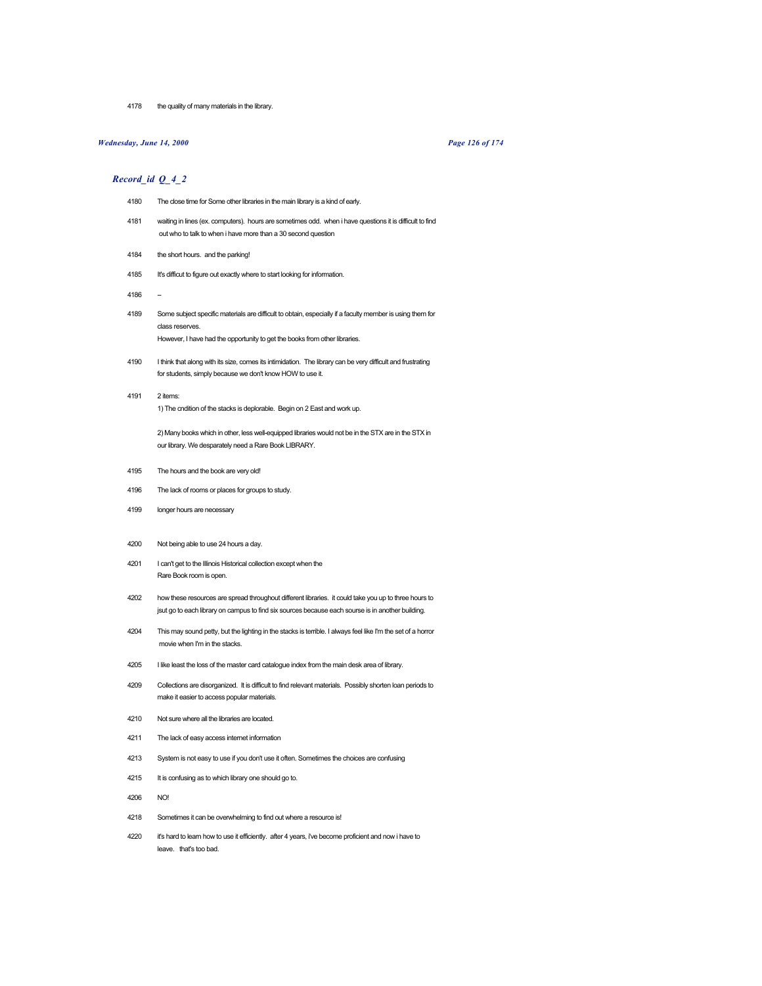4178 the quality of many materials in the library.

# *Wednesday, June 14, 2000 Page 126 of 174*

# *Record\_id Q\_4\_2*

- 4180 The close time for Some other libraries in the main library is a kind of early.
- 4181 waiting in lines (ex. computers). hours are sometimes odd. when i have questions it is difficult to find out who to talk to when i have more than a 30 second question
- 4184 the short hours. and the parking!
- 4185 It's difficut to figure out exactly where to start looking for information.
- 4186
- 4189 Some subject specific materials are difficult to obtain, especially if a faculty member is using them for class reserves.

However, I have had the opportunity to get the books from other libraries.

- 4190 I think that along with its size, comes its intimidation. The library can be very difficult and frustrating for students, simply because we don't know HOW to use it.
- 4191 2 items: 1) The cndition of the stacks is deplorable. Begin on 2 East and work up.

2) Many books which in other, less well-equipped libraries would not be in the STX are in the STX in our library. We desparately need a Rare Book LIBRARY.

- 4195 The hours and the book are very old!
- 4196 The lack of rooms or places for groups to study.
- 4199 longer hours are necessary
- 4200 Not being able to use 24 hours a day.
- 4201 I can't get to the Illinois Historical collection except when the Rare Book room is open.
- 4202 how these resources are spread throughout different libraries. it could take you up to three hours to jsut go to each library on campus to find six sources because each sourse is in another building.
- 4204 This may sound petty, but the lighting in the stacks is terrible. I always feel like I'm the set of a horror movie when I'm in the stacks.
- 4205 I like least the loss of the master card catalogue index from the main desk area of library.
- 4209 Collections are disorganized. It is difficult to find relevant materials. Possibly shorten loan periods to make it easier to access popular materials.
- 4210 Not sure where all the libraries are located.
- 4211 The lack of easy access internet information
- 4213 System is not easy to use if you don't use it often. Sometimes the choices are confusing
- 4215 It is confusing as to which library one should go to.
- 4206 NO!
- 4218 Sometimes it can be overwhelming to find out where a resource is!
- 4220 it's hard to learn how to use it efficiently. after 4 years, i've become proficient and now i have to leave. that's too bad.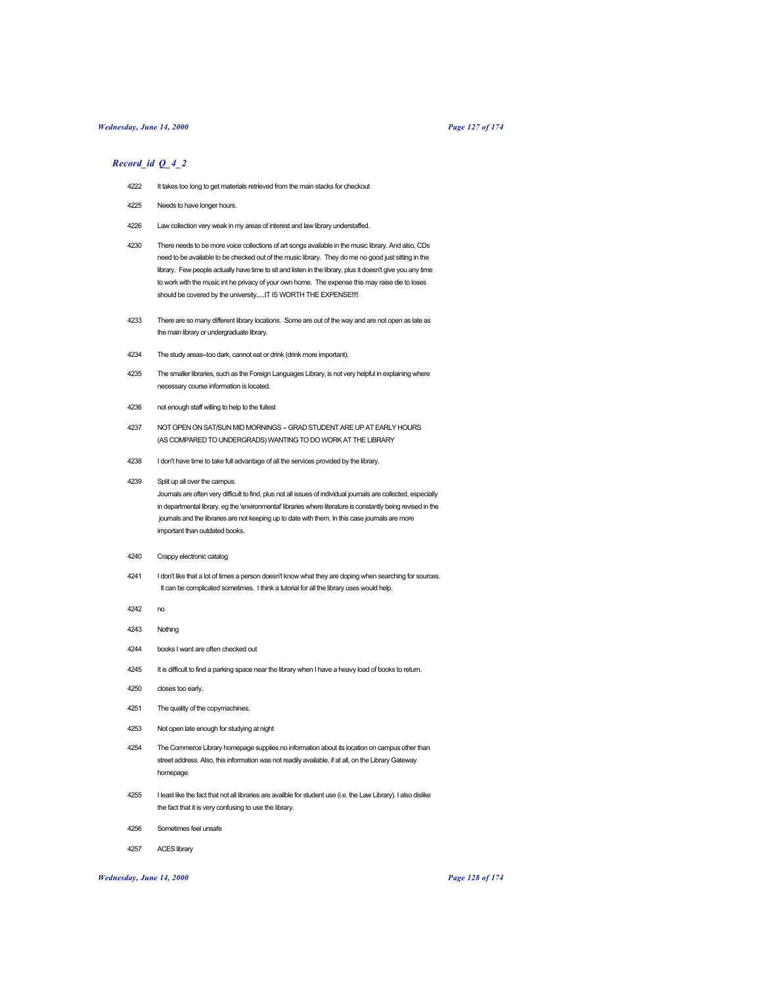### *Wednesday, June 14, 2000 Page 127 of 174*

#### *Record\_id Q\_4\_2*

- 4222 It takes too long to get materials retrieved from the main stacks for checkout
- 4225 Needs to have longer hours.
- 4226 Law collection very weak in my areas of interest and law library understaffed.
- 4230 There needs to be more voice collections of art songs available in the music library. And also, CDs need to be available to be checked out of the music library. They do me no good just sitting in the library. Few people actually have time to sit and listen in the library, plus it doesn't give you any time to work with the music int he privacy of your own home. The expense this may raise die to loses should be covered by the university.....IT IS WORTH THE EXPENSE!!!!
- 4233 There are so many different library locations. Some are out of the way and are not open as late as the main library or undergraduate library.
- 4234 The study areas--too dark, cannot eat or drink (drink more important).
- 4235 The smaller libraries, such as the Foreign Languages Library, is not very helpful in explaining where necessary course information is located.
- 4236 not enough staff willing to help to the fullest
- 4237 NOT OPEN ON SAT/SUN MID MORNINGS GRAD STUDENT ARE UP AT EARLY HOURS (AS COMPARED TO UNDERGRADS) WANTING TO DO WORK AT THE LIBRARY
- 4238 I don't have time to take full advantage of all the services provided by the library.
- 4239 Split up all over the campus.

Journals are often very difficult to find, plus not all issues of individual journals are collected, especially in departmental library. eg the 'environmental' libraries where literature is constantly being revised in the journals and the libraries are not keeping up to date with them. In this case journals are more important than outdated books.

- 4240 Crappy electronic catalog
- 4241 I don't like that a lot of times a person doesn't know what they are doping when searching for sources. It can be complicated sometimes. I think a tutorial for all the library uses would help.
- 4242 no
- 4243 Nothing
- 4244 books I want are often checked out
- 4245 It is difficult to find a parking space near the library when I have a heavy load of books to return.
- 4250 closes too early.
- 4251 The quality of the copymachines.
- 4253 Not open late enough for studying at night
- 4254 The Commerce Library homepage supplies no information about its location on campus other than street address. Also, this information was not readily available, if at all, on the Library Gateway homepage.
- 4255 I least like the fact that not all libraries are availble for student use (i.e. the Law Library). I also dislike the fact that it is very confusing to use the library.
- 4256 Sometimes feel unsafe
- 4257 ACES library

## *Wednesday, June 14, 2000 Page 128 of 174*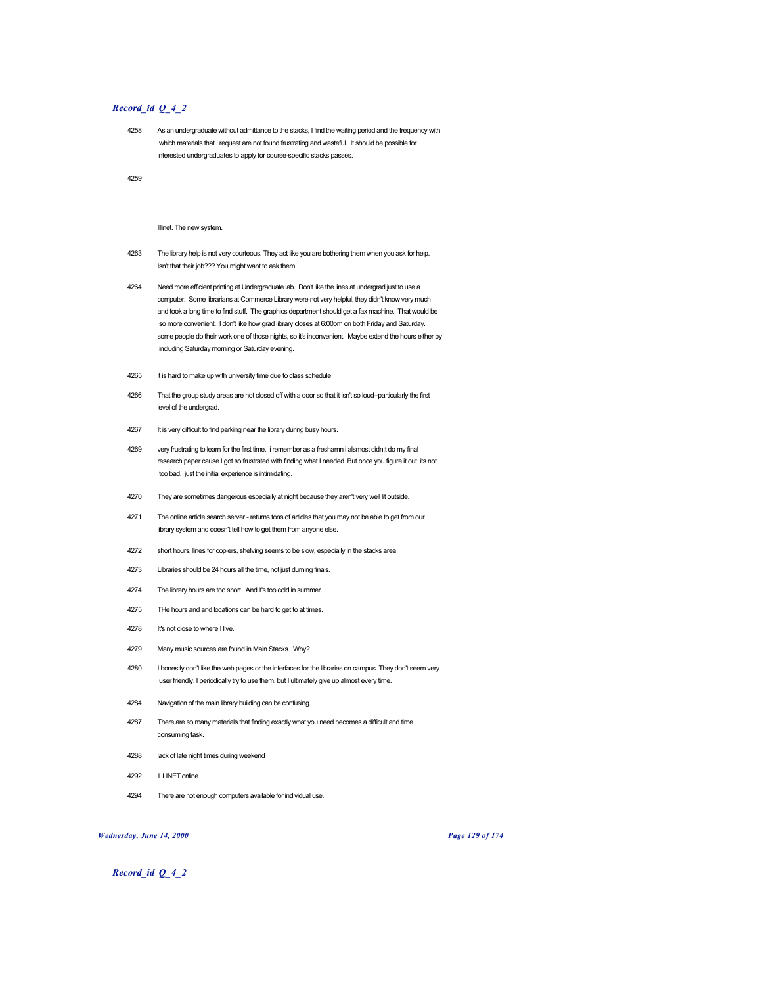### *Record\_id Q\_4\_2*

4258 As an undergraduate without admittance to the stacks, I find the waiting period and the frequency with which materials that I request are not found frustrating and wasteful. It should be possible for interested undergraduates to apply for course-specific stacks passes.

4259

#### Illinet. The new system.

- 4263 The library help is not very courteous. They act like you are bothering them when you ask for help. Isn't that their job??? You might want to ask them.
- 4264 Need more efficient printing at Undergraduate lab. Don't like the lines at undergrad just to use a computer. Some librarians at Commerce Library were not very helpful, they didn't know very much and took a long time to find stuff. The graphics department should get a fax machine. That would be so more convenient. I don't like how grad library closes at 6:00pm on both Friday and Saturday. some people do their work one of those nights, so it's inconvenient. Maybe extend the hours either by including Saturday morning or Saturday evening.
- 4265 it is hard to make up with university time due to class schedule
- 4266 That the group study areas are not closed off with a door so that it isn't so loud--particularly the first level of the undergrad.
- 4267 It is very difficult to find parking near the library during busy hours.
- 4269 very frustrating to learn for the first time. i remember as a freshamn i alsmost didn;t do my final research paper cause I got so frustrated with finding what I needed. But once you figure it out its not too bad. just the initial experience is intimidating.
- 4270 They are sometimes dangerous especially at night because they aren't very well lit outside.
- 4271 The online article search server returns tons of articles that you may not be able to get from our library system and doesn't tell how to get them from anyone else.
- 4272 short hours, lines for copiers, shelving seems to be slow, especially in the stacks area
- 4273 Libraries should be 24 hours all the time, not just durning finals.
- 4274 The library hours are too short. And it's too cold in summer.
- 4275 THe hours and and locations can be hard to get to at times.
- 4278 It's not close to where I live.
- 4279 Many music sources are found in Main Stacks. Why?
- 4280 I honestly don't like the web pages or the interfaces for the libraries on campus. They don't seem very user friendly. I periodically try to use them, but I ultimately give up almost every time.
- 4284 Navigation of the main library building can be confusing.
- 4287 There are so many materials that finding exactly what you need becomes a difficult and time consuming task.
- 4288 lack of late night times during weekend
- 4292 ILLINET online.
- 4294 There are not enough computers available for individual use.

*Wednesday, June 14, 2000 Page 129 of 174*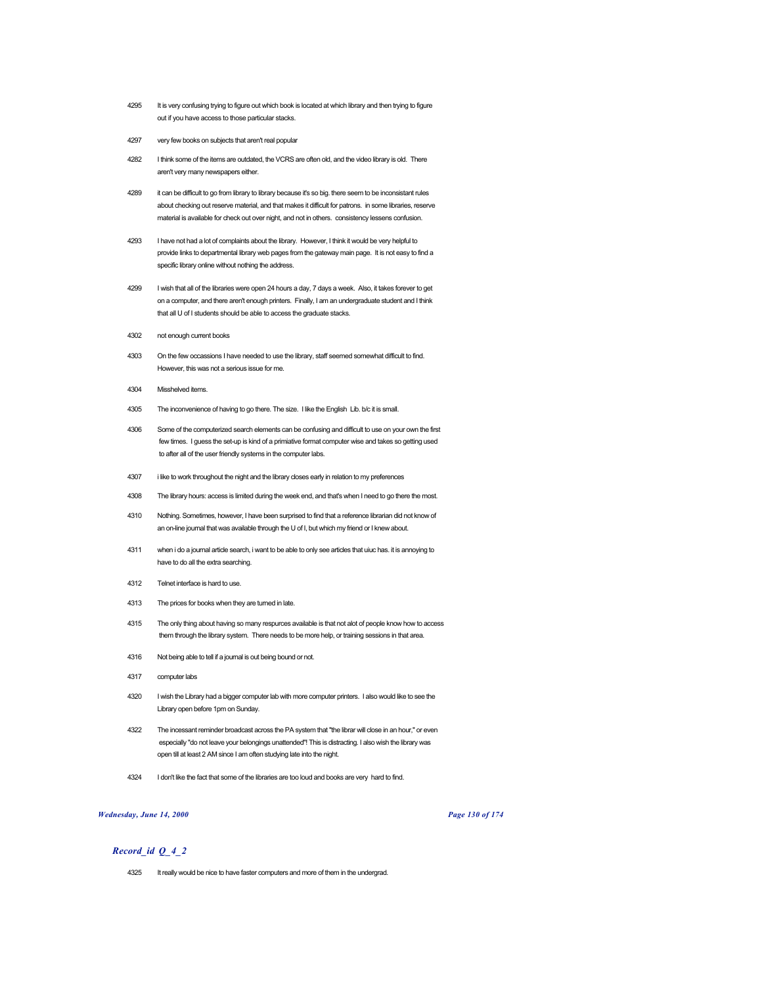- 4295 It is very confusing trying to figure out which book is located at which library and then trying to figure out if you have access to those particular stacks.
- 4297 very few books on subjects that aren't real popular
- 4282 I think some of the items are outdated, the VCRS are often old, and the video library is old. There aren't very many newspapers either.
- 4289 it can be difficult to go from library to library because it's so big. there seem to be inconsistant rules about checking out reserve material, and that makes it difficult for patrons. in some libraries, reserve material is available for check out over night, and not in others. consistency lessens confusion.
- 4293 I have not had a lot of complaints about the library. However, I think it would be very helpful to provide links to departmental library web pages from the gateway main page. It is not easy to find a specific library online without nothing the address.
- 4299 I wish that all of the libraries were open 24 hours a day, 7 days a week. Also, it takes forever to get on a computer, and there aren't enough printers. Finally, I am an undergraduate student and I think that all U of I students should be able to access the graduate stacks.
- 4302 not enough current books
- 4303 On the few occassions I have needed to use the library, staff seemed somewhat difficult to find. However, this was not a serious issue for me.
- 4304 Misshelved items.
- 4305 The inconvenience of having to go there. The size. I like the English Lib. b/c it is small.
- 4306 Some of the computerized search elements can be confusing and difficult to use on your own the first few times. I guess the set-up is kind of a primiative format computer wise and takes so getting used to after all of the user friendly systems in the computer labs.
- 4307 i like to work throughout the night and the library closes early in relation to my preferences
- 4308 The library hours: access is limited during the week end, and that's when I need to go there the most.
- 4310 Nothing. Sometimes, however, I have been surprised to find that a reference librarian did not know of an on-line journal that was available through the U of I, but which my friend or I knew about.
- 4311 when i do a journal article search, i want to be able to only see articles that uiuc has. it is annoying to have to do all the extra searching.
- 4312 Telnet interface is hard to use.
- 4313 The prices for books when they are turned in late.
- 4315 The only thing about having so many respurces available is that not alot of people know how to access them through the library system. There needs to be more help, or training sessions in that area.
- 4316 Not being able to tell if a journal is out being bound or not.
- 4317 computer labs
- 4320 I wish the Library had a bigger computer lab with more computer printers. I also would like to see the Library open before 1pm on Sunday.
- 4322 The incessant reminder broadcast across the PA system that "the librar will close in an hour," or even especially "do not leave your belongings unattended"! This is distracting. I also wish the library was open till at least 2 AM since I am often studying late into the night.
- 4324 I don't like the fact that some of the libraries are too loud and books are very hard to find.

## *Wednesday, June 14, 2000 Page 130 of 174*

# *Record\_id Q\_4\_2*

4325 It really would be nice to have faster computers and more of them in the undergrad.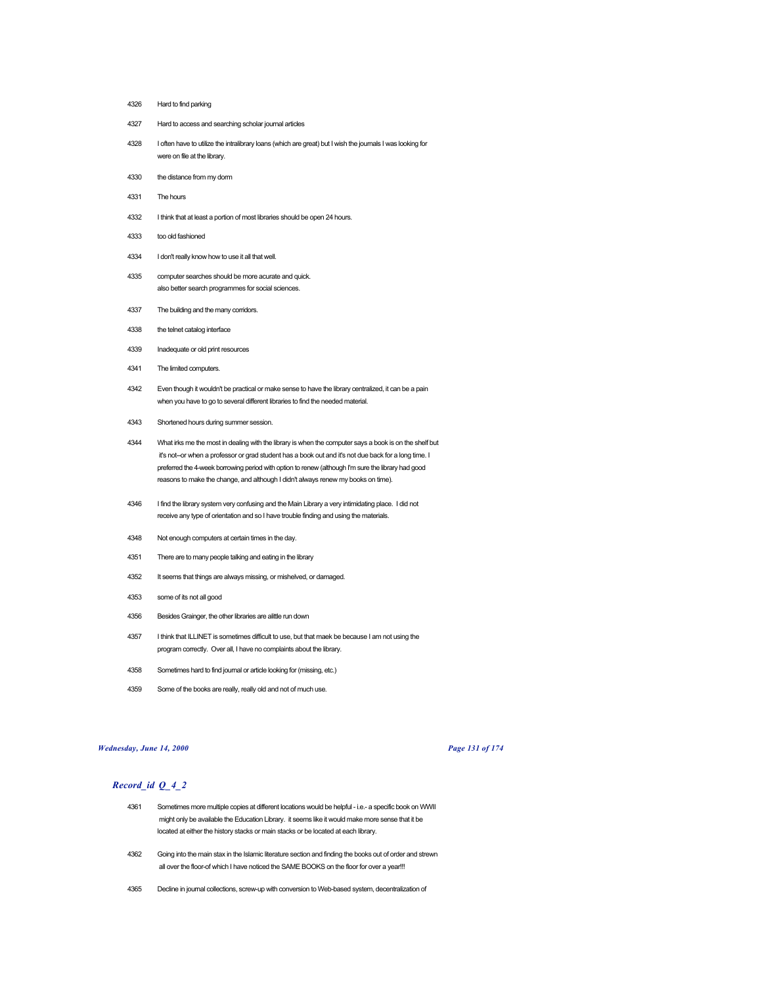- Hard to find parking
- Hard to access and searching scholar journal articles
- I often have to utilize the intralibrary loans (which are great) but I wish the journals I was looking for were on file at the library.
- the distance from my dorm
- The hours
- I think that at least a portion of most libraries should be open 24 hours.
- too old fashioned
- I don't really know how to use it all that well.
- computer searches should be more acurate and quick. also better search programmes for social sciences.
- The building and the many corridors.
- the telnet catalog interface
- Inadequate or old print resources
- The limited computers.
- Even though it wouldn't be practical or make sense to have the library centralized, it can be a pain when you have to go to several different libraries to find the needed material.
- Shortened hours during summer session.
- What irks me the most in dealing with the library is when the computer says a book is on the shelf but it's not--or when a professor or grad student has a book out and it's not due back for a long time. I preferred the 4-week borrowing period with option to renew (although I'm sure the library had good reasons to make the change, and although I didn't always renew my books on time).
- I find the library system very confusing and the Main Library a very intimidating place. I did not receive any type of orientation and so I have trouble finding and using the materials.
- Not enough computers at certain times in the day.
- There are to many people talking and eating in the library
- It seems that things are always missing, or mishelved, or damaged.
- some of its not all good
- Besides Grainger, the other libraries are alittle run down
- I think that ILLINET is sometimes difficult to use, but that maek be because I am not using the program correctly. Over all, I have no complaints about the library.
- Sometimes hard to find journal or article looking for (missing, etc.)
- Some of the books are really, really old and not of much use.

#### *Wednesday, June 14, 2000 Page 131 of 174*

- Sometimes more multiple copies at different locations would be helpful i.e.- a specific book on WWII might only be available the Education Library. it seems like it would make more sense that it be located at either the history stacks or main stacks or be located at each library.
- Going into the main stax in the Islamic literature section and finding the books out of order and strewn all over the floor-of which I have noticed the SAME BOOKS on the floor for over a year!!!
- Decline in journal collections, screw-up with conversion to Web-based system, decentralization of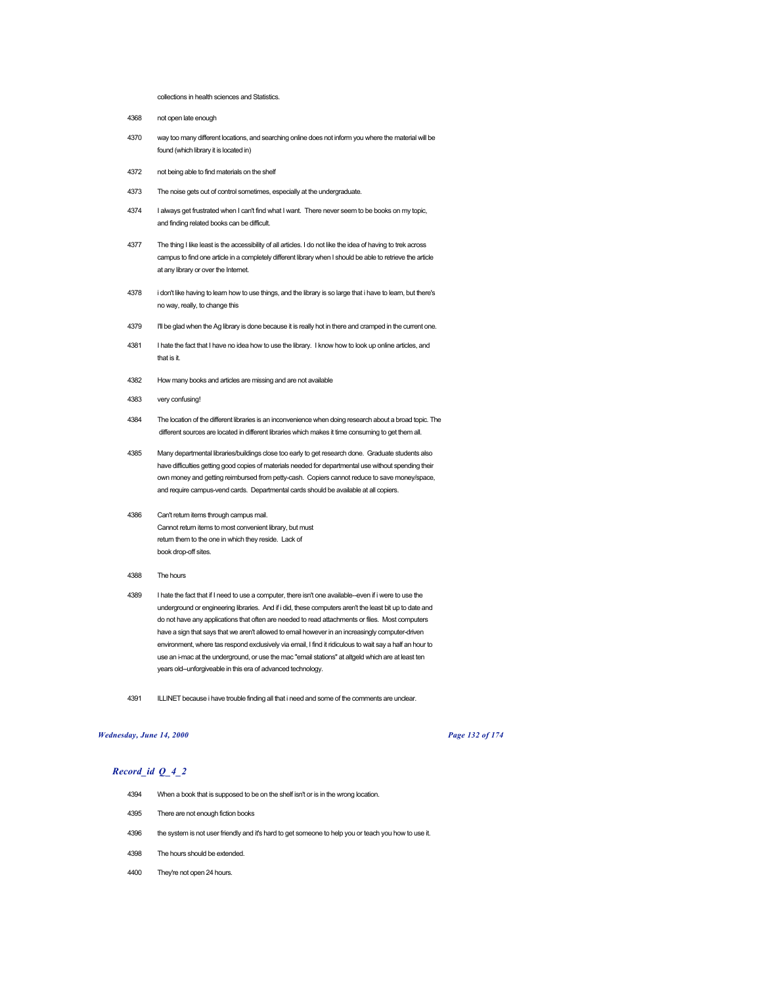#### collections in health sciences and Statistics.

4368 not open late enough

- 4370 way too many different locations, and searching online does not inform you where the material will be found (which library it is located in)
- 4372 not being able to find materials on the shelf
- 4373 The noise gets out of control sometimes, especially at the undergraduate.
- 4374 I always get frustrated when I can't find what I want. There never seem to be books on my topic, and finding related books can be difficult.
- 4377 The thing I like least is the accessibility of all articles. I do not like the idea of having to trek across campus to find one article in a completely different library when I should be able to retrieve the article at any library or over the Internet.
- 4378 i don't like having to learn how to use things, and the library is so large that i have to learn, but there's no way, really, to change this
- 4379 I'll be glad when the Ag library is done because it is really hot in there and cramped in the current one.
- 4381 I hate the fact that I have no idea how to use the library. I know how to look up online articles, and that is it.
- 4382 How many books and articles are missing and are not available
- 4383 very confusing!
- 4384 The location of the different libraries is an inconvenience when doing research about a broad topic. The different sources are located in different libraries which makes it time consuming to get them all.
- 4385 Many departmental libraries/buildings close too early to get research done. Graduate students also have difficulties getting good copies of materials needed for departmental use without spending their own money and getting reimbursed from petty-cash. Copiers cannot reduce to save money/space, and require campus-vend cards. Departmental cards should be available at all copiers.
- 4386 Can't return items through campus mail. Cannot return items to most convenient library, but must return them to the one in which they reside. Lack of book drop-off sites.
- 4388 The hours
- 4389 I hate the fact that if I need to use a computer, there isn't one available--even if i were to use the underground or engineering libraries. And if i did, these computers aren't the least bit up to date and do not have any applications that often are needed to read attachments or files. Most computers have a sign that says that we aren't allowed to email however in an increasingly computer-driven environment, where tas respond exclusively via email, I find it ridiculous to wait say a half an hour to use an i-mac at the underground, or use the mac "email stations" at altgeld which are at least ten years old--unforgiveable in this era of advanced technology.
- 4391 ILLINET because i have trouble finding all that i need and some of the comments are unclear.

# *Wednesday, June 14, 2000 Page 132 of 174*

- 4394 When a book that is supposed to be on the shelf isn't or is in the wrong location.
- 4395 There are not enough fiction books
- 4396 the system is not user friendly and it's hard to get someone to help you or teach you how to use it.
- 4398 The hours should be extended.
- 4400 They're not open 24 hours.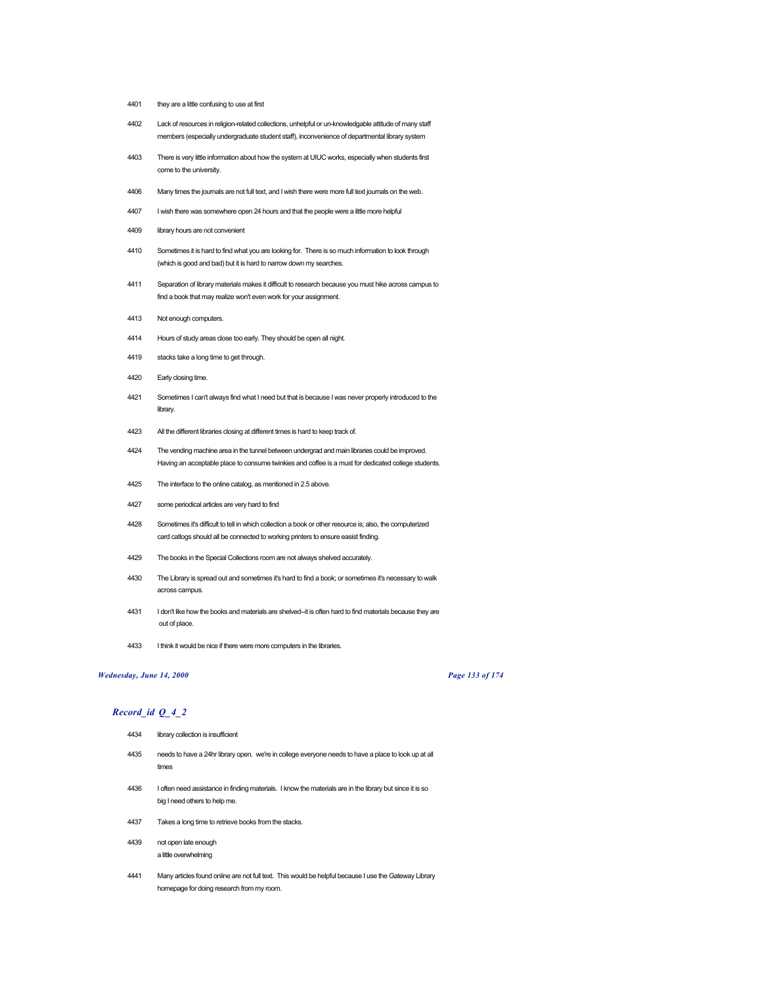- they are a little confusing to use at first
- Lack of resources in religion-related collections, unhelpful or un-knowledgable attitude of many staff members (especially undergraduate student staff), inconvenience of departmental library system
- There is very little information about how the system at UIUC works, especially when students first come to the university.
- Many times the journals are not full text, and I wish there were more full text journals on the web.
- I wish there was somewhere open 24 hours and that the people were a little more helpful
- library hours are not convenient
- Sometimes it is hard to find what you are looking for. There is so much information to look through (which is good and bad) but it is hard to narrow down my searches.
- Separation of library materials makes it difficult to research because you must hike across campus to find a book that may realize won't even work for your assignment.
- Not enough computers.
- Hours of study areas close too early. They should be open all night.
- stacks take a long time to get through.
- Early closing time.
- Sometimes I can't always find what I need but that is because I was never properly introduced to the library.
- All the different libraries closing at different times is hard to keep track of.
- The vending machine area in the tunnel between undergrad and main libraries could be improved. Having an acceptable place to consume twinkies and coffee is a must for dedicated college students.
- The interface to the online catalog, as mentioned in 2.5 above.
- some periodical articles are very hard to find
- Sometimes it's difficult to tell in which collection a book or other resource is; also, the computerized card catlogs should all be connected to working printers to ensure easist finding.
- The books in the Special Collections room are not always shelved accurately.
- 4430 The Library is spread out and sometimes it's hard to find a book; or sometimes it's necessary to walk across campus.
- I don't like how the books and materials are shelved--it is often hard to find materials because they are out of place.
- I think it would be nice if there were more computers in the libraries.

# *Wednesday, June 14, 2000 Page 133 of 174*

# *Record\_id Q\_4\_2*

| 4434 | library collection is insufficient                                                                                                        |
|------|-------------------------------------------------------------------------------------------------------------------------------------------|
| 4435 | needs to have a 24hr library open. we're in college everyone needs to have a place to look up at all<br>times                             |
| 4436 | I often need assistance in finding materials. I know the materials are in the library but since it is so<br>big I need others to help me. |
| 4437 | Takes a long time to retrieve books from the stacks.                                                                                      |
| 4439 | not open late enough<br>a little overwhelming                                                                                             |
|      |                                                                                                                                           |

 Many articles found online are not full text. This would be helpful because I use the Gateway Library homepage for doing research from my room.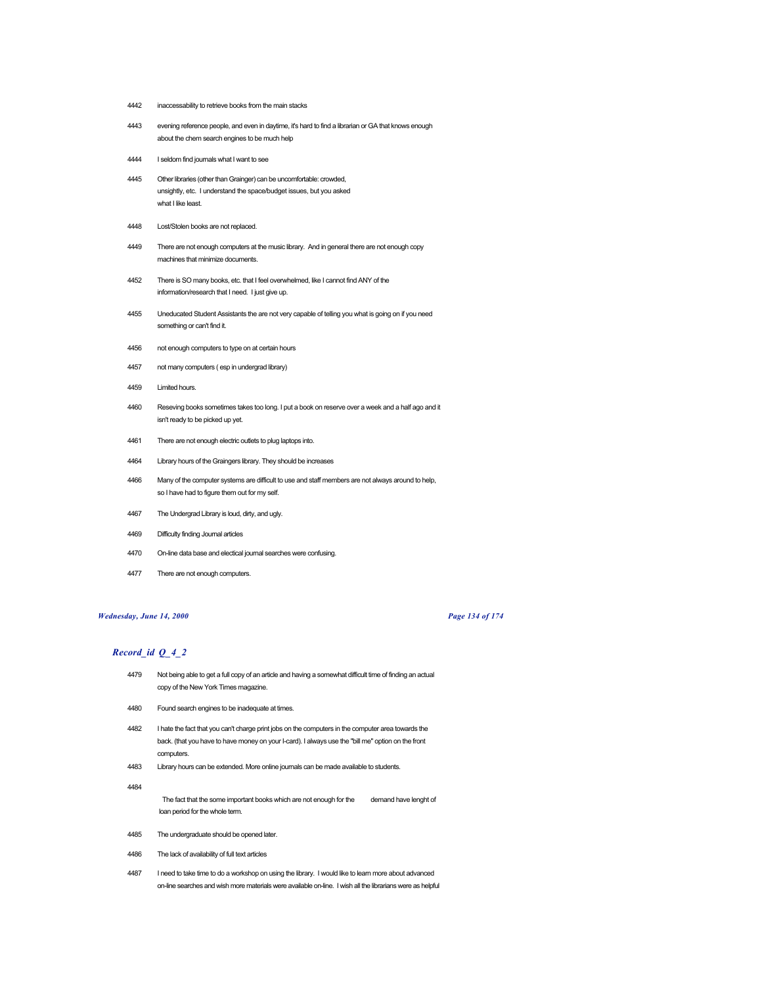- inaccessability to retrieve books from the main stacks
- evening reference people, and even in daytime, it's hard to find a librarian or GA that knows enough about the chem search engines to be much help
- I seldom find journals what I want to see
- Other libraries (other than Grainger) can be uncomfortable: crowded, unsightly, etc. I understand the space/budget issues, but you asked what I like least.
- Lost/Stolen books are not replaced.
- There are not enough computers at the music library. And in general there are not enough copy machines that minimize documents.
- There is SO many books, etc. that I feel overwhelmed, like I cannot find ANY of the information/research that I need. I just give up.
- Uneducated Student Assistants the are not very capable of telling you what is going on if you need something or can't find it.
- not enough computers to type on at certain hours
- not many computers ( esp in undergrad library)
- Limited hours.
- Reseving books sometimes takes too long. I put a book on reserve over a week and a half ago and it isn't ready to be picked up yet.
- There are not enough electric outlets to plug laptops into.
- Library hours of the Graingers library. They should be increases
- Many of the computer systems are difficult to use and staff members are not always around to help, so I have had to figure them out for my self.
- The Undergrad Library is loud, dirty, and ugly.
- Difficulty finding Journal articles
- On-line data base and electical journal searches were confusing.
- There are not enough computers.

# *Wednesday, June 14, 2000 Page 134 of 174*

# *Record\_id Q\_4\_2*

- Not being able to get a full copy of an article and having a somewhat difficult time of finding an actual copy of the New York Times magazine.
- Found search engines to be inadequate at times.
- I hate the fact that you can't charge print jobs on the computers in the computer area towards the back. (that you have to have money on your I-card). I always use the "bill me" option on the front computers.
- Library hours can be extended. More online journals can be made available to students.

- The fact that the some important books which are not enough for the demand have lenght of loan period for the whole term.
- The undergraduate should be opened later.
- The lack of availability of full text articles
- 4487 I need to take time to do a workshop on using the library. I would like to learn more about advanced on-line searches and wish more materials were available on-line. I wish all the librarians were as helpful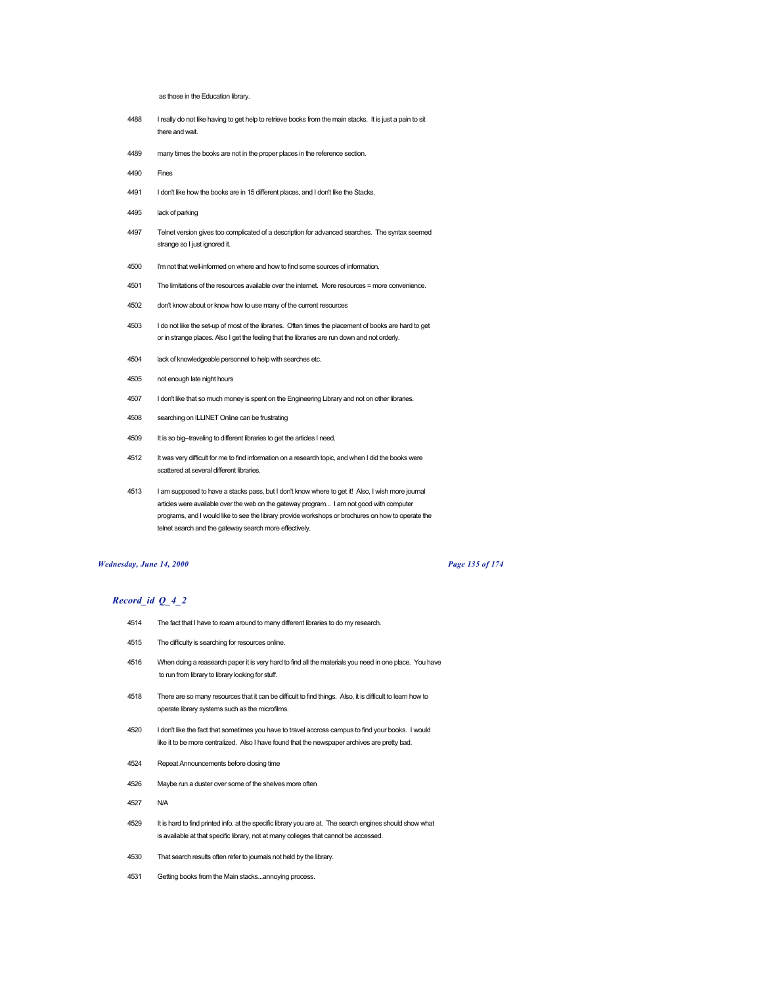as those in the Education library.

- 4488 I really do not like having to get help to retrieve books from the main stacks. It is just a pain to sit there and wait.
- 4489 many times the books are not in the proper places in the reference section.
- 4490 Fines
- 4491 I don't like how the books are in 15 different places, and I don't like the Stacks.
- 4495 lack of parking
- 4497 Telnet version gives too complicated of a description for advanced searches. The syntax seemed strange so I just ignored it.
- 4500 I'm not that well-informed on where and how to find some sources of information.
- 4501 The limitations of the resources available over the internet. More resources = more convenience.
- 4502 don't know about or know how to use many of the current resources
- 4503 I do not like the set-up of most of the libraries. Often times the placement of books are hard to get or in strange places. Also I get the feeling that the libraries are run down and not orderly.
- 4504 lack of knowledgeable personnel to help with searches etc.
- 4505 not enough late night hours
- 4507 I don't like that so much money is spent on the Engineering Library and not on other libraries.
- 4508 searching on ILLINET Online can be frustrating
- 4509 It is so big--traveling to different libraries to get the articles I need.
- 4512 It was very difficult for me to find information on a research topic, and when I did the books were scattered at several different libraries.
- 4513 I am supposed to have a stacks pass, but I don't know where to get it! Also, I wish more journal articles were available over the web on the gateway program... I am not good with computer programs, and I would like to see the library provide workshops or brochures on how to operate the telnet search and the gateway search more effectively.

#### *Wednesday, June 14, 2000 Page 135 of 174*

- 4514 The fact that I have to roam around to many different libraries to do my research.
- 4515 The difficulty is searching for resources online.
- 4516 When doing a reasearch paper it is very hard to find all the materials you need in one place. You have to run from library to library looking for stuff.
- 4518 There are so many resources that it can be difficult to find things. Also, it is difficult to learn how to operate library systems such as the microfilms.
- 4520 I don't like the fact that sometimes you have to travel accross campus to find your books. I would like it to be more centralized. Also I have found that the newspaper archives are pretty bad.
- 4524 Repeat Announcements before closing time
- 4526 Maybe run a duster over some of the shelves more often
- 4527 N/A
- 4529 It is hard to find printed info. at the specific library you are at. The search engines should show what is available at that specific library, not at many colleges that cannot be accessed.
- 4530 That search results often refer to journals not held by the library.
- 4531 Getting books from the Main stacks...annoying process.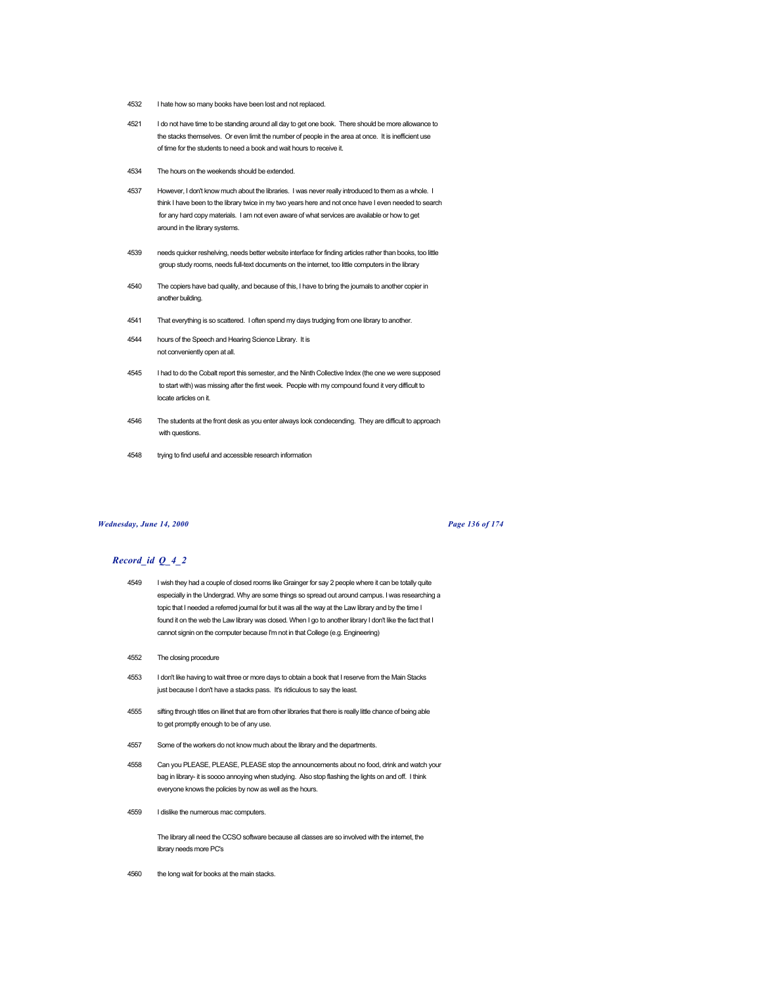- 4532 I hate how so many books have been lost and not replaced.
- 4521 I do not have time to be standing around all day to get one book. There should be more allowance to the stacks themselves. Or even limit the number of people in the area at once. It is inefficient use of time for the students to need a book and wait hours to receive it.
- 4534 The hours on the weekends should be extended.
- 4537 However, I don't know much about the libraries. I was never really introduced to them as a whole. I think I have been to the library twice in my two years here and not once have I even needed to search for any hard copy materials. I am not even aware of what services are available or how to get around in the library systems.
- 4539 needs quicker reshelving, needs better website interface for finding articles rather than books, too little group study rooms, needs full-text documents on the internet, too little computers in the library
- 4540 The copiers have bad quality, and because of this, I have to bring the journals to another copier in another building.
- 4541 That everything is so scattered. I often spend my days trudging from one library to another.
- 4544 hours of the Speech and Hearing Science Library. It is not conveniently open at all.
- 4545 I had to do the Cobalt report this semester, and the Ninth Collective Index (the one we were supposed to start with) was missing after the first week. People with my compound found it very difficult to locate articles on it.
- 4546 The students at the front desk as you enter always look condecending. They are difficult to approach with questions.
- 4548 trying to find useful and accessible research information

### *Wednesday, June 14, 2000 Page 136 of 174*

# *Record\_id Q\_4\_2*

- 4549 I wish they had a couple of closed rooms like Grainger for say 2 people where it can be totally quite especially in the Undergrad. Why are some things so spread out around campus. I was researching a topic that I needed a referred journal for but it was all the way at the Law library and by the time I found it on the web the Law library was closed. When I go to another library I don't like the fact that I cannot signin on the computer because I'm not in that College (e.g. Engineering)
- 4552 The closing procedure
- 4553 I don't like having to wait three or more days to obtain a book that I reserve from the Main Stacks just because I don't have a stacks pass. It's ridiculous to say the least.
- 4555 sifting through titles on illinet that are from other libraries that there is really little chance of being able to get promptly enough to be of any use.
- 4557 Some of the workers do not know much about the library and the departments.
- 4558 Can you PLEASE, PLEASE, PLEASE stop the announcements about no food, drink and watch your bag in library- it is soooo annoying when studying. Also stop flashing the lights on and off. I think everyone knows the policies by now as well as the hours.
- 4559 I dislike the numerous mac computers.

The library all need the CCSO software because all classes are so involved with the internet, the library needs more PC's

4560 the long wait for books at the main stacks.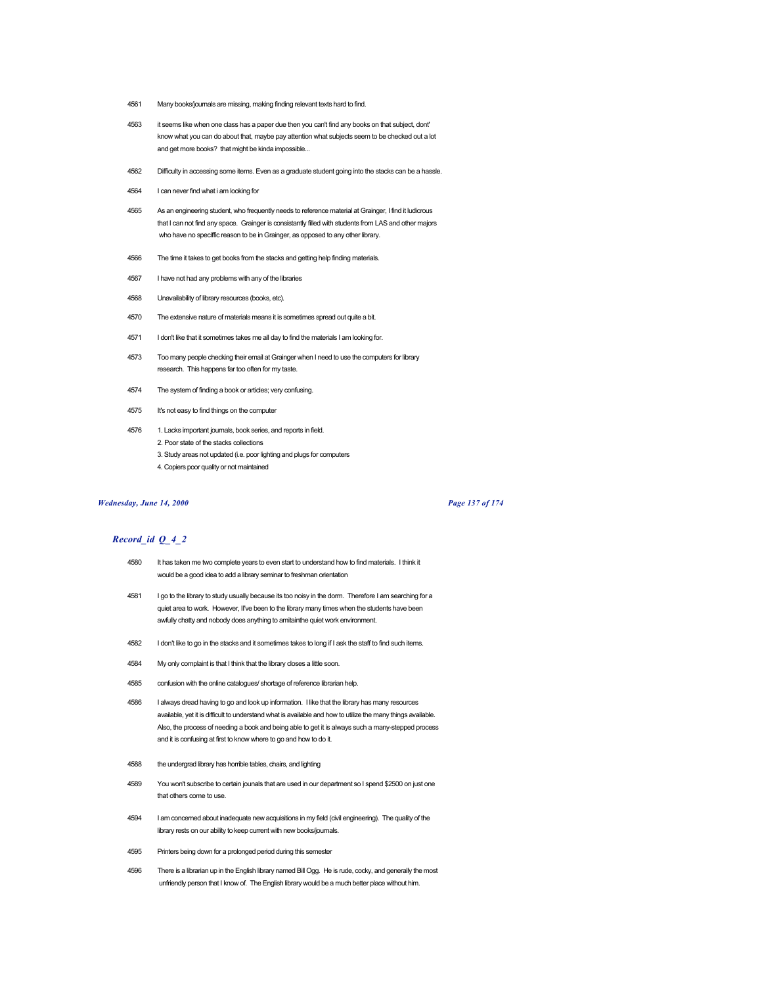- 4561 Many books/journals are missing, making finding relevant texts hard to find.
- 4563 it seems like when one class has a paper due then you can't find any books on that subject, dont' know what you can do about that, maybe pay attention what subjects seem to be checked out a lot and get more books? that might be kinda impossible...
- 4562 Difficulty in accessing some items. Even as a graduate student going into the stacks can be a hassle.
- 4564 I can never find what i am looking for
- 4565 As an engineering student, who frequently needs to reference material at Grainger, I find it ludicrous that I can not find any space. Grainger is consistantly filled with students from LAS and other majors who have no speciffic reason to be in Grainger, as opposed to any other library.
- 4566 The time it takes to get books from the stacks and getting help finding materials.
- 4567 I have not had any problems with any of the libraries
- 4568 Unavailability of library resources (books, etc).
- 4570 The extensive nature of materials means it is sometimes spread out quite a bit.
- 4571 I don't like that it sometimes takes me all day to find the materials I am looking for.
- 4573 Too many people checking their email at Grainger when I need to use the computers for library research. This happens far too often for my taste.
- 4574 The system of finding a book or articles; very confusing.
- 4575 It's not easy to find things on the computer
- 4576 1. Lacks important journals, book series, and reports in field. 2. Poor state of the stacks collections
	- 3. Study areas not updated (i.e. poor lighting and plugs for computers
	- 4. Copiers poor quality or not maintained

#### *Wednesday, June 14, 2000 Page 137 of 174*

- 4580 It has taken me two complete years to even start to understand how to find materials. I think it would be a good idea to add a library seminar to freshman orientation
- 4581 I go to the library to study usually because its too noisy in the dorm. Therefore I am searching for a quiet area to work. However, II've been to the library many times when the students have been awfully chatty and nobody does anything to amitainthe quiet work environment.
- 4582 I don't like to go in the stacks and it sometimes takes to long if I ask the staff to find such items.
- 4584 My only complaint is that I think that the library closes a little soon.
- 4585 confusion with the online catalogues/ shortage of reference librarian help.
- 4586 I always dread having to go and look up information. I like that the library has many resources available, yet it is difficult to understand what is available and how to utilize the many things available. Also, the process of needing a book and being able to get it is always such a many-stepped process and it is confusing at first to know where to go and how to do it.
- 4588 the undergrad library has horrible tables, chairs, and lighting
- 4589 You won't subscribe to certain jounals that are used in our department so I spend \$2500 on just one that others come to use.
- 4594 I am concerned about inadequate new acquisitions in my field (civil engineering). The quality of the library rests on our ability to keep current with new books/journals.
- 4595 Printers being down for a prolonged period during this semester
- 4596 There is a librarian up in the English library named Bill Ogg. He is rude, cocky, and generally the most unfriendly person that I know of. The English library would be a much better place without him.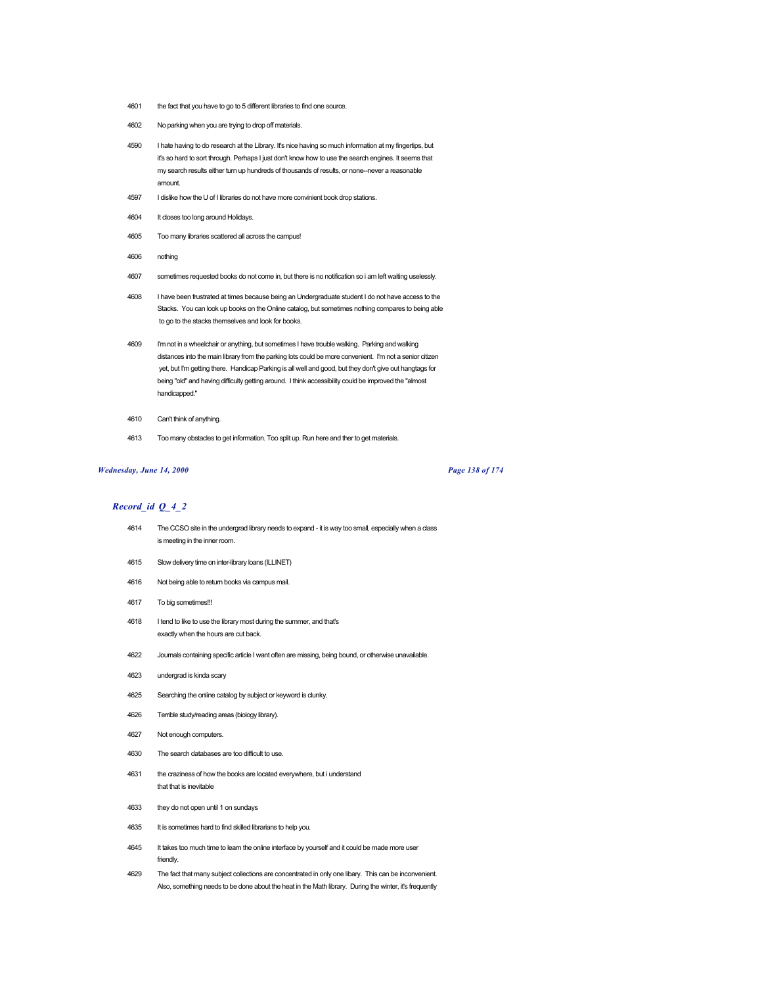- 4601 the fact that you have to go to 5 different libraries to find one source.
- 4602 No parking when you are trying to drop off materials.
- 4590 I hate having to do research at the Library. It's nice having so much information at my fingertips, but it's so hard to sort through. Perhaps I just don't know how to use the search engines. It seems that my search results either turn up hundreds of thousands of results, or none--never a reasonable amount.
- 4597 I dislike how the U of I libraries do not have more convinient book drop stations.
- 4604 It closes too long around Holidays.
- 4605 Too many libraries scattered all across the campus!
- 4606 nothing
- 4607 sometimes requested books do not come in, but there is no notification so i am left waiting uselessly.
- 4608 I have been frustrated at times because being an Undergraduate student I do not have access to the Stacks. You can look up books on the Online catalog, but sometimes nothing compares to being able to go to the stacks themselves and look for books.
- 4609 I'm not in a wheelchair or anything, but sometimes I have trouble walking. Parking and walking distances into the main library from the parking lots could be more convenient. I'm not a senior citizen yet, but I'm getting there. Handicap Parking is all well and good, but they don't give out hangtags for being "old" and having difficulty getting around. I think accessibility could be improved the "almost handicapped."
- 4610 Can't think of anything.
- 4613 Too many obstacles to get information. Too split up. Run here and ther to get materials.

#### *Wednesday, June 14, 2000 Page 138 of 174*

- 4614 The CCSO site in the undergrad library needs to expand it is way too small, especially when a class is meeting in the inner room.
- 4615 Slow delivery time on inter-library loans (ILLINET)
- 4616 Not being able to return books via campus mail.
- 4617 To big sometimes!!!
- 4618 I tend to like to use the library most during the summer, and that's exactly when the hours are cut back.
- 4622 Journals containing specific article I want often are missing, being bound, or otherwise unavailable.
- 4623 undergrad is kinda scary
- 4625 Searching the online catalog by subject or keyword is clunky.
- 4626 Terrible study/reading areas (biology library).
- 4627 Not enough computers.
- 4630 The search databases are too difficult to use.
- 4631 the craziness of how the books are located everywhere, but i understand that that is inevitable
- 4633 they do not open until 1 on sundays
- 4635 It is sometimes hard to find skilled librarians to help you.
- 4645 It takes too much time to learn the online interface by yourself and it could be made more user friendly.
- 4629 The fact that many subject collections are concentrated in only one libary. This can be inconvenient. Also, something needs to be done about the heat in the Math library. During the winter, it's frequently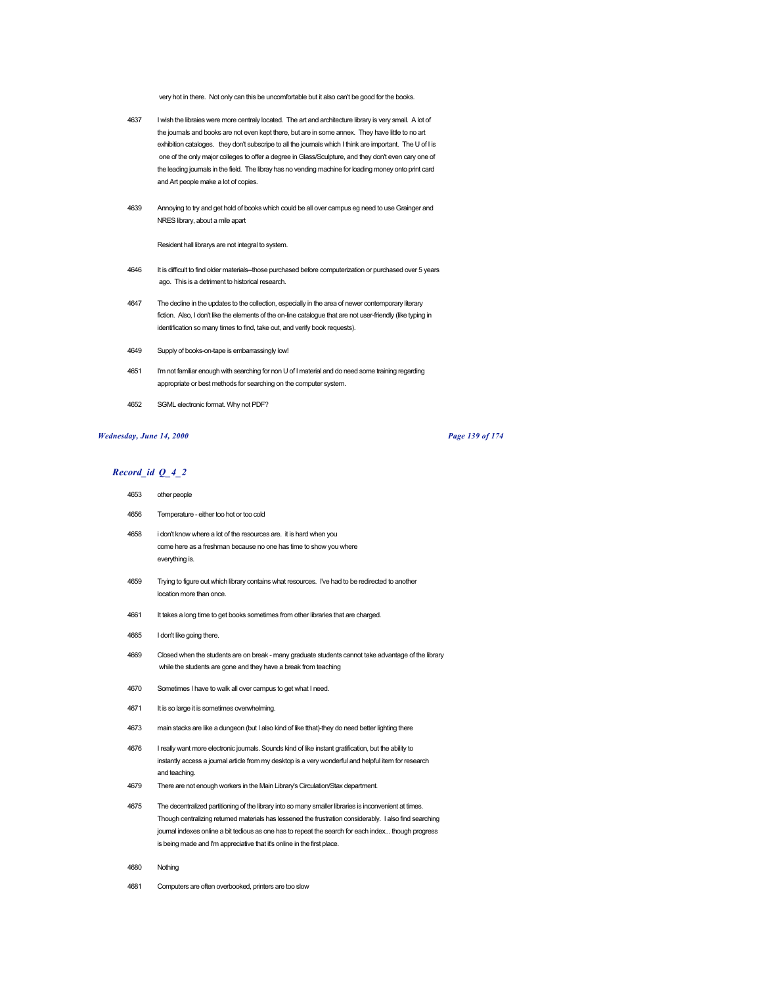very hot in there. Not only can this be uncomfortable but it also can't be good for the books.

- 4637 I wish the libraies were more centraly located. The art and architecture library is very small. A lot of the journals and books are not even kept there, but are in some annex. They have little to no art exhibition cataloges. they don't subscripe to all the journals which I think are important. The U of I is one of the only major colleges to offer a degree in Glass/Sculpture, and they don't even cary one of the leading journals in the field. The libray has no vending machine for loading money onto print card and Art people make a lot of copies.
- 4639 Annoying to try and get hold of books which could be all over campus eg need to use Grainger and NRES library, about a mile apart

Resident hall librarys are not integral to system.

- 4646 It is difficult to find older materials--those purchased before computerization or purchased over 5 years ago. This is a detriment to historical research.
- 4647 The decline in the updates to the collection, especially in the area of newer contemporary literary fiction. Also, I don't like the elements of the on-line catalogue that are not user-friendly (like typing in identification so many times to find, take out, and verify book requests).
- 4649 Supply of books-on-tape is embarrassingly low!
- 4651 I'm not familiar enough with searching for non U of I material and do need some training regarding appropriate or best methods for searching on the computer system.
- 4652 SGML electronic format. Why not PDF?

# *Wednesday, June 14, 2000 Page 139 of 174*

- 4653 other people
- 4656 Temperature either too hot or too cold
- 4658 i don't know where a lot of the resources are. it is hard when you come here as a freshman because no one has time to show you where everything is.
- 4659 Trying to figure out which library contains what resources. I've had to be redirected to another location more than once.
- 4661 It takes a long time to get books sometimes from other libraries that are charged.
- 4665 I don't like going there.
- 4669 Closed when the students are on break many graduate students cannot take advantage of the library while the students are gone and they have a break from teaching
- 4670 Sometimes I have to walk all over campus to get what I need.
- 4671 It is so large it is sometimes overwhelming.
- 4673 main stacks are like a dungeon (but I also kind of like tthat)-they do need better lighting there
- 4676 I really want more electronic journals. Sounds kind of like instant gratification, but the ability to instantly access a journal article from my desktop is a very wonderful and helpful item for research and teaching.
- 4679 There are not enough workers in the Main Library's Circulation/Stax department.
- 4675 The decentralized partitioning of the library into so many smaller libraries is inconvenient at times. Though centralizing returned materials has lessened the frustration considerably. I also find searching journal indexes online a bit tedious as one has to repeat the search for each index... though progress is being made and I'm appreciative that it's online in the first place.
- 4680 Nothing
- 4681 Computers are often overbooked, printers are too slow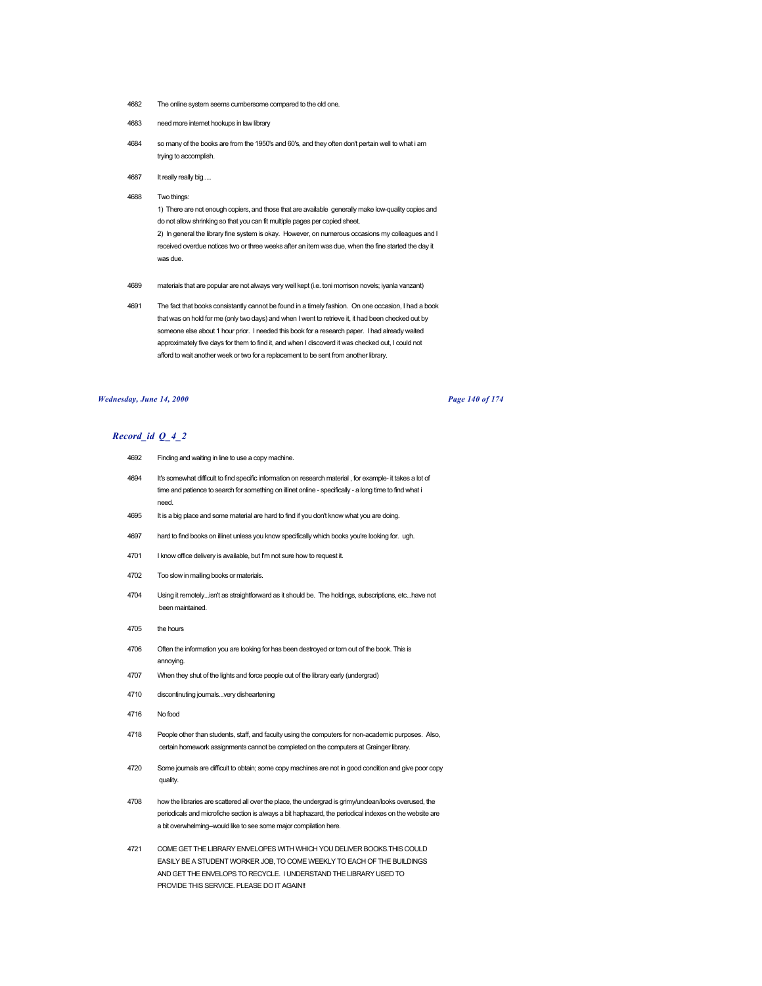- 4682 The online system seems cumbersome compared to the old one.
- 4683 need more internet hookups in law library
- 4684 so many of the books are from the 1950's and 60's, and they often don't pertain well to what i am trying to accomplish.
- 4687 It really really big.....
- 4688 Two things:

1) There are not enough copiers, and those that are available generally make low-quality copies and do not allow shrinking so that you can fit multiple pages per copied sheet. 2) In general the library fine system is okay. However, on numerous occasions my colleagues and I received overdue notices two or three weeks after an item was due, when the fine started the day it was due.

- 4689 materials that are popular are not always very well kept (i.e. toni morrison novels; iyanla vanzant)
- 4691 The fact that books consistantly cannot be found in a timely fashion. On one occasion, I had a book that was on hold for me (only two days) and when I went to retrieve it, it had been checked out by someone else about 1 hour prior. I needed this book for a research paper. I had already waited approximately five days for them to find it, and when I discoverd it was checked out, I could not afford to wait another week or two for a replacement to be sent from another library.

### *Wednesday, June 14, 2000 Page 140 of 174*

- 4692 Finding and waiting in line to use a copy machine.
- 4694 It's somewhat difficult to find specific information on research material , for example- it takes a lot of time and patience to search for something on illinet online - specifically - a long time to find what i need.
- 4695 It is a big place and some material are hard to find if you don't know what you are doing.
- 4697 hard to find books on illinet unless you know specifically which books you're looking for. ugh.
- 4701 I know office delivery is available, but I'm not sure how to request it.
- 4702 Too slow in mailing books or materials.
- 4704 Using it remotely...isn't as straightforward as it should be. The holdings, subscriptions, etc...have not been maintained.
- 4705 the hours
- 4706 Often the information you are looking for has been destroyed or torn out of the book. This is annoying.
- 4707 When they shut of the lights and force people out of the library early (undergrad)
- 4710 discontinuting journals...very disheartening
- 4716 No food
- 4718 People other than students, staff, and faculty using the computers for non-academic purposes. Also, certain homework assignments cannot be completed on the computers at Grainger library.
- 4720 Some journals are difficult to obtain; some copy machines are not in good condition and give poor copy quality.
- 4708 how the libraries are scattered all over the place, the undergrad is grimy/unclean/looks overused, the periodicals and microfiche section is always a bit haphazard, the periodical indexes on the website are a bit overwhelming--would like to see some major compilation here.
- 4721 COME GET THE LIBRARY ENVELOPES WITH WHICH YOU DELIVER BOOKS.THIS COULD EASILY BE A STUDENT WORKER JOB, TO COME WEEKLY TO EACH OF THE BUILDINGS AND GET THE ENVELOPS TO RECYCLE. I UNDERSTAND THE LIBRARY USED TO PROVIDE THIS SERVICE. PLEASE DO IT AGAIN!!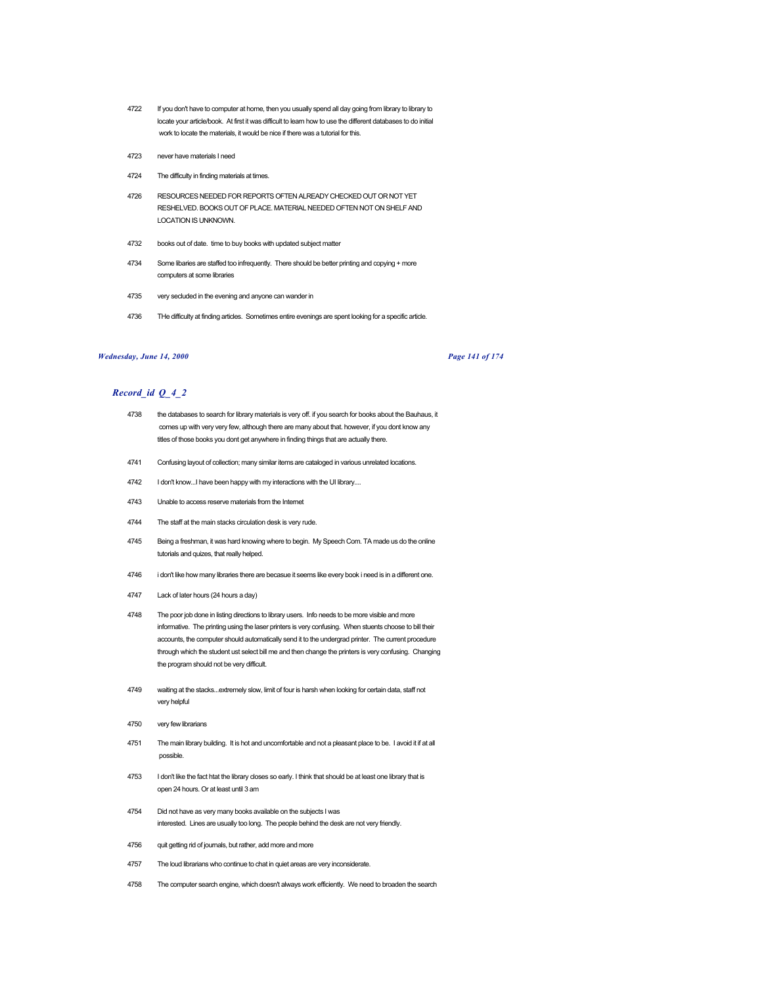- 4722 If you don't have to computer at home, then you usually spend all day going from library to library to locate your article/book. At first it was difficult to learn how to use the different databases to do initial work to locate the materials, it would be nice if there was a tutorial for this.
- 4723 never have materials I need
- 4724 The difficulty in finding materials at times.
- 4726 RESOURCES NEEDED FOR REPORTS OFTEN ALREADY CHECKED OUT OR NOT YET RESHELVED. BOOKS OUT OF PLACE. MATERIAL NEEDED OFTEN NOT ON SHELF AND LOCATION IS UNKNOWN.
- 4732 books out of date. time to buy books with updated subject matter
- 4734 Some libaries are staffed too infrequently. There should be better printing and copying + more computers at some libraries
- 4735 very secluded in the evening and anyone can wander in
- 4736 THe difficulty at finding articles. Sometimes entire evenings are spent looking for a specific article.

# *Wednesday, June 14, 2000 Page 141 of 174*

- 4738 the databases to search for library materials is very off. if you search for books about the Bauhaus, it comes up with very very few, although there are many about that. however, if you dont know any titles of those books you dont get anywhere in finding things that are actually there.
- 4741 Confusing layout of collection; many similar items are cataloged in various unrelated locations.
- 4742 I don't know...I have been happy with my interactions with the UI library....
- 4743 Unable to access reserve materials from the Internet
- 4744 The staff at the main stacks circulation desk is very rude.
- 4745 Being a freshman, it was hard knowing where to begin. My Speech Com. TA made us do the online tutorials and quizes, that really helped.
- 4746 i don't like how many libraries there are becasue it seems like every book i need is in a different one.
- 4747 Lack of later hours (24 hours a day)
- 4748 The poor job done in listing directions to library users. Info needs to be more visible and more informative. The printing using the laser printers is very confusing. When stuents choose to bill their accounts, the computer should automatically send it to the undergrad printer. The current procedure through which the student ust select bill me and then change the printers is very confusing. Changing the program should not be very difficult.
- 4749 waiting at the stacks...extremely slow, limit of four is harsh when looking for certain data, staff not very helpful
- 4750 very few librarians
- 4751 The main library building. It is hot and uncomfortable and not a pleasant place to be. I avoid it if at all possible.
- 4753 I don't like the fact htat the library closes so early. I think that should be at least one library that is open 24 hours. Or at least until 3 am
- 4754 Did not have as very many books available on the subjects I was interested. Lines are usually too long. The people behind the desk are not very friendly.
- 4756 quit getting rid of journals, but rather, add more and more
- 4757 The loud librarians who continue to chat in quiet areas are very inconsiderate.
- 4758 The computer search engine, which doesn't always work efficiently. We need to broaden the search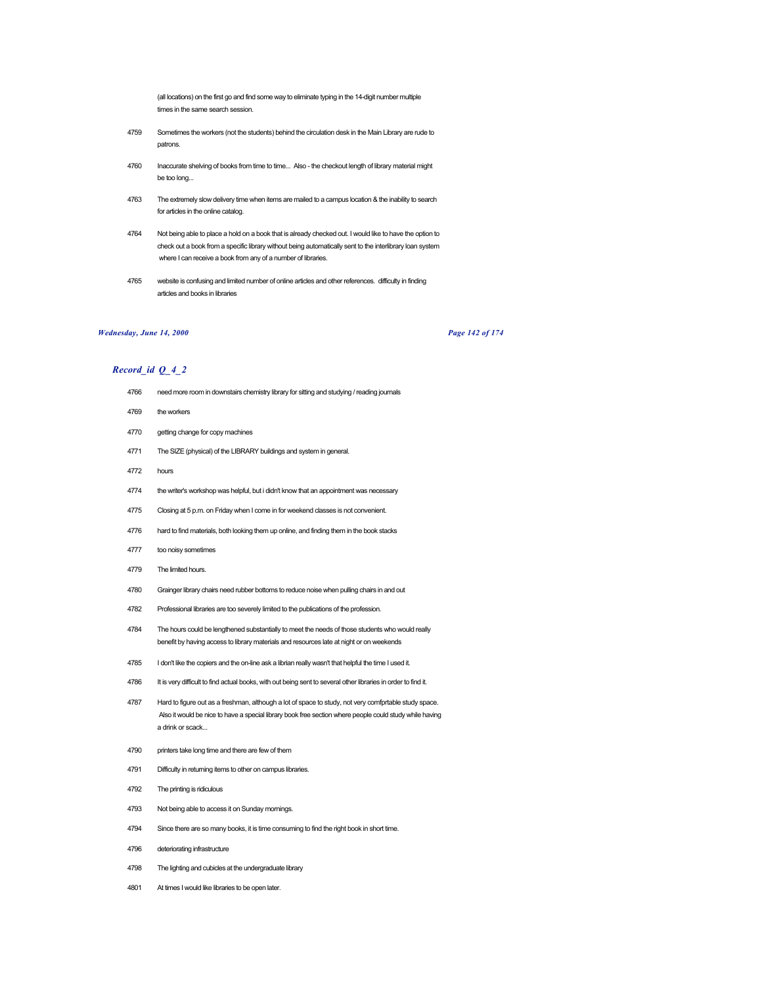(all locations) on the first go and find some way to eliminate typing in the 14-digit number multiple times in the same search session.

- Sometimes the workers (not the students) behind the circulation desk in the Main Library are rude to patrons.
- Inaccurate shelving of books from time to time... Also the checkout length of library material might be too long...
- The extremely slow delivery time when items are mailed to a campus location & the inability to search for articles in the online catalog.
- Not being able to place a hold on a book that is already checked out. I would like to have the option to check out a book from a specific library without being automatically sent to the interlibrary loan system where I can receive a book from any of a number of libraries.
- website is confusing and limited number of online articles and other references. difficulty in finding articles and books in libraries

# *Wednesday, June 14, 2000 Page 142 of 174*

- 4766 need more room in downstairs chemistry library for sitting and studying / reading journals
- the workers
- getting change for copy machines
- The SIZE (physical) of the LIBRARY buildings and system in general.
- hours
- the writer's workshop was helpful, but i didn't know that an appointment was necessary
- Closing at 5 p.m. on Friday when I come in for weekend classes is not convenient.
- hard to find materials, both looking them up online, and finding them in the book stacks
- too noisy sometimes
- The limited hours.
- Grainger library chairs need rubber bottoms to reduce noise when pulling chairs in and out
- Professional libraries are too severely limited to the publications of the profession.
- The hours could be lengthened substantially to meet the needs of those students who would really benefit by having access to library materials and resources late at night or on weekends
- I don't like the copiers and the on-line ask a librian really wasn't that helpful the time I used it.
- 4786 It is very difficult to find actual books, with out being sent to several other libraries in order to find it.
- Hard to figure out as a freshman, although a lot of space to study, not very comfprtable study space. Also it would be nice to have a special library book free section where people could study while having a drink or scack...
- printers take long time and there are few of them
- Difficulty in returning items to other on campus libraries.
- The printing is ridiculous
- Not being able to access it on Sunday mornings.
- 4794 Since there are so many books, it is time consuming to find the right book in short time.
- deteriorating infrastructure
- The lighting and cubicles at the undergraduate library
- At times I would like libraries to be open later.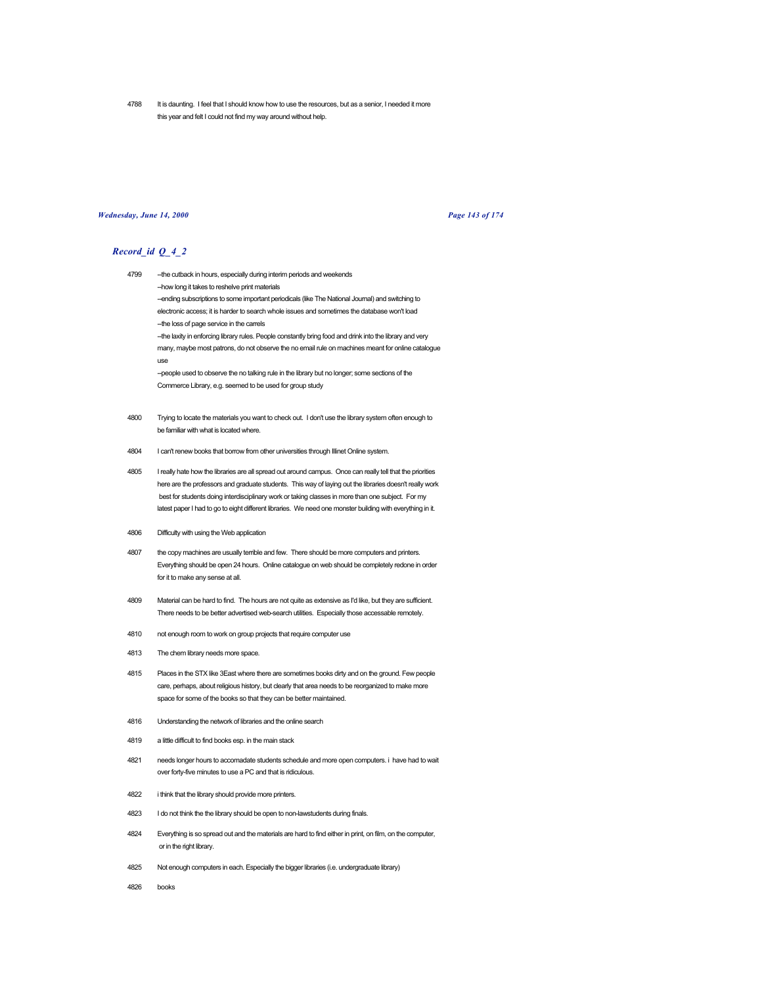4788 It is daunting. I feel that I should know how to use the resources, but as a senior, I needed it more this year and felt I could not find my way around without help.

### *Wednesday, June 14, 2000 Page 143 of 174*

- 4799 --the cutback in hours, especially during interim periods and weekends --how long it takes to reshelve print materials -ending subscriptions to some important periodicals (like The National Journal) and switching to electronic access; it is harder to search whole issues and sometimes the database won't load --the loss of page service in the carrels -the laxity in enforcing library rules. People constantly bring food and drink into the library and very many, maybe most patrons, do not observe the no email rule on machines meant for online catalogue use --people used to observe the no talking rule in the library but no longer; some sections of the Commerce Library, e.g. seemed to be used for group study
- 4800 Trying to locate the materials you want to check out. I don't use the library system often enough to be familiar with what is located where.
- 4804 I can't renew books that borrow from other universities through Illinet Online system.
- 4805 I really hate how the libraries are all spread out around campus. Once can really tell that the priorities here are the professors and graduate students. This way of laying out the libraries doesn't really work best for students doing interdisciplinary work or taking classes in more than one subject. For my latest paper I had to go to eight different libraries. We need one monster building with everything in it.
- 4806 Difficulty with using the Web application
- 4807 the copy machines are usually terrible and few. There should be more computers and printers. Everything should be open 24 hours. Online catalogue on web should be completely redone in order for it to make any sense at all.
- 4809 Material can be hard to find. The hours are not quite as extensive as I'd like, but they are sufficient. There needs to be better advertised web-search utilities. Especially those accessable remotely.
- 4810 not enough room to work on group projects that require computer use
- 4813 The chem library needs more space.
- 4815 Places in the STX like 3East where there are sometimes books dirty and on the ground. Few people care, perhaps, about religious history, but clearly that area needs to be reorganized to make more space for some of the books so that they can be better maintained.
- 4816 Understanding the network of libraries and the online search
- 4819 a little difficult to find books esp. in the main stack
- 4821 needs longer hours to accomadate students schedule and more open computers. i have had to wait over forty-five minutes to use a PC and that is ridiculous.
- 4822 i think that the library should provide more printers.
- 4823 I do not think the the library should be open to non-lawstudents during finals.
- 4824 Everything is so spread out and the materials are hard to find either in print, on film, on the computer, or in the right library.
- 4825 Not enough computers in each. Especially the bigger libraries (i.e. undergraduate library)
- 4826 books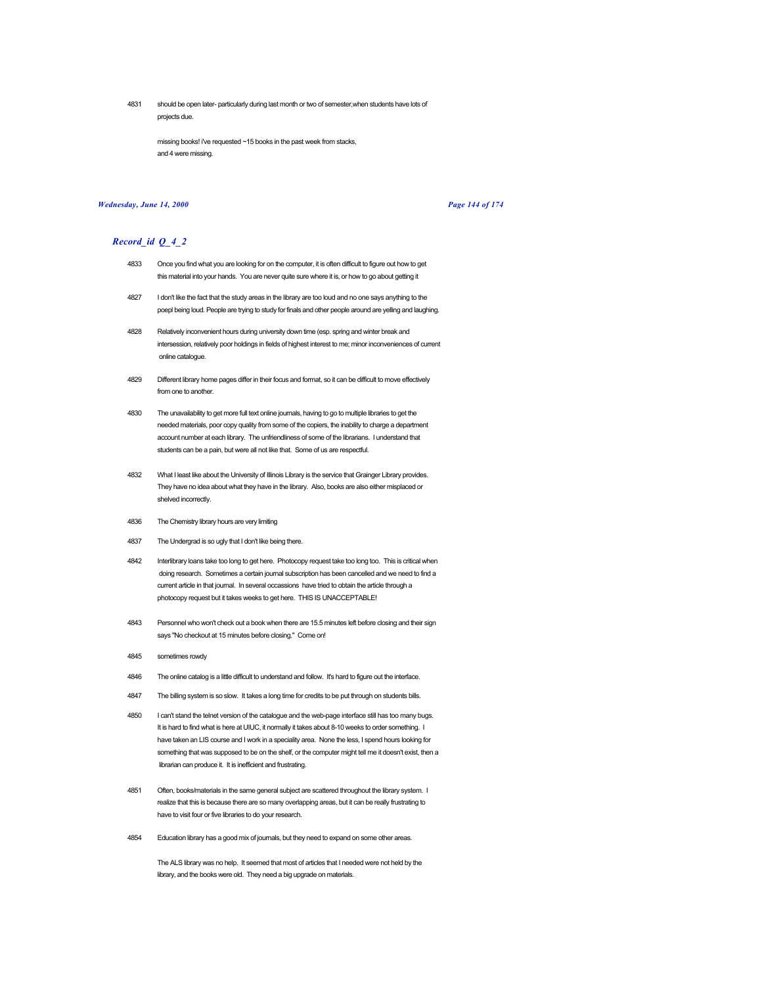4831 should be open later- particularly during last month or two of semester,when students have lots of projects due.

missing books! i've requested ~15 books in the past week from stacks, and 4 were missing.

# *Wednesday, June 14, 2000 Page 144 of 174*

#### *Record\_id Q\_4\_2*

- 4833 Once you find what you are looking for on the computer, it is often difficult to figure out how to get this material into your hands. You are never quite sure where it is, or how to go about getting it
- 4827 I don't like the fact that the study areas in the library are too loud and no one says anything to the poepl being loud. People are trying to study for finals and other people around are yelling and laughing.
- 4828 Relatively inconvenient hours during university down time (esp. spring and winter break and intersession, relatively poor holdings in fields of highest interest to me; minor inconveniences of current online catalogue.
- 4829 Different library home pages differ in their focus and format, so it can be difficult to move effectively from one to another.
- 4830 The unavailability to get more full text online journals, having to go to multiple libraries to get the needed materials, poor copy quality from some of the copiers, the inability to charge a department account number at each library. The unfriendliness of some of the librarians. I understand that students can be a pain, but were all not like that. Some of us are respectful.
- 4832 What I least like about the University of Illinois Library is the service that Grainger Library provides. They have no idea about what they have in the library. Also, books are also either misplaced or shelved incorrectly
- 4836 The Chemistry library hours are very limiting
- 4837 The Undergrad is so ugly that I don't like being there.
- 4842 Interlibrary loans take too long to get here. Photocopy request take too long too. This is critical when doing research. Sometimes a certain journal subscription has been cancelled and we need to find a current article in that journal. In several occassions have tried to obtain the article through a photocopy request but it takes weeks to get here. THIS IS UNACCEPTABLE!
- 4843 Personnel who won't check out a book when there are 15.5 minutes left before closing and their sign says "No checkout at 15 minutes before closing." Come on!
- 4845 sometimes rowdy
- 4846 The online catalog is a little difficult to understand and follow. It's hard to figure out the interface.
- 4847 The billing system is so slow. It takes a long time for credits to be put through on students bills.
- 4850 I can't stand the telnet version of the catalogue and the web-page interface still has too many bugs. It is hard to find what is here at UIUC, it normally it takes about 8-10 weeks to order something. I have taken an LIS course and I work in a speciality area. None the less, I spend hours looking for something that was supposed to be on the shelf, or the computer might tell me it doesn't exist, then a librarian can produce it. It is inefficient and frustrating.
- 4851 Often, books/materials in the same general subject are scattered throughout the library system. I realize that this is because there are so many overlapping areas, but it can be really frustrating to have to visit four or five libraries to do your research.
- 4854 Education library has a good mix of journals, but they need to expand on some other areas.

The ALS library was no help. It seemed that most of articles that I needed were not held by the library, and the books were old. They need a big upgrade on materials.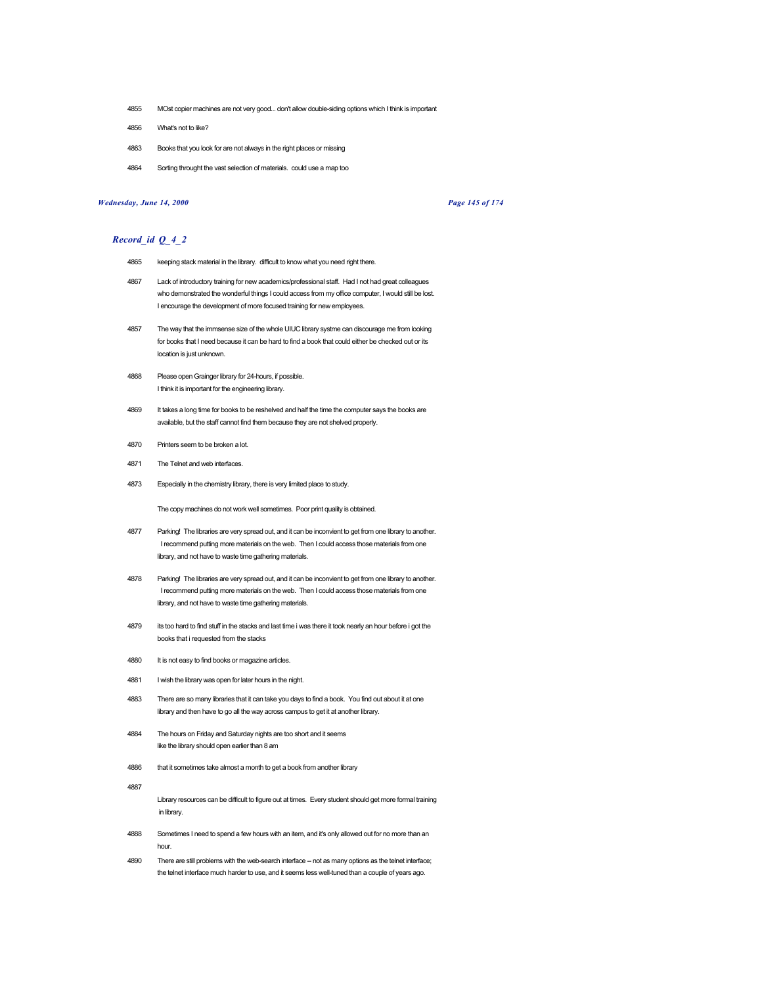- 4855 MOst copier machines are not very good... don't allow double-siding options which I think is important
- 4856 What's not to like?
- 4863 Books that you look for are not always in the right places or missing
- 4864 Sorting throught the vast selection of materials. could use a map too

### *Wednesday, June 14, 2000 Page 145 of 174*

#### *Record\_id Q\_4\_2*

- 4865 keeping stack material in the library. difficult to know what you need right there.
- 4867 Lack of introductory training for new academics/professional staff. Had I not had great colleagues who demonstrated the wonderful things I could access from my office computer, I would still be lost. I encourage the development of more focused training for new employees.
- 4857 The way that the immsense size of the whole UIUC library systme can discourage me from looking for books that I need because it can be hard to find a book that could either be checked out or its location is just unknown.
- 4868 Please open Grainger library for 24-hours, if possible. I think it is important for the engineering library.
- 4869 It takes a long time for books to be reshelved and half the time the computer says the books are available, but the staff cannot find them because they are not shelved properly.
- 4870 Printers seem to be broken a lot.
- 4871 The Telnet and web interfaces.
- 4873 Especially in the chemistry library, there is very limited place to study.

The copy machines do not work well sometimes. Poor print quality is obtained.

- 4877 Parking! The libraries are very spread out, and it can be inconvient to get from one library to another. I recommend putting more materials on the web. Then I could access those materials from one library, and not have to waste time gathering materials.
- 4878 Parking! The libraries are very spread out, and it can be inconvient to get from one library to another. I recommend putting more materials on the web. Then I could access those materials from one library, and not have to waste time gathering materials.
- 4879 its too hard to find stuff in the stacks and last time i was there it took nearly an hour before i got the books that i requested from the stacks
- 4880 It is not easy to find books or magazine articles.
- 4881 I wish the library was open for later hours in the night.
- 4883 There are so many libraries that it can take you days to find a book. You find out about it at one library and then have to go all the way across campus to get it at another library.
- 4884 The hours on Friday and Saturday nights are too short and it seems like the library should open earlier than 8 am
- 4886 that it sometimes take almost a month to get a book from another library

4887

Library resources can be difficult to figure out at times. Every student should get more formal training in library.

- 4888 Sometimes I need to spend a few hours with an item, and it's only allowed out for no more than an hour.
- 4890 There are still problems with the web-search interface -- not as many options as the telnet interface; the telnet interface much harder to use, and it seems less well-tuned than a couple of years ago.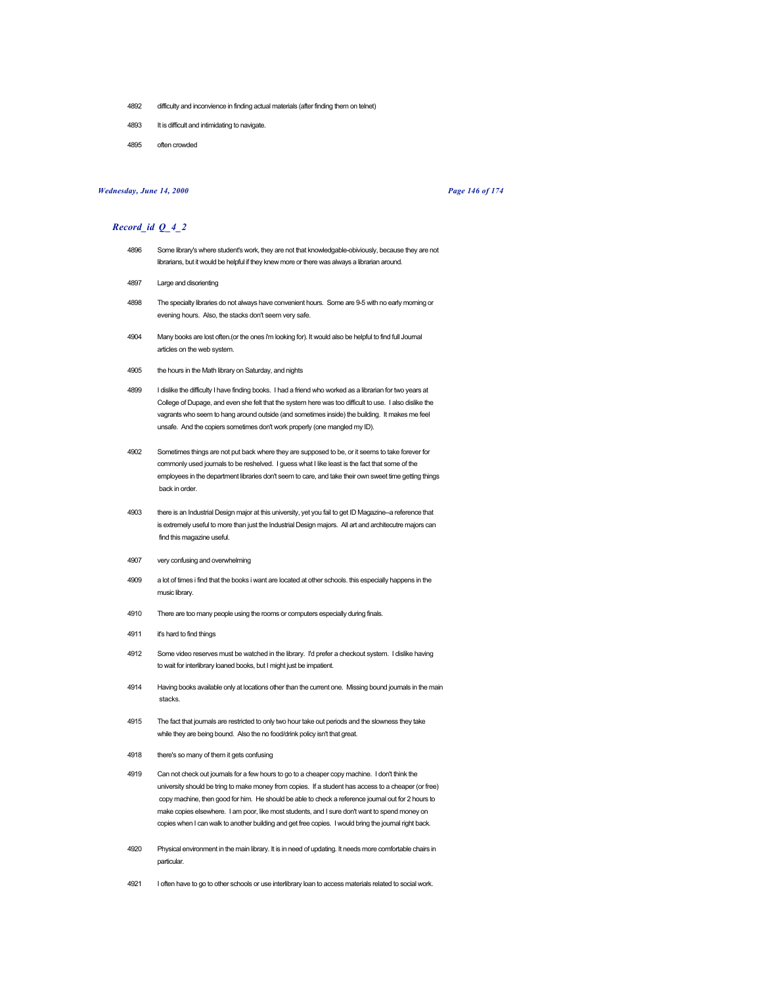- 4892 difficulty and inconvience in finding actual materials (after finding them on telnet)
- 4893 It is difficult and intimidating to navigate.
- 4895 often crowded

## *Wednesday, June 14, 2000 Page 146 of 174*

- 4896 Some library's where student's work, they are not that knowledgable-obiviously, because they are not librarians, but it would be helpful if they knew more or there was always a librarian around.
- 4897 Large and disorienting
- 4898 The specialty libraries do not always have convenient hours. Some are 9-5 with no early morning or evening hours. Also, the stacks don't seem very safe.
- 4904 Many books are lost often.(or the ones i'm looking for). It would also be helpful to find full Journal articles on the web system.
- 4905 the hours in the Math library on Saturday, and nights
- 4899 I dislike the difficulty I have finding books. I had a friend who worked as a librarian for two years at College of Dupage, and even she felt that the system here was too difficult to use. I also dislike the vagrants who seem to hang around outside (and sometimes inside) the building. It makes me feel unsafe. And the copiers sometimes don't work properly (one mangled my ID).
- 4902 Sometimes things are not put back where they are supposed to be, or it seems to take forever for commonly used journals to be reshelved. I guess what I like least is the fact that some of the employees in the department libraries don't seem to care, and take their own sweet time getting things back in order.
- 4903 there is an Industrial Design major at this university, yet you fail to get ID Magazine--a reference that is extremely useful to more than just the Industrial Design majors. All art and architecutre majors can find this magazine useful.
- 4907 very confusing and overwhelming
- 4909 a lot of times i find that the books i want are located at other schools. this especially happens in the music library.
- 4910 There are too many people using the rooms or computers especially during finals.
- 4911 it's hard to find things
- 4912 Some video reserves must be watched in the library. I'd prefer a checkout system. I dislike having to wait for interlibrary loaned books, but I might just be impatient.
- 4914 Having books available only at locations other than the current one. Missing bound journals in the main stacks.
- 4915 The fact that journals are restricted to only two hour take out periods and the slowness they take while they are being bound. Also the no food/drink policy isn't that great.
- 4918 there's so many of them it gets confusing
- 4919 Can not check out journals for a few hours to go to a cheaper copy machine. I don't think the university should be tring to make money from copies. If a student has access to a cheaper (or free) copy machine, then good for him. He should be able to check a reference journal out for 2 hours to make copies elsewhere. I am poor, like most students, and I sure don't want to spend money on copies when I can walk to another building and get free copies. I would bring the journal right back.
- 4920 Physical environment in the main library. It is in need of updating. It needs more comfortable chairs in particular.
- 4921 I often have to go to other schools or use interlibrary loan to access materials related to social work.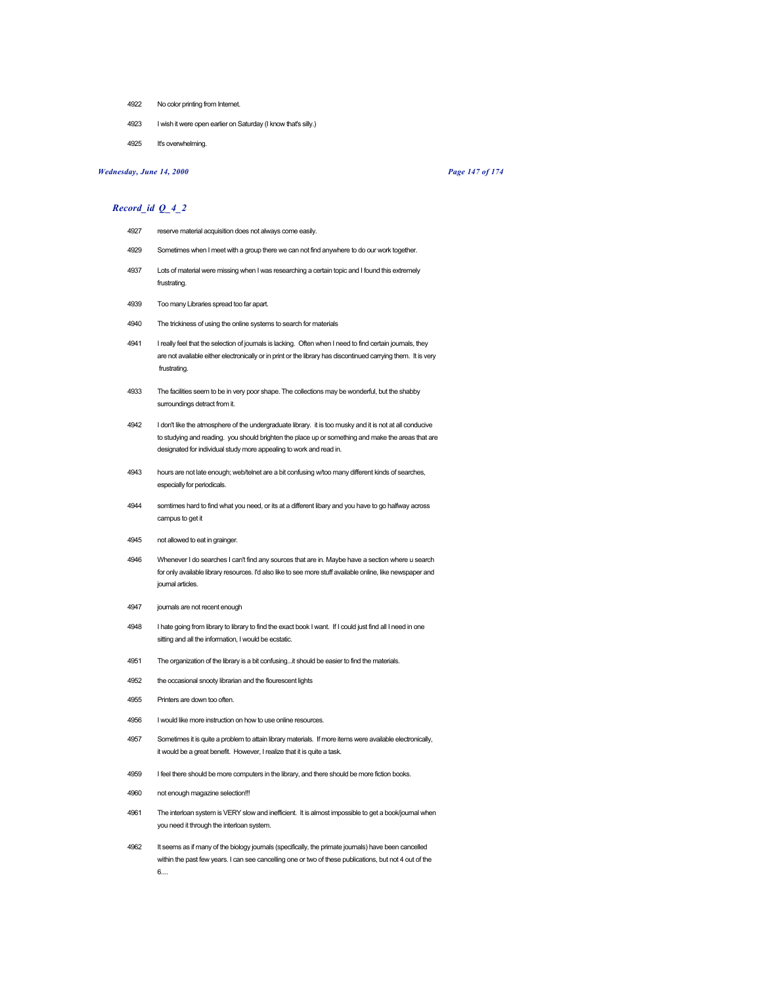- 4922 No color printing from Internet.
- 4923 I wish it were open earlier on Saturday (I know that's silly.)
- 4925 It's overwhelming.

# *Wednesday, June 14, 2000 Page 147 of 174*

- 4927 reserve material acquisition does not always come easily.
- 4929 Sometimes when I meet with a group there we can not find anywhere to do our work together.
- 4937 Lots of material were missing when I was researching a certain topic and I found this extremely frustrating.
- 4939 Too many Libraries spread too far apart.
- 4940 The trickiness of using the online systems to search for materials
- 4941 I really feel that the selection of journals is lacking. Often when I need to find certain journals, they are not available either electronically or in print or the library has discontinued carrying them. It is very frustrating.
- 4933 The facilities seem to be in very poor shape. The collections may be wonderful, but the shabby surroundings detract from it.
- 4942 I don't like the atmosphere of the undergraduate library. it is too musky and it is not at all conducive to studying and reading. you should brighten the place up or something and make the areas that are designated for individual study more appealing to work and read in.
- 4943 hours are not late enough; web/telnet are a bit confusing w/too many different kinds of searches, especially for periodicals.
- 4944 somtimes hard to find what you need, or its at a different libary and you have to go halfway across campus to get it
- 4945 not allowed to eat in grainger.
- 4946 Whenever I do searches I can't find any sources that are in. Maybe have a section where u search for only available library resources. I'd also like to see more stuff available online, like newspaper and journal articles.
- 4947 journals are not recent enough
- 4948 I hate going from library to library to find the exact book I want. If I could just find all I need in one sitting and all the information, I would be ecstatic.
- 4951 The organization of the library is a bit confusing...it should be easier to find the materials.
- 4952 the occasional snooty librarian and the flourescent lights
- 4955 Printers are down too often.
- 4956 I would like more instruction on how to use online resources.
- 4957 Sometimes it is quite a problem to attain library materials. If more items were available electronically, it would be a great benefit. However, I realize that it is quite a task.
- 4959 I feel there should be more computers in the library, and there should be more fiction books.
- 4960 not enough magazine selection!!!
- 4961 The interloan system is VERY slow and inefficient. It is almost impossible to get a book/journal when you need it through the interloan system.
- 4962 It seems as if many of the biology journals (specifically, the primate journals) have been cancelled within the past few years. I can see cancelling one or two of these publications, but not 4 out of the 6....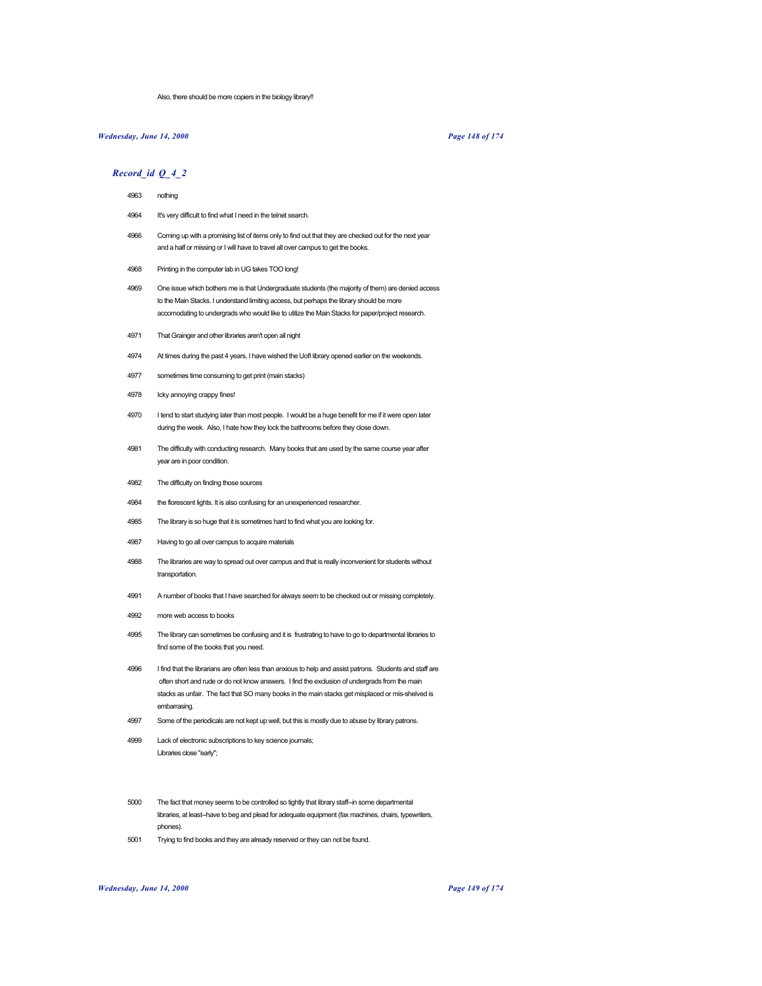Also, there should be more copiers in the biology library!!

# *Wednesday, June 14, 2000 Page 148 of 174*

# *Record\_id Q\_4\_2*

- 4963 nothing
- 4964 It's very difficult to find what I need in the telnet search.
- 4966 Coming up with a promising list of items only to find out that they are checked out for the next year and a half or missing or I will have to travel all over campus to get the books.
- 4968 Printing in the computer lab in UG takes TOO long!
- 4969 One issue which bothers me is that Undergraduate students (the majority of them) are denied access to the Main Stacks. I understand limiting access, but perhaps the library should be more accomodating to undergrads who would like to utilize the Main Stacks for paper/project research.
- 4971 That Grainger and other libraries aren't open all night
- 4974 At times during the past 4 years, I have wished the UofI library opened earlier on the weekends.
- 4977 sometimes time consuming to get print (main stacks)
- 4978 Icky annoying crappy fines!
- 4970 I tend to start studying later than most people. I would be a huge benefit for me if it were open later during the week. Also, I hate how they lock the bathrooms before they close down.
- 4981 The difficulty with conducting research. Many books that are used by the same course year after year are in poor condition.
- 4982 The difficulty on finding those sources
- 4984 the florescent lights. It is also confusing for an unexperienced researcher.
- 4985 The library is so huge that it is sometimes hard to find what you are looking for.
- 4987 Having to go all over campus to acquire materials
- 4988 The libraries are way to spread out over campus and that is really inconvenient for students without transportation.
- 4991 A number of books that I have searched for always seem to be checked out or missing completely.
- 4992 more web access to books
- 4995 The library can sometimes be confusing and it is frustrating to have to go to departmental libraries to find some of the books that you need.
- 4996 I find that the librarians are often less than anxious to help and assist patrons. Students and staff are often short and rude or do not know answers. I find the exclusion of undergrads from the main stacks as unfair. The fact that SO many books in the main stacks get misplaced or mis-shelved is embarrasing.
- 4997 Some of the periodicals are not kept up well, but this is mostly due to abuse by library patrons.
- 4999 Lack of electronic subscriptions to key science journals; Libraries close "early";
- 5000 The fact that money seems to be controlled so tightly that library staff--in some departmental libraries, at least--have to beg and plead for adequate equipment (fax machines, chairs, typewriters, phones).
- 5001 Trying to find books and they are already reserved or they can not be found.

#### *Wednesday, June 14, 2000 Page 149 of 174*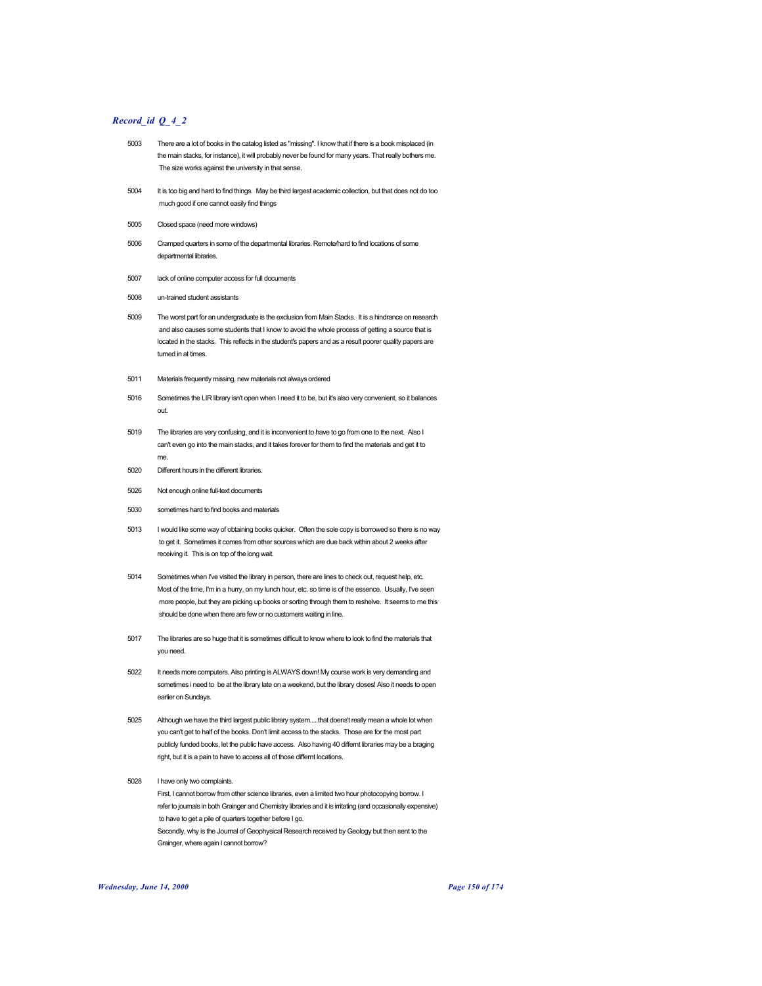# *Record\_id Q\_4\_2*

- 5003 There are a lot of books in the catalog listed as "missing". I know that if there is a book misplaced (in the main stacks, for instance), it will probably never be found for many years. That really bothers me. The size works against the university in that sense.
- 5004 It is too big and hard to find things. May be third largest academic collection, but that does not do too much good if one cannot easily find things
- 5005 Closed space (need more windows)
- 5006 Cramped quarters in some of the departmental libraries. Remote/hard to find locations of some departmental libraries.
- 5007 lack of online computer access for full documents
- 5008 un-trained student assistants
- 5009 The worst part for an undergraduate is the exclusion from Main Stacks. It is a hindrance on research and also causes some students that I know to avoid the whole process of getting a source that is located in the stacks. This reflects in the student's papers and as a result poorer quality papers are turned in at times.
- 5011 Materials frequently missing, new materials not always ordered
- 5016 Sometimes the LIR library isn't open when I need it to be, but it's also very convenient, so it balances out.
- 5019 The libraries are very confusing, and it is inconvenient to have to go from one to the next. Also I can't even go into the main stacks, and it takes forever for them to find the materials and get it to me.
- 5020 Different hours in the different libraries.
- 5026 Not enough online full-text documents
- 5030 sometimes hard to find books and materials
- 5013 I would like some way of obtaining books quicker. Often the sole copy is borrowed so there is no way to get it. Sometimes it comes from other sources which are due back within about 2 weeks after receiving it. This is on top of the long wait.
- 5014 Sometimes when I've visited the library in person, there are lines to check out, request help, etc. Most of the time, I'm in a hurry, on my lunch hour, etc. so time is of the essence. Usually, I've seen more people, but they are picking up books or sorting through them to reshelve. It seems to me this should be done when there are few or no customers waiting in line.
- 5017 The libraries are so huge that it is sometimes difficult to know where to look to find the materials that you need.
- 5022 It needs more computers. Also printing is ALWAYS down! My course work is very demanding and sometimes i need to be at the library late on a weekend, but the library closes! Also it needs to open earlier on Sundays.
- 5025 Although we have the third largest public library system.....that doens't really mean a whole lot when you can't get to half of the books. Don't limit access to the stacks. Those are for the most part publicly funded books, let the public have access. Also having 40 differnt libraries may be a braging right, but it is a pain to have to access all of those differnt locations.
- 5028 I have only two complaints.

First, I cannot borrow from other science libraries, even a limited two hour photocopying borrow. I refer to journals in both Grainger and Chemistry libraries and it is irritating (and occasionally expensive) to have to get a pile of quarters together before I go. Secondly, why is the Journal of Geophysical Research received by Geology but then sent to the Grainger, where again I cannot borrow?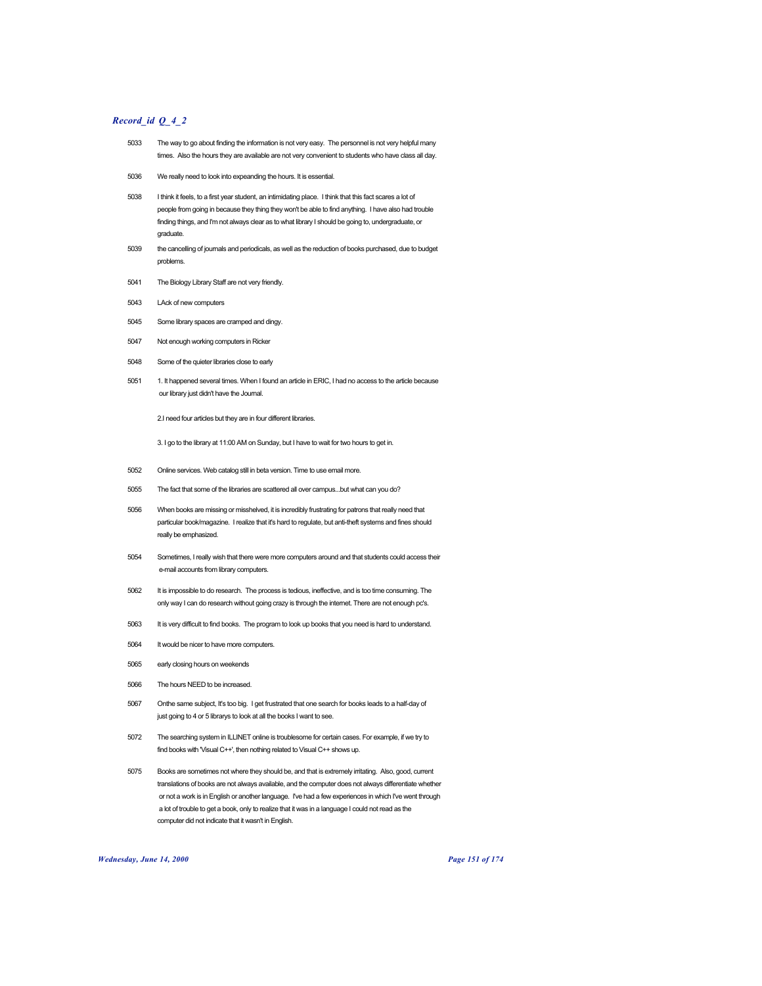# *Record\_id Q\_4\_2*

- 5033 The way to go about finding the information is not very easy. The personnel is not very helpful many times. Also the hours they are available are not very convenient to students who have class all day.
- 5036 We really need to look into expeanding the hours. It is essential.
- 5038 I think it feels, to a first year student, an intimidating place. I think that this fact scares a lot of people from going in because they thing they won't be able to find anything. I have also had trouble finding things, and I'm not always clear as to what library I should be going to, undergraduate, or graduate.
- 5039 the cancelling of journals and periodicals, as well as the reduction of books purchased, due to budget problems.
- 5041 The Biology Library Staff are not very friendly.
- 5043 LAck of new computers
- 5045 Some library spaces are cramped and dingy.
- 5047 Not enough working computers in Ricker
- 5048 Some of the quieter libraries close to early
- 5051 1. It happened several times. When I found an article in ERIC, I had no access to the article because our library just didn't have the Journal.

2.I need four articles but they are in four different libraries.

3. I go to the library at 11:00 AM on Sunday, but I have to wait for two hours to get in.

- 5052 Online services. Web catalog still in beta version. Time to use email more.
- 5055 The fact that some of the libraries are scattered all over campus...but what can you do?
- 5056 When books are missing or misshelved, it is incredibly frustrating for patrons that really need that particular book/magazine. I realize that it's hard to regulate, but anti-theft systems and fines should really be emphasized.
- 5054 Sometimes, I really wish that there were more computers around and that students could access their e-mail accounts from library computers.
- 5062 It is impossible to do research. The process is tedious, ineffective, and is too time consuming. The only way I can do research without going crazy is through the internet. There are not enough pc's.
- 5063 It is very difficult to find books. The program to look up books that you need is hard to understand.
- 5064 It would be nicer to have more computers.
- 5065 early closing hours on weekends
- 5066 The hours NEED to be increased.
- 5067 Onthe same subject, It's too big. I get frustrated that one search for books leads to a half-day of just going to 4 or 5 librarys to look at all the books I want to see.
- 5072 The searching system in ILLINET online is troublesome for certain cases. For example, if we try to find books with 'Visual C++', then nothing related to Visual C++ shows up.
- 5075 Books are sometimes not where they should be, and that is extremely irritating. Also, good, current translations of books are not always available, and the computer does not always differentiate whether or not a work is in English or another language. I've had a few experiences in which I've went through a lot of trouble to get a book, only to realize that it was in a language I could not read as the computer did not indicate that it wasn't in English.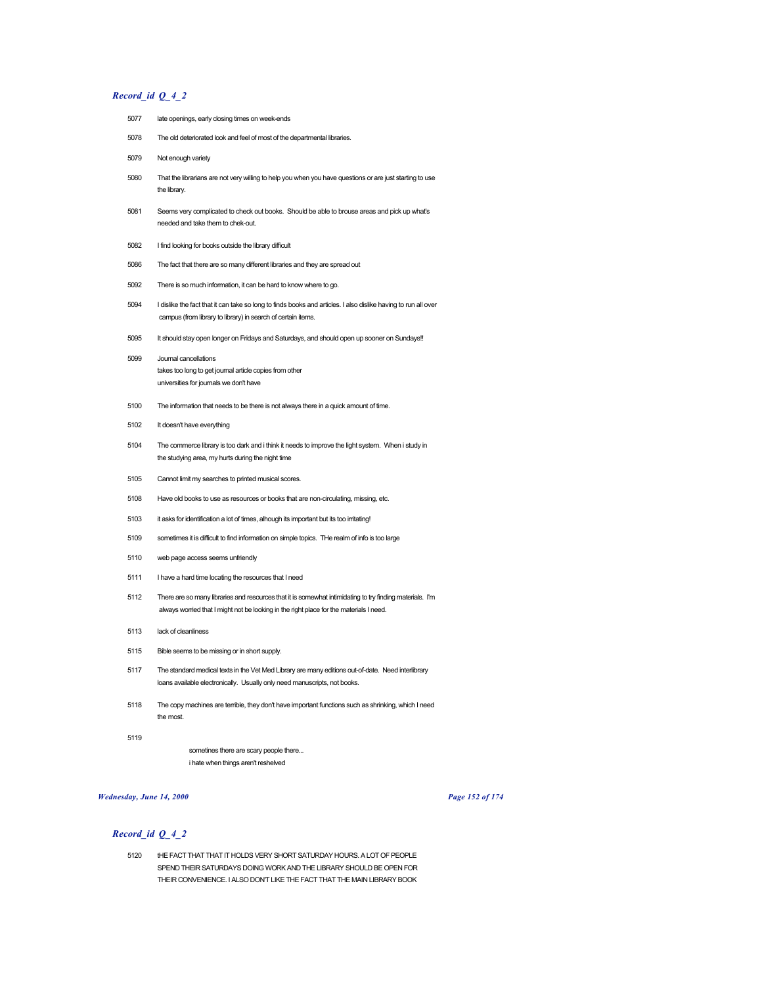# *Record\_id Q\_4\_2*

- late openings, early closing times on week-ends The old deteriorated look and feel of most of the departmental libraries. Not enough variety That the librarians are not very willing to help you when you have questions or are just starting to use the library. Seems very complicated to check out books. Should be able to brouse areas and pick up what's needed and take them to chek-out. I find looking for books outside the library difficult The fact that there are so many different libraries and they are spread out There is so much information, it can be hard to know where to go. I dislike the fact that it can take so long to finds books and articles. I also dislike having to run all over campus (from library to library) in search of certain items. It should stay open longer on Fridays and Saturdays, and should open up sooner on Sundays!! Journal cancellations takes too long to get journal article copies from other universities for journals we don't have The information that needs to be there is not always there in a quick amount of time. It doesn't have everything The commerce library is too dark and i think it needs to improve the light system. When i study in the studying area, my hurts during the night time Cannot limit my searches to printed musical scores. Have old books to use as resources or books that are non-circulating, missing, etc. 5103 it asks for identification a lot of times, alhough its important but its too irritating! sometimes it is difficult to find information on simple topics. THe realm of info is too large web page access seems unfriendly I have a hard time locating the resources that I need There are so many libraries and resources that it is somewhat intimidating to try finding materials. I'm always worried that I might not be looking in the right place for the materials I need. lack of cleanliness Bible seems to be missing or in short supply.
- The standard medical texts in the Vet Med Library are many editions out-of-date. Need interlibrary loans available electronically. Usually only need manuscripts, not books.
- The copy machines are terrible, they don't have important functions such as shrinking, which I need the most.
- 

sometines there are scary people there... i hate when things aren't reshelved

# *Wednesday, June 14, 2000 Page 152 of 174*

# *Record\_id Q\_4\_2*

 tHE FACT THAT THAT IT HOLDS VERY SHORT SATURDAY HOURS. A LOT OF PEOPLE SPEND THEIR SATURDAYS DOING WORK AND THE LIBRARY SHOULD BE OPEN FOR THEIR CONVENIENCE. I ALSO DON'T LIKE THE FACT THAT THE MAIN LIBRARY BOOK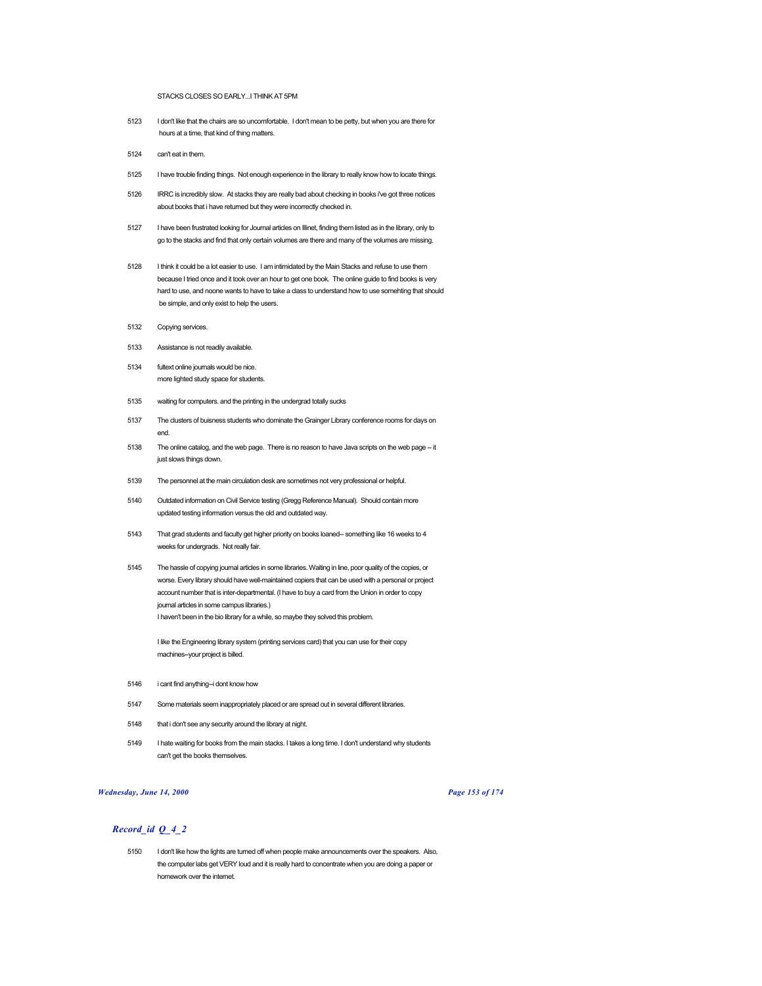STACKS CLOSES SO EARLY...I THINK AT 5PM

- 5123 I don't like that the chairs are so uncomfortable. I don't mean to be petty, but when you are there for hours at a time, that kind of thing matters.
- 5124 can't eat in them.
- 5125 I have trouble finding things. Not enough experience in the library to really know how to locate things.
- 5126 IRRC is incredibly slow. At stacks they are really bad about checking in books i've got three notices about books that i have returned but they were incorrectly checked in.
- 5127 I have been frustrated looking for Journal articles on Illinet, finding them listed as in the library, only to go to the stacks and find that only certain volumes are there and many of the volumes are missing.
- 5128 I think it could be a lot easier to use. I am intimidated by the Main Stacks and refuse to use them because I tried once and it took over an hour to get one book. The online guide to find books is very hard to use, and noone wants to have to take a class to understand how to use somehting that should be simple, and only exist to help the users.
- 5132 Copying services.
- 5133 Assistance is not readily available.
- 5134 fultext online journals would be nice. more lighted study space for students.
- 5135 waiting for computers. and the printing in the undergrad totally sucks
- 5137 The clusters of buisness students who dominate the Grainger Library conference rooms for days on end.
- 5138 The online catalog, and the web page. There is no reason to have Java scripts on the web page -- it just slows things down.
- 5139 The personnel at the main circulation desk are sometimes not very professional or helpful.
- 5140 Outdated information on Civil Service testing (Gregg Reference Manual). Should contain more updated testing information versus the old and outdated way.
- 5143 That grad students and faculty get higher priority on books loaned-- something like 16 weeks to 4 weeks for undergrads. Not really fair.
- 5145 The hassle of copying journal articles in some libraries. Waiting in line, poor quality of the copies, or worse. Every library should have well-maintained copiers that can be used with a personal or project account number that is inter-departmental. (I have to buy a card from the Union in order to copy journal articles in some campus libraries.) I haven't been in the bio library for a while, so maybe they solved this problem.

I like the Engineering library system (printing services card) that you can use for their copy machines--your project is billed.

- 5146 i cant find anything--i dont know how
- 5147 Some materials seem inappropriately placed or are spread out in several different libraries.
- 5148 that i don't see any security around the library at night.
- 5149 I hate waiting for books from the main stacks. I takes a long time. I don't understand why students can't get the books themselves.

# *Wednesday, June 14, 2000 Page 153 of 174*

# *Record\_id Q\_4\_2*

5150 I don't like how the lights are turned off when people make announcements over the speakers. Also, the computer labs get VERY loud and it is really hard to concentrate when you are doing a paper or homework over the internet.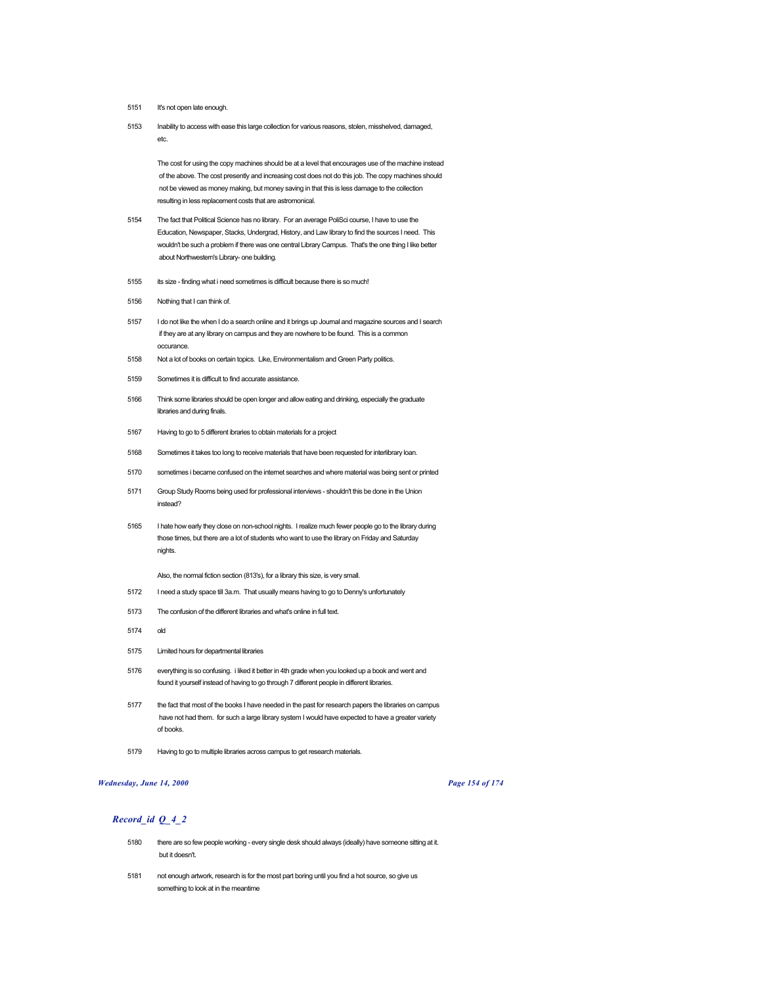- 5151 It's not open late enough.
- 5153 Inability to access with ease this large collection for various reasons, stolen, misshelved, damaged, etc.

The cost for using the copy machines should be at a level that encourages use of the machine instead of the above. The cost presently and increasing cost does not do this job. The copy machines should not be viewed as money making, but money saving in that this is less damage to the collection resulting in less replacement costs that are astromonical.

- 5154 The fact that Political Science has no library. For an average PoliSci course, I have to use the Education, Newspaper, Stacks, Undergrad, History, and Law library to find the sources I need. This wouldn't be such a problem if there was one central Library Campus. That's the one thing I like better about Northwestern's Library- one building.
- 5155 its size finding what i need sometimes is difficult because there is so much!
- 5156 Nothing that I can think of.
- 5157 I do not like the when I do a search online and it brings up Journal and magazine sources and I search if they are at any library on campus and they are nowhere to be found. This is a common occurance.
- 5158 Not a lot of books on certain topics. Like, Environmentalism and Green Party politics.
- 5159 Sometimes it is difficult to find accurate assistance.
- 5166 Think some libraries should be open longer and allow eating and drinking, especially the graduate libraries and during finals.
- 5167 Having to go to 5 different ibraries to obtain materials for a project
- 5168 Sometimes it takes too long to receive materials that have been requested for interlibrary loan.
- 5170 sometimes i became confused on the internet searches and where material was being sent or printed
- 5171 Group Study Rooms being used for professional interviews shouldn't this be done in the Union instead?
- 5165 I hate how early they close on non-school nights. I realize much fewer people go to the library during those times, but there are a lot of students who want to use the library on Friday and Saturday nights.

Also, the normal fiction section (813's), for a library this size, is very small.

- 5172 I need a study space till 3a.m. That usually means having to go to Denny's unfortunately
- 5173 The confusion of the different libraries and what's online in full text.
- 5174 old
- 5175 Limited hours for departmental libraries
- 5176 everything is so confusing. i liked it better in 4th grade when you looked up a book and went and found it yourself instead of having to go through 7 different people in different libraries.
- 5177 the fact that most of the books I have needed in the past for research papers the libraries on campus have not had them. for such a large library system I would have expected to have a greater variety of books.
- 5179 Having to go to multiple libraries across campus to get research materials.

# *Wednesday, June 14, 2000 Page 154 of 174*

- 5180 there are so few people working every single desk should always (ideally) have someone sitting at it. but it doesn't.
- 5181 not enough artwork, research is for the most part boring until you find a hot source, so give us something to look at in the meantime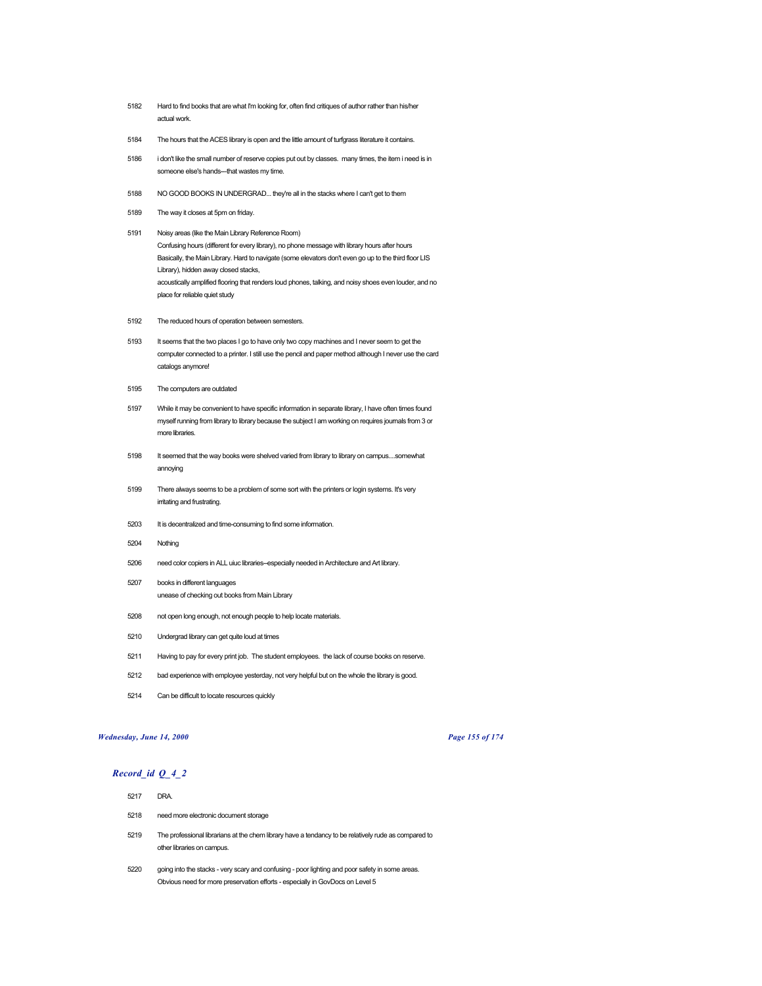- 5182 Hard to find books that are what I'm looking for, often find critiques of author rather than his/her actual work.
- 5184 The hours that the ACES library is open and the little amount of turfgrass literature it contains.
- 5186 i don't like the small number of reserve copies put out by classes. many times, the item i need is in someone else's hands---that wastes my time.
- 5188 NO GOOD BOOKS IN UNDERGRAD... they're all in the stacks where I can't get to them
- 5189 The way it closes at 5pm on friday.
- 5191 Noisy areas (like the Main Library Reference Room) Confusing hours (different for every library), no phone message with library hours after hours Basically, the Main Library. Hard to navigate (some elevators don't even go up to the third floor LIS Library), hidden away closed stacks, acoustically amplified flooring that renders loud phones, talking, and noisy shoes even louder, and no place for reliable quiet study
- 5192 The reduced hours of operation between semesters.
- 5193 It seems that the two places I go to have only two copy machines and I never seem to get the computer connected to a printer. I still use the pencil and paper method although I never use the card catalogs anymore!
- 5195 The computers are outdated
- 5197 While it may be convenient to have specific information in separate library, I have often times found myself running from library to library because the subject I am working on requires journals from 3 or more libraries.
- 5198 It seemed that the way books were shelved varied from library to library on campus....somewhat annoying
- 5199 There always seems to be a problem of some sort with the printers or login systems. It's very irritating and frustrating.
- 5203 It is decentralized and time-consuming to find some information.
- 5204 Nothing
- 5206 need color copiers in ALL uiuc libraries--especially needed in Architecture and Art library.
- 5207 books in different languages unease of checking out books from Main Library
- 5208 not open long enough, not enough people to help locate materials.
- 5210 Undergrad library can get quite loud at times
- 5211 Having to pay for every print job. The student employees. the lack of course books on reserve.
- 5212 bad experience with employee yesterday, not very helpful but on the whole the library is good.
- 5214 Can be difficult to locate resources quickly

#### *Wednesday, June 14, 2000 Page 155 of 174*

- 5217 DRA.
- 5218 need more electronic document storage
- 5219 The professional librarians at the chem library have a tendancy to be relatively rude as compared to other libraries on campus.
- 5220 going into the stacks very scary and confusing poor lighting and poor safety in some areas. Obvious need for more preservation efforts - especially in GovDocs on Level 5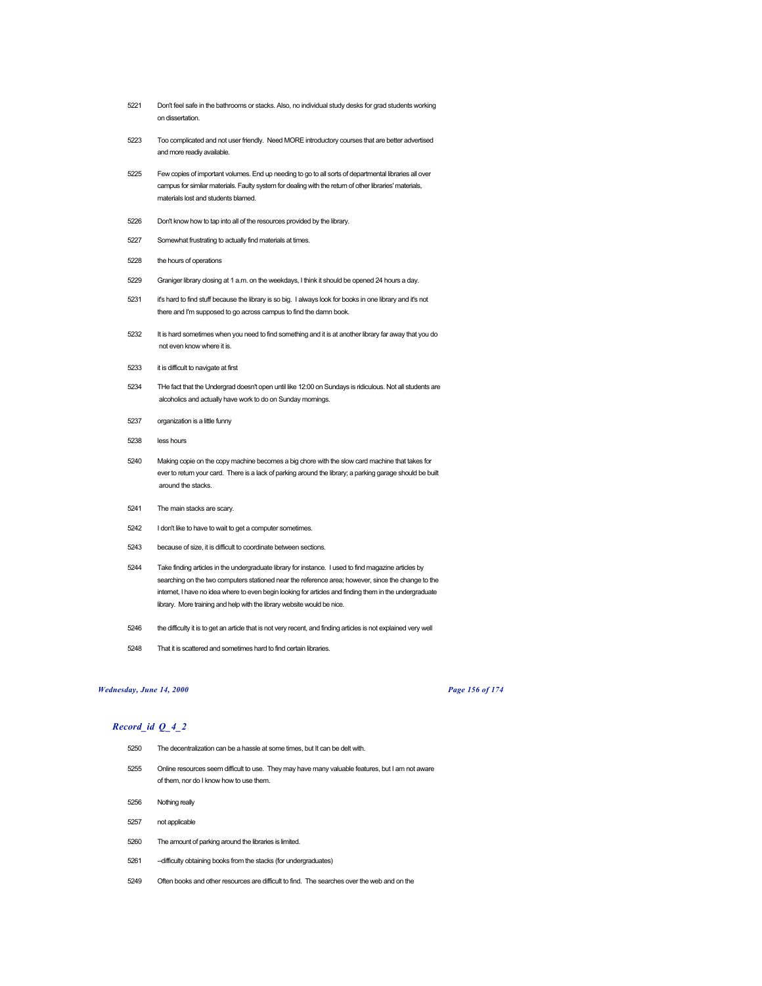- Don't feel safe in the bathrooms or stacks. Also, no individual study desks for grad students working on dissertation.
- Too complicated and not user friendly. Need MORE introductory courses that are better advertised and more readiy available.
- Few copies of important volumes. End up needing to go to all sorts of departmental libraries all over campus for similar materials. Faulty system for dealing with the return of other libraries' materials, materials lost and students blamed.
- Don't know how to tap into all of the resources provided by the library.
- Somewhat frustrating to actually find materials at times.
- the hours of operations
- Graniger library closing at 1 a.m. on the weekdays, I think it should be opened 24 hours a day.
- it's hard to find stuff because the library is so big. I always look for books in one library and it's not there and I'm supposed to go across campus to find the damn book.
- It is hard sometimes when you need to find something and it is at another library far away that you do not even know where it is.
- it is difficult to navigate at first
- THe fact that the Undergrad doesn't open until like 12:00 on Sundays is ridiculous. Not all students are alcoholics and actually have work to do on Sunday mornings.
- organization is a little funny
- less hours
- Making copie on the copy machine becomes a big chore with the slow card machine that takes for ever to return your card. There is a lack of parking around the library; a parking garage should be built around the stacks.
- The main stacks are scary.
- I don't like to have to wait to get a computer sometimes.
- because of size, it is difficult to coordinate between sections.
- Take finding articles in the undergraduate library for instance. I used to find magazine articles by searching on the two computers stationed near the reference area; however, since the change to the internet, I have no idea where to even begin looking for articles and finding them in the undergraduate library. More training and help with the library website would be nice.
- the difficulty it is to get an article that is not very recent, and finding articles is not explained very well
- That it is scattered and sometimes hard to find certain libraries.

# *Wednesday, June 14, 2000 Page 156 of 174*

- The decentralization can be a hassle at some times, but It can be delt with.
- Online resources seem difficult to use. They may have many valuable features, but I am not aware of them, nor do I know how to use them.
- Nothing really
- not applicable
- The amount of parking around the libraries is limited.
- --difficulty obtaining books from the stacks (for undergraduates)
- Often books and other resources are difficult to find. The searches over the web and on the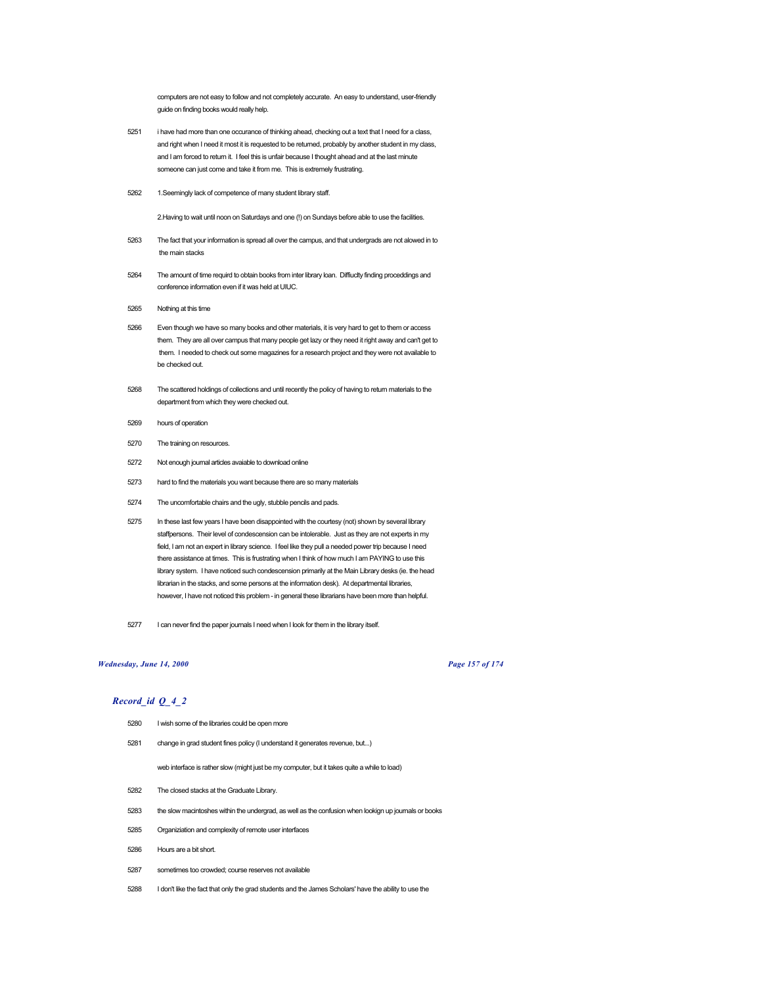computers are not easy to follow and not completely accurate. An easy to understand, user-friendly guide on finding books would really help.

- 5251 i have had more than one occurance of thinking ahead, checking out a text that I need for a class, and right when I need it most it is requested to be returned, probably by another student in my class, and I am forced to return it. I feel this is unfair because I thought ahead and at the last minute someone can just come and take it from me. This is extremely frustrating.
- 5262 1.Seemingly lack of competence of many student library staff.

2.Having to wait until noon on Saturdays and one (!) on Sundays before able to use the facilities.

- 5263 The fact that your information is spread all over the campus, and that undergrads are not alowed in to the main stacks
- 5264 The amount of time requird to obtain books from inter library loan. Diffiuclty finding proceddings and conference information even if it was held at UIUC.
- 5265 Nothing at this time
- 5266 Even though we have so many books and other materials, it is very hard to get to them or access them. They are all over campus that many people get lazy or they need it right away and can't get to them. I needed to check out some magazines for a research project and they were not available to be checked out.
- 5268 The scattered holdings of collections and until recently the policy of having to return materials to the department from which they were checked out.
- 5269 hours of operation
- 5270 The training on resources.
- 5272 Not enough journal articles avaiable to download online
- 5273 hard to find the materials you want because there are so many materials
- 5274 The uncomfortable chairs and the ugly, stubble pencils and pads.
- 5275 In these last few years I have been disappointed with the courtesy (not) shown by several library staffpersons. Their level of condescension can be intolerable. Just as they are not experts in my field, I am not an expert in library science. I feel like they pull a needed power trip because I need there assistance at times. This is frustrating when I think of how much I am PAYING to use this library system. I have noticed such condescension primarily at the Main Library desks (ie. the head librarian in the stacks, and some persons at the information desk). At departmental libraries, however, I have not noticed this problem - in general these librarians have been more than helpful.
- 5277 I can never find the paper journals I need when I look for them in the library itself.

# *Wednesday, June 14, 2000 Page 157 of 174*

# *Record\_id Q\_4\_2*

- 5280 I wish some of the libraries could be open more
- 5281 change in grad student fines policy (I understand it generates revenue, but...)

web interface is rather slow (might just be my computer, but it takes quite a while to load)

- 5282 The closed stacks at the Graduate Library.
- 5283 the slow macintoshes within the undergrad, as well as the confusion when lookign up journals or books
- 5285 Organiziation and complexity of remote user interfaces
- 5286 Hours are a bit short.
- 5287 sometimes too crowded; course reserves not available
- 5288 I don't like the fact that only the grad students and the James Scholars' have the ability to use the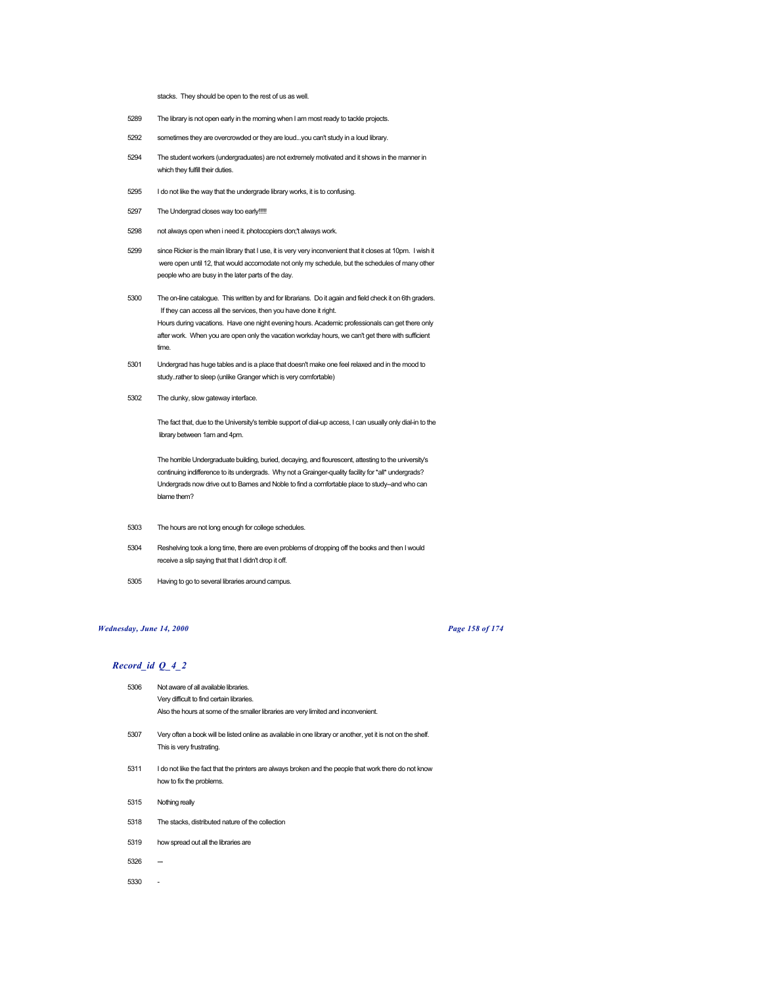### stacks. They should be open to the rest of us as well.

- 5289 The library is not open early in the morning when I am most ready to tackle projects.
- 5292 sometimes they are overcrowded or they are loud...you can't study in a loud library.
- 5294 The student workers (undergraduates) are not extremely motivated and it shows in the manner in which they fulfill their duties.
- 5295 I do not like the way that the undergrade library works, it is to confusing.
- 5297 The Undergrad closes way too early!!!!!
- 5298 not always open when i need it. photocopiers don;'t always work.
- 5299 since Ricker is the main library that I use, it is very very inconvenient that it closes at 10pm. I wish it were open until 12, that would accomodate not only my schedule, but the schedules of many other people who are busy in the later parts of the day.
- 5300 The on-line catalogue. This written by and for librarians. Do it again and field check it on 6th graders. If they can access all the services, then you have done it right. Hours during vacations. Have one night evening hours. Academic professionals can get there only after work. When you are open only the vacation workday hours, we can't get there with sufficient time.
- 5301 Undergrad has huge tables and is a place that doesn't make one feel relaxed and in the mood to study..rather to sleep (unlike Granger which is very comfortable)
- 5302 The clunky, slow gateway interface.

The fact that, due to the University's terrible support of dial-up access, I can usually only dial-in to the library between 1am and 4pm.

The horrible Undergraduate building, buried, decaying, and flourescent, attesting to the university's continuing indifference to its undergrads. Why not a Grainger-quality facility for \*all\* undergrads? Undergrads now drive out to Barnes and Noble to find a comfortable place to study--and who can blame them?

- 5303 The hours are not long enough for college schedules.
- 5304 Reshelving took a long time, there are even problems of dropping off the books and then I would receive a slip saying that that I didn't drop it off.
- 5305 Having to go to several libraries around campus.

## *Wednesday, June 14, 2000 Page 158 of 174*

# *Record\_id Q\_4\_2*

| 5306 | Not aware of all available libraries.                                                                                                    |
|------|------------------------------------------------------------------------------------------------------------------------------------------|
|      | Very difficult to find certain libraries.                                                                                                |
|      | Also the hours at some of the smaller libraries are very limited and inconvenient.                                                       |
| 5307 | Very often a book will be listed online as available in one library or another, yet it is not on the shelf.<br>This is very frustrating. |
| 5311 | I do not like the fact that the printers are always broken and the people that work there do not know<br>how to fix the problems.        |
| 5315 | Nothing really                                                                                                                           |
| 5318 | The stacks, distributed nature of the collection                                                                                         |
| 5319 | how spread out all the libraries are                                                                                                     |
| 5326 |                                                                                                                                          |

5330 -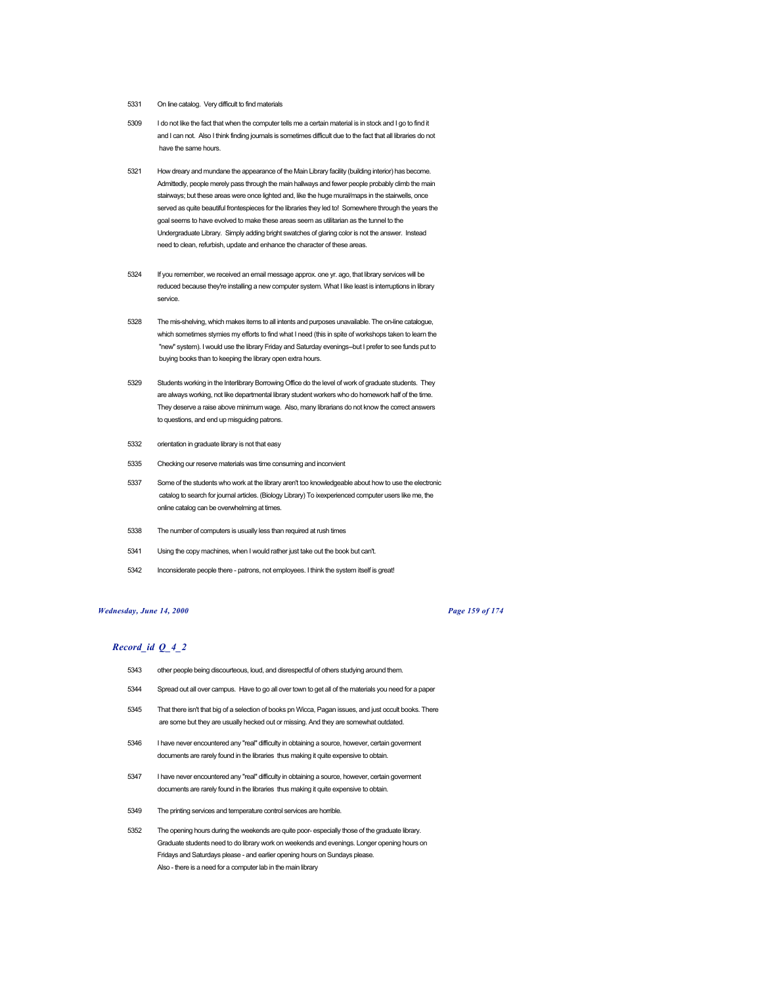- 5331 On line catalog. Very difficult to find materials
- 5309 I do not like the fact that when the computer tells me a certain material is in stock and I go to find it and I can not. Also I think finding journals is sometimes difficult due to the fact that all libraries do not have the same hours.
- 5321 How dreary and mundane the appearance of the Main Library facility (building interior) has become. Admittedly, people merely pass through the main hallways and fewer people probably climb the main stairways; but these areas were once lighted and, like the huge mural/maps in the stairwells, once served as quite beautiful frontespieces for the libraries they led to! Somewhere through the years the goal seems to have evolved to make these areas seem as utilitarian as the tunnel to the Undergraduate Library. Simply adding bright swatches of glaring color is not the answer. Instead need to clean, refurbish, update and enhance the character of these areas.
- 5324 If you remember, we received an email message approx. one yr. ago, that library services will be reduced because they're installing a new computer system. What I like least is interruptions in library service.
- 5328 The mis-shelving, which makes items to all intents and purposes unavailable. The on-line catalogue, which sometimes stymies my efforts to find what I need (this in spite of workshops taken to learn the "new" system). I would use the library Friday and Saturday evenings--but I prefer to see funds put to buying books than to keeping the library open extra hours.
- 5329 Students working in the Interlibrary Borrowing Office do the level of work of graduate students. They are always working, not like departmental library student workers who do homework half of the time. They deserve a raise above minimum wage. Also, many librarians do not know the correct answers to questions, and end up misguiding patrons.
- 5332 orientation in graduate library is not that easy
- 5335 Checking our reserve materials was time consuming and inconvient
- 5337 Some of the students who work at the library aren't too knowledgeable about how to use the electronic catalog to search for journal articles. (Biology Library) To ixexperienced computer users like me, the online catalog can be overwhelming at times.
- 5338 The number of computers is usually less than required at rush times
- 5341 Using the copy machines, when I would rather just take out the book but can't.
- 5342 Inconsiderate people there patrons, not employees. I think the system itself is great!

#### *Wednesday, June 14, 2000 Page 159 of 174*

- 5343 other people being discourteous, loud, and disrespectful of others studying around them.
- 5344 Spread out all over campus. Have to go all over town to get all of the materials you need for a paper
- 5345 That there isn't that big of a selection of books pn Wicca, Pagan issues, and just occult books. There are some but they are usually hecked out or missing. And they are somewhat outdated.
- 5346 I have never encountered any "real" difficulty in obtaining a source, however, certain goverment documents are rarely found in the libraries thus making it quite expensive to obtain.
- 5347 I have never encountered any "real" difficulty in obtaining a source, however, certain goverment documents are rarely found in the libraries thus making it quite expensive to obtain.
- 5349 The printing services and temperature control services are horrible.
- 5352 The opening hours during the weekends are quite poor- especially those of the graduate library. Graduate students need to do library work on weekends and evenings. Longer opening hours on Fridays and Saturdays please - and earlier opening hours on Sundays please. Also - there is a need for a computer lab in the main library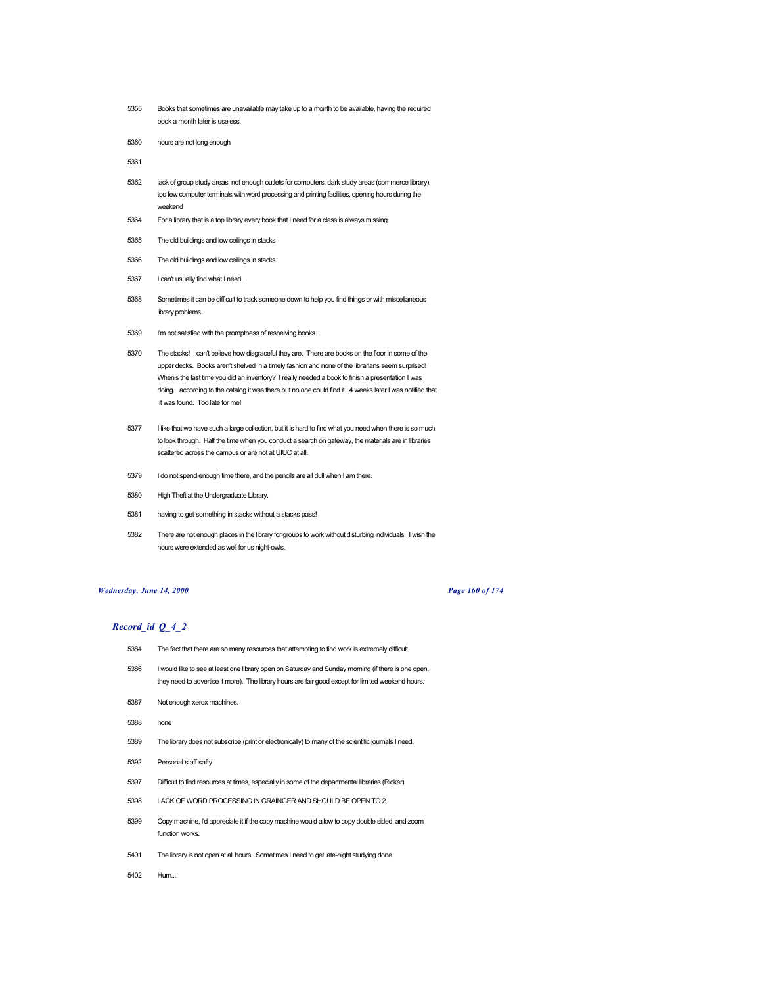- Books that sometimes are unavailable may take up to a month to be available, having the required book a month later is useless.
- hours are not long enough
- 
- lack of group study areas, not enough outlets for computers, dark study areas (commerce library), too few computer terminals with word processing and printing facilities, opening hours during the weekend
- For a library that is a top library every book that I need for a class is always missing.
- The old buildings and low ceilings in stacks
- The old buildings and low ceilings in stacks
- I can't usually find what I need.
- Sometimes it can be difficult to track someone down to help you find things or with miscellaneous library problems.
- I'm not satisfied with the promptness of reshelving books.
- The stacks! I can't believe how disgraceful they are. There are books on the floor in some of the upper decks. Books aren't shelved in a timely fashion and none of the librarians seem surprised! When's the last time you did an inventory? I really needed a book to finish a presentation I was doing....according to the catalog it was there but no one could find it. 4 weeks later I was notified that it was found. Too late for me!
- I like that we have such a large collection, but it is hard to find what you need when there is so much to look through. Half the time when you conduct a search on gateway, the materials are in libraries scattered across the campus or are not at UIUC at all.
- I do not spend enough time there, and the pencils are all dull when I am there.
- High Theft at the Undergraduate Library.
- having to get something in stacks without a stacks pass!
- There are not enough places in the library for groups to work without disturbing individuals. I wish the hours were extended as well for us night-owls.

#### *Wednesday, June 14, 2000 Page 160 of 174*

- The fact that there are so many resources that attempting to find work is extremely difficult.
- I would like to see at least one library open on Saturday and Sunday morning (if there is one open, they need to advertise it more). The library hours are fair good except for limited weekend hours.
- Not enough xerox machines.
- none
- The library does not subscribe (print or electronically) to many of the scientific journals I need.
- Personal staff safty
- Difficult to find resources at times, especially in some of the departmental libraries (Ricker)
- LACK OF WORD PROCESSING IN GRAINGER AND SHOULD BE OPEN TO 2
- Copy machine, I'd appreciate it if the copy machine would allow to copy double sided, and zoom function works.
- The library is not open at all hours. Sometimes I need to get late-night studying done.
- Hum....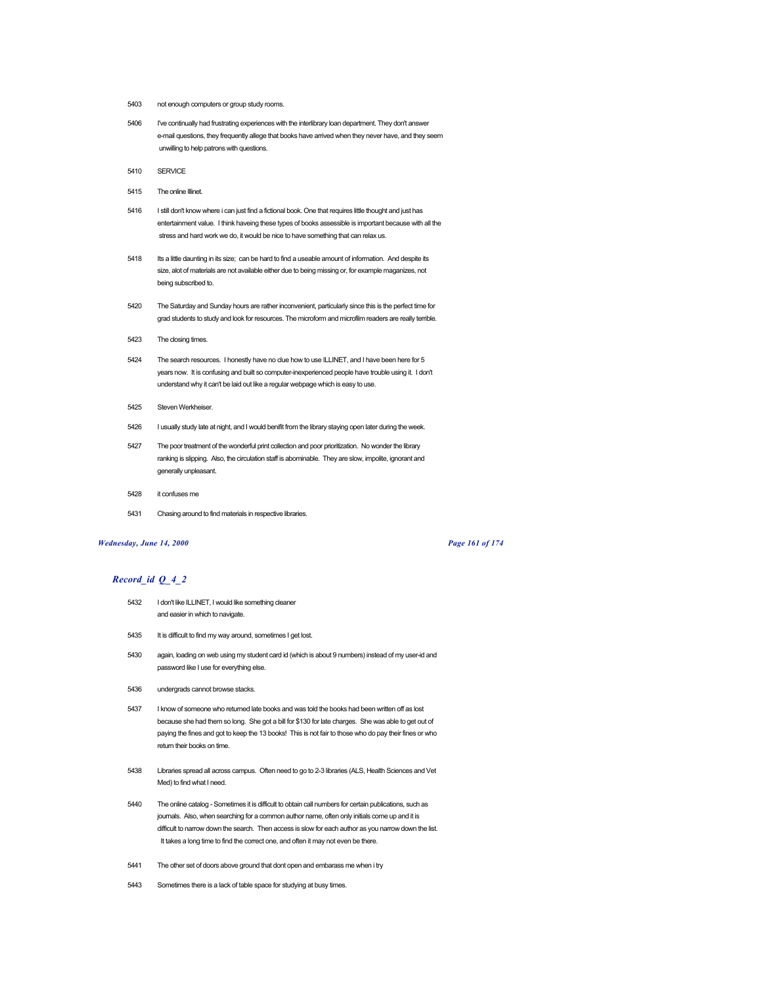- 5403 not enough computers or group study rooms.
- 5406 I've continually had frustrating experiences with the interlibrary loan department. They don't answer e-mail questions, they frequently allege that books have arrived when they never have, and they seem unwilling to help patrons with questions.
- 5410 SERVICE
- 5415 The online Illinet.
- 5416 I still don't know where i can just find a fictional book. One that requires little thought and just has entertainment value. I think haveing these types of books assessible is important because with all the stress and hard work we do, it would be nice to have something that can relax us.
- 5418 Its a little daunting in its size; can be hard to find a useable amount of information. And despite its size, alot of materials are not available either due to being missing or, for example maganizes, not being subscribed to.
- 5420 The Saturday and Sunday hours are rather inconvenient, particularly since this is the perfect time for grad students to study and look for resources. The microform and microfilm readers are really terrible.
- 5423 The closing times.
- 5424 The search resources. I honestly have no clue how to use ILLINET, and I have been here for 5 years now. It is confusing and built so computer-inexperienced people have trouble using it. I don't understand why it can't be laid out like a regular webpage which is easy to use.
- 5425 Steven Werkheiser.
- 5426 I usually study late at night, and I would benifit from the library staying open later during the week.
- 5427 The poor treatment of the wonderful print collection and poor prioritization. No wonder the library ranking is slipping. Also, the circulation staff is abominable. They are slow, impolite, ignorant and generally unpleasant.
- 5428 it confuses me
- 5431 Chasing around to find materials in respective libraries.

### *Wednesday, June 14, 2000 Page 161 of 174*

- 5432 I don't like ILLINET, I would like something cleaner and easier in which to navigate.
- 5435 It is difficult to find my way around, sometimes I get lost.
- 5430 again, loading on web using my student card id (which is about 9 numbers) instead of my user-id and password like I use for everything else.
- 5436 undergrads cannot browse stacks.
- 5437 I know of someone who returned late books and was told the books had been written off as lost because she had them so long. She got a bill for \$130 for late charges. She was able to get out of paying the fines and got to keep the 13 books! This is not fair to those who do pay their fines or who return their books on time.
- 5438 Libraries spread all across campus. Often need to go to 2-3 libraries (ALS, Health Sciences and Vet Med) to find what I need.
- 5440 The online catalog Sometimes it is difficult to obtain call numbers for certain publications, such as journals. Also, when searching for a common author name, often only initials come up and it is difficult to narrow down the search. Then access is slow for each author as you narrow down the list. It takes a long time to find the correct one, and often it may not even be there.
- 5441 The other set of doors above ground that dont open and embarass me when i try
- 5443 Sometimes there is a lack of table space for studying at busy times.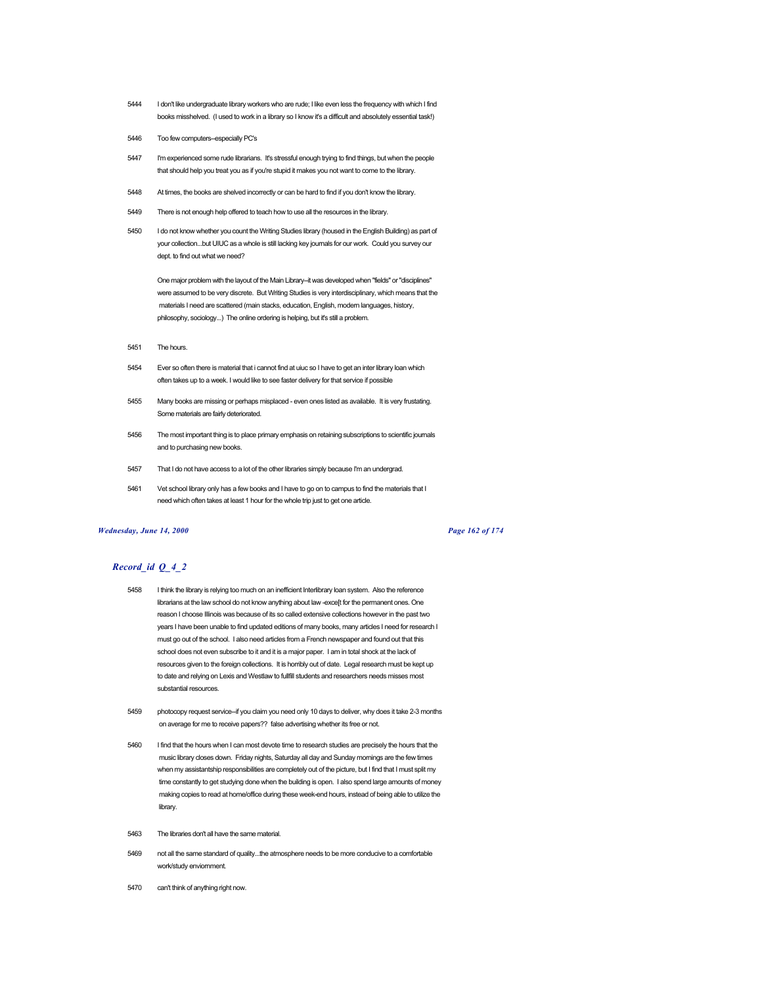- 5444 I don't like undergraduate library workers who are rude; I like even less the frequency with which I find books misshelved. (I used to work in a library so I know it's a difficult and absolutely essential task!)
- 5446 Too few computers--especially PC's
- 5447 I'm experienced some rude librarians. It's stressful enough trying to find things, but when the people that should help you treat you as if you're stupid it makes you not want to come to the library.
- 5448 At times, the books are shelved incorrectly or can be hard to find if you don't know the library.
- 5449 There is not enough help offered to teach how to use all the resources in the library.
- 5450 I do not know whether you count the Writing Studies library (housed in the English Building) as part of your collection...but UIUC as a whole is still lacking key journals for our work. Could you survey our dept. to find out what we need?

One major problem with the layout of the Main Library--it was developed when "fields" or "disciplines" were assumed to be very discrete. But Writing Studies is very interdisciplinary, which means that the materials I need are scattered (main stacks, education, English, modern languages, history, philosophy, sociology...) The online ordering is helping, but it's still a problem.

- 5451 The hours.
- 5454 Ever so often there is material that i cannot find at uiuc so I have to get an inter library loan which often takes up to a week. I would like to see faster delivery for that service if possible
- 5455 Many books are missing or perhaps misplaced even ones listed as available. It is very frustating. Some materials are fairly deteriorated.
- 5456 The most important thing is to place primary emphasis on retaining subscriptions to scientific journals and to purchasing new books.
- 5457 That I do not have access to a lot of the other libraries simply because I'm an undergrad.
- 5461 Vet school library only has a few books and I have to go on to campus to find the materials that I need which often takes at least 1 hour for the whole trip just to get one article.

#### *Wednesday, June 14, 2000 Page 162 of 174*

- 5458 I think the library is relying too much on an inefficient Interlibrary loan system. Also the reference librarians at the law school do not know anything about law -exce[t for the permanent ones. One reason I choose Illinois was because of its so called extensive collections however in the past two years I have been unable to find updated editions of many books, many articles I need for research I must go out of the school. I also need articles from a French newspaper and found out that this school does not even subscribe to it and it is a major paper. I am in total shock at the lack of resources given to the foreign collections. It is horribly out of date. Legal research must be kept up to date and relying on Lexis and Westlaw to fullfill students and researchers needs misses most substantial resources.
- 5459 photocopy request service-if you claim you need only 10 days to deliver, why does it take 2-3 months on average for me to receive papers?? false advertising whether its free or not.
- 5460 I find that the hours when I can most devote time to research studies are precisely the hours that the music library closes down. Friday nights, Saturday all day and Sunday mornings are the few times when my assistantship responsibilities are completely out of the picture, but I find that I must split my time constantly to get studying done when the building is open. I also spend large amounts of money making copies to read at home/office during these week-end hours, instead of being able to utilize the library.
- 5463 The libraries don't all have the same material.
- 5469 not all the same standard of quality...the atmosphere needs to be more conducive to a comfortable work/study enviornment.
- 5470 can't think of anything right now.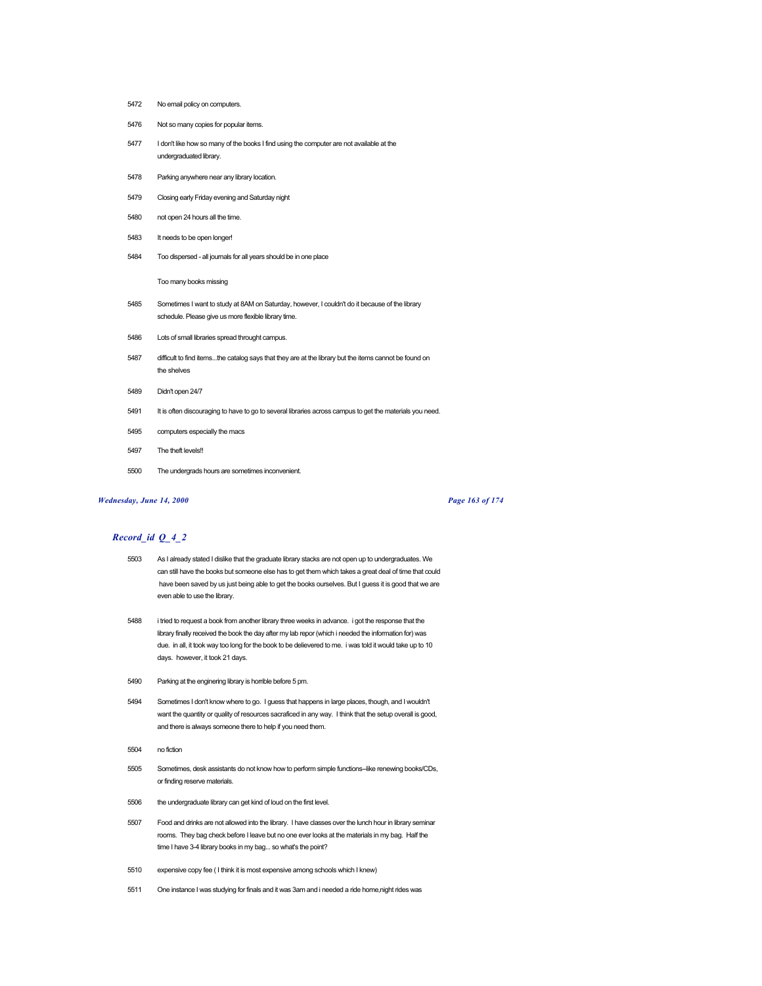- 5472 No email policy on computers.
- 5476 Not so many copies for popular items.
- 5477 I don't like how so many of the books I find using the computer are not available at the undergraduated library.
- 5478 Parking anywhere near any library location.
- 5479 Closing early Friday evening and Saturday night
- 5480 not open 24 hours all the time.
- 5483 It needs to be open longer!
- 5484 Too dispersed all journals for all years should be in one place

Too many books missing

- 5485 Sometimes I want to study at 8AM on Saturday, however, I couldn't do it because of the library schedule. Please give us more flexible library time.
- 5486 Lots of small libraries spread throught campus.
- 5487 difficult to find items...the catalog says that they are at the library but the items cannot be found on the shelves
- 5489 Didn't open 24/7
- 5491 It is often discouraging to have to go to several libraries across campus to get the materials you need.
- 5495 computers especially the macs
- 5497 The theft levels!!
- 5500 The undergrads hours are sometimes inconvenient.

## *Wednesday, June 14, 2000 Page 163 of 174*

- 5503 As I already stated I dislike that the graduate library stacks are not open up to undergraduates. We can still have the books but someone else has to get them which takes a great deal of time that could have been saved by us just being able to get the books ourselves. But I guess it is good that we are even able to use the library.
- 5488 i tried to request a book from another library three weeks in advance. i got the response that the library finally received the book the day after my lab repor (which i needed the information for) was due. in all, it took way too long for the book to be delievered to me. i was told it would take up to 10 days. however, it took 21 days.
- 5490 Parking at the enginering library is horrible before 5 pm.
- 5494 Sometimes I don't know where to go. I guess that happens in large places, though, and I wouldn't want the quantity or quality of resources sacraficed in any way. I think that the setup overall is good, and there is always someone there to help if you need them.
- 5504 no fiction
- 5505 Sometimes, desk assistants do not know how to perform simple functions--like renewing books/CDs, or finding reserve materials.
- 5506 the undergraduate library can get kind of loud on the first level.
- 5507 Food and drinks are not allowed into the library. I have classes over the lunch hour in library seminar rooms. They bag check before I leave but no one ever looks at the materials in my bag. Half the time I have 3-4 library books in my bag... so what's the point?
- 5510 expensive copy fee ( I think it is most expensive among schools which I knew)
- 5511 One instance I was studying for finals and it was 3am and i needed a ride home,night rides was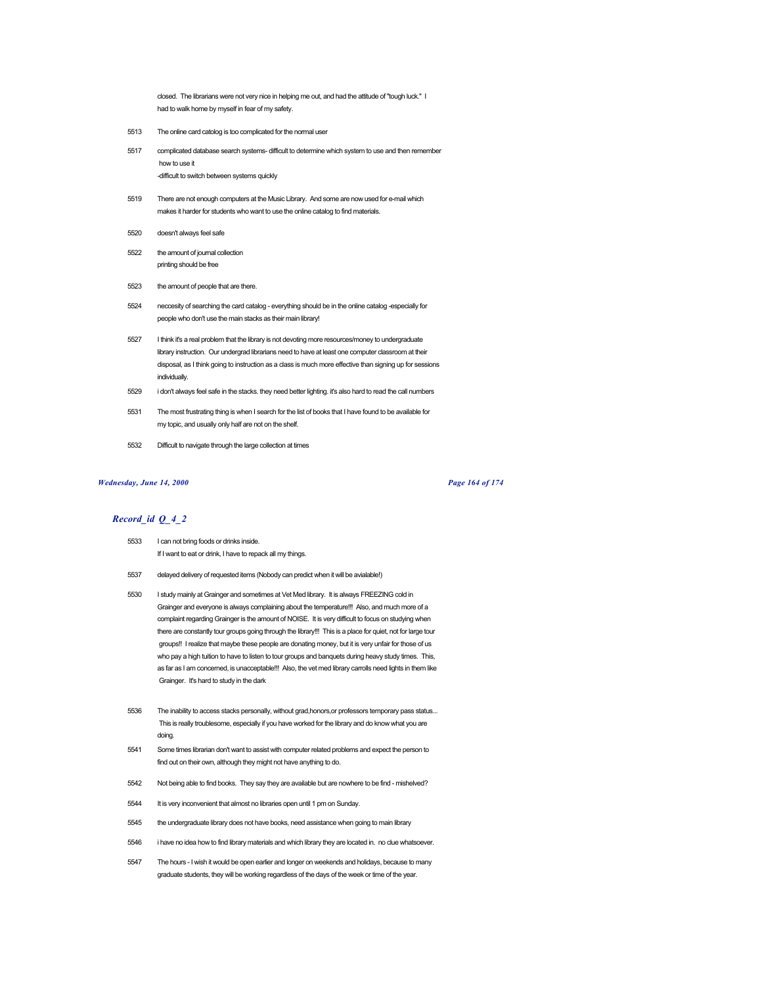closed. The librarians were not very nice in helping me out, and had the attitude of "tough luck." I had to walk home by myself in fear of my safety.

- 5513 The online card catolog is too complicated for the normal user
- 5517 complicated database search systems- difficult to determine which system to use and then remember how to use it -difficult to switch between systems quickly
- 5519 There are not enough computers at the Music Library. And some are now used for e-mail which makes it harder for students who want to use the online catalog to find materials.
- 5520 doesn't always feel safe
- 5522 the amount of journal collection printing should be free
- 5523 the amount of people that are there.
- 5524 neccesity of searching the card catalog everything should be in the online catalog -especially for people who don't use the main stacks as their main library!
- 5527 I think it's a real problem that the library is not devoting more resources/money to undergraduate library instruction. Our undergrad librarians need to have at least one computer classroom at their disposal, as I think going to instruction as a class is much more effective than signing up for sessions individually.
- 5529 i don't always feel safe in the stacks. they need better lighting. it's also hard to read the call numbers
- 5531 The most frustrating thing is when I search for the list of books that I have found to be available for my topic, and usually only half are not on the shelf.
- 5532 Difficult to navigate through the large collection at times

#### *Wednesday, June 14, 2000 Page 164 of 174*

- 5533 I can not bring foods or drinks inside. If I want to eat or drink, I have to repack all my things.
- 5537 delayed delivery of requested items (Nobody can predict when it will be avialable!)
- 5530 I study mainly at Grainger and sometimes at Vet Med library. It is always FREEZING cold in Grainger and everyone is always complaining about the temperature!!! Also, and much more of a complaint regarding Grainger is the amount of NOISE. It is very difficult to focus on studying when there are constantly tour groups going through the library!!! This is a place for quiet, not for large tour groups!! I realize that maybe these people are donating money, but it is very unfair for those of us who pay a high tuition to have to listen to tour groups and banquets during heavy study times. This, as far as I am concerned, is unacceptable!!! Also, the vet med library carrolls need lights in them like Grainger. It's hard to study in the dark
- 5536 The inability to access stacks personally, without grad,honors,or professors temporary pass status... This is really troublesome, especially if you have worked for the library and do know what you are doing.
- 5541 Some times librarian don't want to assist with computer related problems and expect the person to find out on their own, although they might not have anything to do.
- 5542 Not being able to find books. They say they are available but are nowhere to be find mishelved?
- 5544 It is very inconvenient that almost no libraries open until 1 pm on Sunday.
- 5545 the undergraduate library does not have books, need assistance when going to main library
- 5546 i have no idea how to find library materials and which library they are located in. no clue whatsoever.
- 5547 The hours I wish it would be open earlier and longer on weekends and holidays, because to many graduate students, they will be working regardless of the days of the week or time of the year.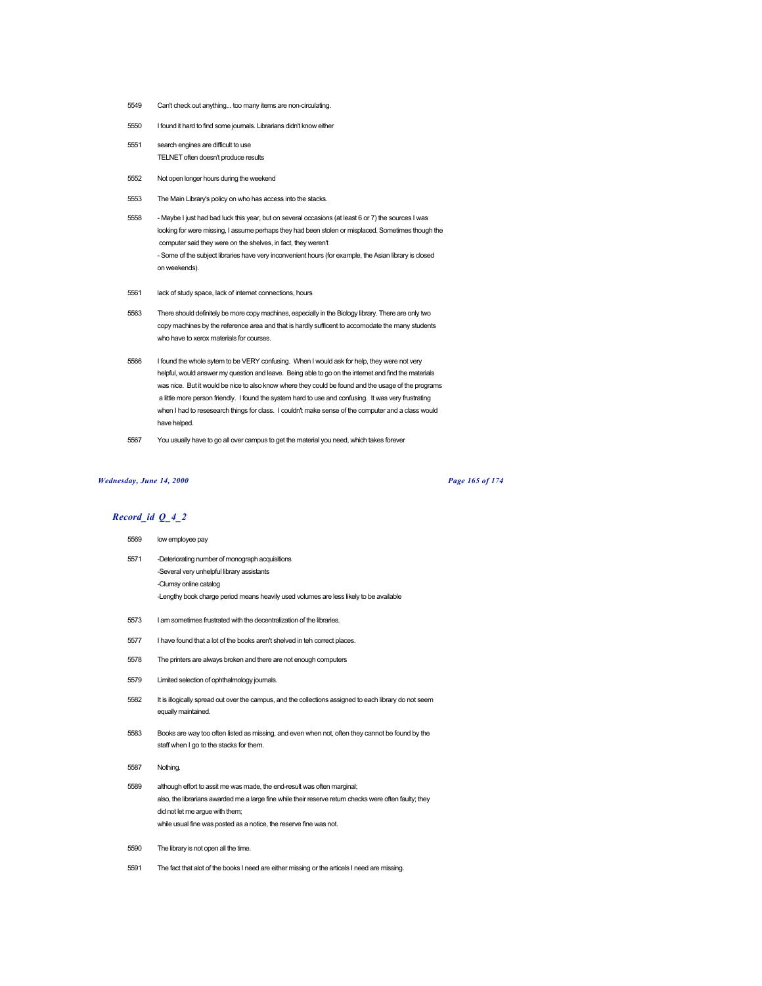- 5549 Can't check out anything... too many items are non-circulating.
- 5550 I found it hard to find some journals. Librarians didn't know either
- 5551 search engines are difficult to use TELNET often doesn't produce results
- 5552 Not open longer hours during the weekend
- 5553 The Main Library's policy on who has access into the stacks.
- 5558 Maybe I just had bad luck this year, but on several occasions (at least 6 or 7) the sources I was looking for were missing, I assume perhaps they had been stolen or misplaced. Sometimes though the computer said they were on the shelves, in fact, they weren't - Some of the subject libraries have very inconvenient hours (for example, the Asian library is closed on weekends).
- 5561 lack of study space, lack of internet connections, hours
- 5563 There should definitely be more copy machines, especially in the Biology library. There are only two copy machines by the reference area and that is hardly sufficent to accomodate the many students who have to xerox materials for courses.
- 5566 I found the whole sytem to be VERY confusing. When I would ask for help, they were not very helpful, would answer my question and leave. Being able to go on the internet and find the materials was nice. But it would be nice to also know where they could be found and the usage of the programs a little more person friendly. I found the system hard to use and confusing. It was very frustrating when I had to resesearch things for class. I couldn't make sense of the computer and a class would have helped.
- 5567 You usually have to go all over campus to get the material you need, which takes forever

### *Wednesday, June 14, 2000 Page 165 of 174*

## *Record\_id Q\_4\_2*

# 5569 low employee pay

- 5571 -Deteriorating number of monograph acquisitions -Several very unhelpful library assistants -Clumsy online catalog -Lengthy book charge period means heavily used volumes are less likely to be available
- 5573 I am sometimes frustrated with the decentralization of the libraries.
- 5577 I have found that a lot of the books aren't shelved in teh correct places.
- 5578 The printers are always broken and there are not enough computers
- 5579 Limited selection of ophthalmology journals.
- 5582 It is illogically spread out over the campus, and the collections assigned to each library do not seem equally maintained.
- 5583 Books are way too often listed as missing, and even when not, often they cannot be found by the staff when I go to the stacks for them.
- 5587 Nothing.
- 5589 although effort to assit me was made, the end-result was often marginal; also, the librarians awarded me a large fine while their reserve return checks were often faulty; they did not let me argue with them; while usual fine was posted as a notice, the reserve fine was not.
- 5590 The library is not open all the time.
- 5591 The fact that alot of the books I need are either missing or the articels I need are missing.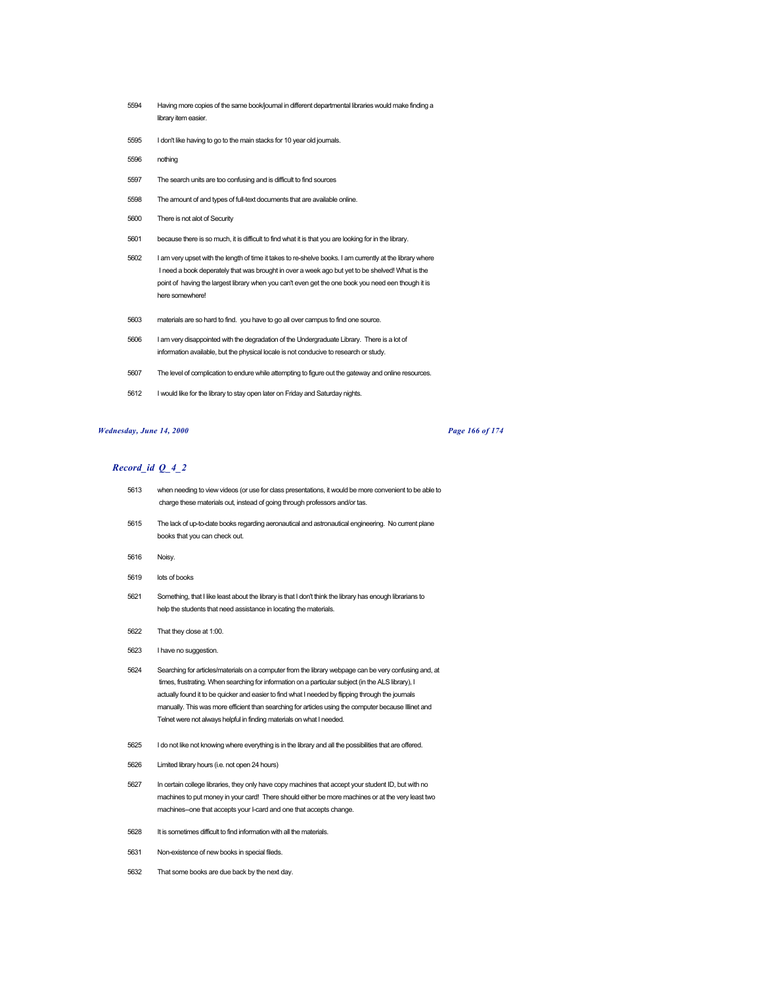- Having more copies of the same book/journal in different departmental libraries would make finding a library item easier.
- I don't like having to go to the main stacks for 10 year old journals.
- nothing
- The search units are too confusing and is difficult to find sources
- The amount of and types of full-text documents that are available online.
- There is not alot of Security
- because there is so much, it is difficult to find what it is that you are looking for in the library.
- I am very upset with the length of time it takes to re-shelve books. I am currently at the library where I need a book deperately that was brought in over a week ago but yet to be shelved! What is the point of having the largest library when you can't even get the one book you need een though it is here somewhere!
- materials are so hard to find. you have to go all over campus to find one source.
- I am very disappointed with the degradation of the Undergraduate Library. There is a lot of information available, but the physical locale is not conducive to research or study.
- The level of complication to endure while attempting to figure out the gateway and online resources.
- I would like for the library to stay open later on Friday and Saturday nights.

### *Wednesday, June 14, 2000 Page 166 of 174*

- when needing to view videos (or use for class presentations, it would be more convenient to be able to charge these materials out, instead of going through professors and/or tas.
- The lack of up-to-date books regarding aeronautical and astronautical engineering. No current plane books that you can check out.
- Noisy.
- lots of books
- Something, that I like least about the library is that I don't think the library has enough librarians to help the students that need assistance in locating the materials.
- That they close at 1:00.
- I have no suggestion.
- Searching for articles/materials on a computer from the library webpage can be very confusing and, at times, frustrating. When searching for information on a particular subject (in the ALS library), I actually found it to be quicker and easier to find what I needed by flipping through the journals manually. This was more efficient than searching for articles using the computer because Illinet and Telnet were not always helpful in finding materials on what I needed.
- I do not like not knowing where everything is in the library and all the possibilities that are offered.
- Limited library hours (i.e. not open 24 hours)
- In certain college libraries, they only have copy machines that accept your student ID, but with no machines to put money in your card! There should either be more machines or at the very least two machines--one that accepts your I-card and one that accepts change.
- It is sometimes difficult to find information with all the materials.
- Non-existence of new books in special fileds.
- That some books are due back by the next day.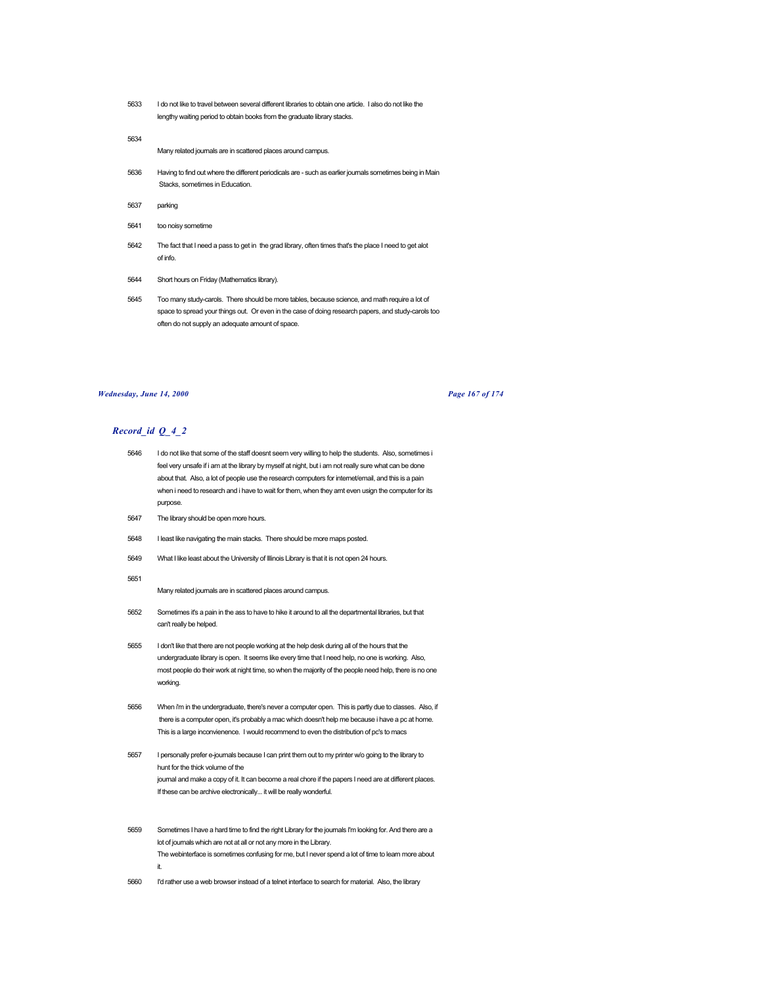5633 I do not like to travel between several different libraries to obtain one article. I also do not like the lengthy waiting period to obtain books from the graduate library stacks.

#### 5634

Many related journals are in scattered places around campus.

- 5636 Having to find out where the different periodicals are such as earlier journals sometimes being in Main Stacks, sometimes in Education.
- 5637 parking
- 5641 too noisy sometime
- 5642 The fact that I need a pass to get in the grad library, often times that's the place I need to get alot of info.
- 5644 Short hours on Friday (Mathematics library).
- 5645 Too many study-carols. There should be more tables, because science, and math require a lot of space to spread your things out. Or even in the case of doing research papers, and study-carols too often do not supply an adequate amount of space.

#### *Wednesday, June 14, 2000 Page 167 of 174*

# *Record\_id Q\_4\_2*

- 5646 I do not like that some of the staff doesnt seem very willing to help the students. Also, sometimes i feel very unsafe if i am at the library by myself at night, but i am not really sure what can be done about that. Also, a lot of people use the research computers for internet/email, and this is a pain when i need to research and i have to wait for them, when they arnt even usign the computer for its purpose.
- 5647 The library should be open more hours.
- 5648 I least like navigating the main stacks. There should be more maps posted.
- 5649 What I like least about the University of Illinois Library is that it is not open 24 hours.
- 5651

Many related journals are in scattered places around campus.

- 5652 Sometimes it's a pain in the ass to have to hike it around to all the departmental libraries, but that can't really be helped.
- 5655 I don't like that there are not people working at the help desk during all of the hours that the undergraduate library is open. It seems like every time that I need help, no one is working. Also, most people do their work at night time, so when the majority of the people need help, there is no one working.
- 5656 When i'm in the undergraduate, there's never a computer open. This is partly due to classes. Also, if there is a computer open, it's probably a mac which doesn't help me because i have a pc at home. This is a large inconvienence. I would recommend to even the distribution of pc's to macs
- 5657 I personally prefer e-journals because I can print them out to my printer w/o going to the library to hunt for the thick volume of the journal and make a copy of it. It can become a real chore if the papers I need are at different places. If these can be archive electronically... it will be really wonderful.
- 5659 Sometimes I have a hard time to find the right Library for the journals I'm looking for. And there are a lot of journals which are not at all or not any more in the Library. The webinterface is sometimes confusing for me, but I never spend a lot of time to learn more about it.
- 5660 I'd rather use a web browser instead of a telnet interface to search for material. Also, the library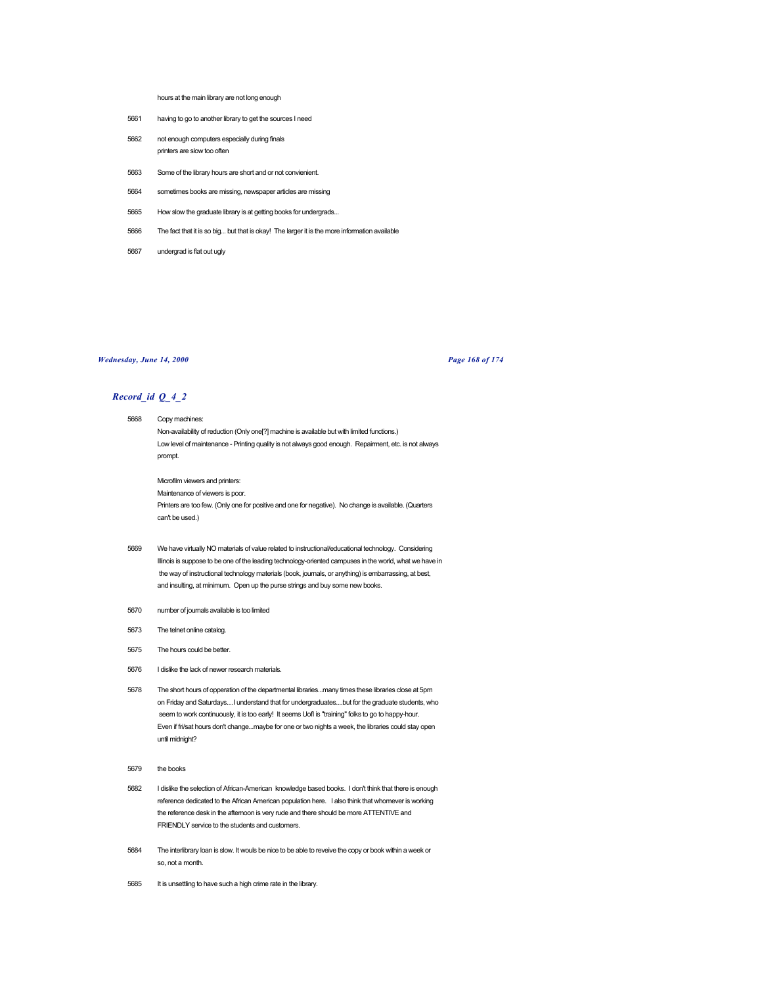hours at the main library are not long enough

- 5661 having to go to another library to get the sources I need
- 5662 not enough computers especially during finals printers are slow too often
- 5663 Some of the library hours are short and or not convienient.
- 5664 sometimes books are missing, newspaper articles are missing
- 5665 How slow the graduate library is at getting books for undergrads...
- 5666 The fact that it is so big... but that is okay! The larger it is the more information available
- 5667 undergrad is flat out ugly

### *Wednesday, June 14, 2000 Page 168 of 174*

- 5668 Copy machines: Non-availability of reduction (Only one[?] machine is available but with limited functions.) Low level of maintenance - Printing quality is not always good enough. Repairment, etc. is not always prompt.
	- Microfilm viewers and printers: Maintenance of viewers is poor. Printers are too few. (Only one for positive and one for negative). No change is available. (Quarters can't be used.)
- 5669 We have virtually NO materials of value related to instructional/educational technology. Considering Illinois is suppose to be one of the leading technology-oriented campuses in the world, what we have in the way of instructional technology materials (book, journals, or anything) is embarrassing, at best, and insulting, at minimum. Open up the purse strings and buy some new books.
- 5670 number of journals available is too limited
- 5673 The telnet online catalog.
- 5675 The hours could be better.
- 5676 I dislike the lack of newer research materials.
- 5678 The short hours of opperation of the departmental libraries...many times these libraries close at 5pm on Friday and Saturdays....I understand that for undergraduates....but for the graduate students, who seem to work continuously, it is too early! It seems UofI is "training" folks to go to happy-hour. Even if fri/sat hours don't change...maybe for one or two nights a week, the libraries could stay open until midnight?
- 5679 the books
- 5682 I dislike the selection of African-American knowledge based books. I don't think that there is enough reference dedicated to the African American population here. I also think that whomever is working the reference desk in the afternoon is very rude and there should be more ATTENTIVE and FRIENDLY service to the students and customers.
- 5684 The interlibrary loan is slow. It wouls be nice to be able to reveive the copy or book within a week or so, not a month.
- 5685 It is unsettling to have such a high crime rate in the library.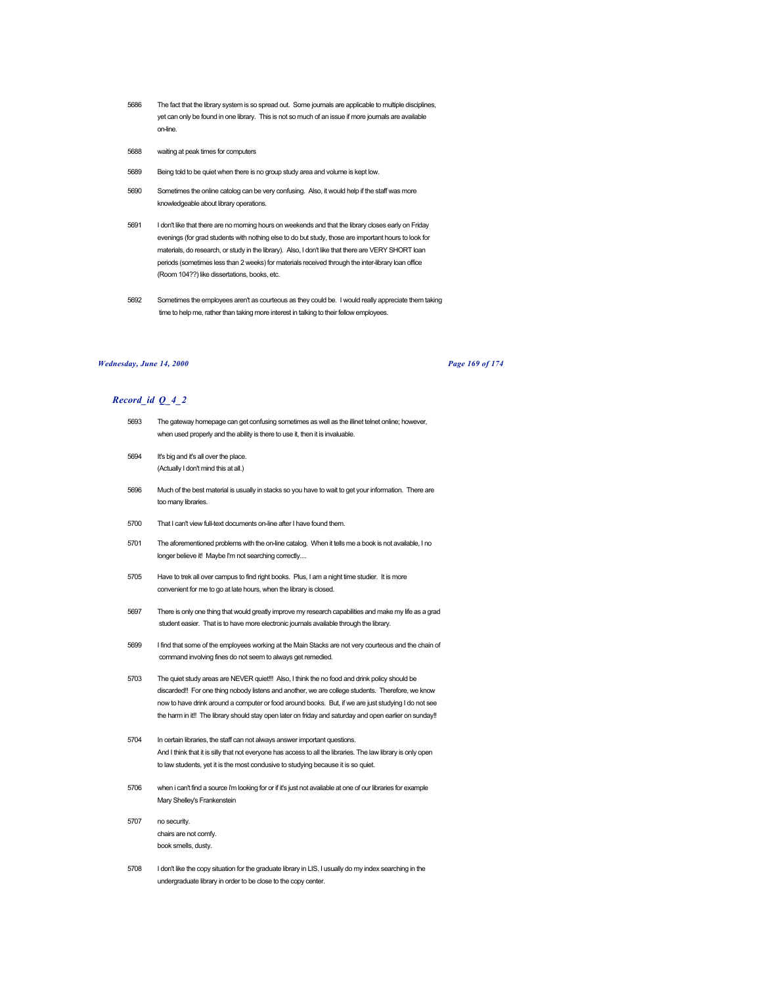- 5686 The fact that the library system is so spread out. Some journals are applicable to multiple disciplines, yet can only be found in one library. This is not so much of an issue if more journals are available on-line.
- 5688 waiting at peak times for computers
- 5689 Being told to be quiet when there is no group study area and volume is kept low.
- 5690 Sometimes the online catolog can be very confusing. Also, it would help if the staff was more knowledgeable about library operations.
- 5691 I don't like that there are no morning hours on weekends and that the library closes early on Friday evenings (for grad students with nothing else to do but study, those are important hours to look for materials, do research, or study in the library). Also, I don't like that there are VERY SHORT loan periods (sometimes less than 2 weeks) for materials received through the inter-library loan office (Room 104??) like dissertations, books, etc.
- 5692 Sometimes the employees aren't as courteous as they could be. I would really appreciate them taking time to help me, rather than taking more interest in talking to their fellow employees.

# *Wednesday, June 14, 2000 Page 169 of 174*

- 5693 The gateway homepage can get confusing sometimes as well as the illinet telnet online; however, when used properly and the ability is there to use it, then it is invaluable.
- 5694 It's big and it's all over the place. (Actually I don't mind this at all.)
- 5696 Much of the best material is usually in stacks so you have to wait to get your information. There are too many libraries.
- 5700 That I can't view full-text documents on-line after I have found them.
- 5701 The aforementioned problems with the on-line catalog. When it tells me a book is not available, I no longer believe it! Maybe I'm not searching correctly....
- 5705 Have to trek all over campus to find right books. Plus, I am a night time studier. It is more convenient for me to go at late hours, when the library is closed.
- 5697 There is only one thing that would greatly improve my research capabilities and make my life as a grad student easier. That is to have more electronic journals available through the library.
- 5699 I find that some of the employees working at the Main Stacks are not very courteous and the chain of command involving fines do not seem to always get remedied.
- 5703 The quiet study areas are NEVER quiet!!! Also, I think the no food and drink policy should be discarded!! For one thing nobody listens and another, we are college students. Therefore, we know now to have drink around a computer or food around books. But, if we are just studying I do not see the harm in it!! The library should stay open later on friday and saturday and open earlier on sunday!!
- 5704 In certain libraries, the staff can not always answer important questions. And I think that it is silly that not everyone has access to all the libraries. The law library is only open to law students, yet it is the most condusive to studying because it is so quiet.
- 5706 when i can't find a source i'm looking for or if it's just not available at one of our libraries for example Mary Shelley's Frankenstein
- 5707 no security. chairs are not comfy. book smells, dusty.
- 5708 I don't like the copy situation for the graduate library in LIS. I usually do my index searching in the undergraduate library in order to be close to the copy center.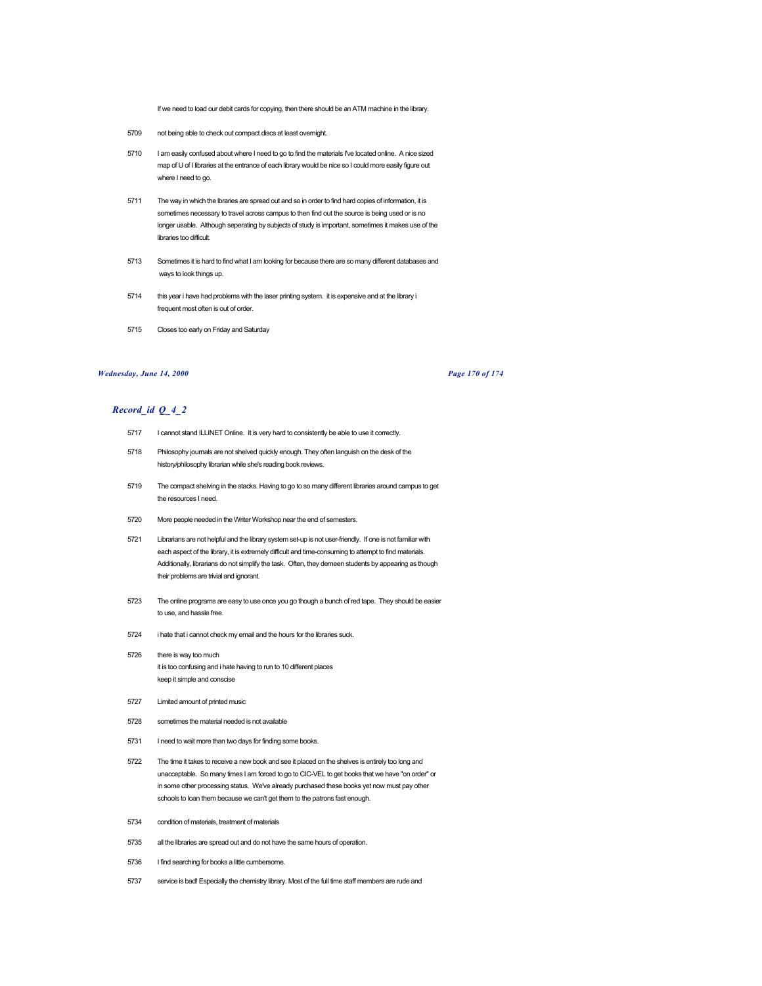If we need to load our debit cards for copying, then there should be an ATM machine in the library.

- 5709 not being able to check out compact discs at least overnight.
- 5710 I am easily confused about where I need to go to find the materials I've located online. A nice sized map of U of I libraries at the entrance of each library would be nice so I could more easily figure out where I need to go.
- 5711 The way in which the lbraries are spread out and so in order to find hard copies of information, it is sometimes necessary to travel across campus to then find out the source is being used or is no longer usable. Although seperating by subjects of study is important, sometimes it makes use of the libraries too difficult.
- 5713 Sometimes it is hard to find what I am looking for because there are so many different databases and ways to look things up.
- 5714 this year i have had problems with the laser printing system. it is expensive and at the library i frequent most often is out of order.
- 5715 Closes too early on Friday and Saturday

## *Wednesday, June 14, 2000 Page 170 of 174*

- 5717 I cannot stand ILLINET Online. It is very hard to consistently be able to use it correctly.
- 5718 Philosophy journals are not shelved quickly enough. They often languish on the desk of the history/philosophy librarian while she's reading book reviews.
- 5719 The compact shelving in the stacks. Having to go to so many different libraries around campus to get the resources I need.
- 5720 More people needed in the Writer Workshop near the end of semesters.
- 5721 Librarians are not helpful and the library system set-up is not user-friendly. If one is not familiar with each aspect of the library, it is extremely difficult and time-consuming to attempt to find materials. Additionally, librarians do not simplify the task. Often, they demeen students by appearing as though their problems are trivial and ignorant.
- 5723 The online programs are easy to use once you go though a bunch of red tape. They should be easier to use, and hassle free.
- 5724 i hate that i cannot check my email and the hours for the libraries suck.
- 5726 there is way too much it is too confusing and i hate having to run to 10 different places keep it simple and conscise
- 5727 Limited amount of printed music
- 5728 sometimes the material needed is not available
- 5731 I need to wait more than two days for finding some books.
- 5722 The time it takes to receive a new book and see it placed on the shelves is entirely too long and unacceptable. So many times I am forced to go to CIC-VEL to get books that we have "on order" or in some other processing status. We've already purchased these books yet now must pay other schools to loan them because we can't get them to the patrons fast enough.
- 5734 condition of materials, treatment of materials
- 5735 all the libraries are spread out and do not have the same hours of operation.
- 5736 I find searching for books a little cumbersome.
- 5737 service is bad! Especially the chemistry library. Most of the full time staff members are rude and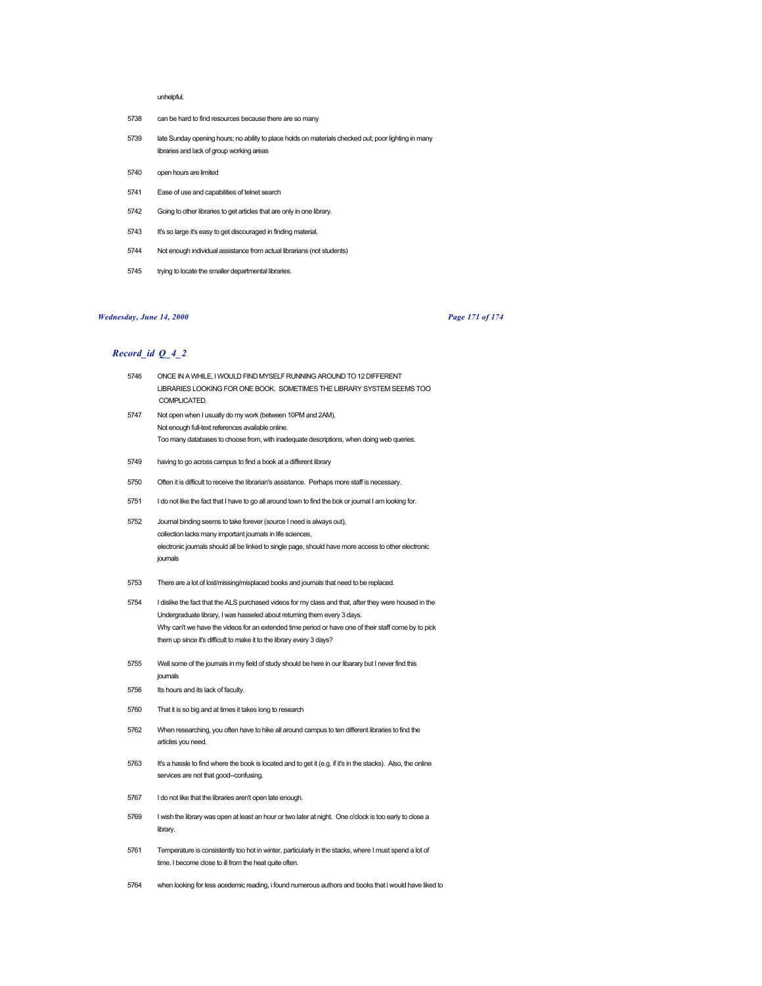#### unhelpful.

- 5738 can be hard to find resources because there are so many
- 5739 late Sunday opening hours; no ability to place holds on materials checked out; poor lighting in many libraries and lack of group working areas
- 5740 open hours are limited
- 5741 Ease of use and capabilities of telnet search
- 5742 Going to other libraries to get articles that are only in one library.
- 5743 It's so large it's easy to get discouraged in finding material.
- 5744 Not enough individual assistance from actual librarians (not students)
- 5745 trying to locate the smaller departmental libraries.

# *Wednesday, June 14, 2000 Page 171 of 174*

- 5746 ONCE IN A WHILE, I WOULD FIND MYSELF RUNNING AROUND TO 12 DIFFERENT LIBRARIES LOOKING FOR ONE BOOK. SOMETIMES THE LIBRARY SYSTEM SEEMS TOO COMPLICATED. 5747 Not open when I usually do my work (between 10PM and 2AM). Not enough full-text references available online.
	- Too many databases to choose from, with inadequate descriptions, when doing web queries.
- 5749 having to go across campus to find a book at a different library
- 5750 Often it is difficult to receive the librarian's assistance. Perhaps more staff is necessary.
- 5751 I do not like the fact that I have to go all around town to find the bok or journal I am looking for.
- 5752 Journal binding seems to take forever (source I need is always out), collection lacks many important journals in life sciences, electronic journals should all be linked to single page, should have more access to other electronic journals
- 5753 There are a lot of lost/missing/misplaced books and journals that need to be replaced.
- 5754 I dislike the fact that the ALS purchased videos for my class and that, after they were housed in the Undergraduate library, I was hasseled about returning them every 3 days. Why can't we have the videos for an extended time period or have one of their staff come by to pick them up since it's difficult to make it to the library every 3 days?
- 5755 Well some of the journals in my field of study should be here in our libarary but I never find this journals
- 5756 Its hours and its lack of faculty.
- 5760 That it is so big and at times it takes long to research
- 5762 When researching, you often have to hike all around campus to ten different libraries to find the articles you need.
- 5763 It's a hassle to find where the book is located and to get it (e.g. if it's in the stacks). Also, the online services are not that good--confusing.
- 5767 I do not like that the libraries aren't open late enough.
- 5769 I wish the library was open at least an hour or two later at night. One o'clock is too early to close a library.
- 5761 Temperature is consistently too hot in winter, particularly in the stacks, where I must spend a lot of time. I become close to ill from the heat quite often.
- 5764 when looking for less acedemic reading, i found numerous authors and books that i would have liked to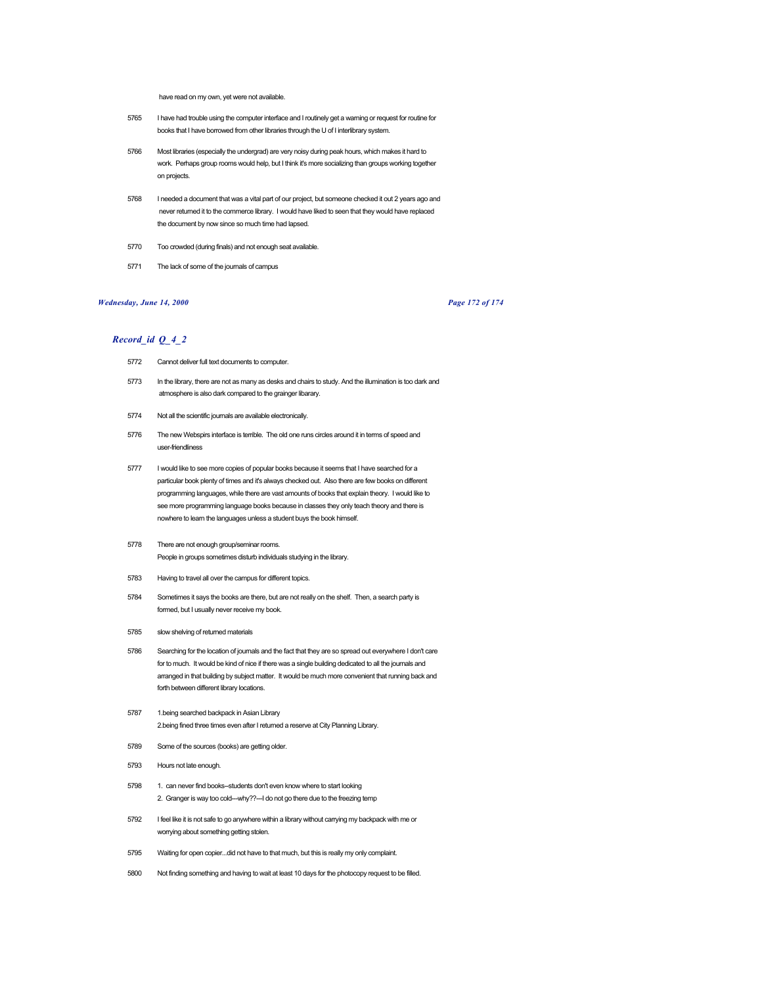have read on my own, yet were not available.

- 5765 I have had trouble using the computer interface and I routinely get a warning or request for routine for books that I have borrowed from other libraries through the U of I interlibrary system.
- 5766 Most libraries (especially the undergrad) are very noisy during peak hours, which makes it hard to work. Perhaps group rooms would help, but I think it's more socializing than groups working together on projects.
- 5768 I needed a document that was a vital part of our project, but someone checked it out 2 years ago and never returned it to the commerce library. I would have liked to seen that they would have replaced the document by now since so much time had lapsed.
- 5770 Too crowded (during finals) and not enough seat available.
- 5771 The lack of some of the journals of campus

# *Wednesday, June 14, 2000 Page 172 of 174*

- 5772 Cannot deliver full text documents to computer.
- 5773 In the library, there are not as many as desks and chairs to study. And the illumination is too dark and atmosphere is also dark compared to the grainger libarary.
- 5774 Not all the scientific journals are available electronically.
- 5776 The new Webspirs interface is terrible. The old one runs circles around it in terms of speed and user-friendliness
- 5777 I would like to see more copies of popular books because it seems that I have searched for a particular book plenty of times and it's always checked out. Also there are few books on different programming languages, while there are vast amounts of books that explain theory. I would like to see more programming language books because in classes they only teach theory and there is nowhere to learn the languages unless a student buys the book himself.
- 5778 There are not enough group/seminar rooms. People in groups sometimes disturb individuals studying in the library.
- 5783 Having to travel all over the campus for different topics.
- 5784 Sometimes it says the books are there, but are not really on the shelf. Then, a search party is formed, but I usually never receive my book.
- 5785 slow shelving of returned materials
- 5786 Searching for the location of journals and the fact that they are so spread out everywhere I don't care for to much. It would be kind of nice if there was a single building dedicated to all the journals and arranged in that building by subject matter. It would be much more convenient that running back and forth between different library locations.
- 5787 1.being searched backpack in Asian Library 2.being fined three times even after I returned a reserve at City Planning Library.
- 5789 Some of the sources (books) are getting older.
- 5793 Hours not late enough.
- 5798 1. can never find books--students don't even know where to start looking 2. Granger is way too cold---why??--I do not go there due to the freezing temp
- 5792 I feel like it is not safe to go anywhere within a library without carrying my backpack with me or worrying about something getting stolen.
- 5795 Waiting for open copier...did not have to that much, but this is really my only complaint.
- 5800 Not finding something and having to wait at least 10 days for the photocopy request to be filled.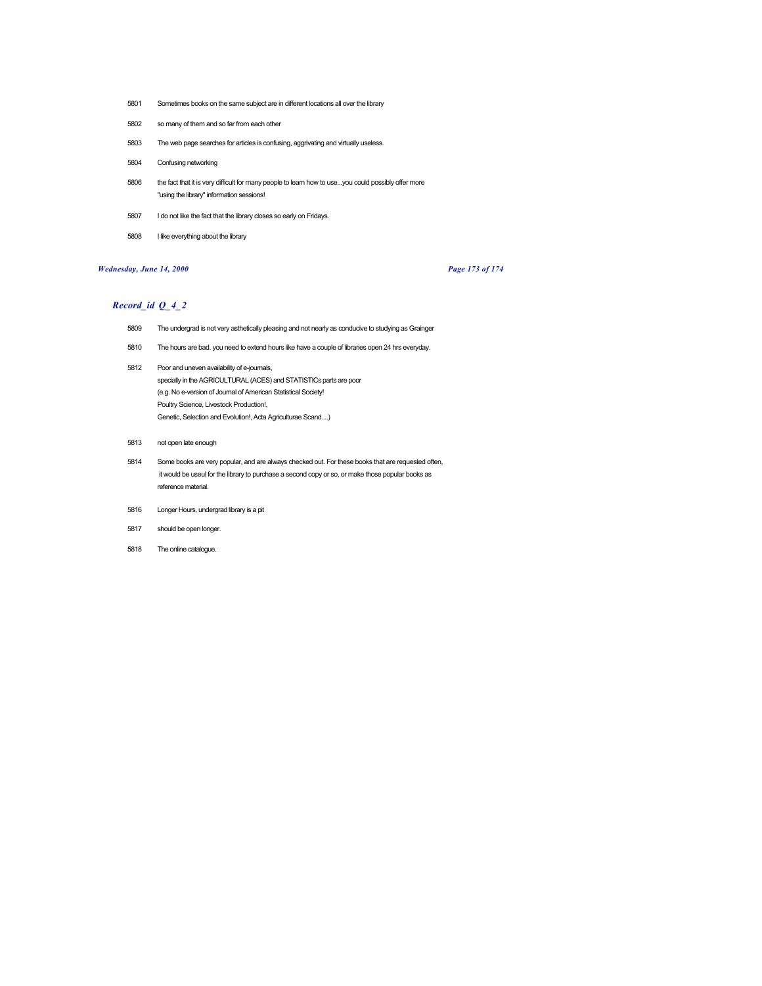- Sometimes books on the same subject are in different locations all over the library
- so many of them and so far from each other
- The web page searches for articles is confusing, aggrivating and virtually useless.
- Confusing networking
- the fact that it is very difficult for many people to learn how to use...you could possibly offer more "using the library" information sessions!
- I do not like the fact that the library closes so early on Fridays.
- I like everything about the library

# *Wednesday, June 14, 2000 Page 173 of 174*

- The undergrad is not very asthetically pleasing and not nearly as conducive to studying as Grainger
- The hours are bad. you need to extend hours like have a couple of libraries open 24 hrs everyday.
- Poor and uneven availability of e-journals, specially in the AGRICULTURAL (ACES) and STATISTICs parts are poor (e.g. No e-version of Journal of American Statistical Society! Poultry Science, Livestock Production!, Genetic, Selection and Evolution!, Acta Agriculturae Scand....)
- not open late enough
- Some books are very popular, and are always checked out. For these books that are requested often, it would be useul for the library to purchase a second copy or so, or make those popular books as reference material.
- Longer Hours, undergrad library is a pit
- should be open longer.
- The online catalogue.